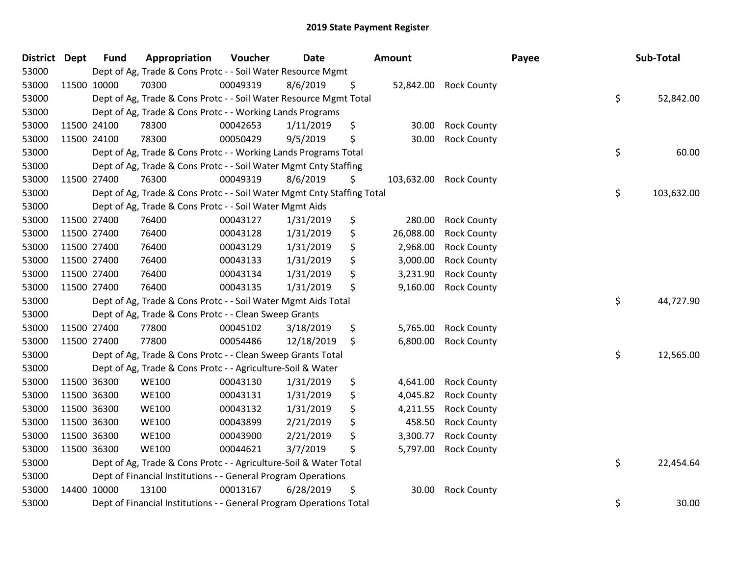| District Dept |             | <b>Fund</b> | Appropriation                                                          | Voucher  | <b>Date</b> | Amount           |                    | Payee | Sub-Total  |  |
|---------------|-------------|-------------|------------------------------------------------------------------------|----------|-------------|------------------|--------------------|-------|------------|--|
| 53000         |             |             | Dept of Ag, Trade & Cons Protc - - Soil Water Resource Mgmt            |          |             |                  |                    |       |            |  |
| 53000         |             | 11500 10000 | 70300                                                                  | 00049319 | 8/6/2019    | \$<br>52,842.00  | <b>Rock County</b> |       |            |  |
| 53000         |             |             | Dept of Ag, Trade & Cons Protc - - Soil Water Resource Mgmt Total      |          |             |                  |                    | \$    | 52,842.00  |  |
| 53000         |             |             | Dept of Ag, Trade & Cons Protc - - Working Lands Programs              |          |             |                  |                    |       |            |  |
| 53000         |             | 11500 24100 | 78300                                                                  | 00042653 | 1/11/2019   | \$<br>30.00      | <b>Rock County</b> |       |            |  |
| 53000         |             | 11500 24100 | 78300                                                                  | 00050429 | 9/5/2019    | \$<br>30.00      | <b>Rock County</b> |       |            |  |
| 53000         |             |             | Dept of Ag, Trade & Cons Protc - - Working Lands Programs Total        |          |             |                  |                    | \$    | 60.00      |  |
| 53000         |             |             | Dept of Ag, Trade & Cons Protc - - Soil Water Mgmt Cnty Staffing       |          |             |                  |                    |       |            |  |
| 53000         |             | 11500 27400 | 76300                                                                  | 00049319 | 8/6/2019    | \$<br>103,632.00 | <b>Rock County</b> |       |            |  |
| 53000         |             |             | Dept of Ag, Trade & Cons Protc - - Soil Water Mgmt Cnty Staffing Total |          |             |                  |                    | \$    | 103,632.00 |  |
| 53000         |             |             | Dept of Ag, Trade & Cons Protc - - Soil Water Mgmt Aids                |          |             |                  |                    |       |            |  |
| 53000         |             | 11500 27400 | 76400                                                                  | 00043127 | 1/31/2019   | \$<br>280.00     | <b>Rock County</b> |       |            |  |
| 53000         | 11500 27400 |             | 76400                                                                  | 00043128 | 1/31/2019   | \$<br>26,088.00  | <b>Rock County</b> |       |            |  |
| 53000         | 11500 27400 |             | 76400                                                                  | 00043129 | 1/31/2019   | \$<br>2,968.00   | <b>Rock County</b> |       |            |  |
| 53000         |             | 11500 27400 | 76400                                                                  | 00043133 | 1/31/2019   | \$<br>3,000.00   | <b>Rock County</b> |       |            |  |
| 53000         |             | 11500 27400 | 76400                                                                  | 00043134 | 1/31/2019   | \$<br>3,231.90   | <b>Rock County</b> |       |            |  |
| 53000         |             | 11500 27400 | 76400                                                                  | 00043135 | 1/31/2019   | \$<br>9,160.00   | <b>Rock County</b> |       |            |  |
| 53000         |             |             | Dept of Ag, Trade & Cons Protc - - Soil Water Mgmt Aids Total          |          |             |                  |                    | \$    | 44,727.90  |  |
| 53000         |             |             | Dept of Ag, Trade & Cons Protc - - Clean Sweep Grants                  |          |             |                  |                    |       |            |  |
| 53000         |             | 11500 27400 | 77800                                                                  | 00045102 | 3/18/2019   | \$<br>5,765.00   | <b>Rock County</b> |       |            |  |
| 53000         |             | 11500 27400 | 77800                                                                  | 00054486 | 12/18/2019  | \$<br>6,800.00   | <b>Rock County</b> |       |            |  |
| 53000         |             |             | Dept of Ag, Trade & Cons Protc - - Clean Sweep Grants Total            |          |             |                  |                    | \$    | 12,565.00  |  |
| 53000         |             |             | Dept of Ag, Trade & Cons Protc - - Agriculture-Soil & Water            |          |             |                  |                    |       |            |  |
| 53000         |             | 11500 36300 | <b>WE100</b>                                                           | 00043130 | 1/31/2019   | \$<br>4,641.00   | <b>Rock County</b> |       |            |  |
| 53000         |             | 11500 36300 | <b>WE100</b>                                                           | 00043131 | 1/31/2019   | \$<br>4,045.82   | <b>Rock County</b> |       |            |  |
| 53000         |             | 11500 36300 | <b>WE100</b>                                                           | 00043132 | 1/31/2019   | \$<br>4,211.55   | <b>Rock County</b> |       |            |  |
| 53000         |             | 11500 36300 | <b>WE100</b>                                                           | 00043899 | 2/21/2019   | \$<br>458.50     | <b>Rock County</b> |       |            |  |
| 53000         | 11500 36300 |             | <b>WE100</b>                                                           | 00043900 | 2/21/2019   | \$<br>3,300.77   | <b>Rock County</b> |       |            |  |
| 53000         |             | 11500 36300 | <b>WE100</b>                                                           | 00044621 | 3/7/2019    | \$<br>5,797.00   | <b>Rock County</b> |       |            |  |
| 53000         |             |             | Dept of Ag, Trade & Cons Protc - - Agriculture-Soil & Water Total      |          |             |                  |                    | \$    | 22,454.64  |  |
| 53000         |             |             | Dept of Financial Institutions - - General Program Operations          |          |             |                  |                    |       |            |  |
| 53000         |             | 14400 10000 | 13100                                                                  | 00013167 | 6/28/2019   | \$<br>30.00      | <b>Rock County</b> |       |            |  |
| 53000         |             |             | Dept of Financial Institutions - - General Program Operations Total    |          |             |                  |                    | \$    | 30.00      |  |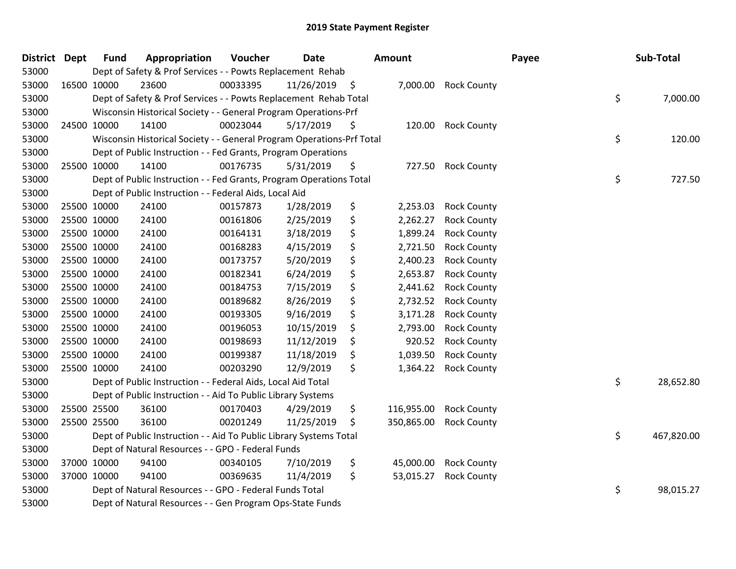| District Dept |             | <b>Fund</b> | Appropriation                                                         | Voucher  | <b>Date</b> |     | Amount     |                    | Payee | Sub-Total        |
|---------------|-------------|-------------|-----------------------------------------------------------------------|----------|-------------|-----|------------|--------------------|-------|------------------|
| 53000         |             |             | Dept of Safety & Prof Services - - Powts Replacement Rehab            |          |             |     |            |                    |       |                  |
| 53000         | 16500 10000 |             | 23600                                                                 | 00033395 | 11/26/2019  | \$  | 7,000.00   | <b>Rock County</b> |       |                  |
| 53000         |             |             | Dept of Safety & Prof Services - - Powts Replacement Rehab Total      |          |             |     |            |                    |       | \$<br>7,000.00   |
| 53000         |             |             | Wisconsin Historical Society - - General Program Operations-Prf       |          |             |     |            |                    |       |                  |
| 53000         | 24500 10000 |             | 14100                                                                 | 00023044 | 5/17/2019   | \$  | 120.00     | <b>Rock County</b> |       |                  |
| 53000         |             |             | Wisconsin Historical Society - - General Program Operations-Prf Total |          |             |     |            |                    |       | \$<br>120.00     |
| 53000         |             |             | Dept of Public Instruction - - Fed Grants, Program Operations         |          |             |     |            |                    |       |                  |
| 53000         | 25500 10000 |             | 14100                                                                 | 00176735 | 5/31/2019   | \$  | 727.50     | <b>Rock County</b> |       |                  |
| 53000         |             |             | Dept of Public Instruction - - Fed Grants, Program Operations Total   |          |             |     |            |                    |       | \$<br>727.50     |
| 53000         |             |             | Dept of Public Instruction - - Federal Aids, Local Aid                |          |             |     |            |                    |       |                  |
| 53000         | 25500 10000 |             | 24100                                                                 | 00157873 | 1/28/2019   | \$  | 2,253.03   | <b>Rock County</b> |       |                  |
| 53000         | 25500 10000 |             | 24100                                                                 | 00161806 | 2/25/2019   | \$  | 2,262.27   | <b>Rock County</b> |       |                  |
| 53000         | 25500 10000 |             | 24100                                                                 | 00164131 | 3/18/2019   | \$  | 1,899.24   | <b>Rock County</b> |       |                  |
| 53000         | 25500 10000 |             | 24100                                                                 | 00168283 | 4/15/2019   | \$  | 2,721.50   | <b>Rock County</b> |       |                  |
| 53000         | 25500 10000 |             | 24100                                                                 | 00173757 | 5/20/2019   | \$  | 2,400.23   | <b>Rock County</b> |       |                  |
| 53000         | 25500 10000 |             | 24100                                                                 | 00182341 | 6/24/2019   | \$  | 2,653.87   | <b>Rock County</b> |       |                  |
| 53000         | 25500 10000 |             | 24100                                                                 | 00184753 | 7/15/2019   | \$  | 2,441.62   | <b>Rock County</b> |       |                  |
| 53000         | 25500 10000 |             | 24100                                                                 | 00189682 | 8/26/2019   | \$  | 2,732.52   | <b>Rock County</b> |       |                  |
| 53000         | 25500 10000 |             | 24100                                                                 | 00193305 | 9/16/2019   | \$  | 3,171.28   | <b>Rock County</b> |       |                  |
| 53000         | 25500 10000 |             | 24100                                                                 | 00196053 | 10/15/2019  | \$  | 2,793.00   | <b>Rock County</b> |       |                  |
| 53000         | 25500 10000 |             | 24100                                                                 | 00198693 | 11/12/2019  | \$  | 920.52     | <b>Rock County</b> |       |                  |
| 53000         | 25500 10000 |             | 24100                                                                 | 00199387 | 11/18/2019  | \$, | 1,039.50   | <b>Rock County</b> |       |                  |
| 53000         | 25500 10000 |             | 24100                                                                 | 00203290 | 12/9/2019   | \$  | 1,364.22   | <b>Rock County</b> |       |                  |
| 53000         |             |             | Dept of Public Instruction - - Federal Aids, Local Aid Total          |          |             |     |            |                    |       | \$<br>28,652.80  |
| 53000         |             |             | Dept of Public Instruction - - Aid To Public Library Systems          |          |             |     |            |                    |       |                  |
| 53000         | 25500 25500 |             | 36100                                                                 | 00170403 | 4/29/2019   | \$  | 116,955.00 | <b>Rock County</b> |       |                  |
| 53000         |             | 25500 25500 | 36100                                                                 | 00201249 | 11/25/2019  | \$  | 350,865.00 | <b>Rock County</b> |       |                  |
| 53000         |             |             | Dept of Public Instruction - - Aid To Public Library Systems Total    |          |             |     |            |                    |       | \$<br>467,820.00 |
| 53000         |             |             | Dept of Natural Resources - - GPO - Federal Funds                     |          |             |     |            |                    |       |                  |
| 53000         | 37000 10000 |             | 94100                                                                 | 00340105 | 7/10/2019   | \$  | 45,000.00  | <b>Rock County</b> |       |                  |
| 53000         |             | 37000 10000 | 94100                                                                 | 00369635 | 11/4/2019   | \$  | 53,015.27  | <b>Rock County</b> |       |                  |
| 53000         |             |             | Dept of Natural Resources - - GPO - Federal Funds Total               |          |             |     |            |                    |       | \$<br>98,015.27  |
| 53000         |             |             | Dept of Natural Resources - - Gen Program Ops-State Funds             |          |             |     |            |                    |       |                  |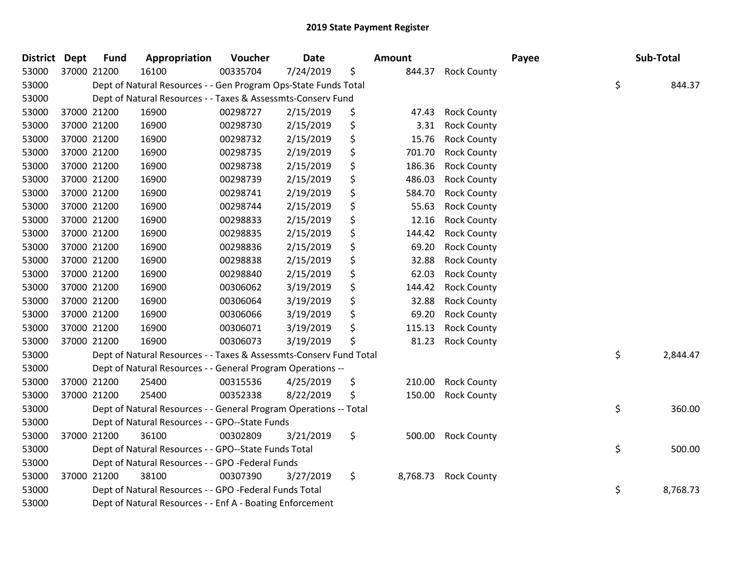| District Dept |             | <b>Fund</b> | Appropriation                                                      | Voucher  | <b>Date</b> | <b>Amount</b>  |                    | Payee | Sub-Total      |
|---------------|-------------|-------------|--------------------------------------------------------------------|----------|-------------|----------------|--------------------|-------|----------------|
| 53000         | 37000 21200 |             | 16100                                                              | 00335704 | 7/24/2019   | \$<br>844.37   | <b>Rock County</b> |       |                |
| 53000         |             |             | Dept of Natural Resources - - Gen Program Ops-State Funds Total    |          |             |                |                    |       | \$<br>844.37   |
| 53000         |             |             | Dept of Natural Resources - - Taxes & Assessmts-Conserv Fund       |          |             |                |                    |       |                |
| 53000         |             | 37000 21200 | 16900                                                              | 00298727 | 2/15/2019   | \$<br>47.43    | <b>Rock County</b> |       |                |
| 53000         |             | 37000 21200 | 16900                                                              | 00298730 | 2/15/2019   | \$<br>3.31     | <b>Rock County</b> |       |                |
| 53000         | 37000 21200 |             | 16900                                                              | 00298732 | 2/15/2019   | \$<br>15.76    | <b>Rock County</b> |       |                |
| 53000         |             | 37000 21200 | 16900                                                              | 00298735 | 2/19/2019   | \$<br>701.70   | <b>Rock County</b> |       |                |
| 53000         | 37000 21200 |             | 16900                                                              | 00298738 | 2/15/2019   | \$<br>186.36   | <b>Rock County</b> |       |                |
| 53000         | 37000 21200 |             | 16900                                                              | 00298739 | 2/15/2019   | \$<br>486.03   | <b>Rock County</b> |       |                |
| 53000         | 37000 21200 |             | 16900                                                              | 00298741 | 2/19/2019   | \$<br>584.70   | <b>Rock County</b> |       |                |
| 53000         | 37000 21200 |             | 16900                                                              | 00298744 | 2/15/2019   | \$<br>55.63    | <b>Rock County</b> |       |                |
| 53000         |             | 37000 21200 | 16900                                                              | 00298833 | 2/15/2019   | \$<br>12.16    | <b>Rock County</b> |       |                |
| 53000         | 37000 21200 |             | 16900                                                              | 00298835 | 2/15/2019   | \$<br>144.42   | <b>Rock County</b> |       |                |
| 53000         | 37000 21200 |             | 16900                                                              | 00298836 | 2/15/2019   | \$<br>69.20    | <b>Rock County</b> |       |                |
| 53000         | 37000 21200 |             | 16900                                                              | 00298838 | 2/15/2019   | \$<br>32.88    | <b>Rock County</b> |       |                |
| 53000         | 37000 21200 |             | 16900                                                              | 00298840 | 2/15/2019   | \$<br>62.03    | <b>Rock County</b> |       |                |
| 53000         |             | 37000 21200 | 16900                                                              | 00306062 | 3/19/2019   | \$<br>144.42   | <b>Rock County</b> |       |                |
| 53000         | 37000 21200 |             | 16900                                                              | 00306064 | 3/19/2019   | \$<br>32.88    | <b>Rock County</b> |       |                |
| 53000         | 37000 21200 |             | 16900                                                              | 00306066 | 3/19/2019   | \$<br>69.20    | <b>Rock County</b> |       |                |
| 53000         | 37000 21200 |             | 16900                                                              | 00306071 | 3/19/2019   | \$<br>115.13   | <b>Rock County</b> |       |                |
| 53000         | 37000 21200 |             | 16900                                                              | 00306073 | 3/19/2019   | 81.23          | <b>Rock County</b> |       |                |
| 53000         |             |             | Dept of Natural Resources - - Taxes & Assessmts-Conserv Fund Total |          |             |                |                    |       | \$<br>2,844.47 |
| 53000         |             |             | Dept of Natural Resources - - General Program Operations --        |          |             |                |                    |       |                |
| 53000         | 37000 21200 |             | 25400                                                              | 00315536 | 4/25/2019   | \$<br>210.00   | <b>Rock County</b> |       |                |
| 53000         |             | 37000 21200 | 25400                                                              | 00352338 | 8/22/2019   | \$<br>150.00   | <b>Rock County</b> |       |                |
| 53000         |             |             | Dept of Natural Resources - - General Program Operations -- Total  |          |             |                |                    |       | \$<br>360.00   |
| 53000         |             |             | Dept of Natural Resources - - GPO--State Funds                     |          |             |                |                    |       |                |
| 53000         | 37000 21200 |             | 36100                                                              | 00302809 | 3/21/2019   | \$<br>500.00   | <b>Rock County</b> |       |                |
| 53000         |             |             | Dept of Natural Resources - - GPO--State Funds Total               |          |             |                |                    |       | \$<br>500.00   |
| 53000         |             |             | Dept of Natural Resources - - GPO -Federal Funds                   |          |             |                |                    |       |                |
| 53000         | 37000 21200 |             | 38100                                                              | 00307390 | 3/27/2019   | \$<br>8,768.73 | <b>Rock County</b> |       |                |
| 53000         |             |             | Dept of Natural Resources - - GPO -Federal Funds Total             |          |             |                |                    |       | \$<br>8,768.73 |
| 53000         |             |             | Dept of Natural Resources - - Enf A - Boating Enforcement          |          |             |                |                    |       |                |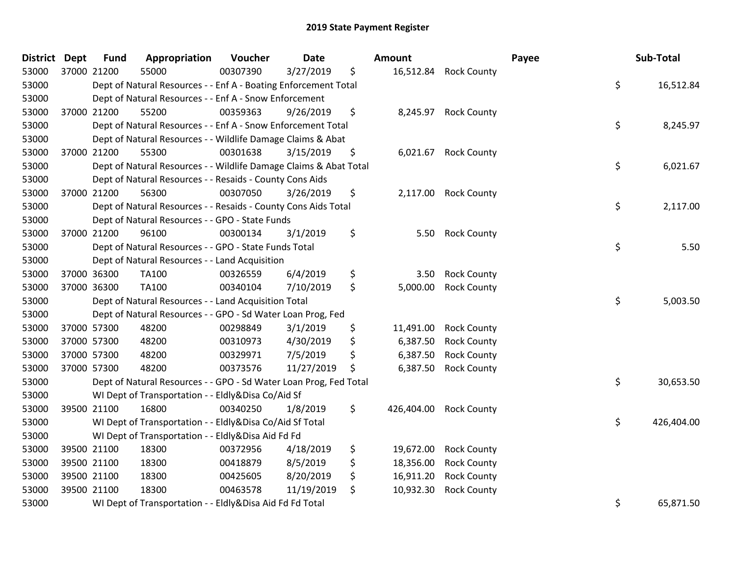| District Dept |             | <b>Fund</b> | Appropriation                                                     | Voucher  | <b>Date</b> | Amount           |                       | Payee | Sub-Total  |
|---------------|-------------|-------------|-------------------------------------------------------------------|----------|-------------|------------------|-----------------------|-------|------------|
| 53000         | 37000 21200 |             | 55000                                                             | 00307390 | 3/27/2019   | \$               | 16,512.84 Rock County |       |            |
| 53000         |             |             | Dept of Natural Resources - - Enf A - Boating Enforcement Total   |          |             |                  |                       | \$    | 16,512.84  |
| 53000         |             |             | Dept of Natural Resources - - Enf A - Snow Enforcement            |          |             |                  |                       |       |            |
| 53000         | 37000 21200 |             | 55200                                                             | 00359363 | 9/26/2019   | \$<br>8,245.97   | <b>Rock County</b>    |       |            |
| 53000         |             |             | Dept of Natural Resources - - Enf A - Snow Enforcement Total      |          |             |                  |                       | \$    | 8,245.97   |
| 53000         |             |             | Dept of Natural Resources - - Wildlife Damage Claims & Abat       |          |             |                  |                       |       |            |
| 53000         |             | 37000 21200 | 55300                                                             | 00301638 | 3/15/2019   | \$<br>6,021.67   | <b>Rock County</b>    |       |            |
| 53000         |             |             | Dept of Natural Resources - - Wildlife Damage Claims & Abat Total |          |             |                  |                       | \$    | 6,021.67   |
| 53000         |             |             | Dept of Natural Resources - - Resaids - County Cons Aids          |          |             |                  |                       |       |            |
| 53000         | 37000 21200 |             | 56300                                                             | 00307050 | 3/26/2019   | \$               | 2,117.00 Rock County  |       |            |
| 53000         |             |             | Dept of Natural Resources - - Resaids - County Cons Aids Total    |          |             |                  |                       | \$    | 2,117.00   |
| 53000         |             |             | Dept of Natural Resources - - GPO - State Funds                   |          |             |                  |                       |       |            |
| 53000         |             | 37000 21200 | 96100                                                             | 00300134 | 3/1/2019    | \$<br>5.50       | <b>Rock County</b>    |       |            |
| 53000         |             |             | Dept of Natural Resources - - GPO - State Funds Total             |          |             |                  |                       | \$    | 5.50       |
| 53000         |             |             | Dept of Natural Resources - - Land Acquisition                    |          |             |                  |                       |       |            |
| 53000         | 37000 36300 |             | TA100                                                             | 00326559 | 6/4/2019    | \$<br>3.50       | <b>Rock County</b>    |       |            |
| 53000         |             | 37000 36300 | TA100                                                             | 00340104 | 7/10/2019   | \$<br>5,000.00   | <b>Rock County</b>    |       |            |
| 53000         |             |             | Dept of Natural Resources - - Land Acquisition Total              |          |             |                  |                       | \$    | 5,003.50   |
| 53000         |             |             | Dept of Natural Resources - - GPO - Sd Water Loan Prog, Fed       |          |             |                  |                       |       |            |
| 53000         |             | 37000 57300 | 48200                                                             | 00298849 | 3/1/2019    | \$<br>11,491.00  | <b>Rock County</b>    |       |            |
| 53000         | 37000 57300 |             | 48200                                                             | 00310973 | 4/30/2019   | \$<br>6,387.50   | <b>Rock County</b>    |       |            |
| 53000         | 37000 57300 |             | 48200                                                             | 00329971 | 7/5/2019    | \$<br>6,387.50   | <b>Rock County</b>    |       |            |
| 53000         | 37000 57300 |             | 48200                                                             | 00373576 | 11/27/2019  | \$<br>6,387.50   | <b>Rock County</b>    |       |            |
| 53000         |             |             | Dept of Natural Resources - - GPO - Sd Water Loan Prog, Fed Total |          |             |                  |                       | \$    | 30,653.50  |
| 53000         |             |             | WI Dept of Transportation - - Eldly&Disa Co/Aid Sf                |          |             |                  |                       |       |            |
| 53000         | 39500 21100 |             | 16800                                                             | 00340250 | 1/8/2019    | \$<br>426,404.00 | <b>Rock County</b>    |       |            |
| 53000         |             |             | WI Dept of Transportation - - Eldly&Disa Co/Aid Sf Total          |          |             |                  |                       | \$    | 426,404.00 |
| 53000         |             |             | WI Dept of Transportation - - Eldly&Disa Aid Fd Fd                |          |             |                  |                       |       |            |
| 53000         | 39500 21100 |             | 18300                                                             | 00372956 | 4/18/2019   | \$<br>19,672.00  | <b>Rock County</b>    |       |            |
| 53000         | 39500 21100 |             | 18300                                                             | 00418879 | 8/5/2019    | \$<br>18,356.00  | <b>Rock County</b>    |       |            |
| 53000         | 39500 21100 |             | 18300                                                             | 00425605 | 8/20/2019   | \$<br>16,911.20  | <b>Rock County</b>    |       |            |
| 53000         | 39500 21100 |             | 18300                                                             | 00463578 | 11/19/2019  | \$<br>10,932.30  | <b>Rock County</b>    |       |            |
| 53000         |             |             | WI Dept of Transportation - - Eldly&Disa Aid Fd Fd Total          |          |             |                  |                       | \$    | 65,871.50  |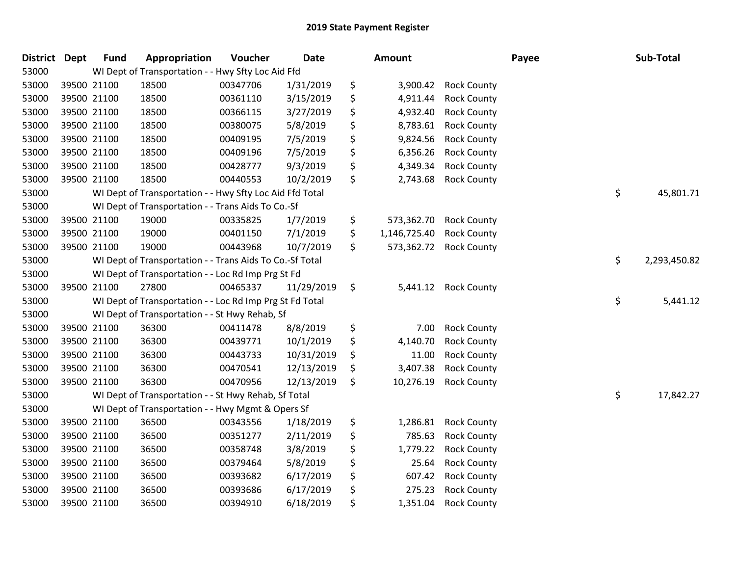| <b>District</b> | Dept        | <b>Fund</b> | Appropriation                                            | Voucher  | <b>Date</b> | Amount             |                    | Payee | Sub-Total          |
|-----------------|-------------|-------------|----------------------------------------------------------|----------|-------------|--------------------|--------------------|-------|--------------------|
| 53000           |             |             | WI Dept of Transportation - - Hwy Sfty Loc Aid Ffd       |          |             |                    |                    |       |                    |
| 53000           | 39500 21100 |             | 18500                                                    | 00347706 | 1/31/2019   | \$<br>3,900.42     | <b>Rock County</b> |       |                    |
| 53000           | 39500 21100 |             | 18500                                                    | 00361110 | 3/15/2019   | \$<br>4,911.44     | <b>Rock County</b> |       |                    |
| 53000           | 39500 21100 |             | 18500                                                    | 00366115 | 3/27/2019   | \$<br>4,932.40     | <b>Rock County</b> |       |                    |
| 53000           | 39500 21100 |             | 18500                                                    | 00380075 | 5/8/2019    | \$<br>8,783.61     | <b>Rock County</b> |       |                    |
| 53000           | 39500 21100 |             | 18500                                                    | 00409195 | 7/5/2019    | \$<br>9,824.56     | <b>Rock County</b> |       |                    |
| 53000           | 39500 21100 |             | 18500                                                    | 00409196 | 7/5/2019    | \$<br>6,356.26     | <b>Rock County</b> |       |                    |
| 53000           | 39500 21100 |             | 18500                                                    | 00428777 | 9/3/2019    | \$<br>4,349.34     | <b>Rock County</b> |       |                    |
| 53000           | 39500 21100 |             | 18500                                                    | 00440553 | 10/2/2019   | \$<br>2,743.68     | <b>Rock County</b> |       |                    |
| 53000           |             |             | WI Dept of Transportation - - Hwy Sfty Loc Aid Ffd Total |          |             |                    |                    |       | \$<br>45,801.71    |
| 53000           |             |             | WI Dept of Transportation - - Trans Aids To Co.-Sf       |          |             |                    |                    |       |                    |
| 53000           | 39500 21100 |             | 19000                                                    | 00335825 | 1/7/2019    | \$<br>573,362.70   | <b>Rock County</b> |       |                    |
| 53000           | 39500 21100 |             | 19000                                                    | 00401150 | 7/1/2019    | \$<br>1,146,725.40 | <b>Rock County</b> |       |                    |
| 53000           | 39500 21100 |             | 19000                                                    | 00443968 | 10/7/2019   | \$<br>573,362.72   | <b>Rock County</b> |       |                    |
| 53000           |             |             | WI Dept of Transportation - - Trans Aids To Co.-Sf Total |          |             |                    |                    |       | \$<br>2,293,450.82 |
| 53000           |             |             | WI Dept of Transportation - - Loc Rd Imp Prg St Fd       |          |             |                    |                    |       |                    |
| 53000           | 39500 21100 |             | 27800                                                    | 00465337 | 11/29/2019  | \$<br>5,441.12     | <b>Rock County</b> |       |                    |
| 53000           |             |             | WI Dept of Transportation - - Loc Rd Imp Prg St Fd Total |          |             |                    |                    |       | \$<br>5,441.12     |
| 53000           |             |             | WI Dept of Transportation - - St Hwy Rehab, Sf           |          |             |                    |                    |       |                    |
| 53000           | 39500 21100 |             | 36300                                                    | 00411478 | 8/8/2019    | \$<br>7.00         | <b>Rock County</b> |       |                    |
| 53000           | 39500 21100 |             | 36300                                                    | 00439771 | 10/1/2019   | \$<br>4,140.70     | <b>Rock County</b> |       |                    |
| 53000           | 39500 21100 |             | 36300                                                    | 00443733 | 10/31/2019  | \$<br>11.00        | <b>Rock County</b> |       |                    |
| 53000           | 39500 21100 |             | 36300                                                    | 00470541 | 12/13/2019  | \$<br>3,407.38     | <b>Rock County</b> |       |                    |
| 53000           | 39500 21100 |             | 36300                                                    | 00470956 | 12/13/2019  | \$<br>10,276.19    | <b>Rock County</b> |       |                    |
| 53000           |             |             | WI Dept of Transportation - - St Hwy Rehab, Sf Total     |          |             |                    |                    |       | \$<br>17,842.27    |
| 53000           |             |             | WI Dept of Transportation - - Hwy Mgmt & Opers Sf        |          |             |                    |                    |       |                    |
| 53000           | 39500 21100 |             | 36500                                                    | 00343556 | 1/18/2019   | \$<br>1,286.81     | <b>Rock County</b> |       |                    |
| 53000           | 39500 21100 |             | 36500                                                    | 00351277 | 2/11/2019   | \$<br>785.63       | <b>Rock County</b> |       |                    |
| 53000           | 39500 21100 |             | 36500                                                    | 00358748 | 3/8/2019    | \$<br>1,779.22     | <b>Rock County</b> |       |                    |
| 53000           | 39500 21100 |             | 36500                                                    | 00379464 | 5/8/2019    | \$<br>25.64        | <b>Rock County</b> |       |                    |
| 53000           | 39500 21100 |             | 36500                                                    | 00393682 | 6/17/2019   | \$<br>607.42       | <b>Rock County</b> |       |                    |
| 53000           | 39500 21100 |             | 36500                                                    | 00393686 | 6/17/2019   | \$<br>275.23       | <b>Rock County</b> |       |                    |
| 53000           | 39500 21100 |             | 36500                                                    | 00394910 | 6/18/2019   | \$<br>1,351.04     | <b>Rock County</b> |       |                    |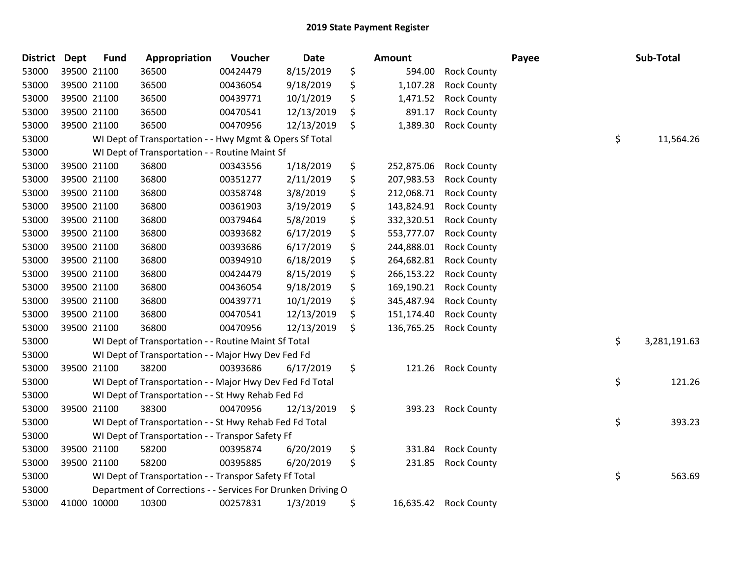| District | <b>Dept</b> | <b>Fund</b> | Appropriation                                                | Voucher  | <b>Date</b> | <b>Amount</b>    |                    | Payee | Sub-Total          |
|----------|-------------|-------------|--------------------------------------------------------------|----------|-------------|------------------|--------------------|-------|--------------------|
| 53000    | 39500 21100 |             | 36500                                                        | 00424479 | 8/15/2019   | \$<br>594.00     | <b>Rock County</b> |       |                    |
| 53000    | 39500 21100 |             | 36500                                                        | 00436054 | 9/18/2019   | \$<br>1,107.28   | <b>Rock County</b> |       |                    |
| 53000    | 39500 21100 |             | 36500                                                        | 00439771 | 10/1/2019   | \$<br>1,471.52   | <b>Rock County</b> |       |                    |
| 53000    | 39500 21100 |             | 36500                                                        | 00470541 | 12/13/2019  | \$<br>891.17     | <b>Rock County</b> |       |                    |
| 53000    | 39500 21100 |             | 36500                                                        | 00470956 | 12/13/2019  | \$<br>1,389.30   | <b>Rock County</b> |       |                    |
| 53000    |             |             | WI Dept of Transportation - - Hwy Mgmt & Opers Sf Total      |          |             |                  |                    |       | \$<br>11,564.26    |
| 53000    |             |             | WI Dept of Transportation - - Routine Maint Sf               |          |             |                  |                    |       |                    |
| 53000    | 39500 21100 |             | 36800                                                        | 00343556 | 1/18/2019   | \$<br>252,875.06 | <b>Rock County</b> |       |                    |
| 53000    | 39500 21100 |             | 36800                                                        | 00351277 | 2/11/2019   | \$<br>207,983.53 | <b>Rock County</b> |       |                    |
| 53000    | 39500 21100 |             | 36800                                                        | 00358748 | 3/8/2019    | \$<br>212,068.71 | <b>Rock County</b> |       |                    |
| 53000    | 39500 21100 |             | 36800                                                        | 00361903 | 3/19/2019   | \$<br>143,824.91 | <b>Rock County</b> |       |                    |
| 53000    | 39500 21100 |             | 36800                                                        | 00379464 | 5/8/2019    | \$<br>332,320.51 | <b>Rock County</b> |       |                    |
| 53000    | 39500 21100 |             | 36800                                                        | 00393682 | 6/17/2019   | \$<br>553,777.07 | <b>Rock County</b> |       |                    |
| 53000    | 39500 21100 |             | 36800                                                        | 00393686 | 6/17/2019   | \$<br>244,888.01 | <b>Rock County</b> |       |                    |
| 53000    | 39500 21100 |             | 36800                                                        | 00394910 | 6/18/2019   | \$<br>264,682.81 | <b>Rock County</b> |       |                    |
| 53000    | 39500 21100 |             | 36800                                                        | 00424479 | 8/15/2019   | \$<br>266,153.22 | <b>Rock County</b> |       |                    |
| 53000    | 39500 21100 |             | 36800                                                        | 00436054 | 9/18/2019   | \$<br>169,190.21 | <b>Rock County</b> |       |                    |
| 53000    | 39500 21100 |             | 36800                                                        | 00439771 | 10/1/2019   | \$<br>345,487.94 | <b>Rock County</b> |       |                    |
| 53000    | 39500 21100 |             | 36800                                                        | 00470541 | 12/13/2019  | \$<br>151,174.40 | <b>Rock County</b> |       |                    |
| 53000    | 39500 21100 |             | 36800                                                        | 00470956 | 12/13/2019  | \$<br>136,765.25 | <b>Rock County</b> |       |                    |
| 53000    |             |             | WI Dept of Transportation - - Routine Maint Sf Total         |          |             |                  |                    |       | \$<br>3,281,191.63 |
| 53000    |             |             | WI Dept of Transportation - - Major Hwy Dev Fed Fd           |          |             |                  |                    |       |                    |
| 53000    | 39500 21100 |             | 38200                                                        | 00393686 | 6/17/2019   | \$<br>121.26     | <b>Rock County</b> |       |                    |
| 53000    |             |             | WI Dept of Transportation - - Major Hwy Dev Fed Fd Total     |          |             |                  |                    |       | \$<br>121.26       |
| 53000    |             |             | WI Dept of Transportation - - St Hwy Rehab Fed Fd            |          |             |                  |                    |       |                    |
| 53000    | 39500 21100 |             | 38300                                                        | 00470956 | 12/13/2019  | \$<br>393.23     | <b>Rock County</b> |       |                    |
| 53000    |             |             | WI Dept of Transportation - - St Hwy Rehab Fed Fd Total      |          |             |                  |                    |       | \$<br>393.23       |
| 53000    |             |             | WI Dept of Transportation - - Transpor Safety Ff             |          |             |                  |                    |       |                    |
| 53000    | 39500 21100 |             | 58200                                                        | 00395874 | 6/20/2019   | \$<br>331.84     | <b>Rock County</b> |       |                    |
| 53000    | 39500 21100 |             | 58200                                                        | 00395885 | 6/20/2019   | \$<br>231.85     | <b>Rock County</b> |       |                    |
| 53000    |             |             | WI Dept of Transportation - - Transpor Safety Ff Total       |          |             |                  |                    |       | \$<br>563.69       |
| 53000    |             |             | Department of Corrections - - Services For Drunken Driving O |          |             |                  |                    |       |                    |
| 53000    | 41000 10000 |             | 10300                                                        | 00257831 | 1/3/2019    | \$<br>16,635.42  | <b>Rock County</b> |       |                    |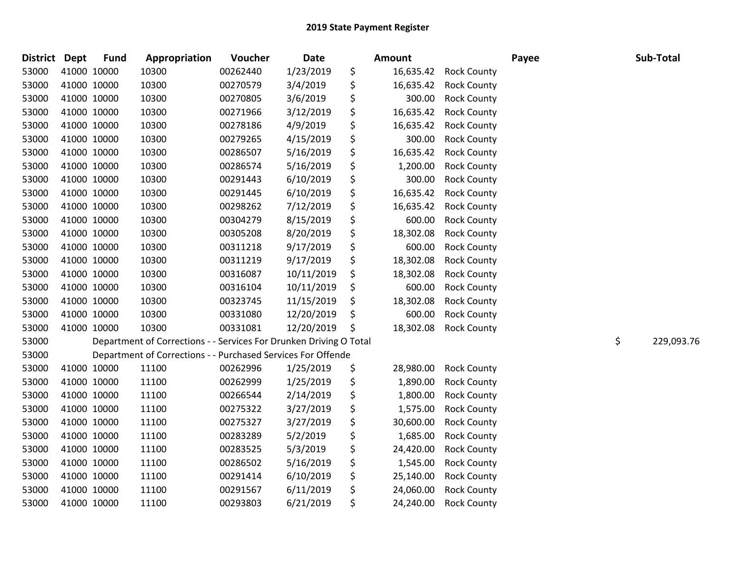| <b>District</b> | <b>Dept</b> | <b>Fund</b> | Appropriation                                                      | Voucher  | <b>Date</b> | <b>Amount</b>   |                    | Payee | Sub-Total        |
|-----------------|-------------|-------------|--------------------------------------------------------------------|----------|-------------|-----------------|--------------------|-------|------------------|
| 53000           | 41000 10000 |             | 10300                                                              | 00262440 | 1/23/2019   | \$<br>16,635.42 | <b>Rock County</b> |       |                  |
| 53000           | 41000 10000 |             | 10300                                                              | 00270579 | 3/4/2019    | \$<br>16,635.42 | <b>Rock County</b> |       |                  |
| 53000           | 41000 10000 |             | 10300                                                              | 00270805 | 3/6/2019    | \$<br>300.00    | <b>Rock County</b> |       |                  |
| 53000           | 41000 10000 |             | 10300                                                              | 00271966 | 3/12/2019   | \$<br>16,635.42 | <b>Rock County</b> |       |                  |
| 53000           | 41000 10000 |             | 10300                                                              | 00278186 | 4/9/2019    | \$<br>16,635.42 | <b>Rock County</b> |       |                  |
| 53000           | 41000 10000 |             | 10300                                                              | 00279265 | 4/15/2019   | \$<br>300.00    | <b>Rock County</b> |       |                  |
| 53000           | 41000 10000 |             | 10300                                                              | 00286507 | 5/16/2019   | \$<br>16,635.42 | <b>Rock County</b> |       |                  |
| 53000           | 41000 10000 |             | 10300                                                              | 00286574 | 5/16/2019   | \$<br>1,200.00  | <b>Rock County</b> |       |                  |
| 53000           | 41000 10000 |             | 10300                                                              | 00291443 | 6/10/2019   | \$<br>300.00    | <b>Rock County</b> |       |                  |
| 53000           | 41000 10000 |             | 10300                                                              | 00291445 | 6/10/2019   | \$<br>16,635.42 | <b>Rock County</b> |       |                  |
| 53000           | 41000 10000 |             | 10300                                                              | 00298262 | 7/12/2019   | \$<br>16,635.42 | <b>Rock County</b> |       |                  |
| 53000           | 41000 10000 |             | 10300                                                              | 00304279 | 8/15/2019   | \$<br>600.00    | <b>Rock County</b> |       |                  |
| 53000           | 41000 10000 |             | 10300                                                              | 00305208 | 8/20/2019   | \$<br>18,302.08 | <b>Rock County</b> |       |                  |
| 53000           | 41000 10000 |             | 10300                                                              | 00311218 | 9/17/2019   | \$<br>600.00    | <b>Rock County</b> |       |                  |
| 53000           | 41000 10000 |             | 10300                                                              | 00311219 | 9/17/2019   | \$<br>18,302.08 | <b>Rock County</b> |       |                  |
| 53000           | 41000 10000 |             | 10300                                                              | 00316087 | 10/11/2019  | \$<br>18,302.08 | <b>Rock County</b> |       |                  |
| 53000           | 41000 10000 |             | 10300                                                              | 00316104 | 10/11/2019  | \$<br>600.00    | <b>Rock County</b> |       |                  |
| 53000           | 41000 10000 |             | 10300                                                              | 00323745 | 11/15/2019  | \$<br>18,302.08 | <b>Rock County</b> |       |                  |
| 53000           | 41000 10000 |             | 10300                                                              | 00331080 | 12/20/2019  | \$<br>600.00    | <b>Rock County</b> |       |                  |
| 53000           | 41000 10000 |             | 10300                                                              | 00331081 | 12/20/2019  | \$<br>18,302.08 | <b>Rock County</b> |       |                  |
| 53000           |             |             | Department of Corrections - - Services For Drunken Driving O Total |          |             |                 |                    |       | \$<br>229,093.76 |
| 53000           |             |             | Department of Corrections - - Purchased Services For Offende       |          |             |                 |                    |       |                  |
| 53000           | 41000 10000 |             | 11100                                                              | 00262996 | 1/25/2019   | \$<br>28,980.00 | <b>Rock County</b> |       |                  |
| 53000           | 41000 10000 |             | 11100                                                              | 00262999 | 1/25/2019   | \$<br>1,890.00  | <b>Rock County</b> |       |                  |
| 53000           | 41000 10000 |             | 11100                                                              | 00266544 | 2/14/2019   | \$<br>1,800.00  | <b>Rock County</b> |       |                  |
| 53000           | 41000 10000 |             | 11100                                                              | 00275322 | 3/27/2019   | \$<br>1,575.00  | <b>Rock County</b> |       |                  |
| 53000           | 41000 10000 |             | 11100                                                              | 00275327 | 3/27/2019   | \$<br>30,600.00 | <b>Rock County</b> |       |                  |
| 53000           | 41000 10000 |             | 11100                                                              | 00283289 | 5/2/2019    | \$<br>1,685.00  | <b>Rock County</b> |       |                  |
| 53000           | 41000 10000 |             | 11100                                                              | 00283525 | 5/3/2019    | \$<br>24,420.00 | <b>Rock County</b> |       |                  |
| 53000           | 41000 10000 |             | 11100                                                              | 00286502 | 5/16/2019   | \$<br>1,545.00  | <b>Rock County</b> |       |                  |
| 53000           | 41000 10000 |             | 11100                                                              | 00291414 | 6/10/2019   | \$<br>25,140.00 | <b>Rock County</b> |       |                  |
| 53000           | 41000 10000 |             | 11100                                                              | 00291567 | 6/11/2019   | \$<br>24,060.00 | <b>Rock County</b> |       |                  |
| 53000           | 41000 10000 |             | 11100                                                              | 00293803 | 6/21/2019   | \$<br>24,240.00 | <b>Rock County</b> |       |                  |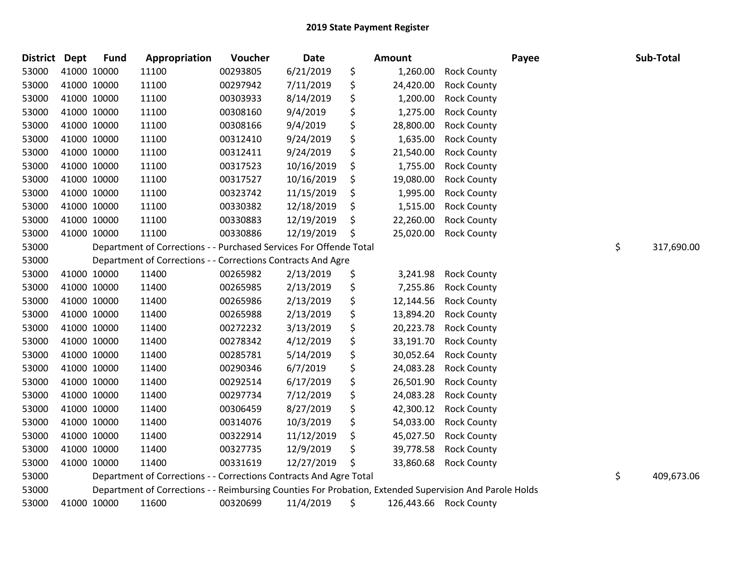| District Dept | <b>Fund</b> | Appropriation                                                                                           | Voucher  | Date       | <b>Amount</b>   |                        | Payee | Sub-Total        |
|---------------|-------------|---------------------------------------------------------------------------------------------------------|----------|------------|-----------------|------------------------|-------|------------------|
| 53000         | 41000 10000 | 11100                                                                                                   | 00293805 | 6/21/2019  | \$<br>1,260.00  | <b>Rock County</b>     |       |                  |
| 53000         | 41000 10000 | 11100                                                                                                   | 00297942 | 7/11/2019  | \$<br>24,420.00 | <b>Rock County</b>     |       |                  |
| 53000         | 41000 10000 | 11100                                                                                                   | 00303933 | 8/14/2019  | \$<br>1,200.00  | <b>Rock County</b>     |       |                  |
| 53000         | 41000 10000 | 11100                                                                                                   | 00308160 | 9/4/2019   | \$<br>1,275.00  | <b>Rock County</b>     |       |                  |
| 53000         | 41000 10000 | 11100                                                                                                   | 00308166 | 9/4/2019   | \$<br>28,800.00 | <b>Rock County</b>     |       |                  |
| 53000         | 41000 10000 | 11100                                                                                                   | 00312410 | 9/24/2019  | \$<br>1,635.00  | <b>Rock County</b>     |       |                  |
| 53000         | 41000 10000 | 11100                                                                                                   | 00312411 | 9/24/2019  | \$<br>21,540.00 | <b>Rock County</b>     |       |                  |
| 53000         | 41000 10000 | 11100                                                                                                   | 00317523 | 10/16/2019 | \$<br>1,755.00  | <b>Rock County</b>     |       |                  |
| 53000         | 41000 10000 | 11100                                                                                                   | 00317527 | 10/16/2019 | \$<br>19,080.00 | <b>Rock County</b>     |       |                  |
| 53000         | 41000 10000 | 11100                                                                                                   | 00323742 | 11/15/2019 | \$<br>1,995.00  | <b>Rock County</b>     |       |                  |
| 53000         | 41000 10000 | 11100                                                                                                   | 00330382 | 12/18/2019 | \$<br>1,515.00  | <b>Rock County</b>     |       |                  |
| 53000         | 41000 10000 | 11100                                                                                                   | 00330883 | 12/19/2019 | \$<br>22,260.00 | <b>Rock County</b>     |       |                  |
| 53000         | 41000 10000 | 11100                                                                                                   | 00330886 | 12/19/2019 | \$<br>25,020.00 | <b>Rock County</b>     |       |                  |
| 53000         |             | Department of Corrections - - Purchased Services For Offende Total                                      |          |            |                 |                        |       | \$<br>317,690.00 |
| 53000         |             | Department of Corrections - - Corrections Contracts And Agre                                            |          |            |                 |                        |       |                  |
| 53000         | 41000 10000 | 11400                                                                                                   | 00265982 | 2/13/2019  | \$<br>3,241.98  | <b>Rock County</b>     |       |                  |
| 53000         | 41000 10000 | 11400                                                                                                   | 00265985 | 2/13/2019  | \$<br>7,255.86  | <b>Rock County</b>     |       |                  |
| 53000         | 41000 10000 | 11400                                                                                                   | 00265986 | 2/13/2019  | \$<br>12,144.56 | <b>Rock County</b>     |       |                  |
| 53000         | 41000 10000 | 11400                                                                                                   | 00265988 | 2/13/2019  | \$<br>13,894.20 | <b>Rock County</b>     |       |                  |
| 53000         | 41000 10000 | 11400                                                                                                   | 00272232 | 3/13/2019  | \$<br>20,223.78 | <b>Rock County</b>     |       |                  |
| 53000         | 41000 10000 | 11400                                                                                                   | 00278342 | 4/12/2019  | \$<br>33,191.70 | <b>Rock County</b>     |       |                  |
| 53000         | 41000 10000 | 11400                                                                                                   | 00285781 | 5/14/2019  | \$<br>30,052.64 | <b>Rock County</b>     |       |                  |
| 53000         | 41000 10000 | 11400                                                                                                   | 00290346 | 6/7/2019   | \$<br>24,083.28 | <b>Rock County</b>     |       |                  |
| 53000         | 41000 10000 | 11400                                                                                                   | 00292514 | 6/17/2019  | \$<br>26,501.90 | <b>Rock County</b>     |       |                  |
| 53000         | 41000 10000 | 11400                                                                                                   | 00297734 | 7/12/2019  | \$<br>24,083.28 | <b>Rock County</b>     |       |                  |
| 53000         | 41000 10000 | 11400                                                                                                   | 00306459 | 8/27/2019  | \$<br>42,300.12 | <b>Rock County</b>     |       |                  |
| 53000         | 41000 10000 | 11400                                                                                                   | 00314076 | 10/3/2019  | \$<br>54,033.00 | <b>Rock County</b>     |       |                  |
| 53000         | 41000 10000 | 11400                                                                                                   | 00322914 | 11/12/2019 | \$<br>45,027.50 | <b>Rock County</b>     |       |                  |
| 53000         | 41000 10000 | 11400                                                                                                   | 00327735 | 12/9/2019  | \$<br>39,778.58 | <b>Rock County</b>     |       |                  |
| 53000         | 41000 10000 | 11400                                                                                                   | 00331619 | 12/27/2019 | \$<br>33,860.68 | <b>Rock County</b>     |       |                  |
| 53000         |             | Department of Corrections - - Corrections Contracts And Agre Total                                      |          |            |                 |                        |       | \$<br>409,673.06 |
| 53000         |             | Department of Corrections - - Reimbursing Counties For Probation, Extended Supervision And Parole Holds |          |            |                 |                        |       |                  |
| 53000         | 41000 10000 | 11600                                                                                                   | 00320699 | 11/4/2019  | \$              | 126,443.66 Rock County |       |                  |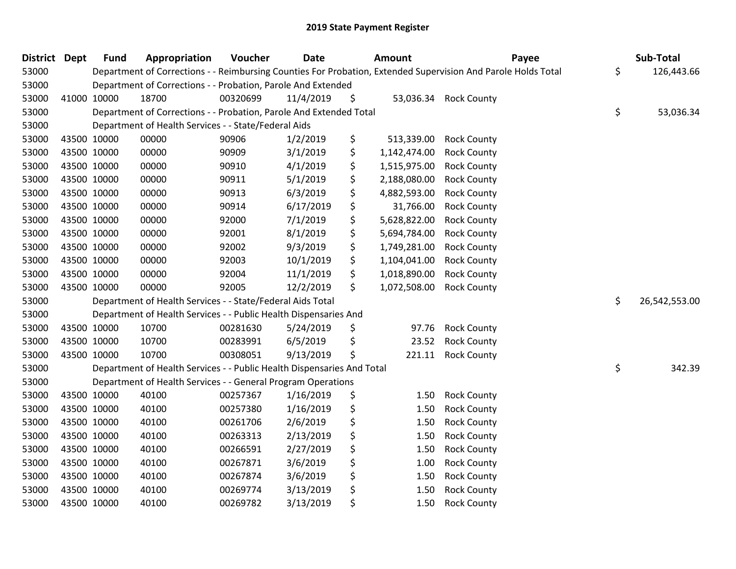| <b>District Dept</b> | <b>Fund</b> | Appropriation                                                          | Voucher  | <b>Date</b> | Amount             | Payee                                                                                                         | Sub-Total           |
|----------------------|-------------|------------------------------------------------------------------------|----------|-------------|--------------------|---------------------------------------------------------------------------------------------------------------|---------------------|
| 53000                |             |                                                                        |          |             |                    | Department of Corrections - - Reimbursing Counties For Probation, Extended Supervision And Parole Holds Total | \$<br>126,443.66    |
| 53000                |             | Department of Corrections - - Probation, Parole And Extended           |          |             |                    |                                                                                                               |                     |
| 53000                | 41000 10000 | 18700                                                                  | 00320699 | 11/4/2019   | \$                 | 53,036.34 Rock County                                                                                         |                     |
| 53000                |             | Department of Corrections - - Probation, Parole And Extended Total     |          |             |                    |                                                                                                               | \$<br>53,036.34     |
| 53000                |             | Department of Health Services - - State/Federal Aids                   |          |             |                    |                                                                                                               |                     |
| 53000                | 43500 10000 | 00000                                                                  | 90906    | 1/2/2019    | \$<br>513,339.00   | <b>Rock County</b>                                                                                            |                     |
| 53000                | 43500 10000 | 00000                                                                  | 90909    | 3/1/2019    | \$<br>1,142,474.00 | <b>Rock County</b>                                                                                            |                     |
| 53000                | 43500 10000 | 00000                                                                  | 90910    | 4/1/2019    | \$<br>1,515,975.00 | <b>Rock County</b>                                                                                            |                     |
| 53000                | 43500 10000 | 00000                                                                  | 90911    | 5/1/2019    | \$<br>2,188,080.00 | <b>Rock County</b>                                                                                            |                     |
| 53000                | 43500 10000 | 00000                                                                  | 90913    | 6/3/2019    | \$<br>4,882,593.00 | <b>Rock County</b>                                                                                            |                     |
| 53000                | 43500 10000 | 00000                                                                  | 90914    | 6/17/2019   | \$<br>31,766.00    | <b>Rock County</b>                                                                                            |                     |
| 53000                | 43500 10000 | 00000                                                                  | 92000    | 7/1/2019    | \$<br>5,628,822.00 | <b>Rock County</b>                                                                                            |                     |
| 53000                | 43500 10000 | 00000                                                                  | 92001    | 8/1/2019    | \$<br>5,694,784.00 | <b>Rock County</b>                                                                                            |                     |
| 53000                | 43500 10000 | 00000                                                                  | 92002    | 9/3/2019    | \$<br>1,749,281.00 | <b>Rock County</b>                                                                                            |                     |
| 53000                | 43500 10000 | 00000                                                                  | 92003    | 10/1/2019   | \$<br>1,104,041.00 | <b>Rock County</b>                                                                                            |                     |
| 53000                | 43500 10000 | 00000                                                                  | 92004    | 11/1/2019   | \$<br>1,018,890.00 | <b>Rock County</b>                                                                                            |                     |
| 53000                | 43500 10000 | 00000                                                                  | 92005    | 12/2/2019   | \$<br>1,072,508.00 | <b>Rock County</b>                                                                                            |                     |
| 53000                |             | Department of Health Services - - State/Federal Aids Total             |          |             |                    |                                                                                                               | \$<br>26,542,553.00 |
| 53000                |             | Department of Health Services - - Public Health Dispensaries And       |          |             |                    |                                                                                                               |                     |
| 53000                | 43500 10000 | 10700                                                                  | 00281630 | 5/24/2019   | \$<br>97.76        | <b>Rock County</b>                                                                                            |                     |
| 53000                | 43500 10000 | 10700                                                                  | 00283991 | 6/5/2019    | \$<br>23.52        | <b>Rock County</b>                                                                                            |                     |
| 53000                | 43500 10000 | 10700                                                                  | 00308051 | 9/13/2019   | \$<br>221.11       | <b>Rock County</b>                                                                                            |                     |
| 53000                |             | Department of Health Services - - Public Health Dispensaries And Total |          |             |                    |                                                                                                               | \$<br>342.39        |
| 53000                |             | Department of Health Services - - General Program Operations           |          |             |                    |                                                                                                               |                     |
| 53000                | 43500 10000 | 40100                                                                  | 00257367 | 1/16/2019   | \$<br>1.50         | <b>Rock County</b>                                                                                            |                     |
| 53000                | 43500 10000 | 40100                                                                  | 00257380 | 1/16/2019   | \$<br>1.50         | <b>Rock County</b>                                                                                            |                     |
| 53000                | 43500 10000 | 40100                                                                  | 00261706 | 2/6/2019    | \$<br>1.50         | <b>Rock County</b>                                                                                            |                     |
| 53000                | 43500 10000 | 40100                                                                  | 00263313 | 2/13/2019   | \$<br>1.50         | <b>Rock County</b>                                                                                            |                     |
| 53000                | 43500 10000 | 40100                                                                  | 00266591 | 2/27/2019   | \$<br>1.50         | <b>Rock County</b>                                                                                            |                     |
| 53000                | 43500 10000 | 40100                                                                  | 00267871 | 3/6/2019    | \$<br>1.00         | <b>Rock County</b>                                                                                            |                     |
| 53000                | 43500 10000 | 40100                                                                  | 00267874 | 3/6/2019    | \$<br>1.50         | <b>Rock County</b>                                                                                            |                     |
| 53000                | 43500 10000 | 40100                                                                  | 00269774 | 3/13/2019   | \$<br>1.50         | <b>Rock County</b>                                                                                            |                     |
| 53000                | 43500 10000 | 40100                                                                  | 00269782 | 3/13/2019   | \$<br>1.50         | <b>Rock County</b>                                                                                            |                     |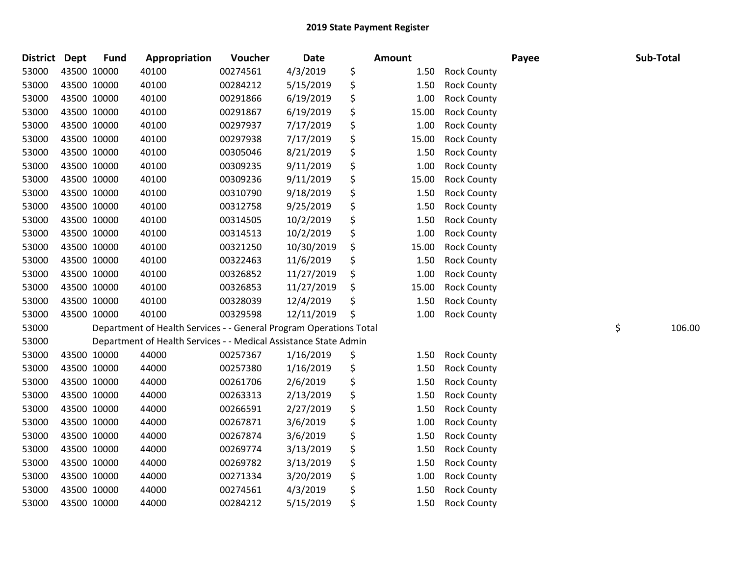| District Dept |             | <b>Fund</b> | Appropriation                                                      | Voucher  | <b>Date</b> | Amount      |                    | Payee | Sub-Total    |
|---------------|-------------|-------------|--------------------------------------------------------------------|----------|-------------|-------------|--------------------|-------|--------------|
| 53000         | 43500 10000 |             | 40100                                                              | 00274561 | 4/3/2019    | \$<br>1.50  | <b>Rock County</b> |       |              |
| 53000         | 43500 10000 |             | 40100                                                              | 00284212 | 5/15/2019   | \$<br>1.50  | <b>Rock County</b> |       |              |
| 53000         | 43500 10000 |             | 40100                                                              | 00291866 | 6/19/2019   | \$<br>1.00  | <b>Rock County</b> |       |              |
| 53000         | 43500 10000 |             | 40100                                                              | 00291867 | 6/19/2019   | \$<br>15.00 | <b>Rock County</b> |       |              |
| 53000         | 43500 10000 |             | 40100                                                              | 00297937 | 7/17/2019   | \$<br>1.00  | <b>Rock County</b> |       |              |
| 53000         | 43500 10000 |             | 40100                                                              | 00297938 | 7/17/2019   | \$<br>15.00 | <b>Rock County</b> |       |              |
| 53000         | 43500 10000 |             | 40100                                                              | 00305046 | 8/21/2019   | \$<br>1.50  | <b>Rock County</b> |       |              |
| 53000         | 43500 10000 |             | 40100                                                              | 00309235 | 9/11/2019   | \$<br>1.00  | <b>Rock County</b> |       |              |
| 53000         | 43500 10000 |             | 40100                                                              | 00309236 | 9/11/2019   | \$<br>15.00 | <b>Rock County</b> |       |              |
| 53000         | 43500 10000 |             | 40100                                                              | 00310790 | 9/18/2019   | \$<br>1.50  | <b>Rock County</b> |       |              |
| 53000         | 43500 10000 |             | 40100                                                              | 00312758 | 9/25/2019   | \$<br>1.50  | <b>Rock County</b> |       |              |
| 53000         | 43500 10000 |             | 40100                                                              | 00314505 | 10/2/2019   | \$<br>1.50  | <b>Rock County</b> |       |              |
| 53000         | 43500 10000 |             | 40100                                                              | 00314513 | 10/2/2019   | \$<br>1.00  | <b>Rock County</b> |       |              |
| 53000         | 43500 10000 |             | 40100                                                              | 00321250 | 10/30/2019  | \$<br>15.00 | <b>Rock County</b> |       |              |
| 53000         | 43500 10000 |             | 40100                                                              | 00322463 | 11/6/2019   | \$<br>1.50  | <b>Rock County</b> |       |              |
| 53000         | 43500 10000 |             | 40100                                                              | 00326852 | 11/27/2019  | \$<br>1.00  | <b>Rock County</b> |       |              |
| 53000         | 43500 10000 |             | 40100                                                              | 00326853 | 11/27/2019  | \$<br>15.00 | <b>Rock County</b> |       |              |
| 53000         | 43500 10000 |             | 40100                                                              | 00328039 | 12/4/2019   | \$<br>1.50  | <b>Rock County</b> |       |              |
| 53000         | 43500 10000 |             | 40100                                                              | 00329598 | 12/11/2019  | \$<br>1.00  | <b>Rock County</b> |       |              |
| 53000         |             |             | Department of Health Services - - General Program Operations Total |          |             |             |                    |       | \$<br>106.00 |
| 53000         |             |             | Department of Health Services - - Medical Assistance State Admin   |          |             |             |                    |       |              |
| 53000         | 43500 10000 |             | 44000                                                              | 00257367 | 1/16/2019   | \$<br>1.50  | <b>Rock County</b> |       |              |
| 53000         | 43500 10000 |             | 44000                                                              | 00257380 | 1/16/2019   | \$<br>1.50  | <b>Rock County</b> |       |              |
| 53000         | 43500 10000 |             | 44000                                                              | 00261706 | 2/6/2019    | \$<br>1.50  | <b>Rock County</b> |       |              |
| 53000         | 43500 10000 |             | 44000                                                              | 00263313 | 2/13/2019   | \$<br>1.50  | <b>Rock County</b> |       |              |
| 53000         | 43500 10000 |             | 44000                                                              | 00266591 | 2/27/2019   | \$<br>1.50  | <b>Rock County</b> |       |              |
| 53000         | 43500 10000 |             | 44000                                                              | 00267871 | 3/6/2019    | \$<br>1.00  | <b>Rock County</b> |       |              |
| 53000         | 43500 10000 |             | 44000                                                              | 00267874 | 3/6/2019    | \$<br>1.50  | <b>Rock County</b> |       |              |
| 53000         | 43500 10000 |             | 44000                                                              | 00269774 | 3/13/2019   | \$<br>1.50  | <b>Rock County</b> |       |              |
| 53000         | 43500 10000 |             | 44000                                                              | 00269782 | 3/13/2019   | \$<br>1.50  | <b>Rock County</b> |       |              |
| 53000         | 43500 10000 |             | 44000                                                              | 00271334 | 3/20/2019   | \$<br>1.00  | <b>Rock County</b> |       |              |
| 53000         | 43500 10000 |             | 44000                                                              | 00274561 | 4/3/2019    | \$<br>1.50  | <b>Rock County</b> |       |              |
| 53000         | 43500 10000 |             | 44000                                                              | 00284212 | 5/15/2019   | \$<br>1.50  | <b>Rock County</b> |       |              |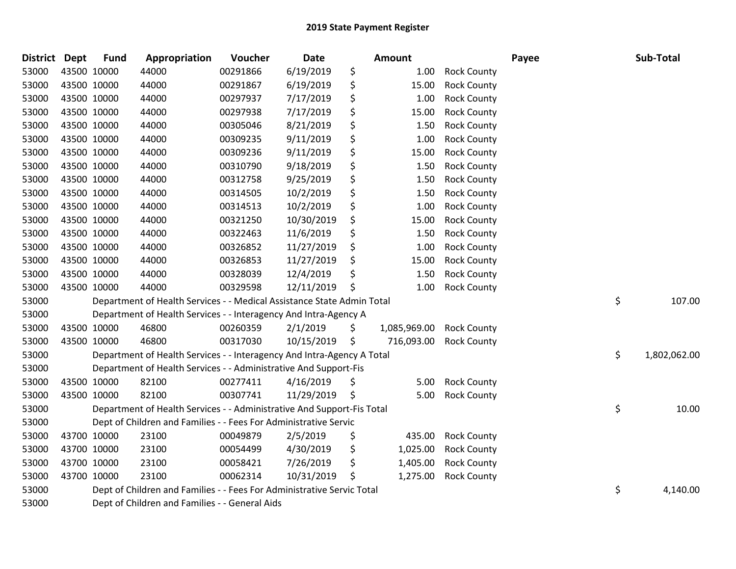| <b>District Dept</b> |             | <b>Fund</b> | Appropriation                                                          | Voucher  | Date       | Amount             |                    | Payee | Sub-Total          |
|----------------------|-------------|-------------|------------------------------------------------------------------------|----------|------------|--------------------|--------------------|-------|--------------------|
| 53000                |             | 43500 10000 | 44000                                                                  | 00291866 | 6/19/2019  | \$<br>1.00         | <b>Rock County</b> |       |                    |
| 53000                | 43500 10000 |             | 44000                                                                  | 00291867 | 6/19/2019  | \$<br>15.00        | <b>Rock County</b> |       |                    |
| 53000                |             | 43500 10000 | 44000                                                                  | 00297937 | 7/17/2019  | \$<br>1.00         | <b>Rock County</b> |       |                    |
| 53000                |             | 43500 10000 | 44000                                                                  | 00297938 | 7/17/2019  | \$<br>15.00        | <b>Rock County</b> |       |                    |
| 53000                |             | 43500 10000 | 44000                                                                  | 00305046 | 8/21/2019  | \$<br>1.50         | <b>Rock County</b> |       |                    |
| 53000                |             | 43500 10000 | 44000                                                                  | 00309235 | 9/11/2019  | \$<br>1.00         | <b>Rock County</b> |       |                    |
| 53000                |             | 43500 10000 | 44000                                                                  | 00309236 | 9/11/2019  | \$<br>15.00        | <b>Rock County</b> |       |                    |
| 53000                |             | 43500 10000 | 44000                                                                  | 00310790 | 9/18/2019  | \$<br>1.50         | <b>Rock County</b> |       |                    |
| 53000                |             | 43500 10000 | 44000                                                                  | 00312758 | 9/25/2019  | \$<br>1.50         | <b>Rock County</b> |       |                    |
| 53000                |             | 43500 10000 | 44000                                                                  | 00314505 | 10/2/2019  | \$<br>1.50         | <b>Rock County</b> |       |                    |
| 53000                |             | 43500 10000 | 44000                                                                  | 00314513 | 10/2/2019  | \$<br>1.00         | <b>Rock County</b> |       |                    |
| 53000                |             | 43500 10000 | 44000                                                                  | 00321250 | 10/30/2019 | \$<br>15.00        | <b>Rock County</b> |       |                    |
| 53000                |             | 43500 10000 | 44000                                                                  | 00322463 | 11/6/2019  | \$<br>1.50         | <b>Rock County</b> |       |                    |
| 53000                | 43500 10000 |             | 44000                                                                  | 00326852 | 11/27/2019 | \$<br>1.00         | <b>Rock County</b> |       |                    |
| 53000                |             | 43500 10000 | 44000                                                                  | 00326853 | 11/27/2019 | \$<br>15.00        | <b>Rock County</b> |       |                    |
| 53000                |             | 43500 10000 | 44000                                                                  | 00328039 | 12/4/2019  | \$<br>1.50         | <b>Rock County</b> |       |                    |
| 53000                |             | 43500 10000 | 44000                                                                  | 00329598 | 12/11/2019 | \$<br>1.00         | <b>Rock County</b> |       |                    |
| 53000                |             |             | Department of Health Services - - Medical Assistance State Admin Total |          |            |                    |                    |       | \$<br>107.00       |
| 53000                |             |             | Department of Health Services - - Interagency And Intra-Agency A       |          |            |                    |                    |       |                    |
| 53000                |             | 43500 10000 | 46800                                                                  | 00260359 | 2/1/2019   | \$<br>1,085,969.00 | <b>Rock County</b> |       |                    |
| 53000                |             | 43500 10000 | 46800                                                                  | 00317030 | 10/15/2019 | \$<br>716,093.00   | <b>Rock County</b> |       |                    |
| 53000                |             |             | Department of Health Services - - Interagency And Intra-Agency A Total |          |            |                    |                    |       | \$<br>1,802,062.00 |
| 53000                |             |             | Department of Health Services - - Administrative And Support-Fis       |          |            |                    |                    |       |                    |
| 53000                |             | 43500 10000 | 82100                                                                  | 00277411 | 4/16/2019  | \$<br>5.00         | <b>Rock County</b> |       |                    |
| 53000                |             | 43500 10000 | 82100                                                                  | 00307741 | 11/29/2019 | \$<br>5.00         | <b>Rock County</b> |       |                    |
| 53000                |             |             | Department of Health Services - - Administrative And Support-Fis Total |          |            |                    |                    |       | \$<br>10.00        |
| 53000                |             |             | Dept of Children and Families - - Fees For Administrative Servic       |          |            |                    |                    |       |                    |
| 53000                |             | 43700 10000 | 23100                                                                  | 00049879 | 2/5/2019   | \$<br>435.00       | <b>Rock County</b> |       |                    |
| 53000                |             | 43700 10000 | 23100                                                                  | 00054499 | 4/30/2019  | \$<br>1,025.00     | <b>Rock County</b> |       |                    |
| 53000                |             | 43700 10000 | 23100                                                                  | 00058421 | 7/26/2019  | \$<br>1,405.00     | <b>Rock County</b> |       |                    |
| 53000                |             | 43700 10000 | 23100                                                                  | 00062314 | 10/31/2019 | \$<br>1,275.00     | <b>Rock County</b> |       |                    |
| 53000                |             |             | Dept of Children and Families - - Fees For Administrative Servic Total |          |            |                    |                    |       | \$<br>4,140.00     |
| 53000                |             |             | Dept of Children and Families - - General Aids                         |          |            |                    |                    |       |                    |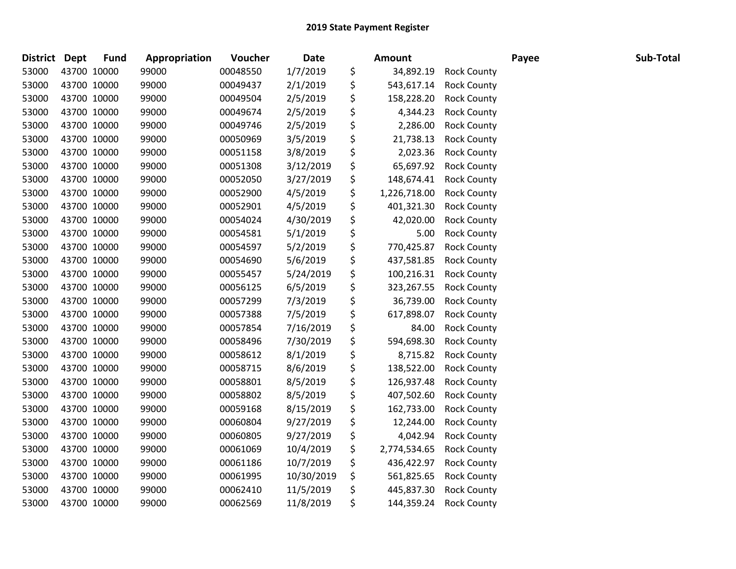| <b>District</b> | <b>Dept</b> | <b>Fund</b> | Appropriation | Voucher  | <b>Date</b> | <b>Amount</b>      |                    | Payee | Sub-Total |
|-----------------|-------------|-------------|---------------|----------|-------------|--------------------|--------------------|-------|-----------|
| 53000           | 43700 10000 |             | 99000         | 00048550 | 1/7/2019    | \$<br>34,892.19    | <b>Rock County</b> |       |           |
| 53000           | 43700 10000 |             | 99000         | 00049437 | 2/1/2019    | \$<br>543,617.14   | <b>Rock County</b> |       |           |
| 53000           | 43700 10000 |             | 99000         | 00049504 | 2/5/2019    | \$<br>158,228.20   | <b>Rock County</b> |       |           |
| 53000           | 43700 10000 |             | 99000         | 00049674 | 2/5/2019    | \$<br>4,344.23     | <b>Rock County</b> |       |           |
| 53000           | 43700 10000 |             | 99000         | 00049746 | 2/5/2019    | \$<br>2,286.00     | <b>Rock County</b> |       |           |
| 53000           | 43700 10000 |             | 99000         | 00050969 | 3/5/2019    | \$<br>21,738.13    | <b>Rock County</b> |       |           |
| 53000           | 43700 10000 |             | 99000         | 00051158 | 3/8/2019    | \$<br>2,023.36     | <b>Rock County</b> |       |           |
| 53000           | 43700 10000 |             | 99000         | 00051308 | 3/12/2019   | \$<br>65,697.92    | <b>Rock County</b> |       |           |
| 53000           | 43700 10000 |             | 99000         | 00052050 | 3/27/2019   | \$<br>148,674.41   | <b>Rock County</b> |       |           |
| 53000           | 43700 10000 |             | 99000         | 00052900 | 4/5/2019    | \$<br>1,226,718.00 | <b>Rock County</b> |       |           |
| 53000           | 43700 10000 |             | 99000         | 00052901 | 4/5/2019    | \$<br>401,321.30   | <b>Rock County</b> |       |           |
| 53000           | 43700 10000 |             | 99000         | 00054024 | 4/30/2019   | \$<br>42,020.00    | <b>Rock County</b> |       |           |
| 53000           | 43700 10000 |             | 99000         | 00054581 | 5/1/2019    | \$<br>5.00         | <b>Rock County</b> |       |           |
| 53000           | 43700 10000 |             | 99000         | 00054597 | 5/2/2019    | \$<br>770,425.87   | <b>Rock County</b> |       |           |
| 53000           | 43700 10000 |             | 99000         | 00054690 | 5/6/2019    | \$<br>437,581.85   | <b>Rock County</b> |       |           |
| 53000           | 43700 10000 |             | 99000         | 00055457 | 5/24/2019   | \$<br>100,216.31   | <b>Rock County</b> |       |           |
| 53000           | 43700 10000 |             | 99000         | 00056125 | 6/5/2019    | \$<br>323,267.55   | <b>Rock County</b> |       |           |
| 53000           | 43700 10000 |             | 99000         | 00057299 | 7/3/2019    | \$<br>36,739.00    | <b>Rock County</b> |       |           |
| 53000           | 43700 10000 |             | 99000         | 00057388 | 7/5/2019    | \$<br>617,898.07   | <b>Rock County</b> |       |           |
| 53000           | 43700 10000 |             | 99000         | 00057854 | 7/16/2019   | \$<br>84.00        | <b>Rock County</b> |       |           |
| 53000           | 43700 10000 |             | 99000         | 00058496 | 7/30/2019   | \$<br>594,698.30   | <b>Rock County</b> |       |           |
| 53000           | 43700 10000 |             | 99000         | 00058612 | 8/1/2019    | \$<br>8,715.82     | <b>Rock County</b> |       |           |
| 53000           | 43700 10000 |             | 99000         | 00058715 | 8/6/2019    | \$<br>138,522.00   | <b>Rock County</b> |       |           |
| 53000           | 43700 10000 |             | 99000         | 00058801 | 8/5/2019    | \$<br>126,937.48   | <b>Rock County</b> |       |           |
| 53000           | 43700 10000 |             | 99000         | 00058802 | 8/5/2019    | \$<br>407,502.60   | <b>Rock County</b> |       |           |
| 53000           | 43700 10000 |             | 99000         | 00059168 | 8/15/2019   | \$<br>162,733.00   | <b>Rock County</b> |       |           |
| 53000           | 43700 10000 |             | 99000         | 00060804 | 9/27/2019   | \$<br>12,244.00    | <b>Rock County</b> |       |           |
| 53000           | 43700 10000 |             | 99000         | 00060805 | 9/27/2019   | \$<br>4,042.94     | <b>Rock County</b> |       |           |
| 53000           | 43700 10000 |             | 99000         | 00061069 | 10/4/2019   | \$<br>2,774,534.65 | <b>Rock County</b> |       |           |
| 53000           | 43700 10000 |             | 99000         | 00061186 | 10/7/2019   | \$<br>436,422.97   | <b>Rock County</b> |       |           |
| 53000           | 43700 10000 |             | 99000         | 00061995 | 10/30/2019  | \$<br>561,825.65   | <b>Rock County</b> |       |           |
| 53000           | 43700 10000 |             | 99000         | 00062410 | 11/5/2019   | \$<br>445,837.30   | <b>Rock County</b> |       |           |
| 53000           | 43700 10000 |             | 99000         | 00062569 | 11/8/2019   | \$<br>144,359.24   | <b>Rock County</b> |       |           |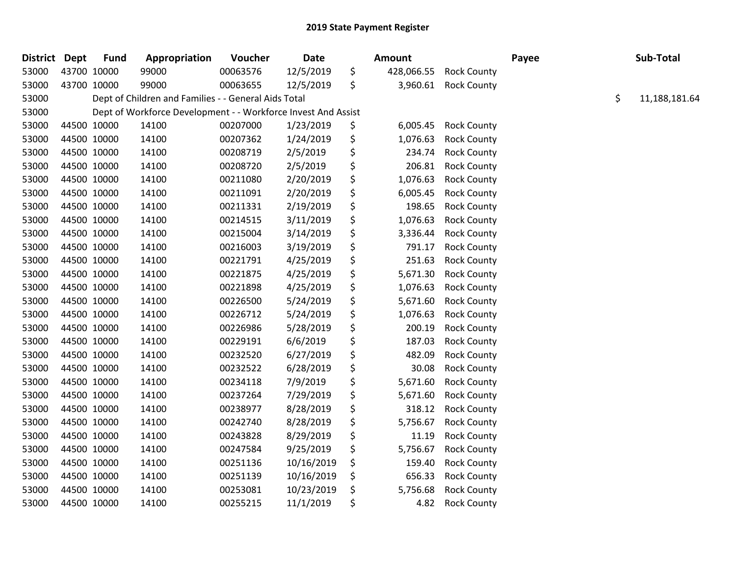| <b>District Dept</b> |             | <b>Fund</b> | Appropriation                                                 | Voucher  | <b>Date</b> | Amount           |                    | Payee | Sub-Total           |
|----------------------|-------------|-------------|---------------------------------------------------------------|----------|-------------|------------------|--------------------|-------|---------------------|
| 53000                |             | 43700 10000 | 99000                                                         | 00063576 | 12/5/2019   | \$<br>428,066.55 | <b>Rock County</b> |       |                     |
| 53000                | 43700 10000 |             | 99000                                                         | 00063655 | 12/5/2019   | \$<br>3,960.61   | <b>Rock County</b> |       |                     |
| 53000                |             |             | Dept of Children and Families - - General Aids Total          |          |             |                  |                    |       | \$<br>11,188,181.64 |
| 53000                |             |             | Dept of Workforce Development - - Workforce Invest And Assist |          |             |                  |                    |       |                     |
| 53000                |             | 44500 10000 | 14100                                                         | 00207000 | 1/23/2019   | \$<br>6,005.45   | <b>Rock County</b> |       |                     |
| 53000                |             | 44500 10000 | 14100                                                         | 00207362 | 1/24/2019   | \$<br>1,076.63   | <b>Rock County</b> |       |                     |
| 53000                | 44500 10000 |             | 14100                                                         | 00208719 | 2/5/2019    | \$<br>234.74     | <b>Rock County</b> |       |                     |
| 53000                | 44500 10000 |             | 14100                                                         | 00208720 | 2/5/2019    | \$<br>206.81     | <b>Rock County</b> |       |                     |
| 53000                |             | 44500 10000 | 14100                                                         | 00211080 | 2/20/2019   | \$<br>1,076.63   | <b>Rock County</b> |       |                     |
| 53000                |             | 44500 10000 | 14100                                                         | 00211091 | 2/20/2019   | \$<br>6,005.45   | <b>Rock County</b> |       |                     |
| 53000                |             | 44500 10000 | 14100                                                         | 00211331 | 2/19/2019   | \$<br>198.65     | <b>Rock County</b> |       |                     |
| 53000                | 44500 10000 |             | 14100                                                         | 00214515 | 3/11/2019   | \$<br>1,076.63   | <b>Rock County</b> |       |                     |
| 53000                | 44500 10000 |             | 14100                                                         | 00215004 | 3/14/2019   | \$<br>3,336.44   | <b>Rock County</b> |       |                     |
| 53000                |             | 44500 10000 | 14100                                                         | 00216003 | 3/19/2019   | \$<br>791.17     | <b>Rock County</b> |       |                     |
| 53000                |             | 44500 10000 | 14100                                                         | 00221791 | 4/25/2019   | \$<br>251.63     | <b>Rock County</b> |       |                     |
| 53000                |             | 44500 10000 | 14100                                                         | 00221875 | 4/25/2019   | \$<br>5,671.30   | <b>Rock County</b> |       |                     |
| 53000                | 44500 10000 |             | 14100                                                         | 00221898 | 4/25/2019   | \$<br>1,076.63   | <b>Rock County</b> |       |                     |
| 53000                |             | 44500 10000 | 14100                                                         | 00226500 | 5/24/2019   | \$<br>5,671.60   | <b>Rock County</b> |       |                     |
| 53000                |             | 44500 10000 | 14100                                                         | 00226712 | 5/24/2019   | \$<br>1,076.63   | <b>Rock County</b> |       |                     |
| 53000                |             | 44500 10000 | 14100                                                         | 00226986 | 5/28/2019   | \$<br>200.19     | <b>Rock County</b> |       |                     |
| 53000                |             | 44500 10000 | 14100                                                         | 00229191 | 6/6/2019    | \$<br>187.03     | <b>Rock County</b> |       |                     |
| 53000                | 44500 10000 |             | 14100                                                         | 00232520 | 6/27/2019   | \$<br>482.09     | <b>Rock County</b> |       |                     |
| 53000                | 44500 10000 |             | 14100                                                         | 00232522 | 6/28/2019   | \$<br>30.08      | <b>Rock County</b> |       |                     |
| 53000                |             | 44500 10000 | 14100                                                         | 00234118 | 7/9/2019    | \$<br>5,671.60   | <b>Rock County</b> |       |                     |
| 53000                |             | 44500 10000 | 14100                                                         | 00237264 | 7/29/2019   | \$<br>5,671.60   | <b>Rock County</b> |       |                     |
| 53000                |             | 44500 10000 | 14100                                                         | 00238977 | 8/28/2019   | \$<br>318.12     | <b>Rock County</b> |       |                     |
| 53000                | 44500 10000 |             | 14100                                                         | 00242740 | 8/28/2019   | \$<br>5,756.67   | <b>Rock County</b> |       |                     |
| 53000                |             | 44500 10000 | 14100                                                         | 00243828 | 8/29/2019   | \$<br>11.19      | <b>Rock County</b> |       |                     |
| 53000                |             | 44500 10000 | 14100                                                         | 00247584 | 9/25/2019   | \$<br>5,756.67   | <b>Rock County</b> |       |                     |
| 53000                |             | 44500 10000 | 14100                                                         | 00251136 | 10/16/2019  | \$<br>159.40     | <b>Rock County</b> |       |                     |
| 53000                |             | 44500 10000 | 14100                                                         | 00251139 | 10/16/2019  | \$<br>656.33     | <b>Rock County</b> |       |                     |
| 53000                | 44500 10000 |             | 14100                                                         | 00253081 | 10/23/2019  | \$<br>5,756.68   | <b>Rock County</b> |       |                     |
| 53000                |             | 44500 10000 | 14100                                                         | 00255215 | 11/1/2019   | \$<br>4.82       | <b>Rock County</b> |       |                     |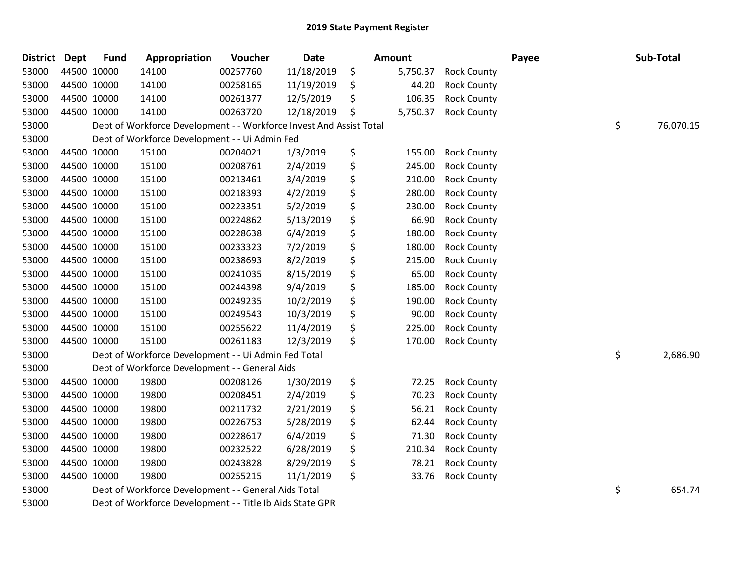| District Dept | <b>Fund</b> | Appropriation                                                       | Voucher  | <b>Date</b> | <b>Amount</b>  |                    | Payee | Sub-Total       |
|---------------|-------------|---------------------------------------------------------------------|----------|-------------|----------------|--------------------|-------|-----------------|
| 53000         | 44500 10000 | 14100                                                               | 00257760 | 11/18/2019  | \$<br>5,750.37 | <b>Rock County</b> |       |                 |
| 53000         | 44500 10000 | 14100                                                               | 00258165 | 11/19/2019  | \$<br>44.20    | <b>Rock County</b> |       |                 |
| 53000         | 44500 10000 | 14100                                                               | 00261377 | 12/5/2019   | \$<br>106.35   | <b>Rock County</b> |       |                 |
| 53000         | 44500 10000 | 14100                                                               | 00263720 | 12/18/2019  | \$<br>5,750.37 | <b>Rock County</b> |       |                 |
| 53000         |             | Dept of Workforce Development - - Workforce Invest And Assist Total |          |             |                |                    |       | \$<br>76,070.15 |
| 53000         |             | Dept of Workforce Development - - Ui Admin Fed                      |          |             |                |                    |       |                 |
| 53000         | 44500 10000 | 15100                                                               | 00204021 | 1/3/2019    | \$<br>155.00   | <b>Rock County</b> |       |                 |
| 53000         | 44500 10000 | 15100                                                               | 00208761 | 2/4/2019    | \$<br>245.00   | <b>Rock County</b> |       |                 |
| 53000         | 44500 10000 | 15100                                                               | 00213461 | 3/4/2019    | \$<br>210.00   | <b>Rock County</b> |       |                 |
| 53000         | 44500 10000 | 15100                                                               | 00218393 | 4/2/2019    | \$<br>280.00   | <b>Rock County</b> |       |                 |
| 53000         | 44500 10000 | 15100                                                               | 00223351 | 5/2/2019    | \$<br>230.00   | <b>Rock County</b> |       |                 |
| 53000         | 44500 10000 | 15100                                                               | 00224862 | 5/13/2019   | \$<br>66.90    | <b>Rock County</b> |       |                 |
| 53000         | 44500 10000 | 15100                                                               | 00228638 | 6/4/2019    | \$<br>180.00   | <b>Rock County</b> |       |                 |
| 53000         | 44500 10000 | 15100                                                               | 00233323 | 7/2/2019    | \$<br>180.00   | <b>Rock County</b> |       |                 |
| 53000         | 44500 10000 | 15100                                                               | 00238693 | 8/2/2019    | \$<br>215.00   | <b>Rock County</b> |       |                 |
| 53000         | 44500 10000 | 15100                                                               | 00241035 | 8/15/2019   | \$<br>65.00    | <b>Rock County</b> |       |                 |
| 53000         | 44500 10000 | 15100                                                               | 00244398 | 9/4/2019    | \$<br>185.00   | <b>Rock County</b> |       |                 |
| 53000         | 44500 10000 | 15100                                                               | 00249235 | 10/2/2019   | \$<br>190.00   | <b>Rock County</b> |       |                 |
| 53000         | 44500 10000 | 15100                                                               | 00249543 | 10/3/2019   | \$<br>90.00    | <b>Rock County</b> |       |                 |
| 53000         | 44500 10000 | 15100                                                               | 00255622 | 11/4/2019   | \$<br>225.00   | <b>Rock County</b> |       |                 |
| 53000         | 44500 10000 | 15100                                                               | 00261183 | 12/3/2019   | \$<br>170.00   | <b>Rock County</b> |       |                 |
| 53000         |             | Dept of Workforce Development - - Ui Admin Fed Total                |          |             |                |                    |       | \$<br>2,686.90  |
| 53000         |             | Dept of Workforce Development - - General Aids                      |          |             |                |                    |       |                 |
| 53000         | 44500 10000 | 19800                                                               | 00208126 | 1/30/2019   | \$<br>72.25    | <b>Rock County</b> |       |                 |
| 53000         | 44500 10000 | 19800                                                               | 00208451 | 2/4/2019    | \$<br>70.23    | <b>Rock County</b> |       |                 |
| 53000         | 44500 10000 | 19800                                                               | 00211732 | 2/21/2019   | \$<br>56.21    | <b>Rock County</b> |       |                 |
| 53000         | 44500 10000 | 19800                                                               | 00226753 | 5/28/2019   | \$<br>62.44    | <b>Rock County</b> |       |                 |
| 53000         | 44500 10000 | 19800                                                               | 00228617 | 6/4/2019    | \$<br>71.30    | <b>Rock County</b> |       |                 |
| 53000         | 44500 10000 | 19800                                                               | 00232522 | 6/28/2019   | \$<br>210.34   | <b>Rock County</b> |       |                 |
| 53000         | 44500 10000 | 19800                                                               | 00243828 | 8/29/2019   | \$<br>78.21    | <b>Rock County</b> |       |                 |
| 53000         | 44500 10000 | 19800                                                               | 00255215 | 11/1/2019   | \$<br>33.76    | <b>Rock County</b> |       |                 |
| 53000         |             | Dept of Workforce Development - - General Aids Total                |          |             |                |                    |       | \$<br>654.74    |
| 53000         |             | Dept of Workforce Development - - Title Ib Aids State GPR           |          |             |                |                    |       |                 |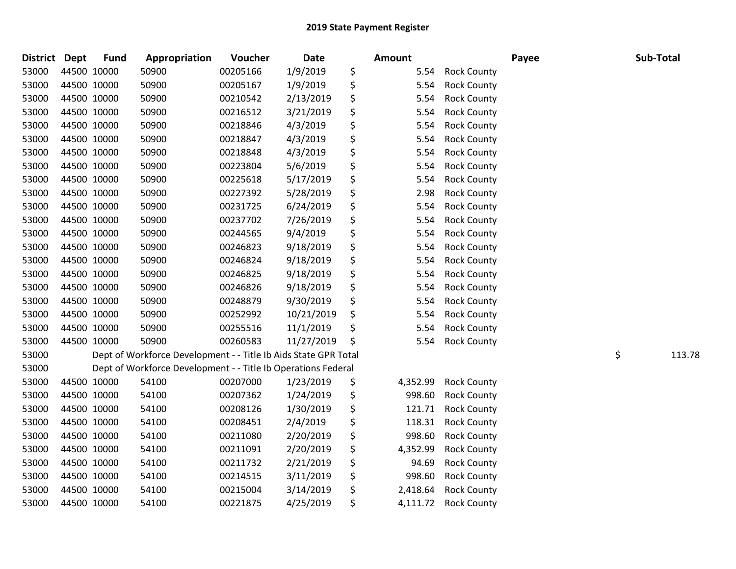| <b>District</b> | Dept        | <b>Fund</b> | Appropriation                                                   | Voucher  | <b>Date</b> | <b>Amount</b>  |                    | Payee | Sub-Total    |
|-----------------|-------------|-------------|-----------------------------------------------------------------|----------|-------------|----------------|--------------------|-------|--------------|
| 53000           | 44500 10000 |             | 50900                                                           | 00205166 | 1/9/2019    | \$<br>5.54     | <b>Rock County</b> |       |              |
| 53000           | 44500 10000 |             | 50900                                                           | 00205167 | 1/9/2019    | \$<br>5.54     | <b>Rock County</b> |       |              |
| 53000           | 44500 10000 |             | 50900                                                           | 00210542 | 2/13/2019   | \$<br>5.54     | <b>Rock County</b> |       |              |
| 53000           | 44500 10000 |             | 50900                                                           | 00216512 | 3/21/2019   | \$<br>5.54     | <b>Rock County</b> |       |              |
| 53000           | 44500 10000 |             | 50900                                                           | 00218846 | 4/3/2019    | \$<br>5.54     | <b>Rock County</b> |       |              |
| 53000           | 44500 10000 |             | 50900                                                           | 00218847 | 4/3/2019    | \$<br>5.54     | <b>Rock County</b> |       |              |
| 53000           | 44500 10000 |             | 50900                                                           | 00218848 | 4/3/2019    | \$<br>5.54     | <b>Rock County</b> |       |              |
| 53000           | 44500 10000 |             | 50900                                                           | 00223804 | 5/6/2019    | \$<br>5.54     | <b>Rock County</b> |       |              |
| 53000           | 44500 10000 |             | 50900                                                           | 00225618 | 5/17/2019   | \$<br>5.54     | <b>Rock County</b> |       |              |
| 53000           | 44500 10000 |             | 50900                                                           | 00227392 | 5/28/2019   | \$<br>2.98     | <b>Rock County</b> |       |              |
| 53000           | 44500 10000 |             | 50900                                                           | 00231725 | 6/24/2019   | \$<br>5.54     | <b>Rock County</b> |       |              |
| 53000           | 44500 10000 |             | 50900                                                           | 00237702 | 7/26/2019   | \$<br>5.54     | <b>Rock County</b> |       |              |
| 53000           | 44500 10000 |             | 50900                                                           | 00244565 | 9/4/2019    | \$<br>5.54     | <b>Rock County</b> |       |              |
| 53000           | 44500 10000 |             | 50900                                                           | 00246823 | 9/18/2019   | \$<br>5.54     | <b>Rock County</b> |       |              |
| 53000           | 44500 10000 |             | 50900                                                           | 00246824 | 9/18/2019   | \$<br>5.54     | <b>Rock County</b> |       |              |
| 53000           | 44500 10000 |             | 50900                                                           | 00246825 | 9/18/2019   | \$<br>5.54     | <b>Rock County</b> |       |              |
| 53000           | 44500 10000 |             | 50900                                                           | 00246826 | 9/18/2019   | \$<br>5.54     | <b>Rock County</b> |       |              |
| 53000           | 44500 10000 |             | 50900                                                           | 00248879 | 9/30/2019   | \$<br>5.54     | <b>Rock County</b> |       |              |
| 53000           | 44500 10000 |             | 50900                                                           | 00252992 | 10/21/2019  | \$<br>5.54     | <b>Rock County</b> |       |              |
| 53000           | 44500 10000 |             | 50900                                                           | 00255516 | 11/1/2019   | \$<br>5.54     | <b>Rock County</b> |       |              |
| 53000           | 44500 10000 |             | 50900                                                           | 00260583 | 11/27/2019  | \$<br>5.54     | <b>Rock County</b> |       |              |
| 53000           |             |             | Dept of Workforce Development - - Title Ib Aids State GPR Total |          |             |                |                    |       | \$<br>113.78 |
| 53000           |             |             | Dept of Workforce Development - - Title Ib Operations Federal   |          |             |                |                    |       |              |
| 53000           | 44500 10000 |             | 54100                                                           | 00207000 | 1/23/2019   | \$<br>4,352.99 | <b>Rock County</b> |       |              |
| 53000           | 44500 10000 |             | 54100                                                           | 00207362 | 1/24/2019   | \$<br>998.60   | <b>Rock County</b> |       |              |
| 53000           | 44500 10000 |             | 54100                                                           | 00208126 | 1/30/2019   | \$<br>121.71   | <b>Rock County</b> |       |              |
| 53000           | 44500 10000 |             | 54100                                                           | 00208451 | 2/4/2019    | \$<br>118.31   | <b>Rock County</b> |       |              |
| 53000           | 44500 10000 |             | 54100                                                           | 00211080 | 2/20/2019   | \$<br>998.60   | <b>Rock County</b> |       |              |
| 53000           | 44500 10000 |             | 54100                                                           | 00211091 | 2/20/2019   | \$<br>4,352.99 | <b>Rock County</b> |       |              |
| 53000           | 44500 10000 |             | 54100                                                           | 00211732 | 2/21/2019   | \$<br>94.69    | <b>Rock County</b> |       |              |
| 53000           | 44500 10000 |             | 54100                                                           | 00214515 | 3/11/2019   | \$<br>998.60   | <b>Rock County</b> |       |              |
| 53000           | 44500 10000 |             | 54100                                                           | 00215004 | 3/14/2019   | \$<br>2,418.64 | <b>Rock County</b> |       |              |
| 53000           | 44500 10000 |             | 54100                                                           | 00221875 | 4/25/2019   | \$<br>4,111.72 | <b>Rock County</b> |       |              |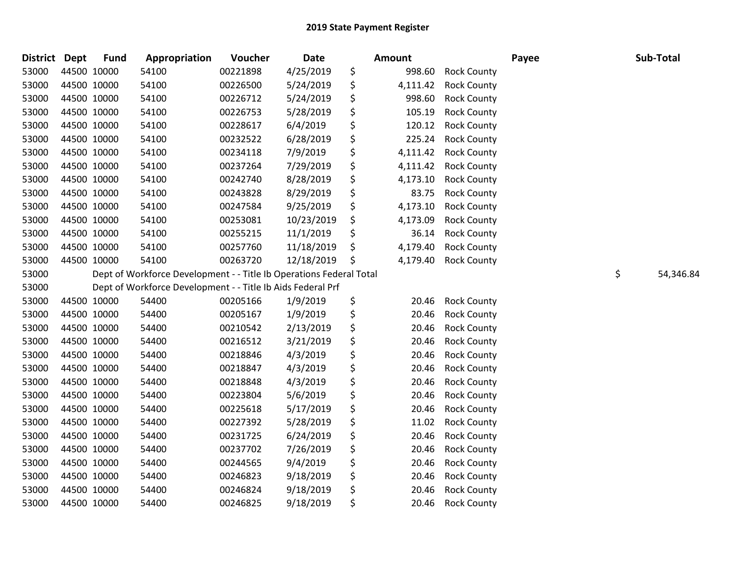| <b>District</b> | <b>Dept</b> | <b>Fund</b> | Appropriation                                                       | Voucher  | Date       | Amount         |                    | Payee | Sub-Total       |
|-----------------|-------------|-------------|---------------------------------------------------------------------|----------|------------|----------------|--------------------|-------|-----------------|
| 53000           |             | 44500 10000 | 54100                                                               | 00221898 | 4/25/2019  | \$<br>998.60   | <b>Rock County</b> |       |                 |
| 53000           | 44500 10000 |             | 54100                                                               | 00226500 | 5/24/2019  | \$<br>4,111.42 | <b>Rock County</b> |       |                 |
| 53000           | 44500 10000 |             | 54100                                                               | 00226712 | 5/24/2019  | \$<br>998.60   | <b>Rock County</b> |       |                 |
| 53000           | 44500 10000 |             | 54100                                                               | 00226753 | 5/28/2019  | \$<br>105.19   | <b>Rock County</b> |       |                 |
| 53000           | 44500 10000 |             | 54100                                                               | 00228617 | 6/4/2019   | \$<br>120.12   | <b>Rock County</b> |       |                 |
| 53000           |             | 44500 10000 | 54100                                                               | 00232522 | 6/28/2019  | \$<br>225.24   | <b>Rock County</b> |       |                 |
| 53000           | 44500 10000 |             | 54100                                                               | 00234118 | 7/9/2019   | \$<br>4,111.42 | <b>Rock County</b> |       |                 |
| 53000           | 44500 10000 |             | 54100                                                               | 00237264 | 7/29/2019  | \$<br>4,111.42 | <b>Rock County</b> |       |                 |
| 53000           | 44500 10000 |             | 54100                                                               | 00242740 | 8/28/2019  | \$<br>4,173.10 | <b>Rock County</b> |       |                 |
| 53000           | 44500 10000 |             | 54100                                                               | 00243828 | 8/29/2019  | \$<br>83.75    | <b>Rock County</b> |       |                 |
| 53000           |             | 44500 10000 | 54100                                                               | 00247584 | 9/25/2019  | \$<br>4,173.10 | <b>Rock County</b> |       |                 |
| 53000           | 44500 10000 |             | 54100                                                               | 00253081 | 10/23/2019 | \$<br>4,173.09 | <b>Rock County</b> |       |                 |
| 53000           | 44500 10000 |             | 54100                                                               | 00255215 | 11/1/2019  | \$<br>36.14    | <b>Rock County</b> |       |                 |
| 53000           | 44500 10000 |             | 54100                                                               | 00257760 | 11/18/2019 | \$<br>4,179.40 | <b>Rock County</b> |       |                 |
| 53000           |             | 44500 10000 | 54100                                                               | 00263720 | 12/18/2019 | \$<br>4,179.40 | <b>Rock County</b> |       |                 |
| 53000           |             |             | Dept of Workforce Development - - Title Ib Operations Federal Total |          |            |                |                    |       | \$<br>54,346.84 |
| 53000           |             |             | Dept of Workforce Development - - Title Ib Aids Federal Prf         |          |            |                |                    |       |                 |
| 53000           | 44500 10000 |             | 54400                                                               | 00205166 | 1/9/2019   | \$<br>20.46    | <b>Rock County</b> |       |                 |
| 53000           | 44500 10000 |             | 54400                                                               | 00205167 | 1/9/2019   | \$<br>20.46    | <b>Rock County</b> |       |                 |
| 53000           | 44500 10000 |             | 54400                                                               | 00210542 | 2/13/2019  | \$<br>20.46    | <b>Rock County</b> |       |                 |
| 53000           | 44500 10000 |             | 54400                                                               | 00216512 | 3/21/2019  | \$<br>20.46    | <b>Rock County</b> |       |                 |
| 53000           | 44500 10000 |             | 54400                                                               | 00218846 | 4/3/2019   | \$<br>20.46    | <b>Rock County</b> |       |                 |
| 53000           | 44500 10000 |             | 54400                                                               | 00218847 | 4/3/2019   | \$<br>20.46    | <b>Rock County</b> |       |                 |
| 53000           | 44500 10000 |             | 54400                                                               | 00218848 | 4/3/2019   | \$<br>20.46    | <b>Rock County</b> |       |                 |
| 53000           |             | 44500 10000 | 54400                                                               | 00223804 | 5/6/2019   | \$<br>20.46    | <b>Rock County</b> |       |                 |
| 53000           |             | 44500 10000 | 54400                                                               | 00225618 | 5/17/2019  | \$<br>20.46    | <b>Rock County</b> |       |                 |
| 53000           | 44500 10000 |             | 54400                                                               | 00227392 | 5/28/2019  | \$<br>11.02    | <b>Rock County</b> |       |                 |
| 53000           | 44500 10000 |             | 54400                                                               | 00231725 | 6/24/2019  | \$<br>20.46    | <b>Rock County</b> |       |                 |
| 53000           | 44500 10000 |             | 54400                                                               | 00237702 | 7/26/2019  | \$<br>20.46    | <b>Rock County</b> |       |                 |
| 53000           | 44500 10000 |             | 54400                                                               | 00244565 | 9/4/2019   | \$<br>20.46    | <b>Rock County</b> |       |                 |
| 53000           | 44500 10000 |             | 54400                                                               | 00246823 | 9/18/2019  | \$<br>20.46    | <b>Rock County</b> |       |                 |
| 53000           | 44500 10000 |             | 54400                                                               | 00246824 | 9/18/2019  | \$<br>20.46    | <b>Rock County</b> |       |                 |
| 53000           | 44500 10000 |             | 54400                                                               | 00246825 | 9/18/2019  | \$<br>20.46    | <b>Rock County</b> |       |                 |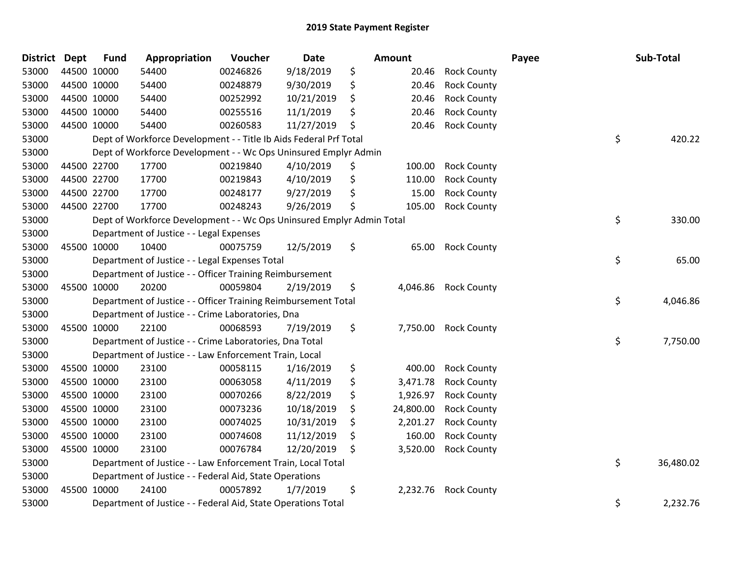| <b>District Dept</b> | <b>Fund</b> | Appropriation                                                         | Voucher  | <b>Date</b> | Amount          |                    | Payee | Sub-Total       |
|----------------------|-------------|-----------------------------------------------------------------------|----------|-------------|-----------------|--------------------|-------|-----------------|
| 53000                | 44500 10000 | 54400                                                                 | 00246826 | 9/18/2019   | \$<br>20.46     | <b>Rock County</b> |       |                 |
| 53000                | 44500 10000 | 54400                                                                 | 00248879 | 9/30/2019   | \$<br>20.46     | <b>Rock County</b> |       |                 |
| 53000                | 44500 10000 | 54400                                                                 | 00252992 | 10/21/2019  | \$<br>20.46     | <b>Rock County</b> |       |                 |
| 53000                | 44500 10000 | 54400                                                                 | 00255516 | 11/1/2019   | \$<br>20.46     | <b>Rock County</b> |       |                 |
| 53000                | 44500 10000 | 54400                                                                 | 00260583 | 11/27/2019  | \$<br>20.46     | <b>Rock County</b> |       |                 |
| 53000                |             | Dept of Workforce Development - - Title Ib Aids Federal Prf Total     |          |             |                 |                    |       | \$<br>420.22    |
| 53000                |             | Dept of Workforce Development - - Wc Ops Uninsured Emplyr Admin       |          |             |                 |                    |       |                 |
| 53000                | 44500 22700 | 17700                                                                 | 00219840 | 4/10/2019   | \$<br>100.00    | <b>Rock County</b> |       |                 |
| 53000                | 44500 22700 | 17700                                                                 | 00219843 | 4/10/2019   | \$<br>110.00    | <b>Rock County</b> |       |                 |
| 53000                | 44500 22700 | 17700                                                                 | 00248177 | 9/27/2019   | \$<br>15.00     | <b>Rock County</b> |       |                 |
| 53000                | 44500 22700 | 17700                                                                 | 00248243 | 9/26/2019   | \$<br>105.00    | <b>Rock County</b> |       |                 |
| 53000                |             | Dept of Workforce Development - - Wc Ops Uninsured Emplyr Admin Total |          |             |                 |                    |       | \$<br>330.00    |
| 53000                |             | Department of Justice - - Legal Expenses                              |          |             |                 |                    |       |                 |
| 53000                | 45500 10000 | 10400                                                                 | 00075759 | 12/5/2019   | \$<br>65.00     | <b>Rock County</b> |       |                 |
| 53000                |             | Department of Justice - - Legal Expenses Total                        |          |             |                 |                    |       | \$<br>65.00     |
| 53000                |             | Department of Justice - - Officer Training Reimbursement              |          |             |                 |                    |       |                 |
| 53000                | 45500 10000 | 20200                                                                 | 00059804 | 2/19/2019   | \$<br>4,046.86  | <b>Rock County</b> |       |                 |
| 53000                |             | Department of Justice - - Officer Training Reimbursement Total        |          |             |                 |                    |       | \$<br>4,046.86  |
| 53000                |             | Department of Justice - - Crime Laboratories, Dna                     |          |             |                 |                    |       |                 |
| 53000                | 45500 10000 | 22100                                                                 | 00068593 | 7/19/2019   | \$<br>7,750.00  | <b>Rock County</b> |       |                 |
| 53000                |             | Department of Justice - - Crime Laboratories, Dna Total               |          |             |                 |                    |       | \$<br>7,750.00  |
| 53000                |             | Department of Justice - - Law Enforcement Train, Local                |          |             |                 |                    |       |                 |
| 53000                | 45500 10000 | 23100                                                                 | 00058115 | 1/16/2019   | \$<br>400.00    | <b>Rock County</b> |       |                 |
| 53000                | 45500 10000 | 23100                                                                 | 00063058 | 4/11/2019   | \$<br>3,471.78  | <b>Rock County</b> |       |                 |
| 53000                | 45500 10000 | 23100                                                                 | 00070266 | 8/22/2019   | \$<br>1,926.97  | <b>Rock County</b> |       |                 |
| 53000                | 45500 10000 | 23100                                                                 | 00073236 | 10/18/2019  | \$<br>24,800.00 | <b>Rock County</b> |       |                 |
| 53000                | 45500 10000 | 23100                                                                 | 00074025 | 10/31/2019  | \$<br>2,201.27  | <b>Rock County</b> |       |                 |
| 53000                | 45500 10000 | 23100                                                                 | 00074608 | 11/12/2019  | \$<br>160.00    | <b>Rock County</b> |       |                 |
| 53000                | 45500 10000 | 23100                                                                 | 00076784 | 12/20/2019  | \$<br>3,520.00  | <b>Rock County</b> |       |                 |
| 53000                |             | Department of Justice - - Law Enforcement Train, Local Total          |          |             |                 |                    |       | \$<br>36,480.02 |
| 53000                |             | Department of Justice - - Federal Aid, State Operations               |          |             |                 |                    |       |                 |
| 53000                | 45500 10000 | 24100                                                                 | 00057892 | 1/7/2019    | \$<br>2,232.76  | <b>Rock County</b> |       |                 |
| 53000                |             | Department of Justice - - Federal Aid, State Operations Total         |          |             |                 |                    |       | \$<br>2,232.76  |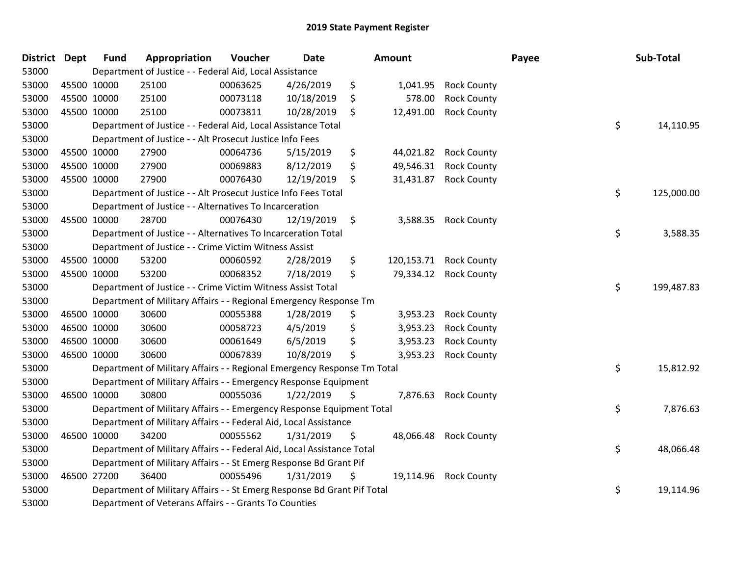| District | <b>Dept</b> | <b>Fund</b> | Appropriation                                                           | Voucher  | <b>Date</b> |                      | <b>Amount</b> |                    | Payee | Sub-Total  |
|----------|-------------|-------------|-------------------------------------------------------------------------|----------|-------------|----------------------|---------------|--------------------|-------|------------|
| 53000    |             |             | Department of Justice - - Federal Aid, Local Assistance                 |          |             |                      |               |                    |       |            |
| 53000    |             | 45500 10000 | 25100                                                                   | 00063625 | 4/26/2019   | \$                   | 1,041.95      | <b>Rock County</b> |       |            |
| 53000    |             | 45500 10000 | 25100                                                                   | 00073118 | 10/18/2019  | \$                   | 578.00        | <b>Rock County</b> |       |            |
| 53000    |             | 45500 10000 | 25100                                                                   | 00073811 | 10/28/2019  | \$                   | 12,491.00     | <b>Rock County</b> |       |            |
| 53000    |             |             | Department of Justice - - Federal Aid, Local Assistance Total           |          |             |                      |               |                    | \$    | 14,110.95  |
| 53000    |             |             | Department of Justice - - Alt Prosecut Justice Info Fees                |          |             |                      |               |                    |       |            |
| 53000    |             | 45500 10000 | 27900                                                                   | 00064736 | 5/15/2019   | \$                   | 44,021.82     | <b>Rock County</b> |       |            |
| 53000    |             | 45500 10000 | 27900                                                                   | 00069883 | 8/12/2019   | \$                   | 49,546.31     | <b>Rock County</b> |       |            |
| 53000    |             | 45500 10000 | 27900                                                                   | 00076430 | 12/19/2019  | \$                   | 31,431.87     | <b>Rock County</b> |       |            |
| 53000    |             |             | Department of Justice - - Alt Prosecut Justice Info Fees Total          |          |             |                      |               |                    | \$    | 125,000.00 |
| 53000    |             |             | Department of Justice - - Alternatives To Incarceration                 |          |             |                      |               |                    |       |            |
| 53000    |             | 45500 10000 | 28700                                                                   | 00076430 | 12/19/2019  | $\ddot{\phantom{1}}$ | 3,588.35      | <b>Rock County</b> |       |            |
| 53000    |             |             | Department of Justice - - Alternatives To Incarceration Total           |          |             |                      |               |                    | \$    | 3,588.35   |
| 53000    |             |             | Department of Justice - - Crime Victim Witness Assist                   |          |             |                      |               |                    |       |            |
| 53000    |             | 45500 10000 | 53200                                                                   | 00060592 | 2/28/2019   | \$                   | 120,153.71    | <b>Rock County</b> |       |            |
| 53000    |             | 45500 10000 | 53200                                                                   | 00068352 | 7/18/2019   | \$                   | 79,334.12     | <b>Rock County</b> |       |            |
| 53000    |             |             | Department of Justice - - Crime Victim Witness Assist Total             |          |             |                      |               |                    | \$    | 199,487.83 |
| 53000    |             |             | Department of Military Affairs - - Regional Emergency Response Tm       |          |             |                      |               |                    |       |            |
| 53000    |             | 46500 10000 | 30600                                                                   | 00055388 | 1/28/2019   | \$                   | 3,953.23      | <b>Rock County</b> |       |            |
| 53000    |             | 46500 10000 | 30600                                                                   | 00058723 | 4/5/2019    | \$                   | 3,953.23      | <b>Rock County</b> |       |            |
| 53000    |             | 46500 10000 | 30600                                                                   | 00061649 | 6/5/2019    | \$                   | 3,953.23      | <b>Rock County</b> |       |            |
| 53000    |             | 46500 10000 | 30600                                                                   | 00067839 | 10/8/2019   | \$                   | 3,953.23      | <b>Rock County</b> |       |            |
| 53000    |             |             | Department of Military Affairs - - Regional Emergency Response Tm Total |          |             |                      |               |                    | \$    | 15,812.92  |
| 53000    |             |             | Department of Military Affairs - - Emergency Response Equipment         |          |             |                      |               |                    |       |            |
| 53000    |             | 46500 10000 | 30800                                                                   | 00055036 | 1/22/2019   | \$                   | 7,876.63      | <b>Rock County</b> |       |            |
| 53000    |             |             | Department of Military Affairs - - Emergency Response Equipment Total   |          |             |                      |               |                    | \$    | 7,876.63   |
| 53000    |             |             | Department of Military Affairs - - Federal Aid, Local Assistance        |          |             |                      |               |                    |       |            |
| 53000    |             | 46500 10000 | 34200                                                                   | 00055562 | 1/31/2019   | \$                   | 48,066.48     | <b>Rock County</b> |       |            |
| 53000    |             |             | Department of Military Affairs - - Federal Aid, Local Assistance Total  |          |             |                      |               |                    | \$    | 48,066.48  |
| 53000    |             |             | Department of Military Affairs - - St Emerg Response Bd Grant Pif       |          |             |                      |               |                    |       |            |
| 53000    |             | 46500 27200 | 36400                                                                   | 00055496 | 1/31/2019   | \$                   | 19,114.96     | <b>Rock County</b> |       |            |
| 53000    |             |             | Department of Military Affairs - - St Emerg Response Bd Grant Pif Total |          |             |                      |               |                    | \$    | 19,114.96  |
| 53000    |             |             | Department of Veterans Affairs - - Grants To Counties                   |          |             |                      |               |                    |       |            |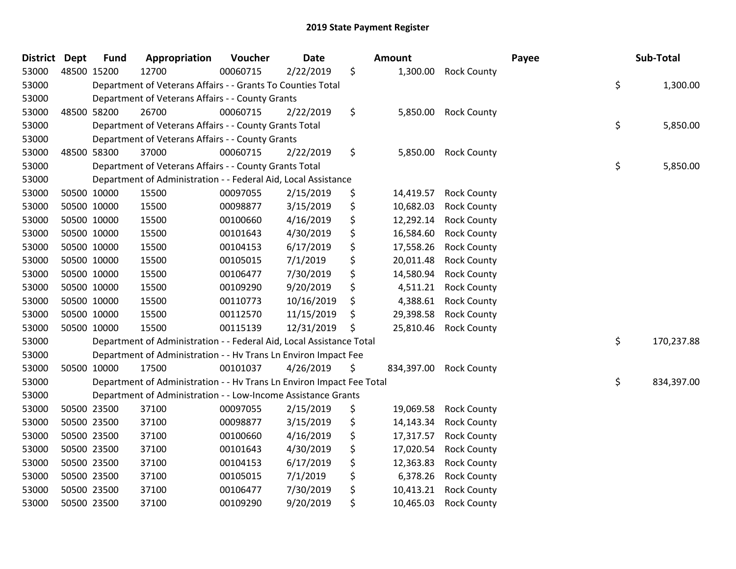| <b>District</b> | <b>Dept</b> | <b>Fund</b> | Appropriation                                                         | Voucher  | <b>Date</b> |    | Amount     |                    | Payee | Sub-Total        |
|-----------------|-------------|-------------|-----------------------------------------------------------------------|----------|-------------|----|------------|--------------------|-------|------------------|
| 53000           |             | 48500 15200 | 12700                                                                 | 00060715 | 2/22/2019   | \$ | 1,300.00   | <b>Rock County</b> |       |                  |
| 53000           |             |             | Department of Veterans Affairs - - Grants To Counties Total           |          |             |    |            |                    |       | \$<br>1,300.00   |
| 53000           |             |             | Department of Veterans Affairs - - County Grants                      |          |             |    |            |                    |       |                  |
| 53000           |             | 48500 58200 | 26700                                                                 | 00060715 | 2/22/2019   | \$ | 5,850.00   | <b>Rock County</b> |       |                  |
| 53000           |             |             | Department of Veterans Affairs - - County Grants Total                |          |             |    |            |                    |       | \$<br>5,850.00   |
| 53000           |             |             | Department of Veterans Affairs - - County Grants                      |          |             |    |            |                    |       |                  |
| 53000           |             | 48500 58300 | 37000                                                                 | 00060715 | 2/22/2019   | \$ | 5,850.00   | <b>Rock County</b> |       |                  |
| 53000           |             |             | Department of Veterans Affairs - - County Grants Total                |          |             |    |            |                    |       | \$<br>5,850.00   |
| 53000           |             |             | Department of Administration - - Federal Aid, Local Assistance        |          |             |    |            |                    |       |                  |
| 53000           |             | 50500 10000 | 15500                                                                 | 00097055 | 2/15/2019   | \$ | 14,419.57  | <b>Rock County</b> |       |                  |
| 53000           |             | 50500 10000 | 15500                                                                 | 00098877 | 3/15/2019   | \$ | 10,682.03  | <b>Rock County</b> |       |                  |
| 53000           |             | 50500 10000 | 15500                                                                 | 00100660 | 4/16/2019   | \$ | 12,292.14  | <b>Rock County</b> |       |                  |
| 53000           |             | 50500 10000 | 15500                                                                 | 00101643 | 4/30/2019   | \$ | 16,584.60  | <b>Rock County</b> |       |                  |
| 53000           |             | 50500 10000 | 15500                                                                 | 00104153 | 6/17/2019   | \$ | 17,558.26  | <b>Rock County</b> |       |                  |
| 53000           |             | 50500 10000 | 15500                                                                 | 00105015 | 7/1/2019    | \$ | 20,011.48  | <b>Rock County</b> |       |                  |
| 53000           |             | 50500 10000 | 15500                                                                 | 00106477 | 7/30/2019   | \$ | 14,580.94  | <b>Rock County</b> |       |                  |
| 53000           |             | 50500 10000 | 15500                                                                 | 00109290 | 9/20/2019   | \$ | 4,511.21   | <b>Rock County</b> |       |                  |
| 53000           |             | 50500 10000 | 15500                                                                 | 00110773 | 10/16/2019  | \$ | 4,388.61   | <b>Rock County</b> |       |                  |
| 53000           |             | 50500 10000 | 15500                                                                 | 00112570 | 11/15/2019  | \$ | 29,398.58  | <b>Rock County</b> |       |                  |
| 53000           |             | 50500 10000 | 15500                                                                 | 00115139 | 12/31/2019  | S  | 25,810.46  | <b>Rock County</b> |       |                  |
| 53000           |             |             | Department of Administration - - Federal Aid, Local Assistance Total  |          |             |    |            |                    |       | \$<br>170,237.88 |
| 53000           |             |             | Department of Administration - - Hv Trans Ln Environ Impact Fee       |          |             |    |            |                    |       |                  |
| 53000           |             | 50500 10000 | 17500                                                                 | 00101037 | 4/26/2019   | \$ | 834,397.00 | <b>Rock County</b> |       |                  |
| 53000           |             |             | Department of Administration - - Hv Trans Ln Environ Impact Fee Total |          |             |    |            |                    |       | \$<br>834,397.00 |
| 53000           |             |             | Department of Administration - - Low-Income Assistance Grants         |          |             |    |            |                    |       |                  |
| 53000           |             | 50500 23500 | 37100                                                                 | 00097055 | 2/15/2019   | \$ | 19,069.58  | <b>Rock County</b> |       |                  |
| 53000           |             | 50500 23500 | 37100                                                                 | 00098877 | 3/15/2019   | \$ | 14,143.34  | <b>Rock County</b> |       |                  |
| 53000           |             | 50500 23500 | 37100                                                                 | 00100660 | 4/16/2019   | \$ | 17,317.57  | <b>Rock County</b> |       |                  |
| 53000           |             | 50500 23500 | 37100                                                                 | 00101643 | 4/30/2019   | \$ | 17,020.54  | <b>Rock County</b> |       |                  |
| 53000           |             | 50500 23500 | 37100                                                                 | 00104153 | 6/17/2019   | \$ | 12,363.83  | <b>Rock County</b> |       |                  |
| 53000           |             | 50500 23500 | 37100                                                                 | 00105015 | 7/1/2019    | \$ | 6,378.26   | <b>Rock County</b> |       |                  |
| 53000           |             | 50500 23500 | 37100                                                                 | 00106477 | 7/30/2019   | \$ | 10,413.21  | <b>Rock County</b> |       |                  |
| 53000           |             | 50500 23500 | 37100                                                                 | 00109290 | 9/20/2019   | \$ | 10,465.03  | <b>Rock County</b> |       |                  |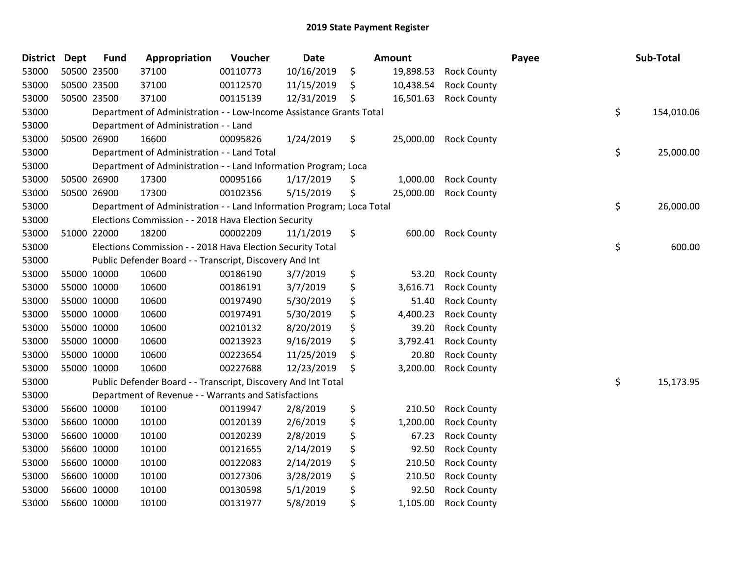| <b>District Dept</b> |             | <b>Fund</b> | Appropriation                                                         | Voucher  | <b>Date</b> | <b>Amount</b>   |                    | Payee | Sub-Total        |
|----------------------|-------------|-------------|-----------------------------------------------------------------------|----------|-------------|-----------------|--------------------|-------|------------------|
| 53000                | 50500 23500 |             | 37100                                                                 | 00110773 | 10/16/2019  | \$<br>19,898.53 | <b>Rock County</b> |       |                  |
| 53000                | 50500 23500 |             | 37100                                                                 | 00112570 | 11/15/2019  | \$<br>10,438.54 | <b>Rock County</b> |       |                  |
| 53000                | 50500 23500 |             | 37100                                                                 | 00115139 | 12/31/2019  | \$<br>16,501.63 | <b>Rock County</b> |       |                  |
| 53000                |             |             | Department of Administration - - Low-Income Assistance Grants Total   |          |             |                 |                    |       | \$<br>154,010.06 |
| 53000                |             |             | Department of Administration - - Land                                 |          |             |                 |                    |       |                  |
| 53000                | 50500 26900 |             | 16600                                                                 | 00095826 | 1/24/2019   | \$<br>25,000.00 | <b>Rock County</b> |       |                  |
| 53000                |             |             | Department of Administration - - Land Total                           |          |             |                 |                    |       | \$<br>25,000.00  |
| 53000                |             |             | Department of Administration - - Land Information Program; Loca       |          |             |                 |                    |       |                  |
| 53000                | 50500 26900 |             | 17300                                                                 | 00095166 | 1/17/2019   | \$<br>1,000.00  | <b>Rock County</b> |       |                  |
| 53000                | 50500 26900 |             | 17300                                                                 | 00102356 | 5/15/2019   | \$<br>25,000.00 | <b>Rock County</b> |       |                  |
| 53000                |             |             | Department of Administration - - Land Information Program; Loca Total |          |             |                 |                    |       | \$<br>26,000.00  |
| 53000                |             |             | Elections Commission - - 2018 Hava Election Security                  |          |             |                 |                    |       |                  |
| 53000                | 51000 22000 |             | 18200                                                                 | 00002209 | 11/1/2019   | \$<br>600.00    | <b>Rock County</b> |       |                  |
| 53000                |             |             | Elections Commission - - 2018 Hava Election Security Total            |          |             |                 |                    |       | \$<br>600.00     |
| 53000                |             |             | Public Defender Board - - Transcript, Discovery And Int               |          |             |                 |                    |       |                  |
| 53000                | 55000 10000 |             | 10600                                                                 | 00186190 | 3/7/2019    | \$<br>53.20     | <b>Rock County</b> |       |                  |
| 53000                | 55000 10000 |             | 10600                                                                 | 00186191 | 3/7/2019    | \$<br>3,616.71  | <b>Rock County</b> |       |                  |
| 53000                | 55000 10000 |             | 10600                                                                 | 00197490 | 5/30/2019   | \$<br>51.40     | <b>Rock County</b> |       |                  |
| 53000                | 55000 10000 |             | 10600                                                                 | 00197491 | 5/30/2019   | \$<br>4,400.23  | <b>Rock County</b> |       |                  |
| 53000                | 55000 10000 |             | 10600                                                                 | 00210132 | 8/20/2019   | \$<br>39.20     | <b>Rock County</b> |       |                  |
| 53000                | 55000 10000 |             | 10600                                                                 | 00213923 | 9/16/2019   | \$<br>3,792.41  | <b>Rock County</b> |       |                  |
| 53000                | 55000 10000 |             | 10600                                                                 | 00223654 | 11/25/2019  | \$<br>20.80     | <b>Rock County</b> |       |                  |
| 53000                | 55000 10000 |             | 10600                                                                 | 00227688 | 12/23/2019  | \$<br>3,200.00  | <b>Rock County</b> |       |                  |
| 53000                |             |             | Public Defender Board - - Transcript, Discovery And Int Total         |          |             |                 |                    |       | \$<br>15,173.95  |
| 53000                |             |             | Department of Revenue - - Warrants and Satisfactions                  |          |             |                 |                    |       |                  |
| 53000                | 56600 10000 |             | 10100                                                                 | 00119947 | 2/8/2019    | \$<br>210.50    | <b>Rock County</b> |       |                  |
| 53000                | 56600 10000 |             | 10100                                                                 | 00120139 | 2/6/2019    | \$<br>1,200.00  | <b>Rock County</b> |       |                  |
| 53000                | 56600 10000 |             | 10100                                                                 | 00120239 | 2/8/2019    | \$<br>67.23     | <b>Rock County</b> |       |                  |
| 53000                | 56600 10000 |             | 10100                                                                 | 00121655 | 2/14/2019   | \$<br>92.50     | <b>Rock County</b> |       |                  |
| 53000                | 56600 10000 |             | 10100                                                                 | 00122083 | 2/14/2019   | \$<br>210.50    | <b>Rock County</b> |       |                  |
| 53000                | 56600 10000 |             | 10100                                                                 | 00127306 | 3/28/2019   | \$<br>210.50    | <b>Rock County</b> |       |                  |
| 53000                | 56600 10000 |             | 10100                                                                 | 00130598 | 5/1/2019    | \$<br>92.50     | <b>Rock County</b> |       |                  |
| 53000                | 56600 10000 |             | 10100                                                                 | 00131977 | 5/8/2019    | \$<br>1,105.00  | <b>Rock County</b> |       |                  |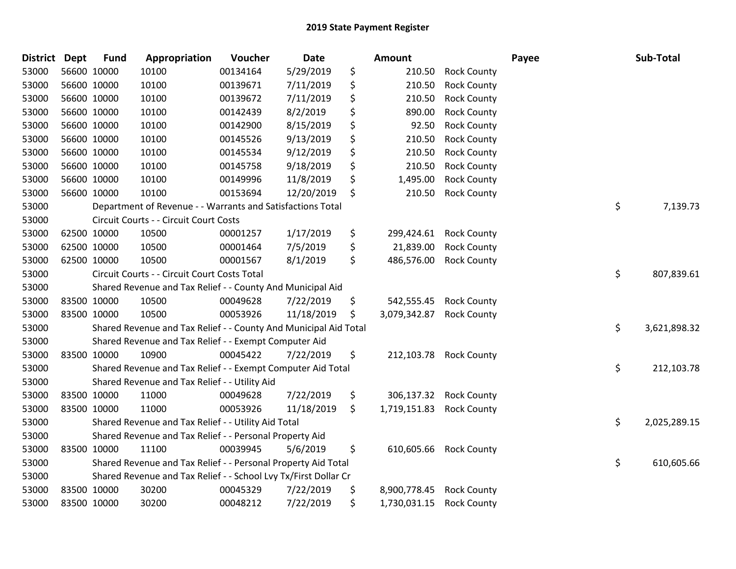| <b>District</b> | <b>Dept</b> | <b>Fund</b> | Appropriation                                                    | Voucher  | <b>Date</b> | Amount             |                        | Payee | Sub-Total          |
|-----------------|-------------|-------------|------------------------------------------------------------------|----------|-------------|--------------------|------------------------|-------|--------------------|
| 53000           |             | 56600 10000 | 10100                                                            | 00134164 | 5/29/2019   | \$<br>210.50       | <b>Rock County</b>     |       |                    |
| 53000           |             | 56600 10000 | 10100                                                            | 00139671 | 7/11/2019   | \$<br>210.50       | <b>Rock County</b>     |       |                    |
| 53000           | 56600 10000 |             | 10100                                                            | 00139672 | 7/11/2019   | \$<br>210.50       | <b>Rock County</b>     |       |                    |
| 53000           |             | 56600 10000 | 10100                                                            | 00142439 | 8/2/2019    | \$<br>890.00       | <b>Rock County</b>     |       |                    |
| 53000           |             | 56600 10000 | 10100                                                            | 00142900 | 8/15/2019   | \$<br>92.50        | <b>Rock County</b>     |       |                    |
| 53000           |             | 56600 10000 | 10100                                                            | 00145526 | 9/13/2019   | \$<br>210.50       | <b>Rock County</b>     |       |                    |
| 53000           |             | 56600 10000 | 10100                                                            | 00145534 | 9/12/2019   | \$<br>210.50       | <b>Rock County</b>     |       |                    |
| 53000           |             | 56600 10000 | 10100                                                            | 00145758 | 9/18/2019   | \$<br>210.50       | <b>Rock County</b>     |       |                    |
| 53000           |             | 56600 10000 | 10100                                                            | 00149996 | 11/8/2019   | \$<br>1,495.00     | <b>Rock County</b>     |       |                    |
| 53000           |             | 56600 10000 | 10100                                                            | 00153694 | 12/20/2019  | \$<br>210.50       | <b>Rock County</b>     |       |                    |
| 53000           |             |             | Department of Revenue - - Warrants and Satisfactions Total       |          |             |                    |                        |       | \$<br>7,139.73     |
| 53000           |             |             | Circuit Courts - - Circuit Court Costs                           |          |             |                    |                        |       |                    |
| 53000           | 62500 10000 |             | 10500                                                            | 00001257 | 1/17/2019   | \$<br>299,424.61   | <b>Rock County</b>     |       |                    |
| 53000           | 62500 10000 |             | 10500                                                            | 00001464 | 7/5/2019    | \$<br>21,839.00    | <b>Rock County</b>     |       |                    |
| 53000           |             | 62500 10000 | 10500                                                            | 00001567 | 8/1/2019    | \$<br>486,576.00   | <b>Rock County</b>     |       |                    |
| 53000           |             |             | Circuit Courts - - Circuit Court Costs Total                     |          |             |                    |                        |       | \$<br>807,839.61   |
| 53000           |             |             | Shared Revenue and Tax Relief - - County And Municipal Aid       |          |             |                    |                        |       |                    |
| 53000           | 83500 10000 |             | 10500                                                            | 00049628 | 7/22/2019   | \$<br>542,555.45   | <b>Rock County</b>     |       |                    |
| 53000           | 83500 10000 |             | 10500                                                            | 00053926 | 11/18/2019  | \$<br>3,079,342.87 | <b>Rock County</b>     |       |                    |
| 53000           |             |             | Shared Revenue and Tax Relief - - County And Municipal Aid Total |          |             |                    |                        |       | \$<br>3,621,898.32 |
| 53000           |             |             | Shared Revenue and Tax Relief - - Exempt Computer Aid            |          |             |                    |                        |       |                    |
| 53000           |             | 83500 10000 | 10900                                                            | 00045422 | 7/22/2019   | \$                 | 212,103.78 Rock County |       |                    |
| 53000           |             |             | Shared Revenue and Tax Relief - - Exempt Computer Aid Total      |          |             |                    |                        |       | \$<br>212,103.78   |
| 53000           |             |             | Shared Revenue and Tax Relief - - Utility Aid                    |          |             |                    |                        |       |                    |
| 53000           | 83500 10000 |             | 11000                                                            | 00049628 | 7/22/2019   | \$<br>306,137.32   | <b>Rock County</b>     |       |                    |
| 53000           |             | 83500 10000 | 11000                                                            | 00053926 | 11/18/2019  | \$<br>1,719,151.83 | <b>Rock County</b>     |       |                    |
| 53000           |             |             | Shared Revenue and Tax Relief - - Utility Aid Total              |          |             |                    |                        |       | \$<br>2,025,289.15 |
| 53000           |             |             | Shared Revenue and Tax Relief - - Personal Property Aid          |          |             |                    |                        |       |                    |
| 53000           |             | 83500 10000 | 11100                                                            | 00039945 | 5/6/2019    | \$<br>610,605.66   | <b>Rock County</b>     |       |                    |
| 53000           |             |             | Shared Revenue and Tax Relief - - Personal Property Aid Total    |          |             |                    |                        |       | \$<br>610,605.66   |
| 53000           |             |             | Shared Revenue and Tax Relief - - School Lvy Tx/First Dollar Cr  |          |             |                    |                        |       |                    |
| 53000           |             | 83500 10000 | 30200                                                            | 00045329 | 7/22/2019   | \$<br>8,900,778.45 | <b>Rock County</b>     |       |                    |
| 53000           | 83500 10000 |             | 30200                                                            | 00048212 | 7/22/2019   | \$<br>1,730,031.15 | <b>Rock County</b>     |       |                    |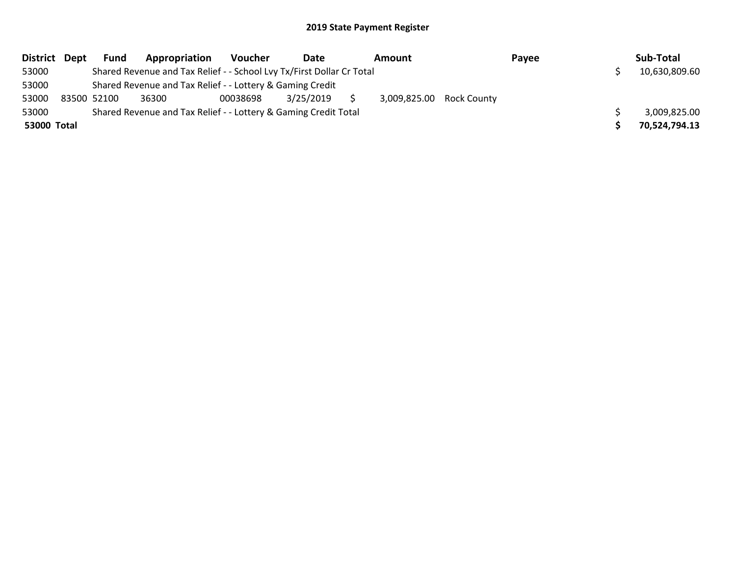| District Dept | <b>Fund</b> | Appropriation                                                         | Voucher  | Date      | Amount                   | Payee | Sub-Total     |
|---------------|-------------|-----------------------------------------------------------------------|----------|-----------|--------------------------|-------|---------------|
| 53000         |             | Shared Revenue and Tax Relief - - School Lvy Tx/First Dollar Cr Total |          |           |                          |       | 10,630,809.60 |
| 53000         |             | Shared Revenue and Tax Relief - - Lottery & Gaming Credit             |          |           |                          |       |               |
| 53000         | 83500 52100 | 36300                                                                 | 00038698 | 3/25/2019 | 3,009,825.00 Rock County |       |               |
| 53000         |             | Shared Revenue and Tax Relief - - Lottery & Gaming Credit Total       |          |           |                          |       | 3,009,825.00  |
| 53000 Total   |             |                                                                       |          |           |                          |       | 70,524,794.13 |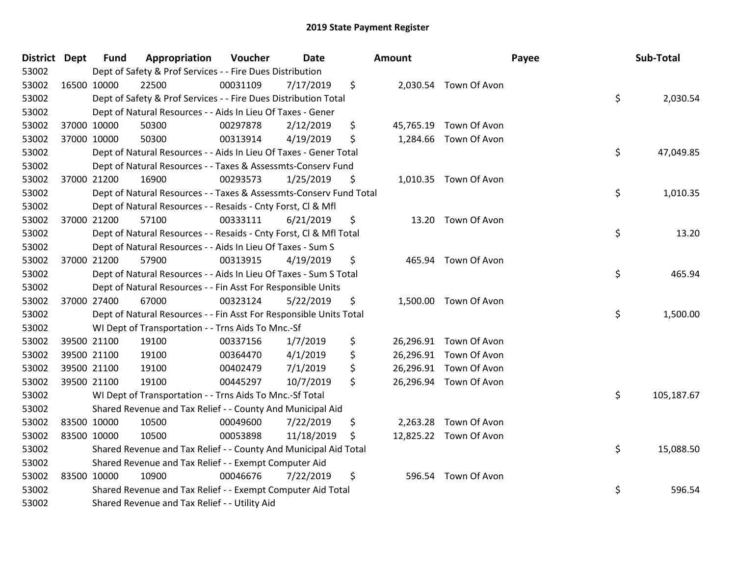| District Dept |             | <b>Fund</b> | Appropriation                                                      | Voucher  | Date       | Amount |                        | Payee | Sub-Total  |
|---------------|-------------|-------------|--------------------------------------------------------------------|----------|------------|--------|------------------------|-------|------------|
| 53002         |             |             | Dept of Safety & Prof Services - - Fire Dues Distribution          |          |            |        |                        |       |            |
| 53002         |             | 16500 10000 | 22500                                                              | 00031109 | 7/17/2019  | \$     | 2,030.54 Town Of Avon  |       |            |
| 53002         |             |             | Dept of Safety & Prof Services - - Fire Dues Distribution Total    |          |            |        |                        | \$    | 2,030.54   |
| 53002         |             |             | Dept of Natural Resources - - Aids In Lieu Of Taxes - Gener        |          |            |        |                        |       |            |
| 53002         |             | 37000 10000 | 50300                                                              | 00297878 | 2/12/2019  | \$     | 45,765.19 Town Of Avon |       |            |
| 53002         |             | 37000 10000 | 50300                                                              | 00313914 | 4/19/2019  | \$     | 1,284.66 Town Of Avon  |       |            |
| 53002         |             |             | Dept of Natural Resources - - Aids In Lieu Of Taxes - Gener Total  |          |            |        |                        | \$    | 47,049.85  |
| 53002         |             |             | Dept of Natural Resources - - Taxes & Assessmts-Conserv Fund       |          |            |        |                        |       |            |
| 53002         |             | 37000 21200 | 16900                                                              | 00293573 | 1/25/2019  | \$     | 1,010.35 Town Of Avon  |       |            |
| 53002         |             |             | Dept of Natural Resources - - Taxes & Assessmts-Conserv Fund Total |          |            |        |                        | \$    | 1,010.35   |
| 53002         |             |             | Dept of Natural Resources - - Resaids - Cnty Forst, Cl & Mfl       |          |            |        |                        |       |            |
| 53002         |             | 37000 21200 | 57100                                                              | 00333111 | 6/21/2019  | \$     | 13.20 Town Of Avon     |       |            |
| 53002         |             |             | Dept of Natural Resources - - Resaids - Cnty Forst, Cl & Mfl Total |          |            |        |                        | \$    | 13.20      |
| 53002         |             |             | Dept of Natural Resources - - Aids In Lieu Of Taxes - Sum S        |          |            |        |                        |       |            |
| 53002         |             | 37000 21200 | 57900                                                              | 00313915 | 4/19/2019  | \$     | 465.94 Town Of Avon    |       |            |
| 53002         |             |             | Dept of Natural Resources - - Aids In Lieu Of Taxes - Sum S Total  |          |            |        |                        | \$    | 465.94     |
| 53002         |             |             | Dept of Natural Resources - - Fin Asst For Responsible Units       |          |            |        |                        |       |            |
| 53002         |             | 37000 27400 | 67000                                                              | 00323124 | 5/22/2019  | \$     | 1,500.00 Town Of Avon  |       |            |
| 53002         |             |             | Dept of Natural Resources - - Fin Asst For Responsible Units Total |          |            |        |                        | \$    | 1,500.00   |
| 53002         |             |             | WI Dept of Transportation - - Trns Aids To Mnc.-Sf                 |          |            |        |                        |       |            |
| 53002         |             | 39500 21100 | 19100                                                              | 00337156 | 1/7/2019   | \$     | 26,296.91 Town Of Avon |       |            |
| 53002         |             | 39500 21100 | 19100                                                              | 00364470 | 4/1/2019   | \$     | 26,296.91 Town Of Avon |       |            |
| 53002         |             | 39500 21100 | 19100                                                              | 00402479 | 7/1/2019   | \$     | 26,296.91 Town Of Avon |       |            |
| 53002         |             | 39500 21100 | 19100                                                              | 00445297 | 10/7/2019  | \$     | 26,296.94 Town Of Avon |       |            |
| 53002         |             |             | WI Dept of Transportation - - Trns Aids To Mnc.-Sf Total           |          |            |        |                        | \$    | 105,187.67 |
| 53002         |             |             | Shared Revenue and Tax Relief - - County And Municipal Aid         |          |            |        |                        |       |            |
| 53002         |             | 83500 10000 | 10500                                                              | 00049600 | 7/22/2019  | \$     | 2,263.28 Town Of Avon  |       |            |
| 53002         | 83500 10000 |             | 10500                                                              | 00053898 | 11/18/2019 | \$     | 12,825.22 Town Of Avon |       |            |
| 53002         |             |             | Shared Revenue and Tax Relief - - County And Municipal Aid Total   |          |            |        |                        | \$    | 15,088.50  |
| 53002         |             |             | Shared Revenue and Tax Relief - - Exempt Computer Aid              |          |            |        |                        |       |            |
| 53002         |             | 83500 10000 | 10900                                                              | 00046676 | 7/22/2019  | \$     | 596.54 Town Of Avon    |       |            |
| 53002         |             |             | Shared Revenue and Tax Relief - - Exempt Computer Aid Total        |          |            |        |                        | \$    | 596.54     |
| 53002         |             |             | Shared Revenue and Tax Relief - - Utility Aid                      |          |            |        |                        |       |            |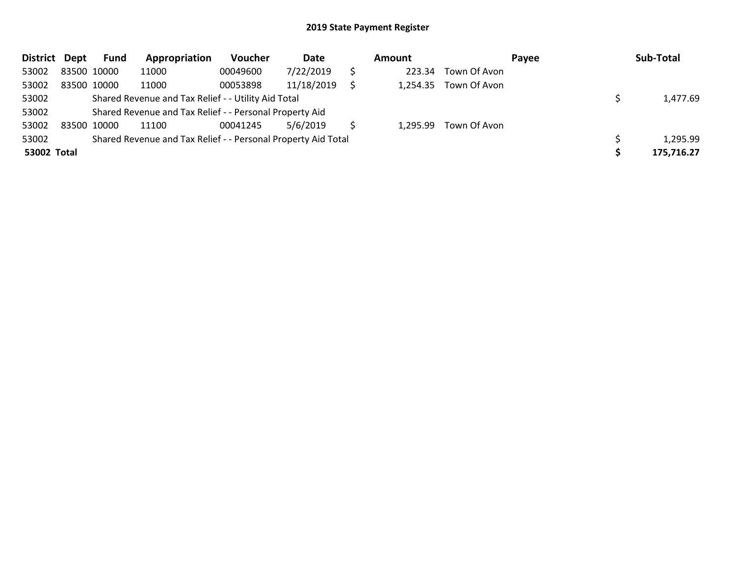| District Dept |             | <b>Fund</b> | Appropriation                                                 | Voucher  | Date       | Amount |          | Payee        |  | Sub-Total  |  |
|---------------|-------------|-------------|---------------------------------------------------------------|----------|------------|--------|----------|--------------|--|------------|--|
| 53002         | 83500 10000 |             | 11000                                                         | 00049600 | 7/22/2019  |        | 223.34   | Town Of Avon |  |            |  |
| 53002         | 83500 10000 |             | 11000                                                         | 00053898 | 11/18/2019 |        | 1,254.35 | Town Of Avon |  |            |  |
| 53002         |             |             | Shared Revenue and Tax Relief - - Utility Aid Total           |          |            |        |          |              |  | 1,477.69   |  |
| 53002         |             |             | Shared Revenue and Tax Relief - - Personal Property Aid       |          |            |        |          |              |  |            |  |
| 53002         | 83500 10000 |             | 11100                                                         | 00041245 | 5/6/2019   |        | 1,295.99 | Town Of Avon |  |            |  |
| 53002         |             |             | Shared Revenue and Tax Relief - - Personal Property Aid Total |          |            |        |          |              |  | 1,295.99   |  |
| 53002 Total   |             |             |                                                               |          |            |        |          |              |  | 175,716.27 |  |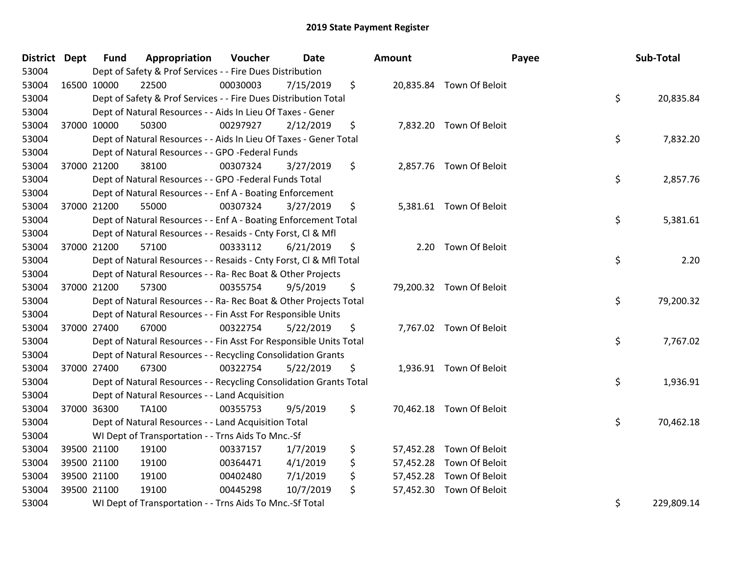| District Dept | <b>Fund</b> | Appropriation                                                      | Voucher  | Date      | Amount |                          | Payee | Sub-Total  |
|---------------|-------------|--------------------------------------------------------------------|----------|-----------|--------|--------------------------|-------|------------|
| 53004         |             | Dept of Safety & Prof Services - - Fire Dues Distribution          |          |           |        |                          |       |            |
| 53004         | 16500 10000 | 22500                                                              | 00030003 | 7/15/2019 | \$     | 20,835.84 Town Of Beloit |       |            |
| 53004         |             | Dept of Safety & Prof Services - - Fire Dues Distribution Total    |          |           |        |                          | \$    | 20,835.84  |
| 53004         |             | Dept of Natural Resources - - Aids In Lieu Of Taxes - Gener        |          |           |        |                          |       |            |
| 53004         | 37000 10000 | 50300                                                              | 00297927 | 2/12/2019 | \$     | 7,832.20 Town Of Beloit  |       |            |
| 53004         |             | Dept of Natural Resources - - Aids In Lieu Of Taxes - Gener Total  |          |           |        |                          | \$    | 7,832.20   |
| 53004         |             | Dept of Natural Resources - - GPO -Federal Funds                   |          |           |        |                          |       |            |
| 53004         | 37000 21200 | 38100                                                              | 00307324 | 3/27/2019 | \$     | 2,857.76 Town Of Beloit  |       |            |
| 53004         |             | Dept of Natural Resources - - GPO -Federal Funds Total             |          |           |        |                          | \$    | 2,857.76   |
| 53004         |             | Dept of Natural Resources - - Enf A - Boating Enforcement          |          |           |        |                          |       |            |
| 53004         | 37000 21200 | 55000                                                              | 00307324 | 3/27/2019 | \$     | 5,381.61 Town Of Beloit  |       |            |
| 53004         |             | Dept of Natural Resources - - Enf A - Boating Enforcement Total    |          |           |        |                          | \$    | 5,381.61   |
| 53004         |             | Dept of Natural Resources - - Resaids - Cnty Forst, Cl & Mfl       |          |           |        |                          |       |            |
| 53004         | 37000 21200 | 57100                                                              | 00333112 | 6/21/2019 | \$     | 2.20 Town Of Beloit      |       |            |
| 53004         |             | Dept of Natural Resources - - Resaids - Cnty Forst, Cl & Mfl Total |          |           |        |                          | \$    | 2.20       |
| 53004         |             | Dept of Natural Resources - - Ra- Rec Boat & Other Projects        |          |           |        |                          |       |            |
| 53004         | 37000 21200 | 57300                                                              | 00355754 | 9/5/2019  | \$     | 79,200.32 Town Of Beloit |       |            |
| 53004         |             | Dept of Natural Resources - - Ra- Rec Boat & Other Projects Total  |          |           |        |                          | \$    | 79,200.32  |
| 53004         |             | Dept of Natural Resources - - Fin Asst For Responsible Units       |          |           |        |                          |       |            |
| 53004         | 37000 27400 | 67000                                                              | 00322754 | 5/22/2019 | \$     | 7,767.02 Town Of Beloit  |       |            |
| 53004         |             | Dept of Natural Resources - - Fin Asst For Responsible Units Total |          |           |        |                          | \$    | 7,767.02   |
| 53004         |             | Dept of Natural Resources - - Recycling Consolidation Grants       |          |           |        |                          |       |            |
| 53004         | 37000 27400 | 67300                                                              | 00322754 | 5/22/2019 | \$     | 1,936.91 Town Of Beloit  |       |            |
| 53004         |             | Dept of Natural Resources - - Recycling Consolidation Grants Total |          |           |        |                          | \$    | 1,936.91   |
| 53004         |             | Dept of Natural Resources - - Land Acquisition                     |          |           |        |                          |       |            |
| 53004         | 37000 36300 | <b>TA100</b>                                                       | 00355753 | 9/5/2019  | \$     | 70,462.18 Town Of Beloit |       |            |
| 53004         |             | Dept of Natural Resources - - Land Acquisition Total               |          |           |        |                          | \$    | 70,462.18  |
| 53004         |             | WI Dept of Transportation - - Trns Aids To Mnc.-Sf                 |          |           |        |                          |       |            |
| 53004         | 39500 21100 | 19100                                                              | 00337157 | 1/7/2019  | \$     | 57,452.28 Town Of Beloit |       |            |
| 53004         | 39500 21100 | 19100                                                              | 00364471 | 4/1/2019  | \$     | 57,452.28 Town Of Beloit |       |            |
| 53004         | 39500 21100 | 19100                                                              | 00402480 | 7/1/2019  | \$     | 57,452.28 Town Of Beloit |       |            |
| 53004         | 39500 21100 | 19100                                                              | 00445298 | 10/7/2019 | \$     | 57,452.30 Town Of Beloit |       |            |
| 53004         |             | WI Dept of Transportation - - Trns Aids To Mnc.-Sf Total           |          |           |        |                          | \$    | 229,809.14 |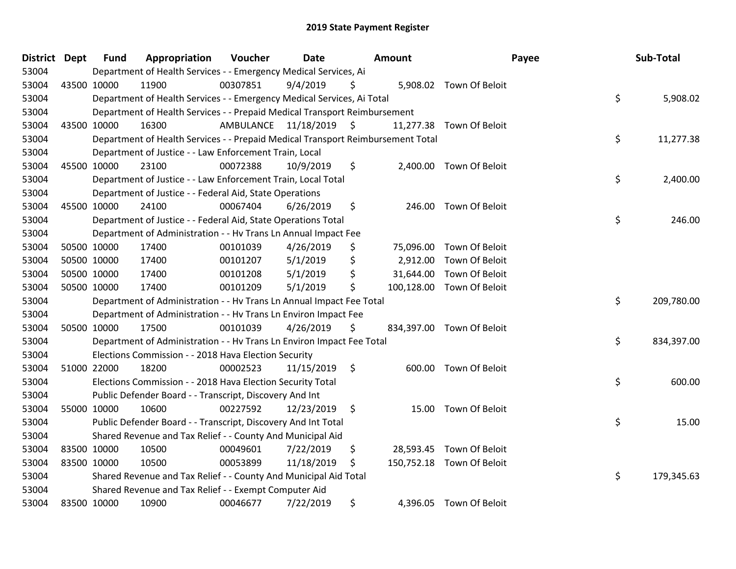| <b>District</b> | <b>Dept</b> | Fund        | Appropriation                                                                   | Voucher   | Date          |               | Amount     |                           | Payee | Sub-Total  |
|-----------------|-------------|-------------|---------------------------------------------------------------------------------|-----------|---------------|---------------|------------|---------------------------|-------|------------|
| 53004           |             |             | Department of Health Services - - Emergency Medical Services, Ai                |           |               |               |            |                           |       |            |
| 53004           |             | 43500 10000 | 11900                                                                           | 00307851  | 9/4/2019      | S             |            | 5,908.02 Town Of Beloit   |       |            |
| 53004           |             |             | Department of Health Services - - Emergency Medical Services, Ai Total          |           |               |               |            |                           | \$    | 5,908.02   |
| 53004           |             |             | Department of Health Services - - Prepaid Medical Transport Reimbursement       |           |               |               |            |                           |       |            |
| 53004           |             | 43500 10000 | 16300                                                                           | AMBULANCE | 11/18/2019 \$ |               | 11,277.38  | Town Of Beloit            |       |            |
| 53004           |             |             | Department of Health Services - - Prepaid Medical Transport Reimbursement Total |           |               |               |            |                           | \$    | 11,277.38  |
| 53004           |             |             | Department of Justice - - Law Enforcement Train, Local                          |           |               |               |            |                           |       |            |
| 53004           |             | 45500 10000 | 23100                                                                           | 00072388  | 10/9/2019     | \$            |            | 2,400.00 Town Of Beloit   |       |            |
| 53004           |             |             | Department of Justice - - Law Enforcement Train, Local Total                    |           |               |               |            |                           | \$    | 2,400.00   |
| 53004           |             |             | Department of Justice - - Federal Aid, State Operations                         |           |               |               |            |                           |       |            |
| 53004           |             | 45500 10000 | 24100                                                                           | 00067404  | 6/26/2019     | \$            |            | 246.00 Town Of Beloit     |       |            |
| 53004           |             |             | Department of Justice - - Federal Aid, State Operations Total                   |           |               |               |            |                           | \$    | 246.00     |
| 53004           |             |             | Department of Administration - - Hv Trans Ln Annual Impact Fee                  |           |               |               |            |                           |       |            |
| 53004           |             | 50500 10000 | 17400                                                                           | 00101039  | 4/26/2019     | \$            | 75,096.00  | Town Of Beloit            |       |            |
| 53004           |             | 50500 10000 | 17400                                                                           | 00101207  | 5/1/2019      | \$            | 2,912.00   | Town Of Beloit            |       |            |
| 53004           |             | 50500 10000 | 17400                                                                           | 00101208  | 5/1/2019      | \$            | 31,644.00  | Town Of Beloit            |       |            |
| 53004           |             | 50500 10000 | 17400                                                                           | 00101209  | 5/1/2019      | \$            | 100,128.00 | Town Of Beloit            |       |            |
| 53004           |             |             | Department of Administration - - Hv Trans Ln Annual Impact Fee Total            |           |               |               |            |                           | \$    | 209,780.00 |
| 53004           |             |             | Department of Administration - - Hv Trans Ln Environ Impact Fee                 |           |               |               |            |                           |       |            |
| 53004           |             | 50500 10000 | 17500                                                                           | 00101039  | 4/26/2019     | \$            |            | 834,397.00 Town Of Beloit |       |            |
| 53004           |             |             | Department of Administration - - Hv Trans Ln Environ Impact Fee Total           |           |               |               |            |                           | \$    | 834,397.00 |
| 53004           |             |             | Elections Commission - - 2018 Hava Election Security                            |           |               |               |            |                           |       |            |
| 53004           |             | 51000 22000 | 18200                                                                           | 00002523  | 11/15/2019    | $\ddot{\phi}$ |            | 600.00 Town Of Beloit     |       |            |
| 53004           |             |             | Elections Commission - - 2018 Hava Election Security Total                      |           |               |               |            |                           | \$    | 600.00     |
| 53004           |             |             | Public Defender Board - - Transcript, Discovery And Int                         |           |               |               |            |                           |       |            |
| 53004           |             | 55000 10000 | 10600                                                                           | 00227592  | 12/23/2019    | \$            | 15.00      | Town Of Beloit            |       |            |
| 53004           |             |             | Public Defender Board - - Transcript, Discovery And Int Total                   |           |               |               |            |                           | \$    | 15.00      |
| 53004           |             |             | Shared Revenue and Tax Relief - - County And Municipal Aid                      |           |               |               |            |                           |       |            |
| 53004           |             | 83500 10000 | 10500                                                                           | 00049601  | 7/22/2019     | \$.           | 28,593.45  | Town Of Beloit            |       |            |
| 53004           |             | 83500 10000 | 10500                                                                           | 00053899  | 11/18/2019    | \$            |            | 150,752.18 Town Of Beloit |       |            |
| 53004           |             |             | Shared Revenue and Tax Relief - - County And Municipal Aid Total                |           |               |               |            |                           | \$    | 179,345.63 |
| 53004           |             |             | Shared Revenue and Tax Relief - - Exempt Computer Aid                           |           |               |               |            |                           |       |            |
| 53004           |             | 83500 10000 | 10900                                                                           | 00046677  | 7/22/2019     | \$            |            | 4,396.05 Town Of Beloit   |       |            |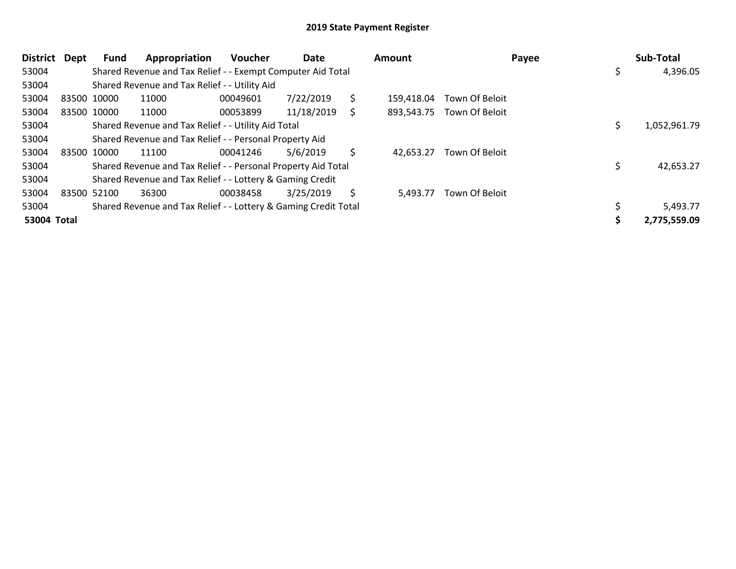| <b>District</b> | Dept        | Fund        | Appropriation                                                   | <b>Voucher</b> | Date       |    | <b>Amount</b> |                | Payee | Sub-Total    |
|-----------------|-------------|-------------|-----------------------------------------------------------------|----------------|------------|----|---------------|----------------|-------|--------------|
| 53004           |             |             | Shared Revenue and Tax Relief - - Exempt Computer Aid Total     |                |            |    |               |                |       | 4,396.05     |
| 53004           |             |             | Shared Revenue and Tax Relief - - Utility Aid                   |                |            |    |               |                |       |              |
| 53004           | 83500 10000 |             | 11000                                                           | 00049601       | 7/22/2019  | \$ | 159,418.04    | Town Of Beloit |       |              |
| 53004           |             | 83500 10000 | 11000                                                           | 00053899       | 11/18/2019 | S. | 893,543.75    | Town Of Beloit |       |              |
| 53004           |             |             | Shared Revenue and Tax Relief - - Utility Aid Total             |                |            |    |               |                |       | 1,052,961.79 |
| 53004           |             |             | Shared Revenue and Tax Relief - - Personal Property Aid         |                |            |    |               |                |       |              |
| 53004           | 83500 10000 |             | 11100                                                           | 00041246       | 5/6/2019   | \$ | 42,653.27     | Town Of Beloit |       |              |
| 53004           |             |             | Shared Revenue and Tax Relief - - Personal Property Aid Total   |                |            |    |               |                |       | 42,653.27    |
| 53004           |             |             | Shared Revenue and Tax Relief - - Lottery & Gaming Credit       |                |            |    |               |                |       |              |
| 53004           | 83500 52100 |             | 36300                                                           | 00038458       | 3/25/2019  | S  | 5,493.77      | Town Of Beloit |       |              |
| 53004           |             |             | Shared Revenue and Tax Relief - - Lottery & Gaming Credit Total |                |            |    |               |                |       | 5,493.77     |
| 53004 Total     |             |             |                                                                 |                |            |    |               |                |       | 2,775,559.09 |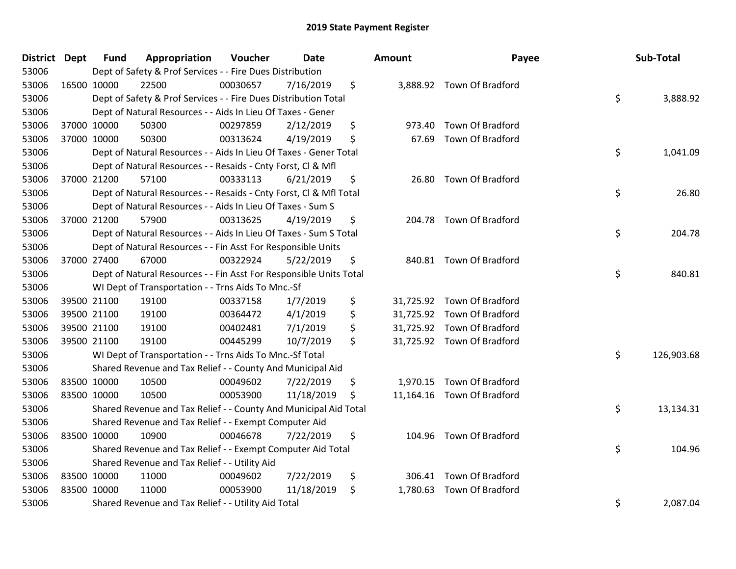| District Dept |             | <b>Fund</b> | Appropriation                                                      | Voucher  | <b>Date</b> | Amount       | Payee                      | Sub-Total        |
|---------------|-------------|-------------|--------------------------------------------------------------------|----------|-------------|--------------|----------------------------|------------------|
| 53006         |             |             | Dept of Safety & Prof Services - - Fire Dues Distribution          |          |             |              |                            |                  |
| 53006         |             | 16500 10000 | 22500                                                              | 00030657 | 7/16/2019   | \$           | 3,888.92 Town Of Bradford  |                  |
| 53006         |             |             | Dept of Safety & Prof Services - - Fire Dues Distribution Total    |          |             |              |                            | \$<br>3,888.92   |
| 53006         |             |             | Dept of Natural Resources - - Aids In Lieu Of Taxes - Gener        |          |             |              |                            |                  |
| 53006         |             | 37000 10000 | 50300                                                              | 00297859 | 2/12/2019   | \$<br>973.40 | Town Of Bradford           |                  |
| 53006         |             | 37000 10000 | 50300                                                              | 00313624 | 4/19/2019   | \$<br>67.69  | Town Of Bradford           |                  |
| 53006         |             |             | Dept of Natural Resources - - Aids In Lieu Of Taxes - Gener Total  |          |             |              |                            | \$<br>1,041.09   |
| 53006         |             |             | Dept of Natural Resources - - Resaids - Cnty Forst, Cl & Mfl       |          |             |              |                            |                  |
| 53006         |             | 37000 21200 | 57100                                                              | 00333113 | 6/21/2019   | \$<br>26.80  | Town Of Bradford           |                  |
| 53006         |             |             | Dept of Natural Resources - - Resaids - Cnty Forst, Cl & Mfl Total |          |             |              |                            | \$<br>26.80      |
| 53006         |             |             | Dept of Natural Resources - - Aids In Lieu Of Taxes - Sum S        |          |             |              |                            |                  |
| 53006         |             | 37000 21200 | 57900                                                              | 00313625 | 4/19/2019   | \$           | 204.78 Town Of Bradford    |                  |
| 53006         |             |             | Dept of Natural Resources - - Aids In Lieu Of Taxes - Sum S Total  |          |             |              |                            | \$<br>204.78     |
| 53006         |             |             | Dept of Natural Resources - - Fin Asst For Responsible Units       |          |             |              |                            |                  |
| 53006         |             | 37000 27400 | 67000                                                              | 00322924 | 5/22/2019   | \$           | 840.81 Town Of Bradford    |                  |
| 53006         |             |             | Dept of Natural Resources - - Fin Asst For Responsible Units Total |          |             |              |                            | \$<br>840.81     |
| 53006         |             |             | WI Dept of Transportation - - Trns Aids To Mnc.-Sf                 |          |             |              |                            |                  |
| 53006         |             | 39500 21100 | 19100                                                              | 00337158 | 1/7/2019    | \$           | 31,725.92 Town Of Bradford |                  |
| 53006         |             | 39500 21100 | 19100                                                              | 00364472 | 4/1/2019    | \$           | 31,725.92 Town Of Bradford |                  |
| 53006         |             | 39500 21100 | 19100                                                              | 00402481 | 7/1/2019    | \$           | 31,725.92 Town Of Bradford |                  |
| 53006         |             | 39500 21100 | 19100                                                              | 00445299 | 10/7/2019   | \$           | 31,725.92 Town Of Bradford |                  |
| 53006         |             |             | WI Dept of Transportation - - Trns Aids To Mnc.-Sf Total           |          |             |              |                            | \$<br>126,903.68 |
| 53006         |             |             | Shared Revenue and Tax Relief - - County And Municipal Aid         |          |             |              |                            |                  |
| 53006         | 83500 10000 |             | 10500                                                              | 00049602 | 7/22/2019   | \$           | 1,970.15 Town Of Bradford  |                  |
| 53006         |             | 83500 10000 | 10500                                                              | 00053900 | 11/18/2019  | \$           | 11,164.16 Town Of Bradford |                  |
| 53006         |             |             | Shared Revenue and Tax Relief - - County And Municipal Aid Total   |          |             |              |                            | \$<br>13,134.31  |
| 53006         |             |             | Shared Revenue and Tax Relief - - Exempt Computer Aid              |          |             |              |                            |                  |
| 53006         | 83500 10000 |             | 10900                                                              | 00046678 | 7/22/2019   | \$<br>104.96 | <b>Town Of Bradford</b>    |                  |
| 53006         |             |             | Shared Revenue and Tax Relief - - Exempt Computer Aid Total        |          |             |              |                            | \$<br>104.96     |
| 53006         |             |             | Shared Revenue and Tax Relief - - Utility Aid                      |          |             |              |                            |                  |
| 53006         |             | 83500 10000 | 11000                                                              | 00049602 | 7/22/2019   | \$           | 306.41 Town Of Bradford    |                  |
| 53006         |             | 83500 10000 | 11000                                                              | 00053900 | 11/18/2019  | \$           | 1,780.63 Town Of Bradford  |                  |
| 53006         |             |             | Shared Revenue and Tax Relief - - Utility Aid Total                |          |             |              |                            | \$<br>2,087.04   |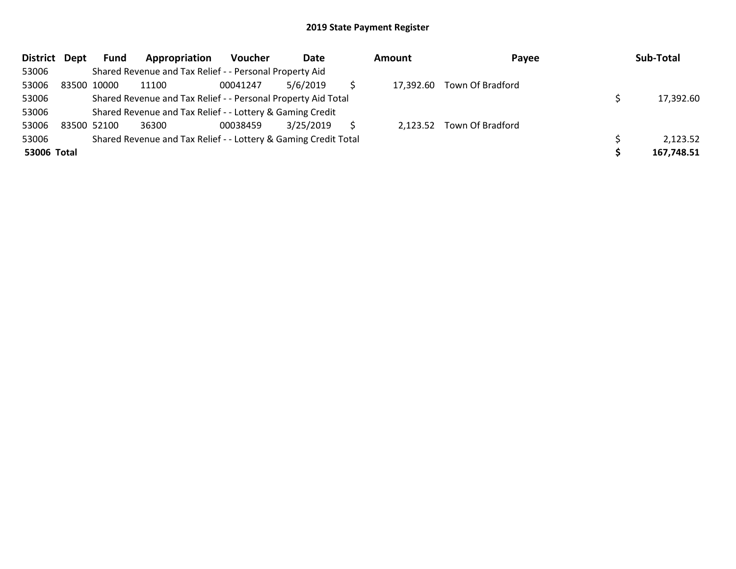| District Dept |             | <b>Fund</b> | Appropriation                                                   | Voucher  | Date      | <b>Amount</b> | Payee                      | Sub-Total  |
|---------------|-------------|-------------|-----------------------------------------------------------------|----------|-----------|---------------|----------------------------|------------|
| 53006         |             |             | Shared Revenue and Tax Relief - - Personal Property Aid         |          |           |               |                            |            |
| 53006         | 83500 10000 |             | 11100                                                           | 00041247 | 5/6/2019  |               | 17,392.60 Town Of Bradford |            |
| 53006         |             |             | Shared Revenue and Tax Relief - - Personal Property Aid Total   |          |           |               |                            | 17,392.60  |
| 53006         |             |             | Shared Revenue and Tax Relief - - Lottery & Gaming Credit       |          |           |               |                            |            |
| 53006         | 83500 52100 |             | 36300                                                           | 00038459 | 3/25/2019 |               | 2,123.52 Town Of Bradford  |            |
| 53006         |             |             | Shared Revenue and Tax Relief - - Lottery & Gaming Credit Total |          |           |               |                            | 2,123.52   |
| 53006 Total   |             |             |                                                                 |          |           |               |                            | 167,748.51 |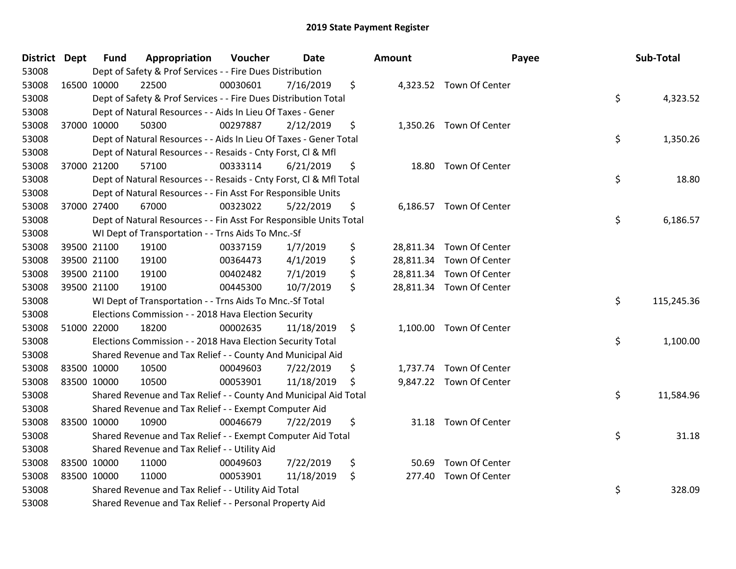| District Dept |             | <b>Fund</b> | Appropriation                                                      | Voucher  | <b>Date</b> | Amount |                          | Payee | Sub-Total  |
|---------------|-------------|-------------|--------------------------------------------------------------------|----------|-------------|--------|--------------------------|-------|------------|
| 53008         |             |             | Dept of Safety & Prof Services - - Fire Dues Distribution          |          |             |        |                          |       |            |
| 53008         | 16500 10000 |             | 22500                                                              | 00030601 | 7/16/2019   | \$     | 4,323.52 Town Of Center  |       |            |
| 53008         |             |             | Dept of Safety & Prof Services - - Fire Dues Distribution Total    |          |             |        |                          | \$    | 4,323.52   |
| 53008         |             |             | Dept of Natural Resources - - Aids In Lieu Of Taxes - Gener        |          |             |        |                          |       |            |
| 53008         | 37000 10000 |             | 50300                                                              | 00297887 | 2/12/2019   | \$     | 1,350.26 Town Of Center  |       |            |
| 53008         |             |             | Dept of Natural Resources - - Aids In Lieu Of Taxes - Gener Total  |          |             |        |                          | \$    | 1,350.26   |
| 53008         |             |             | Dept of Natural Resources - - Resaids - Cnty Forst, Cl & Mfl       |          |             |        |                          |       |            |
| 53008         |             | 37000 21200 | 57100                                                              | 00333114 | 6/21/2019   | \$     | 18.80 Town Of Center     |       |            |
| 53008         |             |             | Dept of Natural Resources - - Resaids - Cnty Forst, Cl & Mfl Total |          |             |        |                          | \$    | 18.80      |
| 53008         |             |             | Dept of Natural Resources - - Fin Asst For Responsible Units       |          |             |        |                          |       |            |
| 53008         |             | 37000 27400 | 67000                                                              | 00323022 | 5/22/2019   | \$     | 6,186.57 Town Of Center  |       |            |
| 53008         |             |             | Dept of Natural Resources - - Fin Asst For Responsible Units Total |          |             |        |                          | \$    | 6,186.57   |
| 53008         |             |             | WI Dept of Transportation - - Trns Aids To Mnc.-Sf                 |          |             |        |                          |       |            |
| 53008         |             | 39500 21100 | 19100                                                              | 00337159 | 1/7/2019    | \$     | 28,811.34 Town Of Center |       |            |
| 53008         |             | 39500 21100 | 19100                                                              | 00364473 | 4/1/2019    | \$     | 28,811.34 Town Of Center |       |            |
| 53008         |             | 39500 21100 | 19100                                                              | 00402482 | 7/1/2019    | \$     | 28,811.34 Town Of Center |       |            |
| 53008         | 39500 21100 |             | 19100                                                              | 00445300 | 10/7/2019   | \$     | 28,811.34 Town Of Center |       |            |
| 53008         |             |             | WI Dept of Transportation - - Trns Aids To Mnc.-Sf Total           |          |             |        |                          | \$    | 115,245.36 |
| 53008         |             |             | Elections Commission - - 2018 Hava Election Security               |          |             |        |                          |       |            |
| 53008         | 51000 22000 |             | 18200                                                              | 00002635 | 11/18/2019  | \$     | 1,100.00 Town Of Center  |       |            |
| 53008         |             |             | Elections Commission - - 2018 Hava Election Security Total         |          |             |        |                          | \$    | 1,100.00   |
| 53008         |             |             | Shared Revenue and Tax Relief - - County And Municipal Aid         |          |             |        |                          |       |            |
| 53008         | 83500 10000 |             | 10500                                                              | 00049603 | 7/22/2019   | \$     | 1,737.74 Town Of Center  |       |            |
| 53008         | 83500 10000 |             | 10500                                                              | 00053901 | 11/18/2019  | \$     | 9,847.22 Town Of Center  |       |            |
| 53008         |             |             | Shared Revenue and Tax Relief - - County And Municipal Aid Total   |          |             |        |                          | \$    | 11,584.96  |
| 53008         |             |             | Shared Revenue and Tax Relief - - Exempt Computer Aid              |          |             |        |                          |       |            |
| 53008         | 83500 10000 |             | 10900                                                              | 00046679 | 7/22/2019   | \$     | 31.18 Town Of Center     |       |            |
| 53008         |             |             | Shared Revenue and Tax Relief - - Exempt Computer Aid Total        |          |             |        |                          | \$    | 31.18      |
| 53008         |             |             | Shared Revenue and Tax Relief - - Utility Aid                      |          |             |        |                          |       |            |
| 53008         | 83500 10000 |             | 11000                                                              | 00049603 | 7/22/2019   | \$     | 50.69 Town Of Center     |       |            |
| 53008         | 83500 10000 |             | 11000                                                              | 00053901 | 11/18/2019  | \$     | 277.40 Town Of Center    |       |            |
| 53008         |             |             | Shared Revenue and Tax Relief - - Utility Aid Total                |          |             |        |                          | \$    | 328.09     |
| 53008         |             |             | Shared Revenue and Tax Relief - - Personal Property Aid            |          |             |        |                          |       |            |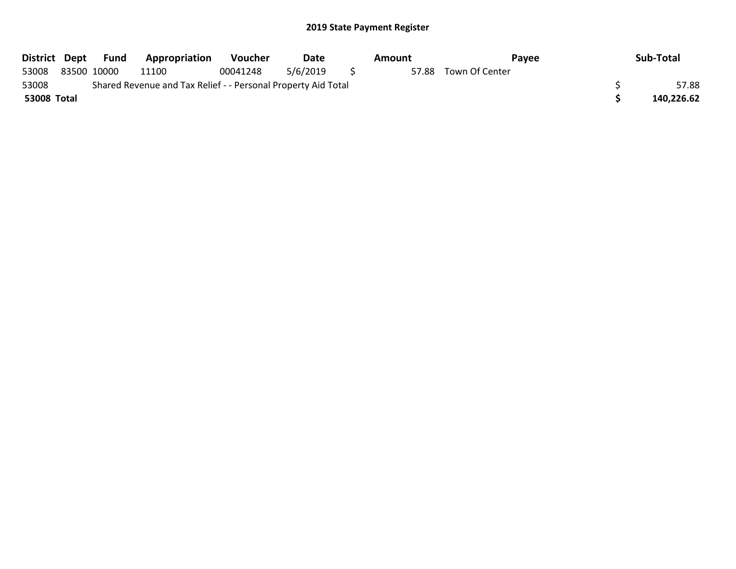| District Dept |             | Fund | Appropriation                                                 | <b>Voucher</b> | Date     | Amount | Pavee          | Sub-Total  |
|---------------|-------------|------|---------------------------------------------------------------|----------------|----------|--------|----------------|------------|
| 53008         | 83500 10000 |      | 11100                                                         | 00041248       | 5/6/2019 | 57.88  | Town Of Center |            |
| 53008         |             |      | Shared Revenue and Tax Relief - - Personal Property Aid Total |                |          |        |                | 57.88      |
| 53008 Total   |             |      |                                                               |                |          |        |                | 140,226.62 |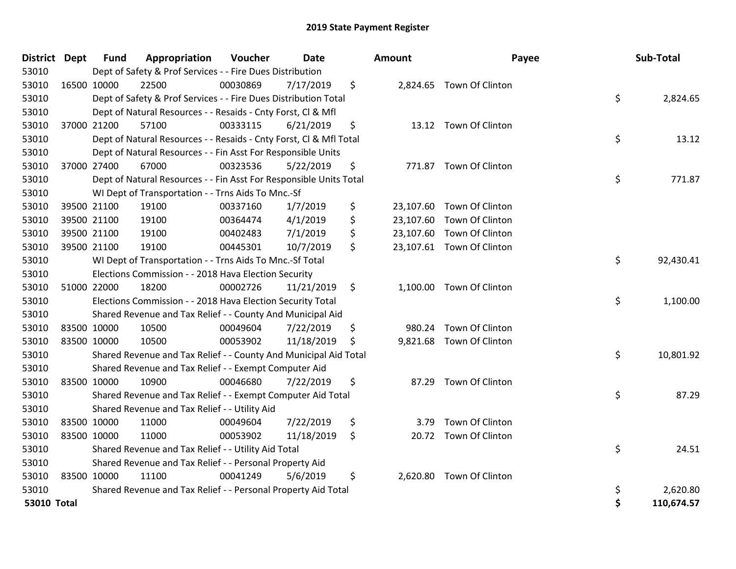| District Dept      | Fund        | Appropriation                                                      | Voucher  | Date       | Amount      | Payee                     |    | Sub-Total  |
|--------------------|-------------|--------------------------------------------------------------------|----------|------------|-------------|---------------------------|----|------------|
| 53010              |             | Dept of Safety & Prof Services - - Fire Dues Distribution          |          |            |             |                           |    |            |
| 53010              | 16500 10000 | 22500                                                              | 00030869 | 7/17/2019  | \$          | 2,824.65 Town Of Clinton  |    |            |
| 53010              |             | Dept of Safety & Prof Services - - Fire Dues Distribution Total    |          |            |             |                           | \$ | 2,824.65   |
| 53010              |             | Dept of Natural Resources - - Resaids - Cnty Forst, CI & Mfl       |          |            |             |                           |    |            |
| 53010              | 37000 21200 | 57100                                                              | 00333115 | 6/21/2019  | \$          | 13.12 Town Of Clinton     |    |            |
| 53010              |             | Dept of Natural Resources - - Resaids - Cnty Forst, CI & Mfl Total |          |            |             |                           | \$ | 13.12      |
| 53010              |             | Dept of Natural Resources - - Fin Asst For Responsible Units       |          |            |             |                           |    |            |
| 53010              | 37000 27400 | 67000                                                              | 00323536 | 5/22/2019  | \$          | 771.87 Town Of Clinton    |    |            |
| 53010              |             | Dept of Natural Resources - - Fin Asst For Responsible Units Total |          |            |             |                           | \$ | 771.87     |
| 53010              |             | WI Dept of Transportation - - Trns Aids To Mnc.-Sf                 |          |            |             |                           |    |            |
| 53010              | 39500 21100 | 19100                                                              | 00337160 | 1/7/2019   | \$          | 23,107.60 Town Of Clinton |    |            |
| 53010              | 39500 21100 | 19100                                                              | 00364474 | 4/1/2019   | \$          | 23,107.60 Town Of Clinton |    |            |
| 53010              | 39500 21100 | 19100                                                              | 00402483 | 7/1/2019   | \$          | 23,107.60 Town Of Clinton |    |            |
| 53010              | 39500 21100 | 19100                                                              | 00445301 | 10/7/2019  | \$          | 23,107.61 Town Of Clinton |    |            |
| 53010              |             | WI Dept of Transportation - - Trns Aids To Mnc.-Sf Total           |          |            |             |                           | \$ | 92,430.41  |
| 53010              |             | Elections Commission - - 2018 Hava Election Security               |          |            |             |                           |    |            |
| 53010              | 51000 22000 | 18200                                                              | 00002726 | 11/21/2019 | \$          | 1,100.00 Town Of Clinton  |    |            |
| 53010              |             | Elections Commission - - 2018 Hava Election Security Total         |          |            |             |                           | \$ | 1,100.00   |
| 53010              |             | Shared Revenue and Tax Relief - - County And Municipal Aid         |          |            |             |                           |    |            |
| 53010              | 83500 10000 | 10500                                                              | 00049604 | 7/22/2019  | \$          | 980.24 Town Of Clinton    |    |            |
| 53010              | 83500 10000 | 10500                                                              | 00053902 | 11/18/2019 | \$          | 9,821.68 Town Of Clinton  |    |            |
| 53010              |             | Shared Revenue and Tax Relief - - County And Municipal Aid Total   |          |            |             |                           | \$ | 10,801.92  |
| 53010              |             | Shared Revenue and Tax Relief - - Exempt Computer Aid              |          |            |             |                           |    |            |
| 53010              | 83500 10000 | 10900                                                              | 00046680 | 7/22/2019  | \$<br>87.29 | Town Of Clinton           |    |            |
| 53010              |             | Shared Revenue and Tax Relief - - Exempt Computer Aid Total        |          |            |             |                           | \$ | 87.29      |
| 53010              |             | Shared Revenue and Tax Relief - - Utility Aid                      |          |            |             |                           |    |            |
| 53010              | 83500 10000 | 11000                                                              | 00049604 | 7/22/2019  | \$<br>3.79  | Town Of Clinton           |    |            |
| 53010              | 83500 10000 | 11000                                                              | 00053902 | 11/18/2019 | \$          | 20.72 Town Of Clinton     |    |            |
| 53010              |             | Shared Revenue and Tax Relief - - Utility Aid Total                |          |            |             |                           | \$ | 24.51      |
| 53010              |             | Shared Revenue and Tax Relief - - Personal Property Aid            |          |            |             |                           |    |            |
| 53010              | 83500 10000 | 11100                                                              | 00041249 | 5/6/2019   | \$          | 2,620.80 Town Of Clinton  |    |            |
| 53010              |             | Shared Revenue and Tax Relief - - Personal Property Aid Total      |          |            |             |                           | \$ | 2,620.80   |
| <b>53010 Total</b> |             |                                                                    |          |            |             |                           | Ś  | 110,674.57 |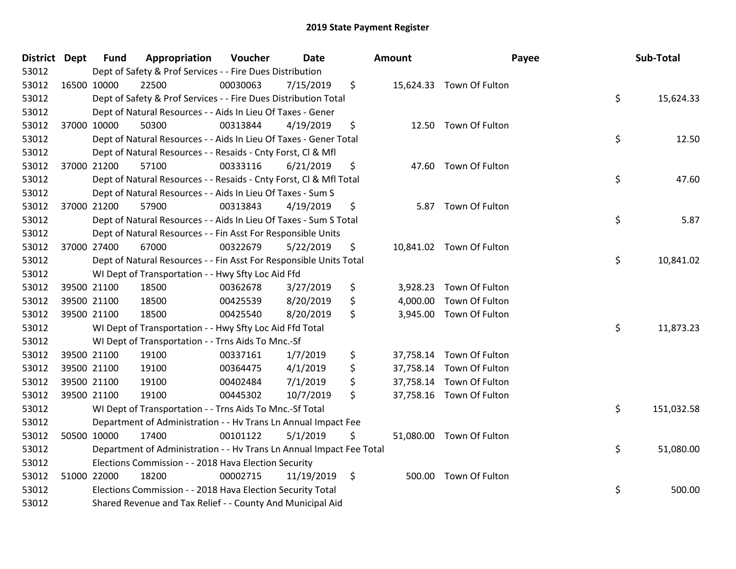| District Dept |             | <b>Fund</b> | Appropriation                                                        | Voucher  | <b>Date</b> | Amount         |                          | Payee | Sub-Total  |
|---------------|-------------|-------------|----------------------------------------------------------------------|----------|-------------|----------------|--------------------------|-------|------------|
| 53012         |             |             | Dept of Safety & Prof Services - - Fire Dues Distribution            |          |             |                |                          |       |            |
| 53012         | 16500 10000 |             | 22500                                                                | 00030063 | 7/15/2019   | \$             | 15,624.33 Town Of Fulton |       |            |
| 53012         |             |             | Dept of Safety & Prof Services - - Fire Dues Distribution Total      |          |             |                |                          | \$    | 15,624.33  |
| 53012         |             |             | Dept of Natural Resources - - Aids In Lieu Of Taxes - Gener          |          |             |                |                          |       |            |
| 53012         | 37000 10000 |             | 50300                                                                | 00313844 | 4/19/2019   | \$             | 12.50 Town Of Fulton     |       |            |
| 53012         |             |             | Dept of Natural Resources - - Aids In Lieu Of Taxes - Gener Total    |          |             |                |                          | \$    | 12.50      |
| 53012         |             |             | Dept of Natural Resources - - Resaids - Cnty Forst, Cl & Mfl         |          |             |                |                          |       |            |
| 53012         | 37000 21200 |             | 57100                                                                | 00333116 | 6/21/2019   | \$             | 47.60 Town Of Fulton     |       |            |
| 53012         |             |             | Dept of Natural Resources - - Resaids - Cnty Forst, Cl & Mfl Total   |          |             |                |                          | \$    | 47.60      |
| 53012         |             |             | Dept of Natural Resources - - Aids In Lieu Of Taxes - Sum S          |          |             |                |                          |       |            |
| 53012         | 37000 21200 |             | 57900                                                                | 00313843 | 4/19/2019   | \$             | 5.87 Town Of Fulton      |       |            |
| 53012         |             |             | Dept of Natural Resources - - Aids In Lieu Of Taxes - Sum S Total    |          |             |                |                          | \$    | 5.87       |
| 53012         |             |             | Dept of Natural Resources - - Fin Asst For Responsible Units         |          |             |                |                          |       |            |
| 53012         | 37000 27400 |             | 67000                                                                | 00322679 | 5/22/2019   | \$             | 10,841.02 Town Of Fulton |       |            |
| 53012         |             |             | Dept of Natural Resources - - Fin Asst For Responsible Units Total   |          |             |                |                          | \$    | 10,841.02  |
| 53012         |             |             | WI Dept of Transportation - - Hwy Sfty Loc Aid Ffd                   |          |             |                |                          |       |            |
| 53012         | 39500 21100 |             | 18500                                                                | 00362678 | 3/27/2019   | \$<br>3,928.23 | Town Of Fulton           |       |            |
| 53012         | 39500 21100 |             | 18500                                                                | 00425539 | 8/20/2019   | \$             | 4,000.00 Town Of Fulton  |       |            |
| 53012         | 39500 21100 |             | 18500                                                                | 00425540 | 8/20/2019   | \$             | 3,945.00 Town Of Fulton  |       |            |
| 53012         |             |             | WI Dept of Transportation - - Hwy Sfty Loc Aid Ffd Total             |          |             |                |                          | \$    | 11,873.23  |
| 53012         |             |             | WI Dept of Transportation - - Trns Aids To Mnc.-Sf                   |          |             |                |                          |       |            |
| 53012         | 39500 21100 |             | 19100                                                                | 00337161 | 1/7/2019    | \$             | 37,758.14 Town Of Fulton |       |            |
| 53012         | 39500 21100 |             | 19100                                                                | 00364475 | 4/1/2019    | \$             | 37,758.14 Town Of Fulton |       |            |
| 53012         | 39500 21100 |             | 19100                                                                | 00402484 | 7/1/2019    | \$             | 37,758.14 Town Of Fulton |       |            |
| 53012         | 39500 21100 |             | 19100                                                                | 00445302 | 10/7/2019   | \$             | 37,758.16 Town Of Fulton |       |            |
| 53012         |             |             | WI Dept of Transportation - - Trns Aids To Mnc.-Sf Total             |          |             |                |                          | \$    | 151,032.58 |
| 53012         |             |             | Department of Administration - - Hv Trans Ln Annual Impact Fee       |          |             |                |                          |       |            |
| 53012         | 50500 10000 |             | 17400                                                                | 00101122 | 5/1/2019    | \$             | 51,080.00 Town Of Fulton |       |            |
| 53012         |             |             | Department of Administration - - Hv Trans Ln Annual Impact Fee Total |          |             |                |                          | \$    | 51,080.00  |
| 53012         |             |             | Elections Commission - - 2018 Hava Election Security                 |          |             |                |                          |       |            |
| 53012         | 51000 22000 |             | 18200                                                                | 00002715 | 11/19/2019  | \$             | 500.00 Town Of Fulton    |       |            |
| 53012         |             |             | Elections Commission - - 2018 Hava Election Security Total           |          |             |                |                          | \$    | 500.00     |
| 53012         |             |             | Shared Revenue and Tax Relief - - County And Municipal Aid           |          |             |                |                          |       |            |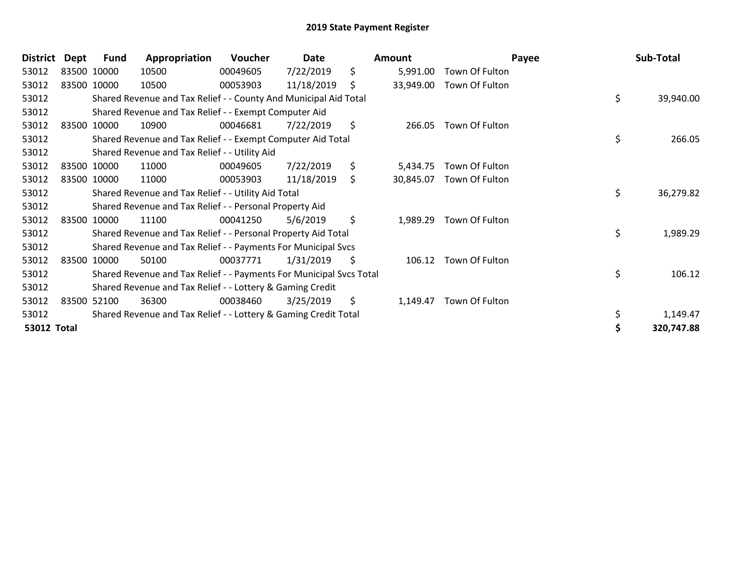| <b>District</b>    | Dept | Fund        | Appropriation                                                       | <b>Voucher</b> | Date       | Amount          | Payee          | Sub-Total       |
|--------------------|------|-------------|---------------------------------------------------------------------|----------------|------------|-----------------|----------------|-----------------|
| 53012              |      | 83500 10000 | 10500                                                               | 00049605       | 7/22/2019  | \$<br>5,991.00  | Town Of Fulton |                 |
| 53012              |      | 83500 10000 | 10500                                                               | 00053903       | 11/18/2019 | \$<br>33,949.00 | Town Of Fulton |                 |
| 53012              |      |             | Shared Revenue and Tax Relief - - County And Municipal Aid Total    |                |            |                 |                | \$<br>39,940.00 |
| 53012              |      |             | Shared Revenue and Tax Relief - - Exempt Computer Aid               |                |            |                 |                |                 |
| 53012              |      | 83500 10000 | 10900                                                               | 00046681       | 7/22/2019  | \$<br>266.05    | Town Of Fulton |                 |
| 53012              |      |             | Shared Revenue and Tax Relief - - Exempt Computer Aid Total         |                |            |                 |                | \$<br>266.05    |
| 53012              |      |             | Shared Revenue and Tax Relief - - Utility Aid                       |                |            |                 |                |                 |
| 53012              |      | 83500 10000 | 11000                                                               | 00049605       | 7/22/2019  | \$<br>5,434.75  | Town Of Fulton |                 |
| 53012              |      | 83500 10000 | 11000                                                               | 00053903       | 11/18/2019 | \$<br>30,845.07 | Town Of Fulton |                 |
| 53012              |      |             | Shared Revenue and Tax Relief - - Utility Aid Total                 |                |            |                 |                | \$<br>36,279.82 |
| 53012              |      |             | Shared Revenue and Tax Relief - - Personal Property Aid             |                |            |                 |                |                 |
| 53012              |      | 83500 10000 | 11100                                                               | 00041250       | 5/6/2019   | \$<br>1,989.29  | Town Of Fulton |                 |
| 53012              |      |             | Shared Revenue and Tax Relief - - Personal Property Aid Total       |                |            |                 |                | \$<br>1,989.29  |
| 53012              |      |             | Shared Revenue and Tax Relief - - Payments For Municipal Svcs       |                |            |                 |                |                 |
| 53012              |      | 83500 10000 | 50100                                                               | 00037771       | 1/31/2019  | \$<br>106.12    | Town Of Fulton |                 |
| 53012              |      |             | Shared Revenue and Tax Relief - - Payments For Municipal Svcs Total |                |            |                 |                | \$<br>106.12    |
| 53012              |      |             | Shared Revenue and Tax Relief - - Lottery & Gaming Credit           |                |            |                 |                |                 |
| 53012              |      | 83500 52100 | 36300                                                               | 00038460       | 3/25/2019  | \$<br>1,149.47  | Town Of Fulton |                 |
| 53012              |      |             | Shared Revenue and Tax Relief - - Lottery & Gaming Credit Total     |                |            |                 |                | 1,149.47        |
| <b>53012 Total</b> |      |             |                                                                     |                |            |                 |                | 320,747.88      |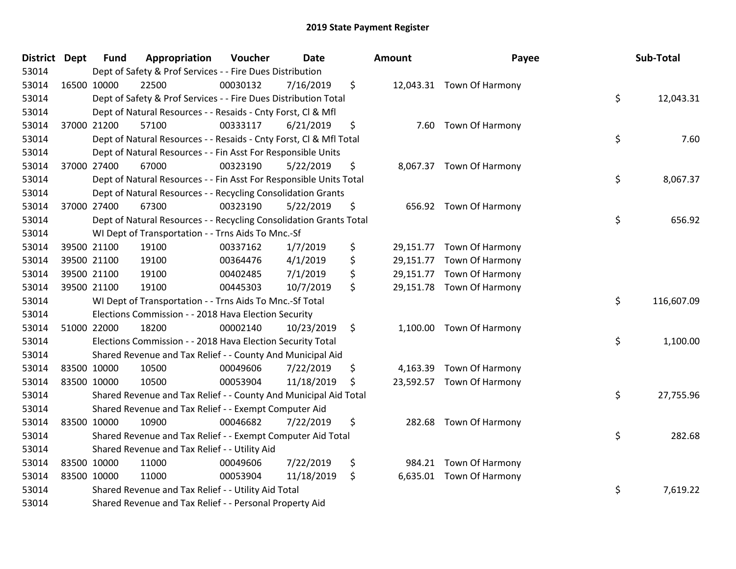| District Dept | <b>Fund</b> | Appropriation                                                      | Voucher  | Date       | Amount | Payee                     | Sub-Total        |
|---------------|-------------|--------------------------------------------------------------------|----------|------------|--------|---------------------------|------------------|
| 53014         |             | Dept of Safety & Prof Services - - Fire Dues Distribution          |          |            |        |                           |                  |
| 53014         | 16500 10000 | 22500                                                              | 00030132 | 7/16/2019  | \$     | 12,043.31 Town Of Harmony |                  |
| 53014         |             | Dept of Safety & Prof Services - - Fire Dues Distribution Total    |          |            |        |                           | \$<br>12,043.31  |
| 53014         |             | Dept of Natural Resources - - Resaids - Cnty Forst, Cl & Mfl       |          |            |        |                           |                  |
| 53014         | 37000 21200 | 57100                                                              | 00333117 | 6/21/2019  | \$     | 7.60 Town Of Harmony      |                  |
| 53014         |             | Dept of Natural Resources - - Resaids - Cnty Forst, Cl & Mfl Total |          |            |        |                           | \$<br>7.60       |
| 53014         |             | Dept of Natural Resources - - Fin Asst For Responsible Units       |          |            |        |                           |                  |
| 53014         | 37000 27400 | 67000                                                              | 00323190 | 5/22/2019  | \$     | 8,067.37 Town Of Harmony  |                  |
| 53014         |             | Dept of Natural Resources - - Fin Asst For Responsible Units Total |          |            |        |                           | \$<br>8,067.37   |
| 53014         |             | Dept of Natural Resources - - Recycling Consolidation Grants       |          |            |        |                           |                  |
| 53014         | 37000 27400 | 67300                                                              | 00323190 | 5/22/2019  | \$     | 656.92 Town Of Harmony    |                  |
| 53014         |             | Dept of Natural Resources - - Recycling Consolidation Grants Total |          |            |        |                           | \$<br>656.92     |
| 53014         |             | WI Dept of Transportation - - Trns Aids To Mnc.-Sf                 |          |            |        |                           |                  |
| 53014         | 39500 21100 | 19100                                                              | 00337162 | 1/7/2019   | \$     | 29,151.77 Town Of Harmony |                  |
| 53014         | 39500 21100 | 19100                                                              | 00364476 | 4/1/2019   | \$     | 29,151.77 Town Of Harmony |                  |
| 53014         | 39500 21100 | 19100                                                              | 00402485 | 7/1/2019   | \$     | 29,151.77 Town Of Harmony |                  |
| 53014         | 39500 21100 | 19100                                                              | 00445303 | 10/7/2019  | \$     | 29,151.78 Town Of Harmony |                  |
| 53014         |             | WI Dept of Transportation - - Trns Aids To Mnc.-Sf Total           |          |            |        |                           | \$<br>116,607.09 |
| 53014         |             | Elections Commission - - 2018 Hava Election Security               |          |            |        |                           |                  |
| 53014         | 51000 22000 | 18200                                                              | 00002140 | 10/23/2019 | \$     | 1,100.00 Town Of Harmony  |                  |
| 53014         |             | Elections Commission - - 2018 Hava Election Security Total         |          |            |        |                           | \$<br>1,100.00   |
| 53014         |             | Shared Revenue and Tax Relief - - County And Municipal Aid         |          |            |        |                           |                  |
| 53014         | 83500 10000 | 10500                                                              | 00049606 | 7/22/2019  | \$     | 4,163.39 Town Of Harmony  |                  |
| 53014         | 83500 10000 | 10500                                                              | 00053904 | 11/18/2019 | \$     | 23,592.57 Town Of Harmony |                  |
| 53014         |             | Shared Revenue and Tax Relief - - County And Municipal Aid Total   |          |            |        |                           | \$<br>27,755.96  |
| 53014         |             | Shared Revenue and Tax Relief - - Exempt Computer Aid              |          |            |        |                           |                  |
| 53014         | 83500 10000 | 10900                                                              | 00046682 | 7/22/2019  | \$     | 282.68 Town Of Harmony    |                  |
| 53014         |             | Shared Revenue and Tax Relief - - Exempt Computer Aid Total        |          |            |        |                           | \$<br>282.68     |
| 53014         |             | Shared Revenue and Tax Relief - - Utility Aid                      |          |            |        |                           |                  |
| 53014         | 83500 10000 | 11000                                                              | 00049606 | 7/22/2019  | \$     | 984.21 Town Of Harmony    |                  |
| 53014         | 83500 10000 | 11000                                                              | 00053904 | 11/18/2019 | \$     | 6,635.01 Town Of Harmony  |                  |
| 53014         |             | Shared Revenue and Tax Relief - - Utility Aid Total                |          |            |        |                           | \$<br>7,619.22   |
| 53014         |             | Shared Revenue and Tax Relief - - Personal Property Aid            |          |            |        |                           |                  |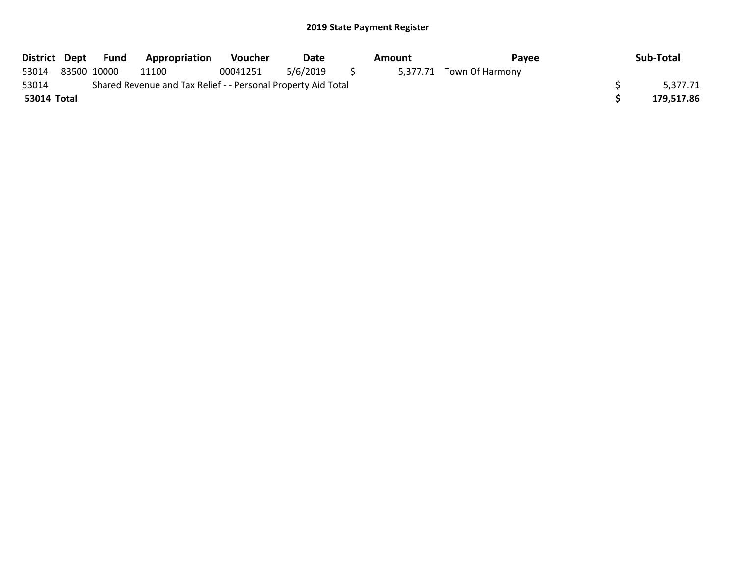|             | District Dept Fund | <b>Appropriation</b>                                          | Voucher  | Date     |   | Amount | Payee                    | Sub-Total  |
|-------------|--------------------|---------------------------------------------------------------|----------|----------|---|--------|--------------------------|------------|
| 53014       | 83500 10000        | 11100                                                         | 00041251 | 5/6/2019 | S |        | 5,377.71 Town Of Harmony |            |
| 53014       |                    | Shared Revenue and Tax Relief - - Personal Property Aid Total |          |          |   |        |                          | 5.377.71   |
| 53014 Total |                    |                                                               |          |          |   |        |                          | 179,517.86 |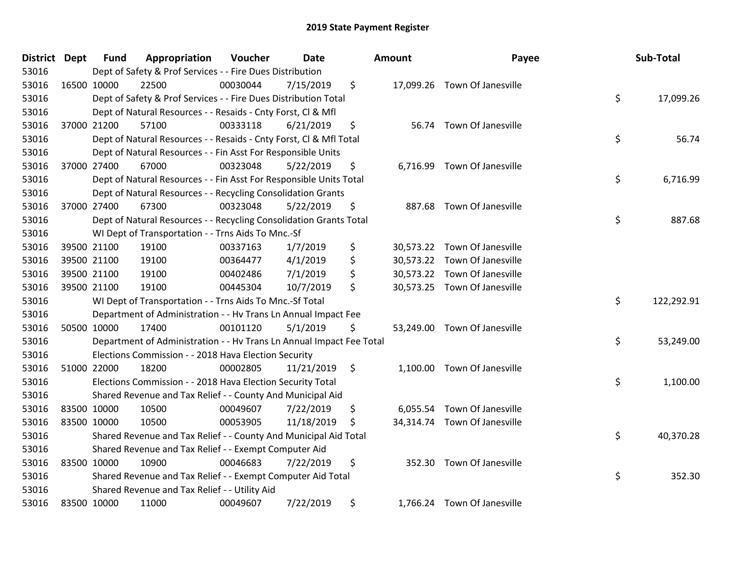| <b>District</b> | <b>Dept</b> | <b>Fund</b> | Appropriation                                                        | Voucher  | <b>Date</b> |                    | Amount | Payee                        | Sub-Total        |
|-----------------|-------------|-------------|----------------------------------------------------------------------|----------|-------------|--------------------|--------|------------------------------|------------------|
| 53016           |             |             | Dept of Safety & Prof Services - - Fire Dues Distribution            |          |             |                    |        |                              |                  |
| 53016           |             | 16500 10000 | 22500                                                                | 00030044 | 7/15/2019   | \$                 |        | 17,099.26 Town Of Janesville |                  |
| 53016           |             |             | Dept of Safety & Prof Services - - Fire Dues Distribution Total      |          |             |                    |        |                              | \$<br>17,099.26  |
| 53016           |             |             | Dept of Natural Resources - - Resaids - Cnty Forst, Cl & Mfl         |          |             |                    |        |                              |                  |
| 53016           |             | 37000 21200 | 57100                                                                | 00333118 | 6/21/2019   | \$                 |        | 56.74 Town Of Janesville     |                  |
| 53016           |             |             | Dept of Natural Resources - - Resaids - Cnty Forst, Cl & Mfl Total   |          |             |                    |        |                              | \$<br>56.74      |
| 53016           |             |             | Dept of Natural Resources - - Fin Asst For Responsible Units         |          |             |                    |        |                              |                  |
| 53016           |             | 37000 27400 | 67000                                                                | 00323048 | 5/22/2019   | \$                 |        | 6,716.99 Town Of Janesville  |                  |
| 53016           |             |             | Dept of Natural Resources - - Fin Asst For Responsible Units Total   |          |             |                    |        |                              | \$<br>6,716.99   |
| 53016           |             |             | Dept of Natural Resources - - Recycling Consolidation Grants         |          |             |                    |        |                              |                  |
| 53016           |             | 37000 27400 | 67300                                                                | 00323048 | 5/22/2019   | \$                 |        | 887.68 Town Of Janesville    |                  |
| 53016           |             |             | Dept of Natural Resources - - Recycling Consolidation Grants Total   |          |             |                    |        |                              | \$<br>887.68     |
| 53016           |             |             | WI Dept of Transportation - - Trns Aids To Mnc.-Sf                   |          |             |                    |        |                              |                  |
| 53016           |             | 39500 21100 | 19100                                                                | 00337163 | 1/7/2019    | \$                 |        | 30,573.22 Town Of Janesville |                  |
| 53016           |             | 39500 21100 | 19100                                                                | 00364477 | 4/1/2019    | \$                 |        | 30,573.22 Town Of Janesville |                  |
| 53016           |             | 39500 21100 | 19100                                                                | 00402486 | 7/1/2019    | \$                 |        | 30,573.22 Town Of Janesville |                  |
| 53016           |             | 39500 21100 | 19100                                                                | 00445304 | 10/7/2019   | \$                 |        | 30,573.25 Town Of Janesville |                  |
| 53016           |             |             | WI Dept of Transportation - - Trns Aids To Mnc.-Sf Total             |          |             |                    |        |                              | \$<br>122,292.91 |
| 53016           |             |             | Department of Administration - - Hv Trans Ln Annual Impact Fee       |          |             |                    |        |                              |                  |
| 53016           |             | 50500 10000 | 17400                                                                | 00101120 | 5/1/2019    | \$                 |        | 53,249.00 Town Of Janesville |                  |
| 53016           |             |             | Department of Administration - - Hv Trans Ln Annual Impact Fee Total |          |             |                    |        |                              | \$<br>53,249.00  |
| 53016           |             |             | Elections Commission - - 2018 Hava Election Security                 |          |             |                    |        |                              |                  |
| 53016           |             | 51000 22000 | 18200                                                                | 00002805 | 11/21/2019  | $\ddot{\varsigma}$ |        | 1,100.00 Town Of Janesville  |                  |
| 53016           |             |             | Elections Commission - - 2018 Hava Election Security Total           |          |             |                    |        |                              | \$<br>1,100.00   |
| 53016           |             |             | Shared Revenue and Tax Relief - - County And Municipal Aid           |          |             |                    |        |                              |                  |
| 53016           | 83500 10000 |             | 10500                                                                | 00049607 | 7/22/2019   | \$                 |        | 6,055.54 Town Of Janesville  |                  |
| 53016           | 83500 10000 |             | 10500                                                                | 00053905 | 11/18/2019  | \$                 |        | 34,314.74 Town Of Janesville |                  |
| 53016           |             |             | Shared Revenue and Tax Relief - - County And Municipal Aid Total     |          |             |                    |        |                              | \$<br>40,370.28  |
| 53016           |             |             | Shared Revenue and Tax Relief - - Exempt Computer Aid                |          |             |                    |        |                              |                  |
| 53016           | 83500 10000 |             | 10900                                                                | 00046683 | 7/22/2019   | \$                 |        | 352.30 Town Of Janesville    |                  |
| 53016           |             |             | Shared Revenue and Tax Relief - - Exempt Computer Aid Total          |          |             |                    |        |                              | \$<br>352.30     |
| 53016           |             |             | Shared Revenue and Tax Relief - - Utility Aid                        |          |             |                    |        |                              |                  |
| 53016           | 83500 10000 |             | 11000                                                                | 00049607 | 7/22/2019   | \$                 |        | 1,766.24 Town Of Janesville  |                  |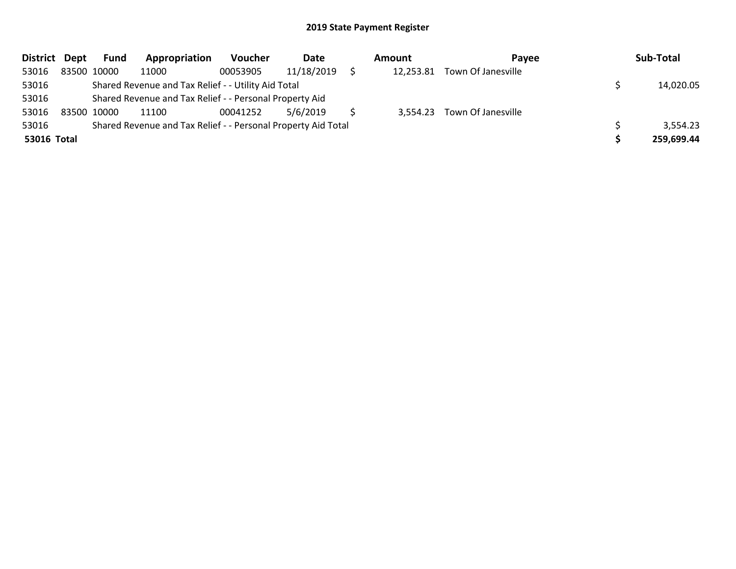| District Dept |             | <b>Fund</b> | Appropriation                                                 | Voucher  | Date       | Amount    | Pavee                       |  | Sub-Total  |  |
|---------------|-------------|-------------|---------------------------------------------------------------|----------|------------|-----------|-----------------------------|--|------------|--|
| 53016         |             | 83500 10000 | 11000                                                         | 00053905 | 11/18/2019 | 12,253.81 | Town Of Janesville          |  |            |  |
| 53016         |             |             | Shared Revenue and Tax Relief - - Utility Aid Total           |          |            |           |                             |  | 14,020.05  |  |
| 53016         |             |             | Shared Revenue and Tax Relief - - Personal Property Aid       |          |            |           |                             |  |            |  |
| 53016         | 83500 10000 |             | 11100                                                         | 00041252 | 5/6/2019   |           | 3,554.23 Town Of Janesville |  |            |  |
| 53016         |             |             | Shared Revenue and Tax Relief - - Personal Property Aid Total |          |            |           |                             |  | 3,554.23   |  |
| 53016 Total   |             |             |                                                               |          |            |           |                             |  | 259,699.44 |  |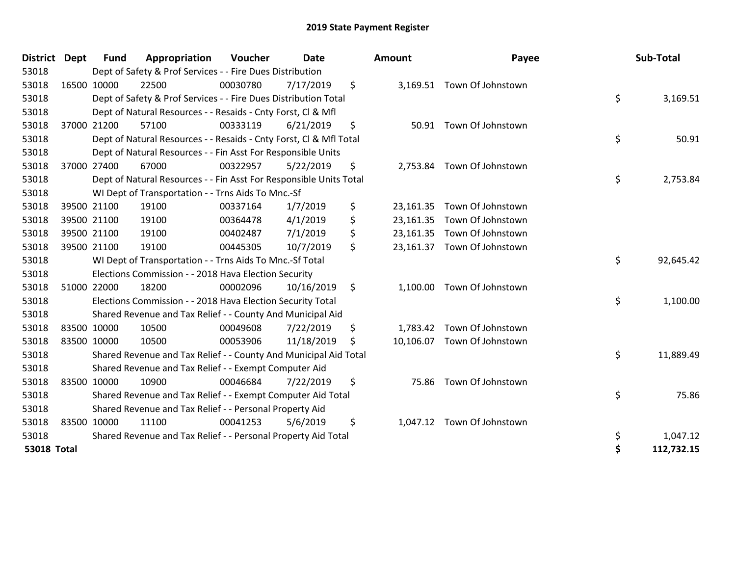| <b>District</b>    | <b>Dept</b> | <b>Fund</b> | Appropriation                                                      | Voucher  | <b>Date</b> |    | Amount   | Payee                       | Sub-Total        |
|--------------------|-------------|-------------|--------------------------------------------------------------------|----------|-------------|----|----------|-----------------------------|------------------|
| 53018              |             |             | Dept of Safety & Prof Services - - Fire Dues Distribution          |          |             |    |          |                             |                  |
| 53018              |             | 16500 10000 | 22500                                                              | 00030780 | 7/17/2019   | \$ |          | 3,169.51 Town Of Johnstown  |                  |
| 53018              |             |             | Dept of Safety & Prof Services - - Fire Dues Distribution Total    |          |             |    |          |                             | \$<br>3,169.51   |
| 53018              |             |             | Dept of Natural Resources - - Resaids - Cnty Forst, Cl & Mfl       |          |             |    |          |                             |                  |
| 53018              |             | 37000 21200 | 57100                                                              | 00333119 | 6/21/2019   | \$ |          | 50.91 Town Of Johnstown     |                  |
| 53018              |             |             | Dept of Natural Resources - - Resaids - Cnty Forst, CI & Mfl Total |          |             |    |          |                             | \$<br>50.91      |
| 53018              |             |             | Dept of Natural Resources - - Fin Asst For Responsible Units       |          |             |    |          |                             |                  |
| 53018              |             | 37000 27400 | 67000                                                              | 00322957 | 5/22/2019   | \$ |          | 2,753.84 Town Of Johnstown  |                  |
| 53018              |             |             | Dept of Natural Resources - - Fin Asst For Responsible Units Total |          |             |    |          |                             | \$<br>2,753.84   |
| 53018              |             |             | WI Dept of Transportation - - Trns Aids To Mnc.-Sf                 |          |             |    |          |                             |                  |
| 53018              |             | 39500 21100 | 19100                                                              | 00337164 | 1/7/2019    | \$ |          | 23,161.35 Town Of Johnstown |                  |
| 53018              |             | 39500 21100 | 19100                                                              | 00364478 | 4/1/2019    | \$ |          | 23,161.35 Town Of Johnstown |                  |
| 53018              |             | 39500 21100 | 19100                                                              | 00402487 | 7/1/2019    | \$ |          | 23,161.35 Town Of Johnstown |                  |
| 53018              |             | 39500 21100 | 19100                                                              | 00445305 | 10/7/2019   | \$ |          | 23,161.37 Town Of Johnstown |                  |
| 53018              |             |             | WI Dept of Transportation - - Trns Aids To Mnc.-Sf Total           |          |             |    |          |                             | \$<br>92,645.42  |
| 53018              |             |             | Elections Commission - - 2018 Hava Election Security               |          |             |    |          |                             |                  |
| 53018              |             | 51000 22000 | 18200                                                              | 00002096 | 10/16/2019  | \$ |          | 1,100.00 Town Of Johnstown  |                  |
| 53018              |             |             | Elections Commission - - 2018 Hava Election Security Total         |          |             |    |          |                             | \$<br>1,100.00   |
| 53018              |             |             | Shared Revenue and Tax Relief - - County And Municipal Aid         |          |             |    |          |                             |                  |
| 53018              |             | 83500 10000 | 10500                                                              | 00049608 | 7/22/2019   | \$ |          | 1,783.42 Town Of Johnstown  |                  |
| 53018              |             | 83500 10000 | 10500                                                              | 00053906 | 11/18/2019  | S  |          | 10,106.07 Town Of Johnstown |                  |
| 53018              |             |             | Shared Revenue and Tax Relief - - County And Municipal Aid Total   |          |             |    |          |                             | \$<br>11,889.49  |
| 53018              |             |             | Shared Revenue and Tax Relief - - Exempt Computer Aid              |          |             |    |          |                             |                  |
| 53018              |             | 83500 10000 | 10900                                                              | 00046684 | 7/22/2019   | \$ |          | 75.86 Town Of Johnstown     |                  |
| 53018              |             |             | Shared Revenue and Tax Relief - - Exempt Computer Aid Total        |          |             |    |          |                             | \$<br>75.86      |
| 53018              |             |             | Shared Revenue and Tax Relief - - Personal Property Aid            |          |             |    |          |                             |                  |
| 53018              |             | 83500 10000 | 11100                                                              | 00041253 | 5/6/2019    | \$ | 1,047.12 | Town Of Johnstown           |                  |
| 53018              |             |             | Shared Revenue and Tax Relief - - Personal Property Aid Total      |          |             |    |          |                             | \$<br>1,047.12   |
| <b>53018 Total</b> |             |             |                                                                    |          |             |    |          |                             | \$<br>112,732.15 |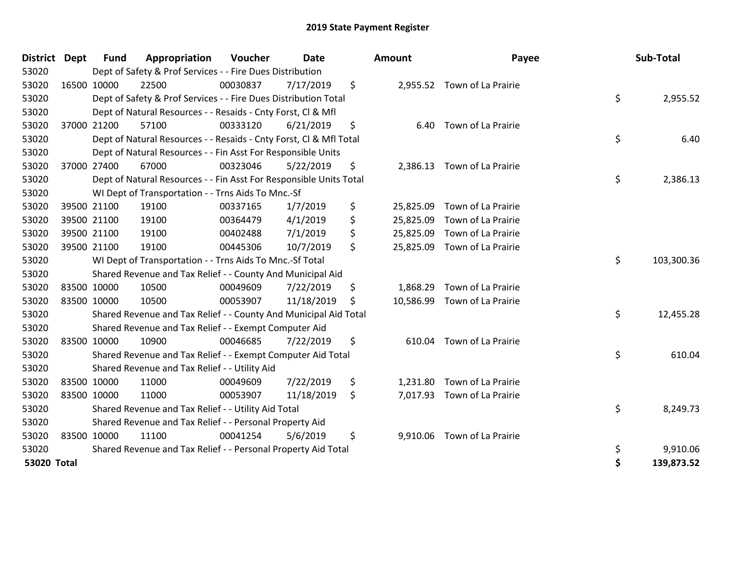| <b>District</b> | <b>Dept</b> | Fund        | Appropriation                                                      | Voucher  | <b>Date</b> | Amount          | Payee                        | Sub-Total        |
|-----------------|-------------|-------------|--------------------------------------------------------------------|----------|-------------|-----------------|------------------------------|------------------|
| 53020           |             |             | Dept of Safety & Prof Services - - Fire Dues Distribution          |          |             |                 |                              |                  |
| 53020           |             | 16500 10000 | 22500                                                              | 00030837 | 7/17/2019   | \$              | 2,955.52 Town of La Prairie  |                  |
| 53020           |             |             | Dept of Safety & Prof Services - - Fire Dues Distribution Total    |          |             |                 |                              | \$<br>2,955.52   |
| 53020           |             |             | Dept of Natural Resources - - Resaids - Cnty Forst, Cl & Mfl       |          |             |                 |                              |                  |
| 53020           |             | 37000 21200 | 57100                                                              | 00333120 | 6/21/2019   | \$<br>6.40      | Town of La Prairie           |                  |
| 53020           |             |             | Dept of Natural Resources - - Resaids - Cnty Forst, Cl & Mfl Total |          |             |                 |                              | \$<br>6.40       |
| 53020           |             |             | Dept of Natural Resources - - Fin Asst For Responsible Units       |          |             |                 |                              |                  |
| 53020           |             | 37000 27400 | 67000                                                              | 00323046 | 5/22/2019   | \$<br>2,386.13  | Town of La Prairie           |                  |
| 53020           |             |             | Dept of Natural Resources - - Fin Asst For Responsible Units Total |          |             |                 |                              | \$<br>2,386.13   |
| 53020           |             |             | WI Dept of Transportation - - Trns Aids To Mnc.-Sf                 |          |             |                 |                              |                  |
| 53020           |             | 39500 21100 | 19100                                                              | 00337165 | 1/7/2019    | \$<br>25,825.09 | Town of La Prairie           |                  |
| 53020           |             | 39500 21100 | 19100                                                              | 00364479 | 4/1/2019    | \$<br>25,825.09 | Town of La Prairie           |                  |
| 53020           |             | 39500 21100 | 19100                                                              | 00402488 | 7/1/2019    | \$<br>25,825.09 | Town of La Prairie           |                  |
| 53020           |             | 39500 21100 | 19100                                                              | 00445306 | 10/7/2019   | \$              | 25,825.09 Town of La Prairie |                  |
| 53020           |             |             | WI Dept of Transportation - - Trns Aids To Mnc.-Sf Total           |          |             |                 |                              | \$<br>103,300.36 |
| 53020           |             |             | Shared Revenue and Tax Relief - - County And Municipal Aid         |          |             |                 |                              |                  |
| 53020           |             | 83500 10000 | 10500                                                              | 00049609 | 7/22/2019   | \$<br>1,868.29  | Town of La Prairie           |                  |
| 53020           |             | 83500 10000 | 10500                                                              | 00053907 | 11/18/2019  | \$<br>10,586.99 | Town of La Prairie           |                  |
| 53020           |             |             | Shared Revenue and Tax Relief - - County And Municipal Aid Total   |          |             |                 |                              | \$<br>12,455.28  |
| 53020           |             |             | Shared Revenue and Tax Relief - - Exempt Computer Aid              |          |             |                 |                              |                  |
| 53020           | 83500 10000 |             | 10900                                                              | 00046685 | 7/22/2019   | \$<br>610.04    | Town of La Prairie           |                  |
| 53020           |             |             | Shared Revenue and Tax Relief - - Exempt Computer Aid Total        |          |             |                 |                              | \$<br>610.04     |
| 53020           |             |             | Shared Revenue and Tax Relief - - Utility Aid                      |          |             |                 |                              |                  |
| 53020           |             | 83500 10000 | 11000                                                              | 00049609 | 7/22/2019   | \$<br>1,231.80  | Town of La Prairie           |                  |
| 53020           | 83500 10000 |             | 11000                                                              | 00053907 | 11/18/2019  | \$              | 7,017.93 Town of La Prairie  |                  |
| 53020           |             |             | Shared Revenue and Tax Relief - - Utility Aid Total                |          |             |                 |                              | \$<br>8,249.73   |
| 53020           |             |             | Shared Revenue and Tax Relief - - Personal Property Aid            |          |             |                 |                              |                  |
| 53020           |             | 83500 10000 | 11100                                                              | 00041254 | 5/6/2019    | \$<br>9,910.06  | Town of La Prairie           |                  |
| 53020           |             |             | Shared Revenue and Tax Relief - - Personal Property Aid Total      |          |             |                 |                              | \$<br>9,910.06   |
| 53020 Total     |             |             |                                                                    |          |             |                 |                              | \$<br>139,873.52 |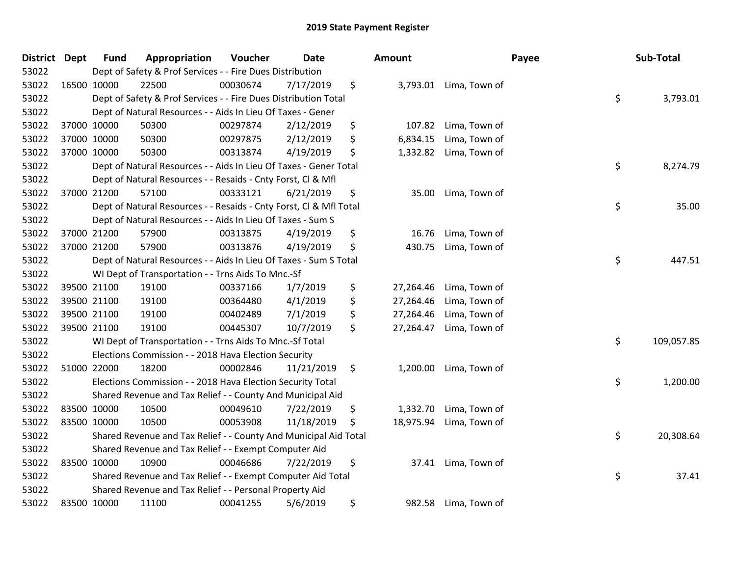| <b>District</b> | <b>Dept</b> | <b>Fund</b> | Appropriation                                                      | Voucher  | <b>Date</b> | Amount          |                        | Payee | Sub-Total  |
|-----------------|-------------|-------------|--------------------------------------------------------------------|----------|-------------|-----------------|------------------------|-------|------------|
| 53022           |             |             | Dept of Safety & Prof Services - - Fire Dues Distribution          |          |             |                 |                        |       |            |
| 53022           | 16500 10000 |             | 22500                                                              | 00030674 | 7/17/2019   | \$              | 3,793.01 Lima, Town of |       |            |
| 53022           |             |             | Dept of Safety & Prof Services - - Fire Dues Distribution Total    |          |             |                 |                        | \$    | 3,793.01   |
| 53022           |             |             | Dept of Natural Resources - - Aids In Lieu Of Taxes - Gener        |          |             |                 |                        |       |            |
| 53022           | 37000 10000 |             | 50300                                                              | 00297874 | 2/12/2019   | \$<br>107.82    | Lima, Town of          |       |            |
| 53022           | 37000 10000 |             | 50300                                                              | 00297875 | 2/12/2019   | \$<br>6,834.15  | Lima, Town of          |       |            |
| 53022           | 37000 10000 |             | 50300                                                              | 00313874 | 4/19/2019   | \$<br>1,332.82  | Lima, Town of          |       |            |
| 53022           |             |             | Dept of Natural Resources - - Aids In Lieu Of Taxes - Gener Total  |          |             |                 |                        | \$    | 8,274.79   |
| 53022           |             |             | Dept of Natural Resources - - Resaids - Cnty Forst, Cl & Mfl       |          |             |                 |                        |       |            |
| 53022           | 37000 21200 |             | 57100                                                              | 00333121 | 6/21/2019   | \$<br>35.00     | Lima, Town of          |       |            |
| 53022           |             |             | Dept of Natural Resources - - Resaids - Cnty Forst, Cl & Mfl Total |          |             |                 |                        | \$    | 35.00      |
| 53022           |             |             | Dept of Natural Resources - - Aids In Lieu Of Taxes - Sum S        |          |             |                 |                        |       |            |
| 53022           | 37000 21200 |             | 57900                                                              | 00313875 | 4/19/2019   | \$<br>16.76     | Lima, Town of          |       |            |
| 53022           | 37000 21200 |             | 57900                                                              | 00313876 | 4/19/2019   | \$<br>430.75    | Lima, Town of          |       |            |
| 53022           |             |             | Dept of Natural Resources - - Aids In Lieu Of Taxes - Sum S Total  |          |             |                 |                        | \$    | 447.51     |
| 53022           |             |             | WI Dept of Transportation - - Trns Aids To Mnc.-Sf                 |          |             |                 |                        |       |            |
| 53022           | 39500 21100 |             | 19100                                                              | 00337166 | 1/7/2019    | \$<br>27,264.46 | Lima, Town of          |       |            |
| 53022           | 39500 21100 |             | 19100                                                              | 00364480 | 4/1/2019    | \$<br>27,264.46 | Lima, Town of          |       |            |
| 53022           | 39500 21100 |             | 19100                                                              | 00402489 | 7/1/2019    | \$<br>27,264.46 | Lima, Town of          |       |            |
| 53022           | 39500 21100 |             | 19100                                                              | 00445307 | 10/7/2019   | \$<br>27,264.47 | Lima, Town of          |       |            |
| 53022           |             |             | WI Dept of Transportation - - Trns Aids To Mnc.-Sf Total           |          |             |                 |                        | \$    | 109,057.85 |
| 53022           |             |             | Elections Commission - - 2018 Hava Election Security               |          |             |                 |                        |       |            |
| 53022           | 51000 22000 |             | 18200                                                              | 00002846 | 11/21/2019  | \$<br>1,200.00  | Lima, Town of          |       |            |
| 53022           |             |             | Elections Commission - - 2018 Hava Election Security Total         |          |             |                 |                        | \$    | 1,200.00   |
| 53022           |             |             | Shared Revenue and Tax Relief - - County And Municipal Aid         |          |             |                 |                        |       |            |
| 53022           | 83500 10000 |             | 10500                                                              | 00049610 | 7/22/2019   | \$<br>1,332.70  | Lima, Town of          |       |            |
| 53022           | 83500 10000 |             | 10500                                                              | 00053908 | 11/18/2019  | \$<br>18,975.94 | Lima, Town of          |       |            |
| 53022           |             |             | Shared Revenue and Tax Relief - - County And Municipal Aid Total   |          |             |                 |                        | \$    | 20,308.64  |
| 53022           |             |             | Shared Revenue and Tax Relief - - Exempt Computer Aid              |          |             |                 |                        |       |            |
| 53022           | 83500 10000 |             | 10900                                                              | 00046686 | 7/22/2019   | \$<br>37.41     | Lima, Town of          |       |            |
| 53022           |             |             | Shared Revenue and Tax Relief - - Exempt Computer Aid Total        |          |             |                 |                        | \$    | 37.41      |
| 53022           |             |             | Shared Revenue and Tax Relief - - Personal Property Aid            |          |             |                 |                        |       |            |
| 53022           | 83500 10000 |             | 11100                                                              | 00041255 | 5/6/2019    | \$<br>982.58    | Lima, Town of          |       |            |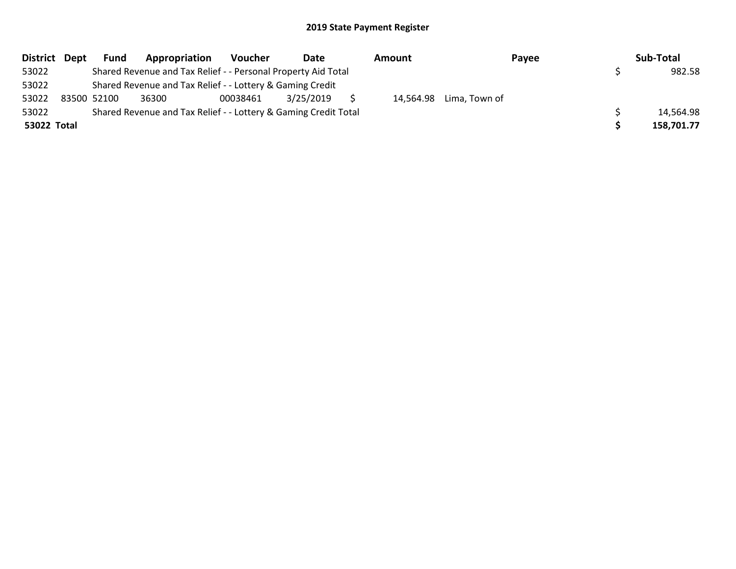| District Dept | <b>Fund</b> | Appropriation                                                   | Voucher  | Date      | Amount |                         | Payee | Sub-Total  |
|---------------|-------------|-----------------------------------------------------------------|----------|-----------|--------|-------------------------|-------|------------|
| 53022         |             | Shared Revenue and Tax Relief - - Personal Property Aid Total   |          |           |        |                         |       | 982.58     |
| 53022         |             | Shared Revenue and Tax Relief - - Lottery & Gaming Credit       |          |           |        |                         |       |            |
| 53022         | 83500 52100 | 36300                                                           | 00038461 | 3/25/2019 |        | 14,564.98 Lima, Town of |       |            |
| 53022         |             | Shared Revenue and Tax Relief - - Lottery & Gaming Credit Total |          |           |        |                         |       | 14,564.98  |
| 53022 Total   |             |                                                                 |          |           |        |                         |       | 158,701.77 |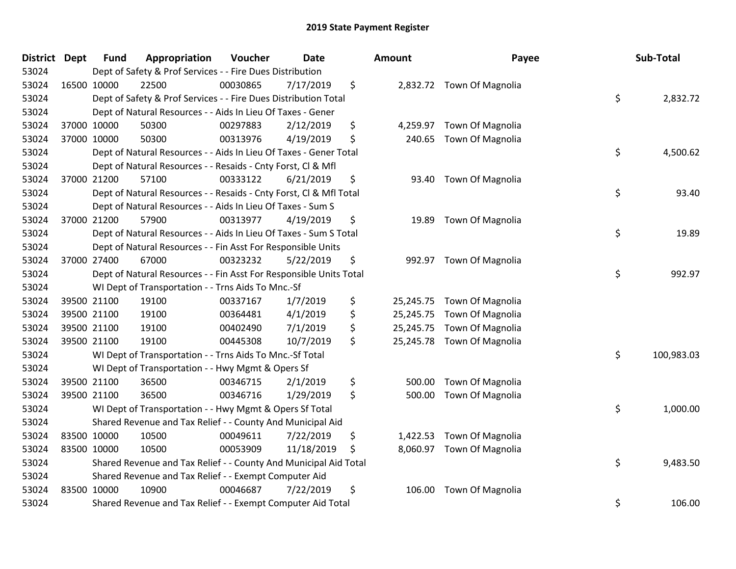| <b>District Dept</b> | <b>Fund</b> | Appropriation                                                      | Voucher  | <b>Date</b> | Amount          | Payee                      | Sub-Total        |
|----------------------|-------------|--------------------------------------------------------------------|----------|-------------|-----------------|----------------------------|------------------|
| 53024                |             | Dept of Safety & Prof Services - - Fire Dues Distribution          |          |             |                 |                            |                  |
| 53024                | 16500 10000 | 22500                                                              | 00030865 | 7/17/2019   | \$              | 2,832.72 Town Of Magnolia  |                  |
| 53024                |             | Dept of Safety & Prof Services - - Fire Dues Distribution Total    |          |             |                 |                            | \$<br>2,832.72   |
| 53024                |             | Dept of Natural Resources - - Aids In Lieu Of Taxes - Gener        |          |             |                 |                            |                  |
| 53024                | 37000 10000 | 50300                                                              | 00297883 | 2/12/2019   | \$<br>4,259.97  | Town Of Magnolia           |                  |
| 53024                | 37000 10000 | 50300                                                              | 00313976 | 4/19/2019   | \$<br>240.65    | Town Of Magnolia           |                  |
| 53024                |             | Dept of Natural Resources - - Aids In Lieu Of Taxes - Gener Total  |          |             |                 |                            | \$<br>4,500.62   |
| 53024                |             | Dept of Natural Resources - - Resaids - Cnty Forst, Cl & Mfl       |          |             |                 |                            |                  |
| 53024                | 37000 21200 | 57100                                                              | 00333122 | 6/21/2019   | \$<br>93.40     | Town Of Magnolia           |                  |
| 53024                |             | Dept of Natural Resources - - Resaids - Cnty Forst, Cl & Mfl Total |          |             |                 |                            | \$<br>93.40      |
| 53024                |             | Dept of Natural Resources - - Aids In Lieu Of Taxes - Sum S        |          |             |                 |                            |                  |
| 53024                | 37000 21200 | 57900                                                              | 00313977 | 4/19/2019   | \$<br>19.89     | <b>Town Of Magnolia</b>    |                  |
| 53024                |             | Dept of Natural Resources - - Aids In Lieu Of Taxes - Sum S Total  |          |             |                 |                            | \$<br>19.89      |
| 53024                |             | Dept of Natural Resources - - Fin Asst For Responsible Units       |          |             |                 |                            |                  |
| 53024                | 37000 27400 | 67000                                                              | 00323232 | 5/22/2019   | \$<br>992.97    | <b>Town Of Magnolia</b>    |                  |
| 53024                |             | Dept of Natural Resources - - Fin Asst For Responsible Units Total |          |             |                 |                            | \$<br>992.97     |
| 53024                |             | WI Dept of Transportation - - Trns Aids To Mnc.-Sf                 |          |             |                 |                            |                  |
| 53024                | 39500 21100 | 19100                                                              | 00337167 | 1/7/2019    | \$<br>25,245.75 | <b>Town Of Magnolia</b>    |                  |
| 53024                | 39500 21100 | 19100                                                              | 00364481 | 4/1/2019    | \$<br>25,245.75 | Town Of Magnolia           |                  |
| 53024                | 39500 21100 | 19100                                                              | 00402490 | 7/1/2019    | \$<br>25,245.75 | Town Of Magnolia           |                  |
| 53024                | 39500 21100 | 19100                                                              | 00445308 | 10/7/2019   | \$              | 25,245.78 Town Of Magnolia |                  |
| 53024                |             | WI Dept of Transportation - - Trns Aids To Mnc.-Sf Total           |          |             |                 |                            | \$<br>100,983.03 |
| 53024                |             | WI Dept of Transportation - - Hwy Mgmt & Opers Sf                  |          |             |                 |                            |                  |
| 53024                | 39500 21100 | 36500                                                              | 00346715 | 2/1/2019    | \$<br>500.00    | Town Of Magnolia           |                  |
| 53024                | 39500 21100 | 36500                                                              | 00346716 | 1/29/2019   | \$<br>500.00    | Town Of Magnolia           |                  |
| 53024                |             | WI Dept of Transportation - - Hwy Mgmt & Opers Sf Total            |          |             |                 |                            | \$<br>1,000.00   |
| 53024                |             | Shared Revenue and Tax Relief - - County And Municipal Aid         |          |             |                 |                            |                  |
| 53024                | 83500 10000 | 10500                                                              | 00049611 | 7/22/2019   | \$<br>1,422.53  | Town Of Magnolia           |                  |
| 53024                | 83500 10000 | 10500                                                              | 00053909 | 11/18/2019  | \$<br>8,060.97  | Town Of Magnolia           |                  |
| 53024                |             | Shared Revenue and Tax Relief - - County And Municipal Aid Total   |          |             |                 |                            | \$<br>9,483.50   |
| 53024                |             | Shared Revenue and Tax Relief - - Exempt Computer Aid              |          |             |                 |                            |                  |
| 53024                | 83500 10000 | 10900                                                              | 00046687 | 7/22/2019   | \$<br>106.00    | Town Of Magnolia           |                  |
| 53024                |             | Shared Revenue and Tax Relief - - Exempt Computer Aid Total        |          |             |                 |                            | \$<br>106.00     |

| unt       | Payee            | Sub-Total        |
|-----------|------------------|------------------|
| 2,832.72  | Town Of Magnolia | \$<br>2,832.72   |
| 4,259.97  | Town Of Magnolia |                  |
| 240.65    | Town Of Magnolia | \$<br>4,500.62   |
| 93.40     | Town Of Magnolia | \$<br>93.40      |
| 19.89     | Town Of Magnolia | \$<br>19.89      |
| 992.97    | Town Of Magnolia | \$<br>992.97     |
| 25,245.75 | Town Of Magnolia |                  |
| 25,245.75 | Town Of Magnolia |                  |
| 25,245.75 | Town Of Magnolia |                  |
| 25,245.78 | Town Of Magnolia | \$<br>100,983.03 |
| 500.00    | Town Of Magnolia |                  |
| 500.00    | Town Of Magnolia |                  |
|           |                  | \$<br>1,000.00   |
| 1,422.53  | Town Of Magnolia |                  |
| 8,060.97  | Town Of Magnolia | \$<br>9,483.50   |
| 106.00    | Town Of Magnolia | \$<br>106.00     |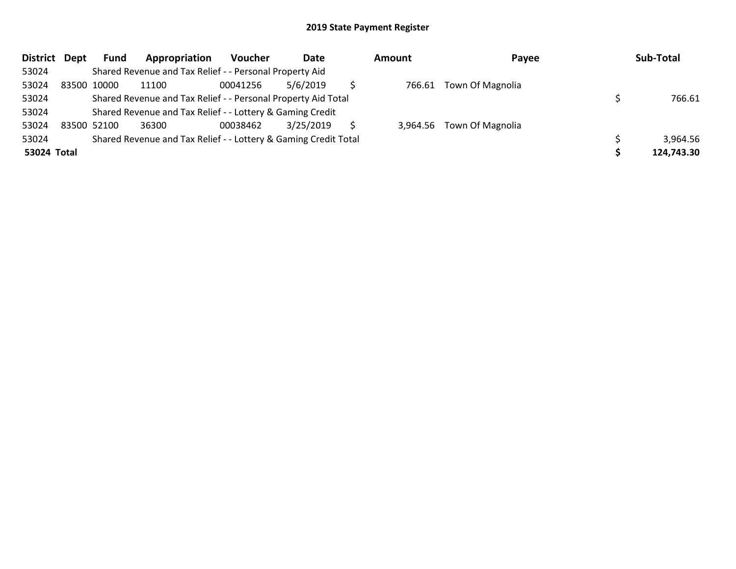| District Dept |             | Fund | Appropriation                                                   | Voucher  | Date      | <b>Amount</b> | Payee                     | Sub-Total  |
|---------------|-------------|------|-----------------------------------------------------------------|----------|-----------|---------------|---------------------------|------------|
| 53024         |             |      | Shared Revenue and Tax Relief - - Personal Property Aid         |          |           |               |                           |            |
| 53024         | 83500 10000 |      | 11100                                                           | 00041256 | 5/6/2019  | 766.61        | <b>Town Of Magnolia</b>   |            |
| 53024         |             |      | Shared Revenue and Tax Relief - - Personal Property Aid Total   |          |           |               |                           | 766.61     |
| 53024         |             |      | Shared Revenue and Tax Relief - - Lottery & Gaming Credit       |          |           |               |                           |            |
| 53024         | 83500 52100 |      | 36300                                                           | 00038462 | 3/25/2019 |               | 3,964.56 Town Of Magnolia |            |
| 53024         |             |      | Shared Revenue and Tax Relief - - Lottery & Gaming Credit Total |          |           |               |                           | 3,964.56   |
| 53024 Total   |             |      |                                                                 |          |           |               |                           | 124,743.30 |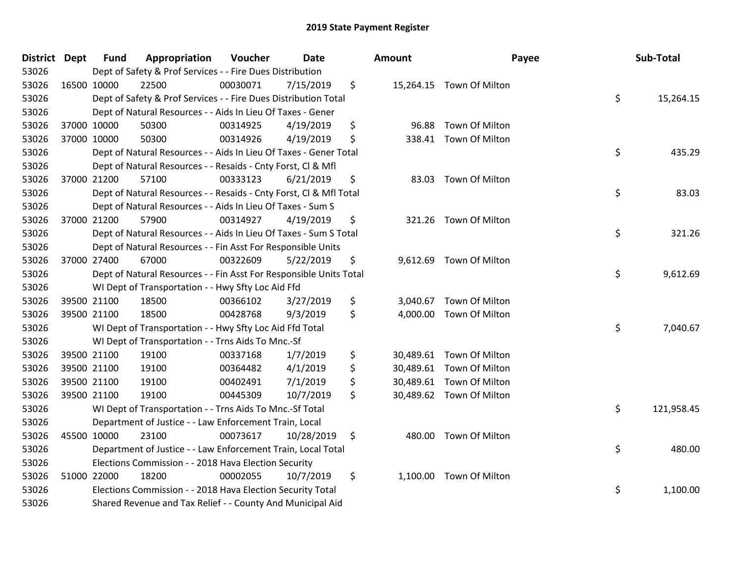| <b>District Dept</b> | <b>Fund</b> | Appropriation                                                      | Voucher  | Date       | Amount      | Payee                    | Sub-Total        |
|----------------------|-------------|--------------------------------------------------------------------|----------|------------|-------------|--------------------------|------------------|
| 53026                |             | Dept of Safety & Prof Services - - Fire Dues Distribution          |          |            |             |                          |                  |
| 53026                | 16500 10000 | 22500                                                              | 00030071 | 7/15/2019  | \$          | 15,264.15 Town Of Milton |                  |
| 53026                |             | Dept of Safety & Prof Services - - Fire Dues Distribution Total    |          |            |             |                          | \$<br>15,264.15  |
| 53026                |             | Dept of Natural Resources - - Aids In Lieu Of Taxes - Gener        |          |            |             |                          |                  |
| 53026                | 37000 10000 | 50300                                                              | 00314925 | 4/19/2019  | \$<br>96.88 | Town Of Milton           |                  |
| 53026                | 37000 10000 | 50300                                                              | 00314926 | 4/19/2019  | \$          | 338.41 Town Of Milton    |                  |
| 53026                |             | Dept of Natural Resources - - Aids In Lieu Of Taxes - Gener Total  |          |            |             |                          | \$<br>435.29     |
| 53026                |             | Dept of Natural Resources - - Resaids - Cnty Forst, Cl & Mfl       |          |            |             |                          |                  |
| 53026                | 37000 21200 | 57100                                                              | 00333123 | 6/21/2019  | \$          | 83.03 Town Of Milton     |                  |
| 53026                |             | Dept of Natural Resources - - Resaids - Cnty Forst, Cl & Mfl Total |          |            |             |                          | \$<br>83.03      |
| 53026                |             | Dept of Natural Resources - - Aids In Lieu Of Taxes - Sum S        |          |            |             |                          |                  |
| 53026                | 37000 21200 | 57900                                                              | 00314927 | 4/19/2019  | \$          | 321.26 Town Of Milton    |                  |
| 53026                |             | Dept of Natural Resources - - Aids In Lieu Of Taxes - Sum S Total  |          |            |             |                          | \$<br>321.26     |
| 53026                |             | Dept of Natural Resources - - Fin Asst For Responsible Units       |          |            |             |                          |                  |
| 53026                | 37000 27400 | 67000                                                              | 00322609 | 5/22/2019  | \$          | 9,612.69 Town Of Milton  |                  |
| 53026                |             | Dept of Natural Resources - - Fin Asst For Responsible Units Total |          |            |             |                          | \$<br>9,612.69   |
| 53026                |             | WI Dept of Transportation - - Hwy Sfty Loc Aid Ffd                 |          |            |             |                          |                  |
| 53026                | 39500 21100 | 18500                                                              | 00366102 | 3/27/2019  | \$          | 3,040.67 Town Of Milton  |                  |
| 53026                | 39500 21100 | 18500                                                              | 00428768 | 9/3/2019   | \$          | 4,000.00 Town Of Milton  |                  |
| 53026                |             | WI Dept of Transportation - - Hwy Sfty Loc Aid Ffd Total           |          |            |             |                          | \$<br>7,040.67   |
| 53026                |             | WI Dept of Transportation - - Trns Aids To Mnc.-Sf                 |          |            |             |                          |                  |
| 53026                | 39500 21100 | 19100                                                              | 00337168 | 1/7/2019   | \$          | 30,489.61 Town Of Milton |                  |
| 53026                | 39500 21100 | 19100                                                              | 00364482 | 4/1/2019   | \$          | 30,489.61 Town Of Milton |                  |
| 53026                | 39500 21100 | 19100                                                              | 00402491 | 7/1/2019   | \$          | 30,489.61 Town Of Milton |                  |
| 53026                | 39500 21100 | 19100                                                              | 00445309 | 10/7/2019  | \$          | 30,489.62 Town Of Milton |                  |
| 53026                |             | WI Dept of Transportation - - Trns Aids To Mnc.-Sf Total           |          |            |             |                          | \$<br>121,958.45 |
| 53026                |             | Department of Justice - - Law Enforcement Train, Local             |          |            |             |                          |                  |
| 53026                | 45500 10000 | 23100                                                              | 00073617 | 10/28/2019 | \$          | 480.00 Town Of Milton    |                  |
| 53026                |             | Department of Justice - - Law Enforcement Train, Local Total       |          |            |             |                          | \$<br>480.00     |
| 53026                |             | Elections Commission - - 2018 Hava Election Security               |          |            |             |                          |                  |
| 53026                | 51000 22000 | 18200                                                              | 00002055 | 10/7/2019  | \$          | 1,100.00 Town Of Milton  |                  |
| 53026                |             | Elections Commission - - 2018 Hava Election Security Total         |          |            |             |                          | \$<br>1,100.00   |
| 53026                |             | Shared Revenue and Tax Relief - - County And Municipal Aid         |          |            |             |                          |                  |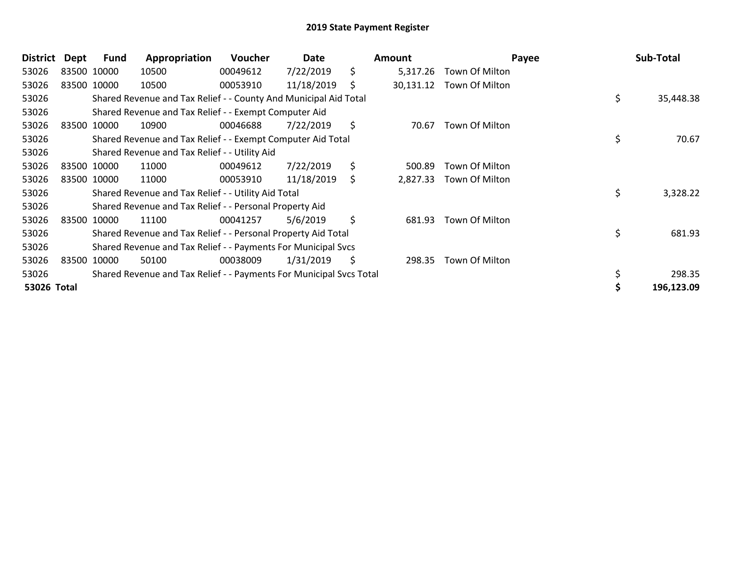| District    | Dept | Fund        | Appropriation                                                       | <b>Voucher</b> | Date       |     | <b>Amount</b> | Payee          | Sub-Total       |
|-------------|------|-------------|---------------------------------------------------------------------|----------------|------------|-----|---------------|----------------|-----------------|
| 53026       |      | 83500 10000 | 10500                                                               | 00049612       | 7/22/2019  | \$  | 5,317.26      | Town Of Milton |                 |
| 53026       |      | 83500 10000 | 10500                                                               | 00053910       | 11/18/2019 | \$  | 30,131.12     | Town Of Milton |                 |
| 53026       |      |             | Shared Revenue and Tax Relief - - County And Municipal Aid Total    |                |            |     |               |                | \$<br>35,448.38 |
| 53026       |      |             | Shared Revenue and Tax Relief - - Exempt Computer Aid               |                |            |     |               |                |                 |
| 53026       |      | 83500 10000 | 10900                                                               | 00046688       | 7/22/2019  | \$  | 70.67         | Town Of Milton |                 |
| 53026       |      |             | Shared Revenue and Tax Relief - - Exempt Computer Aid Total         |                |            |     |               |                | \$<br>70.67     |
| 53026       |      |             | Shared Revenue and Tax Relief - - Utility Aid                       |                |            |     |               |                |                 |
| 53026       |      | 83500 10000 | 11000                                                               | 00049612       | 7/22/2019  | \$  | 500.89        | Town Of Milton |                 |
| 53026       |      | 83500 10000 | 11000                                                               | 00053910       | 11/18/2019 | \$. | 2,827.33      | Town Of Milton |                 |
| 53026       |      |             | Shared Revenue and Tax Relief - - Utility Aid Total                 |                |            |     |               |                | \$<br>3,328.22  |
| 53026       |      |             | Shared Revenue and Tax Relief - - Personal Property Aid             |                |            |     |               |                |                 |
| 53026       |      | 83500 10000 | 11100                                                               | 00041257       | 5/6/2019   | \$  | 681.93        | Town Of Milton |                 |
| 53026       |      |             | Shared Revenue and Tax Relief - - Personal Property Aid Total       |                |            |     |               |                | \$<br>681.93    |
| 53026       |      |             | Shared Revenue and Tax Relief - - Payments For Municipal Svcs       |                |            |     |               |                |                 |
| 53026       |      | 83500 10000 | 50100                                                               | 00038009       | 1/31/2019  | \$  | 298.35        | Town Of Milton |                 |
| 53026       |      |             | Shared Revenue and Tax Relief - - Payments For Municipal Svcs Total |                |            |     |               |                | 298.35          |
| 53026 Total |      |             |                                                                     |                |            |     |               |                | 196,123.09      |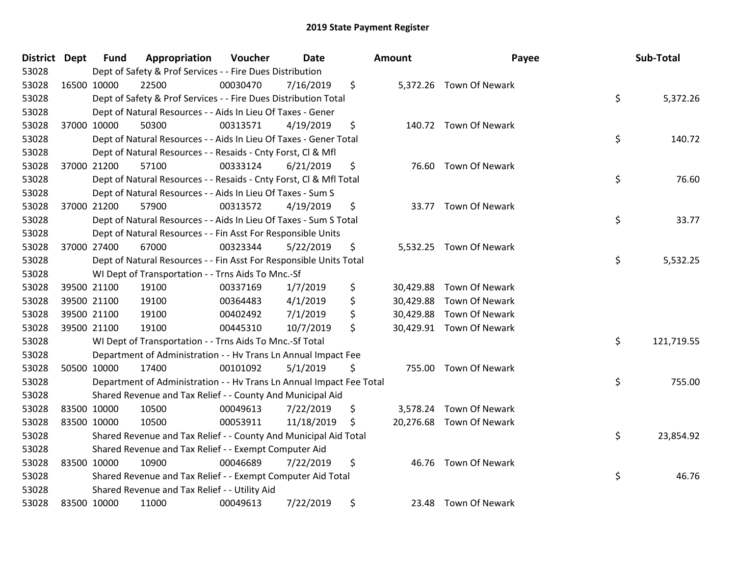| District Dept |             | <b>Fund</b> | Appropriation                                                        | Voucher  | <b>Date</b> | Amount | Payee                    | Sub-Total        |
|---------------|-------------|-------------|----------------------------------------------------------------------|----------|-------------|--------|--------------------------|------------------|
| 53028         |             |             | Dept of Safety & Prof Services - - Fire Dues Distribution            |          |             |        |                          |                  |
| 53028         | 16500 10000 |             | 22500                                                                | 00030470 | 7/16/2019   | \$     | 5,372.26 Town Of Newark  |                  |
| 53028         |             |             | Dept of Safety & Prof Services - - Fire Dues Distribution Total      |          |             |        |                          | \$<br>5,372.26   |
| 53028         |             |             | Dept of Natural Resources - - Aids In Lieu Of Taxes - Gener          |          |             |        |                          |                  |
| 53028         | 37000 10000 |             | 50300                                                                | 00313571 | 4/19/2019   | \$     | 140.72 Town Of Newark    |                  |
| 53028         |             |             | Dept of Natural Resources - - Aids In Lieu Of Taxes - Gener Total    |          |             |        |                          | \$<br>140.72     |
| 53028         |             |             | Dept of Natural Resources - - Resaids - Cnty Forst, Cl & Mfl         |          |             |        |                          |                  |
| 53028         |             | 37000 21200 | 57100                                                                | 00333124 | 6/21/2019   | \$     | 76.60 Town Of Newark     |                  |
| 53028         |             |             | Dept of Natural Resources - - Resaids - Cnty Forst, CI & Mfl Total   |          |             |        |                          | \$<br>76.60      |
| 53028         |             |             | Dept of Natural Resources - - Aids In Lieu Of Taxes - Sum S          |          |             |        |                          |                  |
| 53028         | 37000 21200 |             | 57900                                                                | 00313572 | 4/19/2019   | \$     | 33.77 Town Of Newark     |                  |
| 53028         |             |             | Dept of Natural Resources - - Aids In Lieu Of Taxes - Sum S Total    |          |             |        |                          | \$<br>33.77      |
| 53028         |             |             | Dept of Natural Resources - - Fin Asst For Responsible Units         |          |             |        |                          |                  |
| 53028         | 37000 27400 |             | 67000                                                                | 00323344 | 5/22/2019   | \$     | 5,532.25 Town Of Newark  |                  |
| 53028         |             |             | Dept of Natural Resources - - Fin Asst For Responsible Units Total   |          |             |        |                          | \$<br>5,532.25   |
| 53028         |             |             | WI Dept of Transportation - - Trns Aids To Mnc.-Sf                   |          |             |        |                          |                  |
| 53028         |             | 39500 21100 | 19100                                                                | 00337169 | 1/7/2019    | \$     | 30,429.88 Town Of Newark |                  |
| 53028         |             | 39500 21100 | 19100                                                                | 00364483 | 4/1/2019    | \$     | 30,429.88 Town Of Newark |                  |
| 53028         | 39500 21100 |             | 19100                                                                | 00402492 | 7/1/2019    | \$     | 30,429.88 Town Of Newark |                  |
| 53028         | 39500 21100 |             | 19100                                                                | 00445310 | 10/7/2019   | \$     | 30,429.91 Town Of Newark |                  |
| 53028         |             |             | WI Dept of Transportation - - Trns Aids To Mnc.-Sf Total             |          |             |        |                          | \$<br>121,719.55 |
| 53028         |             |             | Department of Administration - - Hv Trans Ln Annual Impact Fee       |          |             |        |                          |                  |
| 53028         |             | 50500 10000 | 17400                                                                | 00101092 | 5/1/2019    | \$     | 755.00 Town Of Newark    |                  |
| 53028         |             |             | Department of Administration - - Hv Trans Ln Annual Impact Fee Total |          |             |        |                          | \$<br>755.00     |
| 53028         |             |             | Shared Revenue and Tax Relief - - County And Municipal Aid           |          |             |        |                          |                  |
| 53028         |             | 83500 10000 | 10500                                                                | 00049613 | 7/22/2019   | \$     | 3,578.24 Town Of Newark  |                  |
| 53028         |             | 83500 10000 | 10500                                                                | 00053911 | 11/18/2019  | \$     | 20,276.68 Town Of Newark |                  |
| 53028         |             |             | Shared Revenue and Tax Relief - - County And Municipal Aid Total     |          |             |        |                          | \$<br>23,854.92  |
| 53028         |             |             | Shared Revenue and Tax Relief - - Exempt Computer Aid                |          |             |        |                          |                  |
| 53028         | 83500 10000 |             | 10900                                                                | 00046689 | 7/22/2019   | \$     | 46.76 Town Of Newark     |                  |
| 53028         |             |             | Shared Revenue and Tax Relief - - Exempt Computer Aid Total          |          |             |        |                          | \$<br>46.76      |
| 53028         |             |             | Shared Revenue and Tax Relief - - Utility Aid                        |          |             |        |                          |                  |
| 53028         | 83500 10000 |             | 11000                                                                | 00049613 | 7/22/2019   | \$     | 23.48 Town Of Newark     |                  |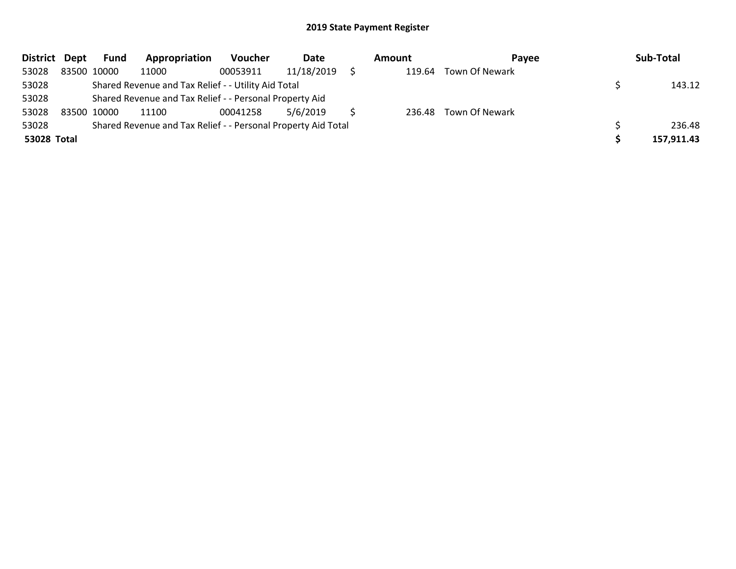| District Dept |             | Fund        | Appropriation                                                 | <b>Voucher</b> | Date       | <b>Amount</b> | Pavee                 | Sub-Total  |
|---------------|-------------|-------------|---------------------------------------------------------------|----------------|------------|---------------|-----------------------|------------|
| 53028         |             | 83500 10000 | 11000                                                         | 00053911       | 11/18/2019 | 119.64        | Town Of Newark        |            |
| 53028         |             |             | Shared Revenue and Tax Relief - - Utility Aid Total           |                |            |               |                       | 143.12     |
| 53028         |             |             | Shared Revenue and Tax Relief - - Personal Property Aid       |                |            |               |                       |            |
| 53028         | 83500 10000 |             | 11100                                                         | 00041258       | 5/6/2019   |               | 236.48 Town Of Newark |            |
| 53028         |             |             | Shared Revenue and Tax Relief - - Personal Property Aid Total |                |            |               |                       | 236.48     |
| 53028 Total   |             |             |                                                               |                |            |               |                       | 157,911.43 |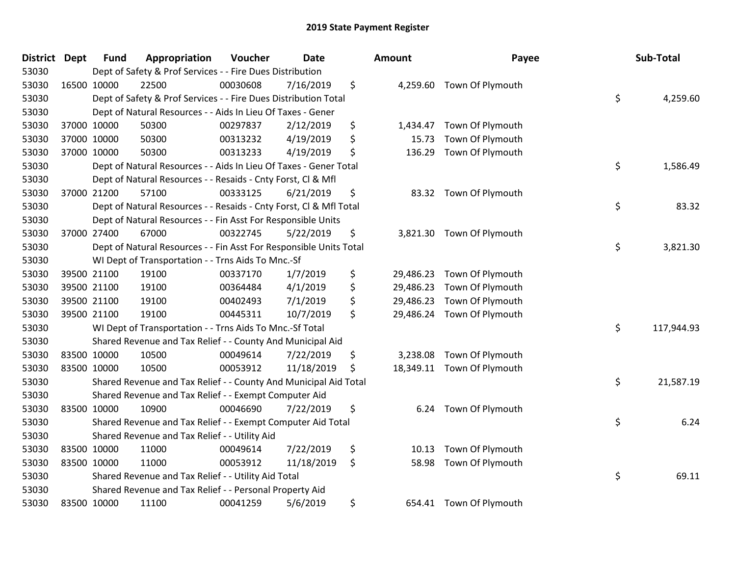| <b>District</b> | <b>Dept</b> | <b>Fund</b> | Appropriation                                                      | Voucher  | <b>Date</b> | <b>Amount</b>   |                            | Payee | Sub-Total  |
|-----------------|-------------|-------------|--------------------------------------------------------------------|----------|-------------|-----------------|----------------------------|-------|------------|
| 53030           |             |             | Dept of Safety & Prof Services - - Fire Dues Distribution          |          |             |                 |                            |       |            |
| 53030           | 16500 10000 |             | 22500                                                              | 00030608 | 7/16/2019   | \$              | 4,259.60 Town Of Plymouth  |       |            |
| 53030           |             |             | Dept of Safety & Prof Services - - Fire Dues Distribution Total    |          |             |                 |                            | \$    | 4,259.60   |
| 53030           |             |             | Dept of Natural Resources - - Aids In Lieu Of Taxes - Gener        |          |             |                 |                            |       |            |
| 53030           |             | 37000 10000 | 50300                                                              | 00297837 | 2/12/2019   | \$<br>1,434.47  | Town Of Plymouth           |       |            |
| 53030           |             | 37000 10000 | 50300                                                              | 00313232 | 4/19/2019   | \$<br>15.73     | Town Of Plymouth           |       |            |
| 53030           |             | 37000 10000 | 50300                                                              | 00313233 | 4/19/2019   | \$<br>136.29    | Town Of Plymouth           |       |            |
| 53030           |             |             | Dept of Natural Resources - - Aids In Lieu Of Taxes - Gener Total  |          |             |                 |                            | \$    | 1,586.49   |
| 53030           |             |             | Dept of Natural Resources - - Resaids - Cnty Forst, Cl & Mfl       |          |             |                 |                            |       |            |
| 53030           |             | 37000 21200 | 57100                                                              | 00333125 | 6/21/2019   | \$<br>83.32     | Town Of Plymouth           |       |            |
| 53030           |             |             | Dept of Natural Resources - - Resaids - Cnty Forst, CI & Mfl Total |          |             |                 |                            | \$    | 83.32      |
| 53030           |             |             | Dept of Natural Resources - - Fin Asst For Responsible Units       |          |             |                 |                            |       |            |
| 53030           |             | 37000 27400 | 67000                                                              | 00322745 | 5/22/2019   | \$<br>3,821.30  | Town Of Plymouth           |       |            |
| 53030           |             |             | Dept of Natural Resources - - Fin Asst For Responsible Units Total |          |             |                 |                            | \$    | 3,821.30   |
| 53030           |             |             | WI Dept of Transportation - - Trns Aids To Mnc.-Sf                 |          |             |                 |                            |       |            |
| 53030           |             | 39500 21100 | 19100                                                              | 00337170 | 1/7/2019    | \$<br>29,486.23 | Town Of Plymouth           |       |            |
| 53030           |             | 39500 21100 | 19100                                                              | 00364484 | 4/1/2019    | \$<br>29,486.23 | Town Of Plymouth           |       |            |
| 53030           |             | 39500 21100 | 19100                                                              | 00402493 | 7/1/2019    | \$<br>29,486.23 | Town Of Plymouth           |       |            |
| 53030           | 39500 21100 |             | 19100                                                              | 00445311 | 10/7/2019   | \$              | 29,486.24 Town Of Plymouth |       |            |
| 53030           |             |             | WI Dept of Transportation - - Trns Aids To Mnc.-Sf Total           |          |             |                 |                            | \$    | 117,944.93 |
| 53030           |             |             | Shared Revenue and Tax Relief - - County And Municipal Aid         |          |             |                 |                            |       |            |
| 53030           | 83500 10000 |             | 10500                                                              | 00049614 | 7/22/2019   | \$<br>3,238.08  | Town Of Plymouth           |       |            |
| 53030           | 83500 10000 |             | 10500                                                              | 00053912 | 11/18/2019  | \$<br>18,349.11 | Town Of Plymouth           |       |            |
| 53030           |             |             | Shared Revenue and Tax Relief - - County And Municipal Aid Total   |          |             |                 |                            | \$    | 21,587.19  |
| 53030           |             |             | Shared Revenue and Tax Relief - - Exempt Computer Aid              |          |             |                 |                            |       |            |
| 53030           | 83500 10000 |             | 10900                                                              | 00046690 | 7/22/2019   | \$<br>6.24      | Town Of Plymouth           |       |            |
| 53030           |             |             | Shared Revenue and Tax Relief - - Exempt Computer Aid Total        |          |             |                 |                            | \$    | 6.24       |
| 53030           |             |             | Shared Revenue and Tax Relief - - Utility Aid                      |          |             |                 |                            |       |            |
| 53030           | 83500 10000 |             | 11000                                                              | 00049614 | 7/22/2019   | \$<br>10.13     | Town Of Plymouth           |       |            |
| 53030           | 83500 10000 |             | 11000                                                              | 00053912 | 11/18/2019  | \$<br>58.98     | Town Of Plymouth           |       |            |
| 53030           |             |             | Shared Revenue and Tax Relief - - Utility Aid Total                |          |             |                 |                            | \$    | 69.11      |
| 53030           |             |             | Shared Revenue and Tax Relief - - Personal Property Aid            |          |             |                 |                            |       |            |
| 53030           | 83500 10000 |             | 11100                                                              | 00041259 | 5/6/2019    | \$<br>654.41    | Town Of Plymouth           |       |            |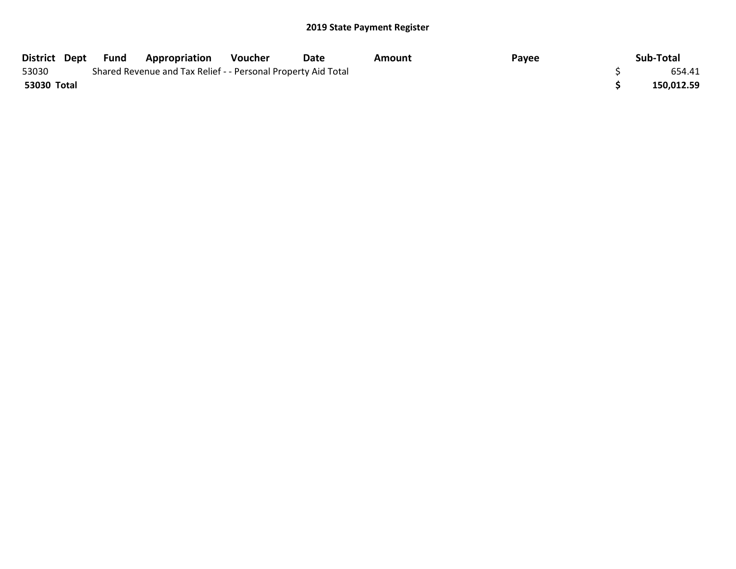| District Dept | Fund | <b>Appropriation</b>                                          | Voucher | Date | Amount | Payee | Sub-Total  |
|---------------|------|---------------------------------------------------------------|---------|------|--------|-------|------------|
| 53030         |      | Shared Revenue and Tax Relief - - Personal Property Aid Total |         |      |        |       | 654.41     |
| 53030 Total   |      |                                                               |         |      |        |       | 150,012.59 |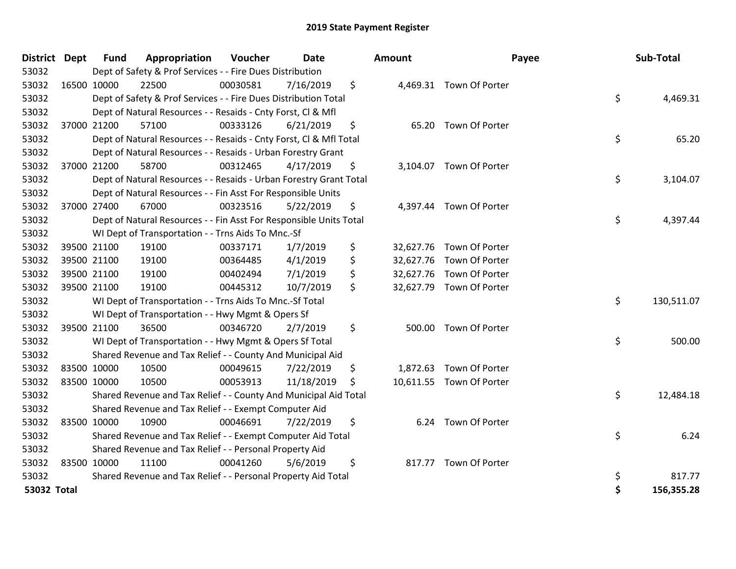| District Dept |             | <b>Fund</b> | Appropriation                                                      | Voucher  | <b>Date</b> | Amount       | Payee                    | Sub-Total        |
|---------------|-------------|-------------|--------------------------------------------------------------------|----------|-------------|--------------|--------------------------|------------------|
| 53032         |             |             | Dept of Safety & Prof Services - - Fire Dues Distribution          |          |             |              |                          |                  |
| 53032         |             | 16500 10000 | 22500                                                              | 00030581 | 7/16/2019   | \$           | 4,469.31 Town Of Porter  |                  |
| 53032         |             |             | Dept of Safety & Prof Services - - Fire Dues Distribution Total    |          |             |              |                          | \$<br>4,469.31   |
| 53032         |             |             | Dept of Natural Resources - - Resaids - Cnty Forst, CI & Mfl       |          |             |              |                          |                  |
| 53032         |             | 37000 21200 | 57100                                                              | 00333126 | 6/21/2019   | \$<br>65.20  | Town Of Porter           |                  |
| 53032         |             |             | Dept of Natural Resources - - Resaids - Cnty Forst, Cl & Mfl Total |          |             |              |                          | \$<br>65.20      |
| 53032         |             |             | Dept of Natural Resources - - Resaids - Urban Forestry Grant       |          |             |              |                          |                  |
| 53032         |             | 37000 21200 | 58700                                                              | 00312465 | 4/17/2019   | \$           | 3,104.07 Town Of Porter  |                  |
| 53032         |             |             | Dept of Natural Resources - - Resaids - Urban Forestry Grant Total |          |             |              |                          | \$<br>3,104.07   |
| 53032         |             |             | Dept of Natural Resources - - Fin Asst For Responsible Units       |          |             |              |                          |                  |
| 53032         |             | 37000 27400 | 67000                                                              | 00323516 | 5/22/2019   | \$           | 4,397.44 Town Of Porter  |                  |
| 53032         |             |             | Dept of Natural Resources - - Fin Asst For Responsible Units Total |          |             |              |                          | \$<br>4,397.44   |
| 53032         |             |             | WI Dept of Transportation - - Trns Aids To Mnc.-Sf                 |          |             |              |                          |                  |
| 53032         |             | 39500 21100 | 19100                                                              | 00337171 | 1/7/2019    | \$           | 32,627.76 Town Of Porter |                  |
| 53032         |             | 39500 21100 | 19100                                                              | 00364485 | 4/1/2019    | \$           | 32,627.76 Town Of Porter |                  |
| 53032         |             | 39500 21100 | 19100                                                              | 00402494 | 7/1/2019    | \$           | 32,627.76 Town Of Porter |                  |
| 53032         |             | 39500 21100 | 19100                                                              | 00445312 | 10/7/2019   | \$           | 32,627.79 Town Of Porter |                  |
| 53032         |             |             | WI Dept of Transportation - - Trns Aids To Mnc.-Sf Total           |          |             |              |                          | \$<br>130,511.07 |
| 53032         |             |             | WI Dept of Transportation - - Hwy Mgmt & Opers Sf                  |          |             |              |                          |                  |
| 53032         |             | 39500 21100 | 36500                                                              | 00346720 | 2/7/2019    | \$<br>500.00 | Town Of Porter           |                  |
| 53032         |             |             | WI Dept of Transportation - - Hwy Mgmt & Opers Sf Total            |          |             |              |                          | \$<br>500.00     |
| 53032         |             |             | Shared Revenue and Tax Relief - - County And Municipal Aid         |          |             |              |                          |                  |
| 53032         |             | 83500 10000 | 10500                                                              | 00049615 | 7/22/2019   | \$           | 1,872.63 Town Of Porter  |                  |
| 53032         | 83500 10000 |             | 10500                                                              | 00053913 | 11/18/2019  | \$           | 10,611.55 Town Of Porter |                  |
| 53032         |             |             | Shared Revenue and Tax Relief - - County And Municipal Aid Total   |          |             |              |                          | \$<br>12,484.18  |
| 53032         |             |             | Shared Revenue and Tax Relief - - Exempt Computer Aid              |          |             |              |                          |                  |
| 53032         |             | 83500 10000 | 10900                                                              | 00046691 | 7/22/2019   | \$<br>6.24   | Town Of Porter           |                  |
| 53032         |             |             | Shared Revenue and Tax Relief - - Exempt Computer Aid Total        |          |             |              |                          | \$<br>6.24       |
| 53032         |             |             | Shared Revenue and Tax Relief - - Personal Property Aid            |          |             |              |                          |                  |
| 53032         |             | 83500 10000 | 11100                                                              | 00041260 | 5/6/2019    | \$           | 817.77 Town Of Porter    |                  |
| 53032         |             |             | Shared Revenue and Tax Relief - - Personal Property Aid Total      |          |             |              |                          | \$<br>817.77     |
| 53032 Total   |             |             |                                                                    |          |             |              |                          | \$<br>156,355.28 |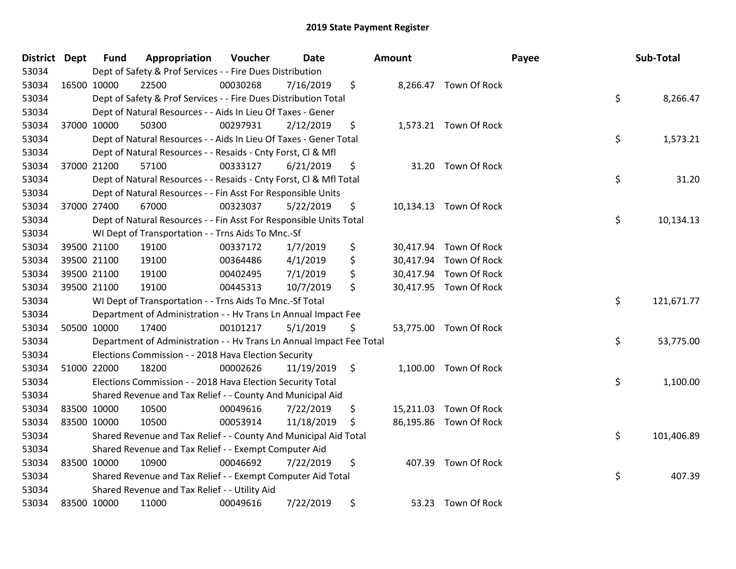| District | <b>Dept</b> | <b>Fund</b> | Appropriation                                                        | Voucher  | <b>Date</b> |               | Amount    |                        | Payee | Sub-Total  |
|----------|-------------|-------------|----------------------------------------------------------------------|----------|-------------|---------------|-----------|------------------------|-------|------------|
| 53034    |             |             | Dept of Safety & Prof Services - - Fire Dues Distribution            |          |             |               |           |                        |       |            |
| 53034    | 16500 10000 |             | 22500                                                                | 00030268 | 7/16/2019   | \$            |           | 8,266.47 Town Of Rock  |       |            |
| 53034    |             |             | Dept of Safety & Prof Services - - Fire Dues Distribution Total      |          |             |               |           |                        | \$    | 8,266.47   |
| 53034    |             |             | Dept of Natural Resources - - Aids In Lieu Of Taxes - Gener          |          |             |               |           |                        |       |            |
| 53034    |             | 37000 10000 | 50300                                                                | 00297931 | 2/12/2019   | \$            |           | 1,573.21 Town Of Rock  |       |            |
| 53034    |             |             | Dept of Natural Resources - - Aids In Lieu Of Taxes - Gener Total    |          |             |               |           |                        | \$    | 1,573.21   |
| 53034    |             |             | Dept of Natural Resources - - Resaids - Cnty Forst, Cl & Mfl         |          |             |               |           |                        |       |            |
| 53034    |             | 37000 21200 | 57100                                                                | 00333127 | 6/21/2019   | \$            |           | 31.20 Town Of Rock     |       |            |
| 53034    |             |             | Dept of Natural Resources - - Resaids - Cnty Forst, CI & Mfl Total   |          |             |               |           |                        | \$    | 31.20      |
| 53034    |             |             | Dept of Natural Resources - - Fin Asst For Responsible Units         |          |             |               |           |                        |       |            |
| 53034    |             | 37000 27400 | 67000                                                                | 00323037 | 5/22/2019   | \$            |           | 10,134.13 Town Of Rock |       |            |
| 53034    |             |             | Dept of Natural Resources - - Fin Asst For Responsible Units Total   |          |             |               |           |                        | \$    | 10,134.13  |
| 53034    |             |             | WI Dept of Transportation - - Trns Aids To Mnc.-Sf                   |          |             |               |           |                        |       |            |
| 53034    |             | 39500 21100 | 19100                                                                | 00337172 | 1/7/2019    | \$            | 30,417.94 | Town Of Rock           |       |            |
| 53034    |             | 39500 21100 | 19100                                                                | 00364486 | 4/1/2019    | \$            | 30,417.94 | Town Of Rock           |       |            |
| 53034    |             | 39500 21100 | 19100                                                                | 00402495 | 7/1/2019    | \$            | 30,417.94 | Town Of Rock           |       |            |
| 53034    |             | 39500 21100 | 19100                                                                | 00445313 | 10/7/2019   | \$            |           | 30,417.95 Town Of Rock |       |            |
| 53034    |             |             | WI Dept of Transportation - - Trns Aids To Mnc.-Sf Total             |          |             |               |           |                        | \$    | 121,671.77 |
| 53034    |             |             | Department of Administration - - Hv Trans Ln Annual Impact Fee       |          |             |               |           |                        |       |            |
| 53034    |             | 50500 10000 | 17400                                                                | 00101217 | 5/1/2019    | \$            |           | 53,775.00 Town Of Rock |       |            |
| 53034    |             |             | Department of Administration - - Hv Trans Ln Annual Impact Fee Total |          |             |               |           |                        | \$    | 53,775.00  |
| 53034    |             |             | Elections Commission - - 2018 Hava Election Security                 |          |             |               |           |                        |       |            |
| 53034    | 51000 22000 |             | 18200                                                                | 00002626 | 11/19/2019  | $\ddot{\phi}$ |           | 1,100.00 Town Of Rock  |       |            |
| 53034    |             |             | Elections Commission - - 2018 Hava Election Security Total           |          |             |               |           |                        | \$    | 1,100.00   |
| 53034    |             |             | Shared Revenue and Tax Relief - - County And Municipal Aid           |          |             |               |           |                        |       |            |
| 53034    | 83500 10000 |             | 10500                                                                | 00049616 | 7/22/2019   | \$            | 15,211.03 | Town Of Rock           |       |            |
| 53034    | 83500 10000 |             | 10500                                                                | 00053914 | 11/18/2019  | \$            |           | 86,195.86 Town Of Rock |       |            |
| 53034    |             |             | Shared Revenue and Tax Relief - - County And Municipal Aid Total     |          |             |               |           |                        | \$    | 101,406.89 |
| 53034    |             |             | Shared Revenue and Tax Relief - - Exempt Computer Aid                |          |             |               |           |                        |       |            |
| 53034    |             | 83500 10000 | 10900                                                                | 00046692 | 7/22/2019   | \$            | 407.39    | <b>Town Of Rock</b>    |       |            |
| 53034    |             |             | Shared Revenue and Tax Relief - - Exempt Computer Aid Total          |          |             |               |           |                        | \$    | 407.39     |
| 53034    |             |             | Shared Revenue and Tax Relief - - Utility Aid                        |          |             |               |           |                        |       |            |
| 53034    | 83500 10000 |             | 11000                                                                | 00049616 | 7/22/2019   | \$            | 53.23     | <b>Town Of Rock</b>    |       |            |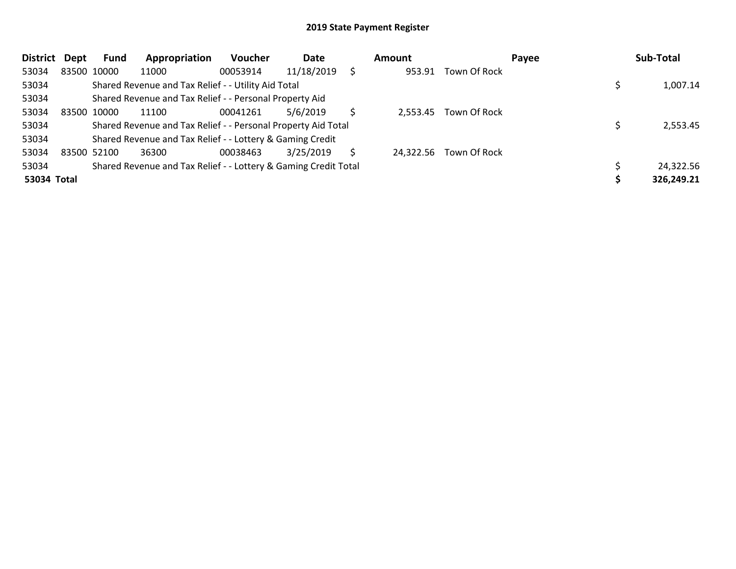| <b>District</b> | Dept | Fund        | Appropriation                                                   | <b>Voucher</b> | Date       |    | Amount   |                        | Payee | Sub-Total  |
|-----------------|------|-------------|-----------------------------------------------------------------|----------------|------------|----|----------|------------------------|-------|------------|
| 53034           |      | 83500 10000 | 11000                                                           | 00053914       | 11/18/2019 | Ś. | 953.91   | Town Of Rock           |       |            |
| 53034           |      |             | Shared Revenue and Tax Relief - - Utility Aid Total             |                |            |    |          |                        |       | 1,007.14   |
| 53034           |      |             | Shared Revenue and Tax Relief - - Personal Property Aid         |                |            |    |          |                        |       |            |
| 53034           |      | 83500 10000 | 11100                                                           | 00041261       | 5/6/2019   |    | 2,553.45 | Town Of Rock           |       |            |
| 53034           |      |             | Shared Revenue and Tax Relief - - Personal Property Aid Total   |                |            |    |          |                        |       | 2,553.45   |
| 53034           |      |             | Shared Revenue and Tax Relief - - Lottery & Gaming Credit       |                |            |    |          |                        |       |            |
| 53034           |      | 83500 52100 | 36300                                                           | 00038463       | 3/25/2019  | S  |          | 24,322.56 Town Of Rock |       |            |
| 53034           |      |             | Shared Revenue and Tax Relief - - Lottery & Gaming Credit Total |                |            |    |          |                        |       | 24,322.56  |
| 53034 Total     |      |             |                                                                 |                |            |    |          |                        |       | 326,249.21 |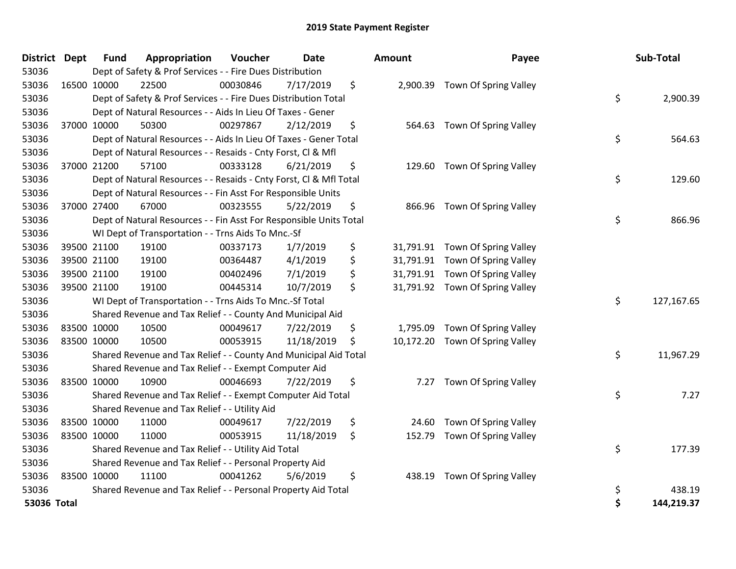| District      | <b>Dept</b> | <b>Fund</b> | Appropriation                                                      | Voucher  | <b>Date</b> | <b>Amount</b>   | Payee                           |    | Sub-Total  |
|---------------|-------------|-------------|--------------------------------------------------------------------|----------|-------------|-----------------|---------------------------------|----|------------|
| 53036         |             |             | Dept of Safety & Prof Services - - Fire Dues Distribution          |          |             |                 |                                 |    |            |
| 53036         |             | 16500 10000 | 22500                                                              | 00030846 | 7/17/2019   | \$              | 2,900.39 Town Of Spring Valley  |    |            |
| 53036         |             |             | Dept of Safety & Prof Services - - Fire Dues Distribution Total    |          |             |                 |                                 | \$ | 2,900.39   |
| 53036         |             |             | Dept of Natural Resources - - Aids In Lieu Of Taxes - Gener        |          |             |                 |                                 |    |            |
| 53036         |             | 37000 10000 | 50300                                                              | 00297867 | 2/12/2019   | \$<br>564.63    | Town Of Spring Valley           |    |            |
| 53036         |             |             | Dept of Natural Resources - - Aids In Lieu Of Taxes - Gener Total  |          |             |                 |                                 | \$ | 564.63     |
| 53036         |             |             | Dept of Natural Resources - - Resaids - Cnty Forst, Cl & Mfl       |          |             |                 |                                 |    |            |
| 53036         |             | 37000 21200 | 57100                                                              | 00333128 | 6/21/2019   | \$<br>129.60    | Town Of Spring Valley           |    |            |
| 53036         |             |             | Dept of Natural Resources - - Resaids - Cnty Forst, Cl & Mfl Total |          |             |                 |                                 | \$ | 129.60     |
| 53036         |             |             | Dept of Natural Resources - - Fin Asst For Responsible Units       |          |             |                 |                                 |    |            |
| 53036         |             | 37000 27400 | 67000                                                              | 00323555 | 5/22/2019   | \$              | 866.96 Town Of Spring Valley    |    |            |
| 53036         |             |             | Dept of Natural Resources - - Fin Asst For Responsible Units Total |          |             |                 |                                 | \$ | 866.96     |
| 53036         |             |             | WI Dept of Transportation - - Trns Aids To Mnc.-Sf                 |          |             |                 |                                 |    |            |
| 53036         |             | 39500 21100 | 19100                                                              | 00337173 | 1/7/2019    | \$              | 31,791.91 Town Of Spring Valley |    |            |
| 53036         |             | 39500 21100 | 19100                                                              | 00364487 | 4/1/2019    | \$<br>31,791.91 | Town Of Spring Valley           |    |            |
| 53036         |             | 39500 21100 | 19100                                                              | 00402496 | 7/1/2019    | \$              | 31,791.91 Town Of Spring Valley |    |            |
| 53036         |             | 39500 21100 | 19100                                                              | 00445314 | 10/7/2019   | \$              | 31,791.92 Town Of Spring Valley |    |            |
| 53036         |             |             | WI Dept of Transportation - - Trns Aids To Mnc.-Sf Total           |          |             |                 |                                 | \$ | 127,167.65 |
| 53036         |             |             | Shared Revenue and Tax Relief - - County And Municipal Aid         |          |             |                 |                                 |    |            |
| 53036         |             | 83500 10000 | 10500                                                              | 00049617 | 7/22/2019   | \$<br>1,795.09  | Town Of Spring Valley           |    |            |
| 53036         |             | 83500 10000 | 10500                                                              | 00053915 | 11/18/2019  | \$              | 10,172.20 Town Of Spring Valley |    |            |
| 53036         |             |             | Shared Revenue and Tax Relief - - County And Municipal Aid Total   |          |             |                 |                                 | \$ | 11,967.29  |
| 53036         |             |             | Shared Revenue and Tax Relief - - Exempt Computer Aid              |          |             |                 |                                 |    |            |
| 53036         |             | 83500 10000 | 10900                                                              | 00046693 | 7/22/2019   | \$<br>7.27      | Town Of Spring Valley           |    |            |
| 53036         |             |             | Shared Revenue and Tax Relief - - Exempt Computer Aid Total        |          |             |                 |                                 | \$ | 7.27       |
| 53036         |             |             | Shared Revenue and Tax Relief - - Utility Aid                      |          |             |                 |                                 |    |            |
| 53036         |             | 83500 10000 | 11000                                                              | 00049617 | 7/22/2019   | \$<br>24.60     | Town Of Spring Valley           |    |            |
| 53036         |             | 83500 10000 | 11000                                                              | 00053915 | 11/18/2019  | \$<br>152.79    | Town Of Spring Valley           |    |            |
| 53036         |             |             | Shared Revenue and Tax Relief - - Utility Aid Total                |          |             |                 |                                 | \$ | 177.39     |
| 53036         |             |             | Shared Revenue and Tax Relief - - Personal Property Aid            |          |             |                 |                                 |    |            |
| 53036         |             | 83500 10000 | 11100                                                              | 00041262 | 5/6/2019    | \$<br>438.19    | Town Of Spring Valley           |    |            |
| 53036         |             |             | Shared Revenue and Tax Relief - - Personal Property Aid Total      |          |             |                 |                                 | \$ | 438.19     |
| $53036$ Total |             |             |                                                                    |          |             |                 |                                 | ¢  | 144 219 37 |

| District Dept |             | <b>Fund</b> | Appropriation                                                      | Voucher  | <b>Date</b> |    | Amount    | Payee                           | Sub-Total        |
|---------------|-------------|-------------|--------------------------------------------------------------------|----------|-------------|----|-----------|---------------------------------|------------------|
| 53036         |             |             | Dept of Safety & Prof Services - - Fire Dues Distribution          |          |             |    |           |                                 |                  |
| 53036         | 16500 10000 |             | 22500                                                              | 00030846 | 7/17/2019   | \$ |           | 2,900.39 Town Of Spring Valley  |                  |
| 53036         |             |             | Dept of Safety & Prof Services - - Fire Dues Distribution Total    |          |             |    |           |                                 | \$<br>2,900.39   |
| 53036         |             |             | Dept of Natural Resources - - Aids In Lieu Of Taxes - Gener        |          |             |    |           |                                 |                  |
| 53036         |             | 37000 10000 | 50300                                                              | 00297867 | 2/12/2019   | \$ |           | 564.63 Town Of Spring Valley    |                  |
| 53036         |             |             | Dept of Natural Resources - - Aids In Lieu Of Taxes - Gener Total  |          |             |    |           |                                 | \$<br>564.63     |
| 53036         |             |             | Dept of Natural Resources - - Resaids - Cnty Forst, Cl & Mfl       |          |             |    |           |                                 |                  |
| 53036         |             | 37000 21200 | 57100                                                              | 00333128 | 6/21/2019   | \$ | 129.60    | Town Of Spring Valley           |                  |
| 53036         |             |             | Dept of Natural Resources - - Resaids - Cnty Forst, Cl & Mfl Total |          |             |    |           |                                 | \$<br>129.60     |
| 53036         |             |             | Dept of Natural Resources - - Fin Asst For Responsible Units       |          |             |    |           |                                 |                  |
| 53036         |             | 37000 27400 | 67000                                                              | 00323555 | 5/22/2019   | \$ |           | 866.96 Town Of Spring Valley    |                  |
| 53036         |             |             | Dept of Natural Resources - - Fin Asst For Responsible Units Total |          |             |    |           |                                 | \$<br>866.96     |
| 53036         |             |             | WI Dept of Transportation - - Trns Aids To Mnc.-Sf                 |          |             |    |           |                                 |                  |
| 53036         |             | 39500 21100 | 19100                                                              | 00337173 | 1/7/2019    | \$ |           | 31,791.91 Town Of Spring Valley |                  |
| 53036         |             | 39500 21100 | 19100                                                              | 00364487 | 4/1/2019    | \$ |           | 31,791.91 Town Of Spring Valley |                  |
| 53036         |             | 39500 21100 | 19100                                                              | 00402496 | 7/1/2019    | \$ |           | 31,791.91 Town Of Spring Valley |                  |
| 53036         |             | 39500 21100 | 19100                                                              | 00445314 | 10/7/2019   | \$ |           | 31,791.92 Town Of Spring Valley |                  |
| 53036         |             |             | WI Dept of Transportation - - Trns Aids To Mnc.-Sf Total           |          |             |    |           |                                 | \$<br>127,167.65 |
| 53036         |             |             | Shared Revenue and Tax Relief - - County And Municipal Aid         |          |             |    |           |                                 |                  |
| 53036         |             | 83500 10000 | 10500                                                              | 00049617 | 7/22/2019   | \$ |           | 1,795.09 Town Of Spring Valley  |                  |
| 53036         |             | 83500 10000 | 10500                                                              | 00053915 | 11/18/2019  | S  | 10,172.20 | Town Of Spring Valley           |                  |
| 53036         |             |             | Shared Revenue and Tax Relief - - County And Municipal Aid Total   |          |             |    |           |                                 | \$<br>11,967.29  |
| 53036         |             |             | Shared Revenue and Tax Relief - - Exempt Computer Aid              |          |             |    |           |                                 |                  |
| 53036         |             | 83500 10000 | 10900                                                              | 00046693 | 7/22/2019   | \$ |           | 7.27 Town Of Spring Valley      |                  |
| 53036         |             |             | Shared Revenue and Tax Relief - - Exempt Computer Aid Total        |          |             |    |           |                                 | \$<br>7.27       |
| 53036         |             |             | Shared Revenue and Tax Relief - - Utility Aid                      |          |             |    |           |                                 |                  |
| 53036         |             | 83500 10000 | 11000                                                              | 00049617 | 7/22/2019   | \$ | 24.60     | Town Of Spring Valley           |                  |
| 53036         |             | 83500 10000 | 11000                                                              | 00053915 | 11/18/2019  | \$ | 152.79    | Town Of Spring Valley           |                  |
| 53036         |             |             | Shared Revenue and Tax Relief - - Utility Aid Total                |          |             |    |           |                                 | \$<br>177.39     |
| 53036         |             |             | Shared Revenue and Tax Relief - - Personal Property Aid            |          |             |    |           |                                 |                  |
| 53036         |             | 83500 10000 | 11100                                                              | 00041262 | 5/6/2019    | \$ | 438.19    | Town Of Spring Valley           |                  |
| 53036         |             |             | Shared Revenue and Tax Relief - - Personal Property Aid Total      |          |             |    |           |                                 | \$<br>438.19     |
| 53036 Total   |             |             |                                                                    |          |             |    |           |                                 | \$<br>144,219.37 |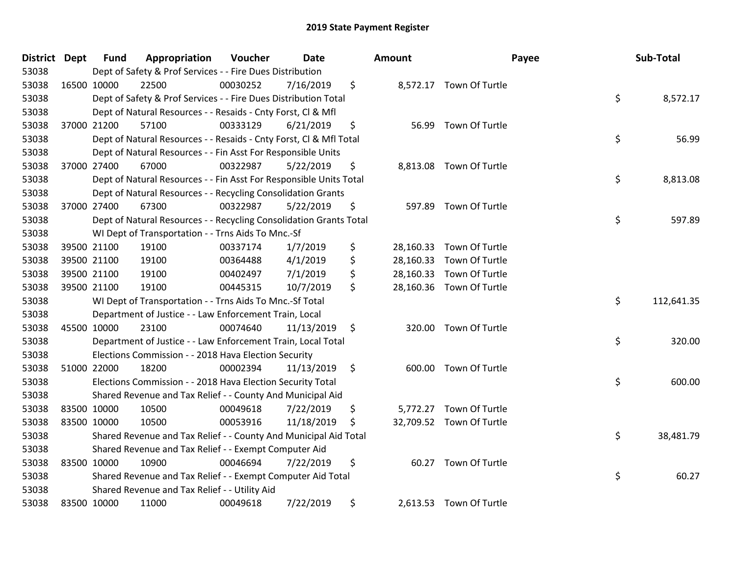| District Dept |             | <b>Fund</b> | Appropriation                                                      | Voucher  | <b>Date</b> |      | <b>Amount</b> |                         | Payee | Sub-Total  |
|---------------|-------------|-------------|--------------------------------------------------------------------|----------|-------------|------|---------------|-------------------------|-------|------------|
| 53038         |             |             | Dept of Safety & Prof Services - - Fire Dues Distribution          |          |             |      |               |                         |       |            |
| 53038         | 16500 10000 |             | 22500                                                              | 00030252 | 7/16/2019   | \$   |               | 8,572.17 Town Of Turtle |       |            |
| 53038         |             |             | Dept of Safety & Prof Services - - Fire Dues Distribution Total    |          |             |      |               |                         | \$    | 8,572.17   |
| 53038         |             |             | Dept of Natural Resources - - Resaids - Cnty Forst, CI & Mfl       |          |             |      |               |                         |       |            |
| 53038         |             | 37000 21200 | 57100                                                              | 00333129 | 6/21/2019   | \$   | 56.99         | Town Of Turtle          |       |            |
| 53038         |             |             | Dept of Natural Resources - - Resaids - Cnty Forst, Cl & Mfl Total |          |             |      |               |                         | \$    | 56.99      |
| 53038         |             |             | Dept of Natural Resources - - Fin Asst For Responsible Units       |          |             |      |               |                         |       |            |
| 53038         |             | 37000 27400 | 67000                                                              | 00322987 | 5/22/2019   | \$   | 8,813.08      | Town Of Turtle          |       |            |
| 53038         |             |             | Dept of Natural Resources - - Fin Asst For Responsible Units Total |          |             |      |               |                         | \$    | 8,813.08   |
| 53038         |             |             | Dept of Natural Resources - - Recycling Consolidation Grants       |          |             |      |               |                         |       |            |
| 53038         |             | 37000 27400 | 67300                                                              | 00322987 | 5/22/2019   | \$   | 597.89        | Town Of Turtle          |       |            |
| 53038         |             |             | Dept of Natural Resources - - Recycling Consolidation Grants Total |          |             |      |               |                         | \$    | 597.89     |
| 53038         |             |             | WI Dept of Transportation - - Trns Aids To Mnc.-Sf                 |          |             |      |               |                         |       |            |
| 53038         |             | 39500 21100 | 19100                                                              | 00337174 | 1/7/2019    | \$   | 28,160.33     | Town Of Turtle          |       |            |
| 53038         |             | 39500 21100 | 19100                                                              | 00364488 | 4/1/2019    | \$   | 28,160.33     | Town Of Turtle          |       |            |
| 53038         |             | 39500 21100 | 19100                                                              | 00402497 | 7/1/2019    | \$   | 28,160.33     | Town Of Turtle          |       |            |
| 53038         |             | 39500 21100 | 19100                                                              | 00445315 | 10/7/2019   | \$   | 28,160.36     | Town Of Turtle          |       |            |
| 53038         |             |             | WI Dept of Transportation - - Trns Aids To Mnc.-Sf Total           |          |             |      |               |                         | \$    | 112,641.35 |
| 53038         |             |             | Department of Justice - - Law Enforcement Train, Local             |          |             |      |               |                         |       |            |
| 53038         | 45500 10000 |             | 23100                                                              | 00074640 | 11/13/2019  | \$   | 320.00        | Town Of Turtle          |       |            |
| 53038         |             |             | Department of Justice - - Law Enforcement Train, Local Total       |          |             |      |               |                         | \$    | 320.00     |
| 53038         |             |             | Elections Commission - - 2018 Hava Election Security               |          |             |      |               |                         |       |            |
| 53038         | 51000 22000 |             | 18200                                                              | 00002394 | 11/13/2019  | - \$ |               | 600.00 Town Of Turtle   |       |            |
| 53038         |             |             | Elections Commission - - 2018 Hava Election Security Total         |          |             |      |               |                         | \$    | 600.00     |
| 53038         |             |             | Shared Revenue and Tax Relief - - County And Municipal Aid         |          |             |      |               |                         |       |            |
| 53038         | 83500 10000 |             | 10500                                                              | 00049618 | 7/22/2019   | \$   | 5,772.27      | Town Of Turtle          |       |            |
| 53038         | 83500 10000 |             | 10500                                                              | 00053916 | 11/18/2019  | \$   | 32,709.52     | Town Of Turtle          |       |            |
| 53038         |             |             | Shared Revenue and Tax Relief - - County And Municipal Aid Total   |          |             |      |               |                         | \$    | 38,481.79  |
| 53038         |             |             | Shared Revenue and Tax Relief - - Exempt Computer Aid              |          |             |      |               |                         |       |            |
| 53038         | 83500 10000 |             | 10900                                                              | 00046694 | 7/22/2019   | \$   | 60.27         | Town Of Turtle          |       |            |
| 53038         |             |             | Shared Revenue and Tax Relief - - Exempt Computer Aid Total        |          |             |      |               |                         | \$    | 60.27      |
| 53038         |             |             | Shared Revenue and Tax Relief - - Utility Aid                      |          |             |      |               |                         |       |            |
| 53038         | 83500 10000 |             | 11000                                                              | 00049618 | 7/22/2019   | \$   |               | 2,613.53 Town Of Turtle |       |            |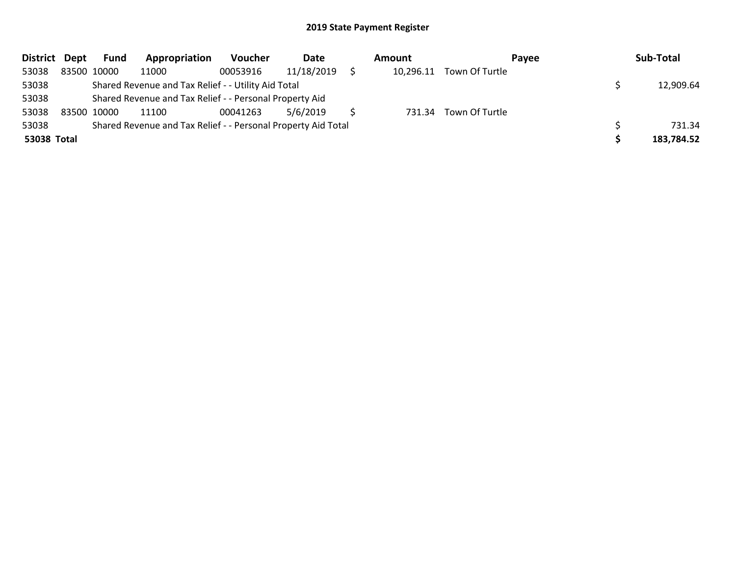| District Dept | <b>Fund</b> | Appropriation                                                 | Voucher  | Date       | Amount | Payee                    | Sub-Total  |
|---------------|-------------|---------------------------------------------------------------|----------|------------|--------|--------------------------|------------|
| 53038         | 83500 10000 | 11000                                                         | 00053916 | 11/18/2019 |        | 10,296.11 Town Of Turtle |            |
| 53038         |             | Shared Revenue and Tax Relief - - Utility Aid Total           |          |            |        |                          | 12,909.64  |
| 53038         |             | Shared Revenue and Tax Relief - - Personal Property Aid       |          |            |        |                          |            |
| 53038         | 83500 10000 | 11100                                                         | 00041263 | 5/6/2019   |        | 731.34 Town Of Turtle    |            |
| 53038         |             | Shared Revenue and Tax Relief - - Personal Property Aid Total |          |            |        |                          | 731.34     |
| 53038 Total   |             |                                                               |          |            |        |                          | 183,784.52 |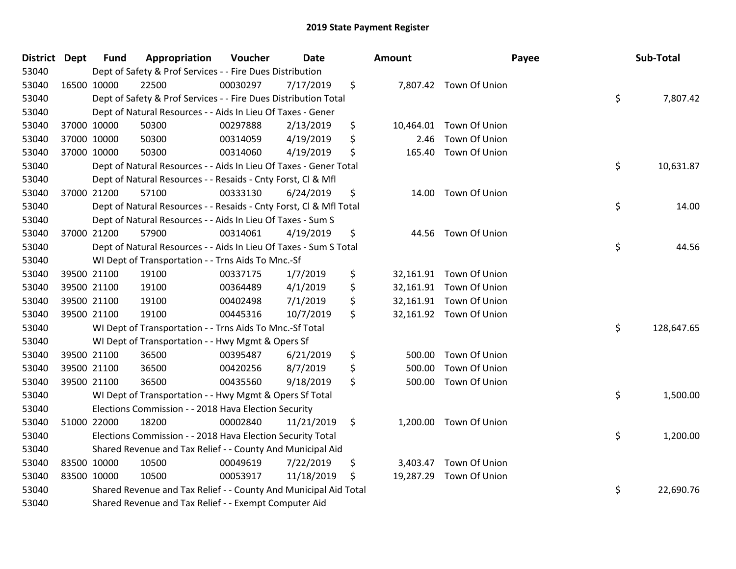| District Dept | <b>Fund</b> | Appropriation                                                      | Voucher  | <b>Date</b> | <b>Amount</b>  |                         | Payee | Sub-Total  |
|---------------|-------------|--------------------------------------------------------------------|----------|-------------|----------------|-------------------------|-------|------------|
| 53040         |             | Dept of Safety & Prof Services - - Fire Dues Distribution          |          |             |                |                         |       |            |
| 53040         | 16500 10000 | 22500                                                              | 00030297 | 7/17/2019   | \$             | 7,807.42 Town Of Union  |       |            |
| 53040         |             | Dept of Safety & Prof Services - - Fire Dues Distribution Total    |          |             |                |                         | \$    | 7,807.42   |
| 53040         |             | Dept of Natural Resources - - Aids In Lieu Of Taxes - Gener        |          |             |                |                         |       |            |
| 53040         | 37000 10000 | 50300                                                              | 00297888 | 2/13/2019   | \$             | 10,464.01 Town Of Union |       |            |
| 53040         | 37000 10000 | 50300                                                              | 00314059 | 4/19/2019   | \$<br>2.46     | Town Of Union           |       |            |
| 53040         | 37000 10000 | 50300                                                              | 00314060 | 4/19/2019   | \$<br>165.40   | Town Of Union           |       |            |
| 53040         |             | Dept of Natural Resources - - Aids In Lieu Of Taxes - Gener Total  |          |             |                |                         | \$    | 10,631.87  |
| 53040         |             | Dept of Natural Resources - - Resaids - Cnty Forst, CI & Mfl       |          |             |                |                         |       |            |
| 53040         | 37000 21200 | 57100                                                              | 00333130 | 6/24/2019   | \$             | 14.00 Town Of Union     |       |            |
| 53040         |             | Dept of Natural Resources - - Resaids - Cnty Forst, Cl & Mfl Total |          |             |                |                         | \$    | 14.00      |
| 53040         |             | Dept of Natural Resources - - Aids In Lieu Of Taxes - Sum S        |          |             |                |                         |       |            |
| 53040         | 37000 21200 | 57900                                                              | 00314061 | 4/19/2019   | \$             | 44.56 Town Of Union     |       |            |
| 53040         |             | Dept of Natural Resources - - Aids In Lieu Of Taxes - Sum S Total  |          |             |                |                         | \$    | 44.56      |
| 53040         |             | WI Dept of Transportation - - Trns Aids To Mnc.-Sf                 |          |             |                |                         |       |            |
| 53040         | 39500 21100 | 19100                                                              | 00337175 | 1/7/2019    | \$             | 32,161.91 Town Of Union |       |            |
| 53040         | 39500 21100 | 19100                                                              | 00364489 | 4/1/2019    | \$             | 32,161.91 Town Of Union |       |            |
| 53040         | 39500 21100 | 19100                                                              | 00402498 | 7/1/2019    | \$             | 32,161.91 Town Of Union |       |            |
| 53040         | 39500 21100 | 19100                                                              | 00445316 | 10/7/2019   | \$             | 32,161.92 Town Of Union |       |            |
| 53040         |             | WI Dept of Transportation - - Trns Aids To Mnc.-Sf Total           |          |             |                |                         | \$    | 128,647.65 |
| 53040         |             | WI Dept of Transportation - - Hwy Mgmt & Opers Sf                  |          |             |                |                         |       |            |
| 53040         | 39500 21100 | 36500                                                              | 00395487 | 6/21/2019   | \$<br>500.00   | Town Of Union           |       |            |
| 53040         | 39500 21100 | 36500                                                              | 00420256 | 8/7/2019    | \$<br>500.00   | Town Of Union           |       |            |
| 53040         | 39500 21100 | 36500                                                              | 00435560 | 9/18/2019   | \$<br>500.00   | Town Of Union           |       |            |
| 53040         |             | WI Dept of Transportation - - Hwy Mgmt & Opers Sf Total            |          |             |                |                         | \$    | 1,500.00   |
| 53040         |             | Elections Commission - - 2018 Hava Election Security               |          |             |                |                         |       |            |
| 53040         | 51000 22000 | 18200                                                              | 00002840 | 11/21/2019  | \$             | 1,200.00 Town Of Union  |       |            |
| 53040         |             | Elections Commission - - 2018 Hava Election Security Total         |          |             |                |                         | \$    | 1,200.00   |
| 53040         |             | Shared Revenue and Tax Relief - - County And Municipal Aid         |          |             |                |                         |       |            |
| 53040         | 83500 10000 | 10500                                                              | 00049619 | 7/22/2019   | \$<br>3,403.47 | Town Of Union           |       |            |
| 53040         | 83500 10000 | 10500                                                              | 00053917 | 11/18/2019  | \$             | 19,287.29 Town Of Union |       |            |
| 53040         |             | Shared Revenue and Tax Relief - - County And Municipal Aid Total   |          |             |                |                         | \$    | 22,690.76  |
| 53040         |             | Shared Revenue and Tax Relief - - Exempt Computer Aid              |          |             |                |                         |       |            |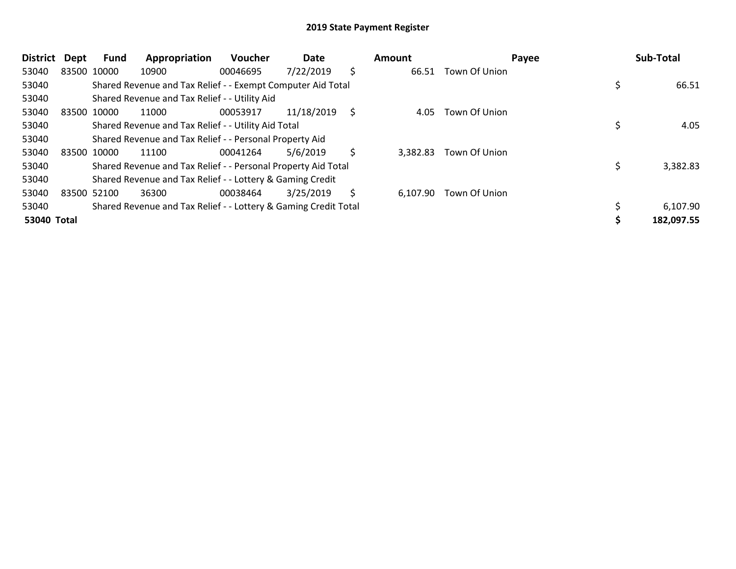| <b>District</b> | Dept        | Fund | Appropriation                                                   | <b>Voucher</b> | Date       |     | Amount   |               | Payee | Sub-Total  |
|-----------------|-------------|------|-----------------------------------------------------------------|----------------|------------|-----|----------|---------------|-------|------------|
| 53040           | 83500 10000 |      | 10900                                                           | 00046695       | 7/22/2019  | \$. | 66.51    | Town Of Union |       |            |
| 53040           |             |      | Shared Revenue and Tax Relief - - Exempt Computer Aid Total     |                |            |     |          |               |       | 66.51      |
| 53040           |             |      | Shared Revenue and Tax Relief - - Utility Aid                   |                |            |     |          |               |       |            |
| 53040           | 83500 10000 |      | 11000                                                           | 00053917       | 11/18/2019 | S   | 4.05     | Town Of Union |       |            |
| 53040           |             |      | Shared Revenue and Tax Relief - - Utility Aid Total             |                |            |     |          |               |       | 4.05       |
| 53040           |             |      | Shared Revenue and Tax Relief - - Personal Property Aid         |                |            |     |          |               |       |            |
| 53040           | 83500 10000 |      | 11100                                                           | 00041264       | 5/6/2019   | \$  | 3.382.83 | Town Of Union |       |            |
| 53040           |             |      | Shared Revenue and Tax Relief - - Personal Property Aid Total   |                |            |     |          |               |       | 3,382.83   |
| 53040           |             |      | Shared Revenue and Tax Relief - - Lottery & Gaming Credit       |                |            |     |          |               |       |            |
| 53040           | 83500 52100 |      | 36300                                                           | 00038464       | 3/25/2019  | \$  | 6,107.90 | Town Of Union |       |            |
| 53040           |             |      | Shared Revenue and Tax Relief - - Lottery & Gaming Credit Total |                |            |     |          |               |       | 6,107.90   |
| 53040 Total     |             |      |                                                                 |                |            |     |          |               |       | 182,097.55 |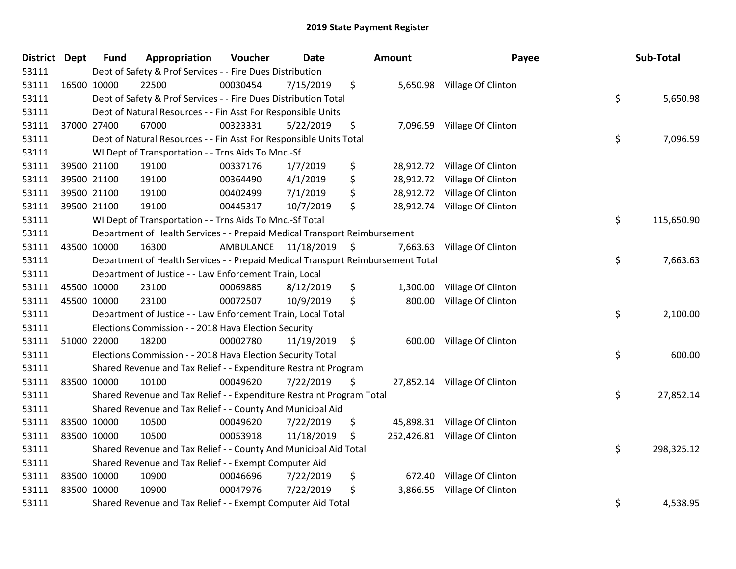| District Dept |             | <b>Fund</b> | Appropriation                                                                   | Voucher   | <b>Date</b>   | <b>Amount</b>   | Payee                         | Sub-Total        |
|---------------|-------------|-------------|---------------------------------------------------------------------------------|-----------|---------------|-----------------|-------------------------------|------------------|
| 53111         |             |             | Dept of Safety & Prof Services - - Fire Dues Distribution                       |           |               |                 |                               |                  |
| 53111         | 16500 10000 |             | 22500                                                                           | 00030454  | 7/15/2019     | \$              | 5,650.98 Village Of Clinton   |                  |
| 53111         |             |             | Dept of Safety & Prof Services - - Fire Dues Distribution Total                 |           |               |                 |                               | \$<br>5,650.98   |
| 53111         |             |             | Dept of Natural Resources - - Fin Asst For Responsible Units                    |           |               |                 |                               |                  |
| 53111         |             | 37000 27400 | 67000                                                                           | 00323331  | 5/22/2019     | \$<br>7,096.59  | Village Of Clinton            |                  |
| 53111         |             |             | Dept of Natural Resources - - Fin Asst For Responsible Units Total              |           |               |                 |                               | \$<br>7,096.59   |
| 53111         |             |             | WI Dept of Transportation - - Trns Aids To Mnc.-Sf                              |           |               |                 |                               |                  |
| 53111         |             | 39500 21100 | 19100                                                                           | 00337176  | 1/7/2019      | \$              | 28,912.72 Village Of Clinton  |                  |
| 53111         | 39500 21100 |             | 19100                                                                           | 00364490  | 4/1/2019      | \$              | 28,912.72 Village Of Clinton  |                  |
| 53111         |             | 39500 21100 | 19100                                                                           | 00402499  | 7/1/2019      | \$<br>28,912.72 | Village Of Clinton            |                  |
| 53111         |             | 39500 21100 | 19100                                                                           | 00445317  | 10/7/2019     | \$<br>28,912.74 | Village Of Clinton            |                  |
| 53111         |             |             | WI Dept of Transportation - - Trns Aids To Mnc.-Sf Total                        |           |               |                 |                               | \$<br>115,650.90 |
| 53111         |             |             | Department of Health Services - - Prepaid Medical Transport Reimbursement       |           |               |                 |                               |                  |
| 53111         | 43500 10000 |             | 16300                                                                           | AMBULANCE | 11/18/2019 \$ | 7,663.63        | Village Of Clinton            |                  |
| 53111         |             |             | Department of Health Services - - Prepaid Medical Transport Reimbursement Total |           |               |                 |                               | \$<br>7,663.63   |
| 53111         |             |             | Department of Justice - - Law Enforcement Train, Local                          |           |               |                 |                               |                  |
| 53111         | 45500 10000 |             | 23100                                                                           | 00069885  | 8/12/2019     | \$<br>1,300.00  | Village Of Clinton            |                  |
| 53111         | 45500 10000 |             | 23100                                                                           | 00072507  | 10/9/2019     | \$<br>800.00    | Village Of Clinton            |                  |
| 53111         |             |             | Department of Justice - - Law Enforcement Train, Local Total                    |           |               |                 |                               | \$<br>2,100.00   |
| 53111         |             |             | Elections Commission - - 2018 Hava Election Security                            |           |               |                 |                               |                  |
| 53111         |             | 51000 22000 | 18200                                                                           | 00002780  | 11/19/2019    | \$              | 600.00 Village Of Clinton     |                  |
| 53111         |             |             | Elections Commission - - 2018 Hava Election Security Total                      |           |               |                 |                               | \$<br>600.00     |
| 53111         |             |             | Shared Revenue and Tax Relief - - Expenditure Restraint Program                 |           |               |                 |                               |                  |
| 53111         | 83500 10000 |             | 10100                                                                           | 00049620  | 7/22/2019     | \$              | 27,852.14 Village Of Clinton  |                  |
| 53111         |             |             | Shared Revenue and Tax Relief - - Expenditure Restraint Program Total           |           |               |                 |                               | \$<br>27,852.14  |
| 53111         |             |             | Shared Revenue and Tax Relief - - County And Municipal Aid                      |           |               |                 |                               |                  |
| 53111         | 83500 10000 |             | 10500                                                                           | 00049620  | 7/22/2019     | \$<br>45,898.31 | Village Of Clinton            |                  |
| 53111         | 83500 10000 |             | 10500                                                                           | 00053918  | 11/18/2019    | \$              | 252,426.81 Village Of Clinton |                  |
| 53111         |             |             | Shared Revenue and Tax Relief - - County And Municipal Aid Total                |           |               |                 |                               | \$<br>298,325.12 |
| 53111         |             |             | Shared Revenue and Tax Relief - - Exempt Computer Aid                           |           |               |                 |                               |                  |
| 53111         | 83500 10000 |             | 10900                                                                           | 00046696  | 7/22/2019     | \$<br>672.40    | Village Of Clinton            |                  |
| 53111         | 83500 10000 |             | 10900                                                                           | 00047976  | 7/22/2019     | \$<br>3,866.55  | Village Of Clinton            |                  |
| 53111         |             |             | Shared Revenue and Tax Relief - - Exempt Computer Aid Total                     |           |               |                 |                               | \$<br>4,538.95   |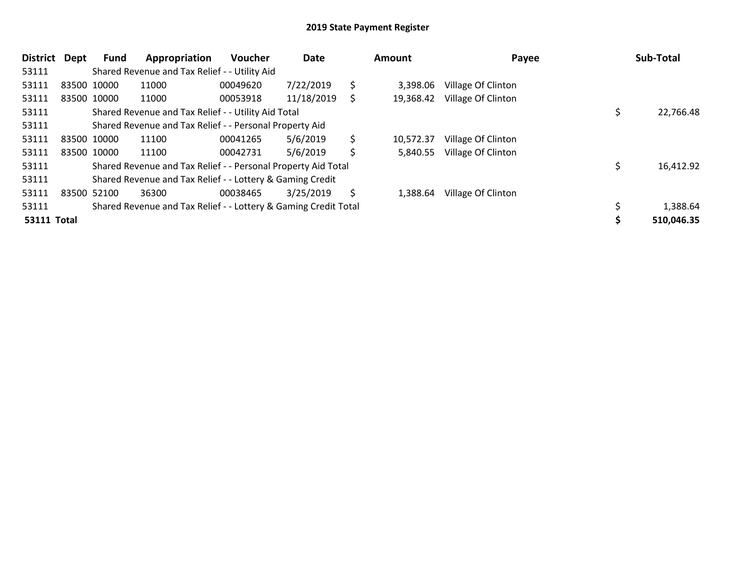| <b>District</b>    | Dept | Fund        | Appropriation                                                   | <b>Voucher</b> | Date       |    | Amount    | Payee              | Sub-Total  |
|--------------------|------|-------------|-----------------------------------------------------------------|----------------|------------|----|-----------|--------------------|------------|
| 53111              |      |             | Shared Revenue and Tax Relief - - Utility Aid                   |                |            |    |           |                    |            |
| 53111              |      | 83500 10000 | 11000                                                           | 00049620       | 7/22/2019  | \$ | 3,398.06  | Village Of Clinton |            |
| 53111              |      | 83500 10000 | 11000                                                           | 00053918       | 11/18/2019 | S  | 19,368.42 | Village Of Clinton |            |
| 53111              |      |             | Shared Revenue and Tax Relief - - Utility Aid Total             |                |            |    |           |                    | 22,766.48  |
| 53111              |      |             | Shared Revenue and Tax Relief - - Personal Property Aid         |                |            |    |           |                    |            |
| 53111              |      | 83500 10000 | 11100                                                           | 00041265       | 5/6/2019   | \$ | 10,572.37 | Village Of Clinton |            |
| 53111              |      | 83500 10000 | 11100                                                           | 00042731       | 5/6/2019   | \$ | 5,840.55  | Village Of Clinton |            |
| 53111              |      |             | Shared Revenue and Tax Relief - - Personal Property Aid Total   |                |            |    |           |                    | 16,412.92  |
| 53111              |      |             | Shared Revenue and Tax Relief - - Lottery & Gaming Credit       |                |            |    |           |                    |            |
| 53111              |      | 83500 52100 | 36300                                                           | 00038465       | 3/25/2019  | \$ | 1,388.64  | Village Of Clinton |            |
| 53111              |      |             | Shared Revenue and Tax Relief - - Lottery & Gaming Credit Total |                |            |    |           |                    | 1,388.64   |
| <b>53111 Total</b> |      |             |                                                                 |                |            |    |           |                    | 510,046.35 |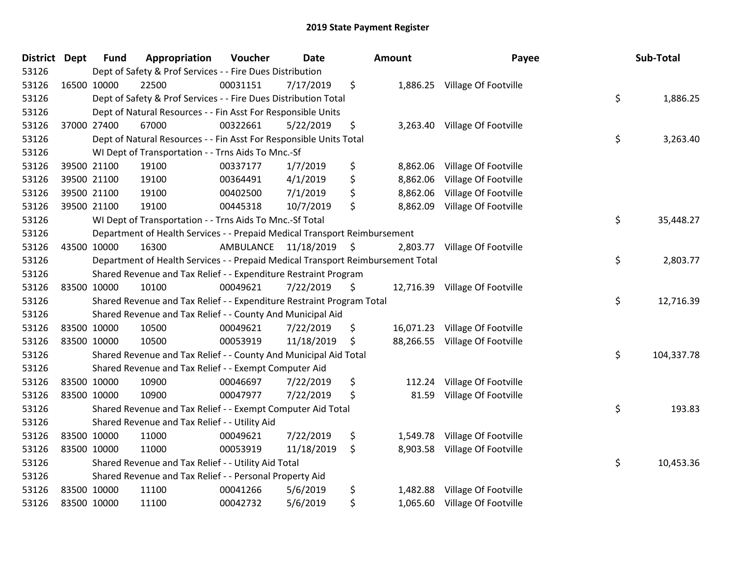| District Dept | <b>Fund</b> | Appropriation                                                                   | Voucher   | <b>Date</b>     | <b>Amount</b>   | Payee                          | Sub-Total        |
|---------------|-------------|---------------------------------------------------------------------------------|-----------|-----------------|-----------------|--------------------------------|------------------|
| 53126         |             | Dept of Safety & Prof Services - - Fire Dues Distribution                       |           |                 |                 |                                |                  |
| 53126         | 16500 10000 | 22500                                                                           | 00031151  | 7/17/2019       | \$              | 1,886.25 Village Of Footville  |                  |
| 53126         |             | Dept of Safety & Prof Services - - Fire Dues Distribution Total                 |           |                 |                 |                                | \$<br>1,886.25   |
| 53126         |             | Dept of Natural Resources - - Fin Asst For Responsible Units                    |           |                 |                 |                                |                  |
| 53126         | 37000 27400 | 67000                                                                           | 00322661  | 5/22/2019       | \$<br>3,263.40  | Village Of Footville           |                  |
| 53126         |             | Dept of Natural Resources - - Fin Asst For Responsible Units Total              |           |                 |                 |                                | \$<br>3,263.40   |
| 53126         |             | WI Dept of Transportation - - Trns Aids To Mnc.-Sf                              |           |                 |                 |                                |                  |
| 53126         | 39500 21100 | 19100                                                                           | 00337177  | 1/7/2019        | \$<br>8,862.06  | Village Of Footville           |                  |
| 53126         | 39500 21100 | 19100                                                                           | 00364491  | 4/1/2019        | \$<br>8,862.06  | Village Of Footville           |                  |
| 53126         | 39500 21100 | 19100                                                                           | 00402500  | 7/1/2019        | \$<br>8,862.06  | Village Of Footville           |                  |
| 53126         | 39500 21100 | 19100                                                                           | 00445318  | 10/7/2019       | \$<br>8,862.09  | Village Of Footville           |                  |
| 53126         |             | WI Dept of Transportation - - Trns Aids To Mnc.-Sf Total                        |           |                 |                 |                                | \$<br>35,448.27  |
| 53126         |             | Department of Health Services - - Prepaid Medical Transport Reimbursement       |           |                 |                 |                                |                  |
| 53126         | 43500 10000 | 16300                                                                           | AMBULANCE | $11/18/2019$ \$ | 2,803.77        | Village Of Footville           |                  |
| 53126         |             | Department of Health Services - - Prepaid Medical Transport Reimbursement Total |           |                 |                 |                                | \$<br>2,803.77   |
| 53126         |             | Shared Revenue and Tax Relief - - Expenditure Restraint Program                 |           |                 |                 |                                |                  |
| 53126         | 83500 10000 | 10100                                                                           | 00049621  | 7/22/2019       | \$<br>12,716.39 | Village Of Footville           |                  |
| 53126         |             | Shared Revenue and Tax Relief - - Expenditure Restraint Program Total           |           |                 |                 |                                | \$<br>12,716.39  |
| 53126         |             | Shared Revenue and Tax Relief - - County And Municipal Aid                      |           |                 |                 |                                |                  |
| 53126         | 83500 10000 | 10500                                                                           | 00049621  | 7/22/2019       | \$<br>16,071.23 | Village Of Footville           |                  |
| 53126         | 83500 10000 | 10500                                                                           | 00053919  | 11/18/2019      | \$              | 88,266.55 Village Of Footville |                  |
| 53126         |             | Shared Revenue and Tax Relief - - County And Municipal Aid Total                |           |                 |                 |                                | \$<br>104,337.78 |
| 53126         |             | Shared Revenue and Tax Relief - - Exempt Computer Aid                           |           |                 |                 |                                |                  |
| 53126         | 83500 10000 | 10900                                                                           | 00046697  | 7/22/2019       | \$<br>112.24    | Village Of Footville           |                  |
| 53126         | 83500 10000 | 10900                                                                           | 00047977  | 7/22/2019       | \$<br>81.59     | Village Of Footville           |                  |
| 53126         |             | Shared Revenue and Tax Relief - - Exempt Computer Aid Total                     |           |                 |                 |                                | \$<br>193.83     |
| 53126         |             | Shared Revenue and Tax Relief - - Utility Aid                                   |           |                 |                 |                                |                  |
| 53126         | 83500 10000 | 11000                                                                           | 00049621  | 7/22/2019       | \$              | 1,549.78 Village Of Footville  |                  |
| 53126         | 83500 10000 | 11000                                                                           | 00053919  | 11/18/2019      | \$<br>8,903.58  | Village Of Footville           |                  |
| 53126         |             | Shared Revenue and Tax Relief - - Utility Aid Total                             |           |                 |                 |                                | \$<br>10,453.36  |
| 53126         |             | Shared Revenue and Tax Relief - - Personal Property Aid                         |           |                 |                 |                                |                  |
| 53126         | 83500 10000 | 11100                                                                           | 00041266  | 5/6/2019        | \$<br>1,482.88  | Village Of Footville           |                  |
| 53126         | 83500 10000 | 11100                                                                           | 00042732  | 5/6/2019        | \$              | 1,065.60 Village Of Footville  |                  |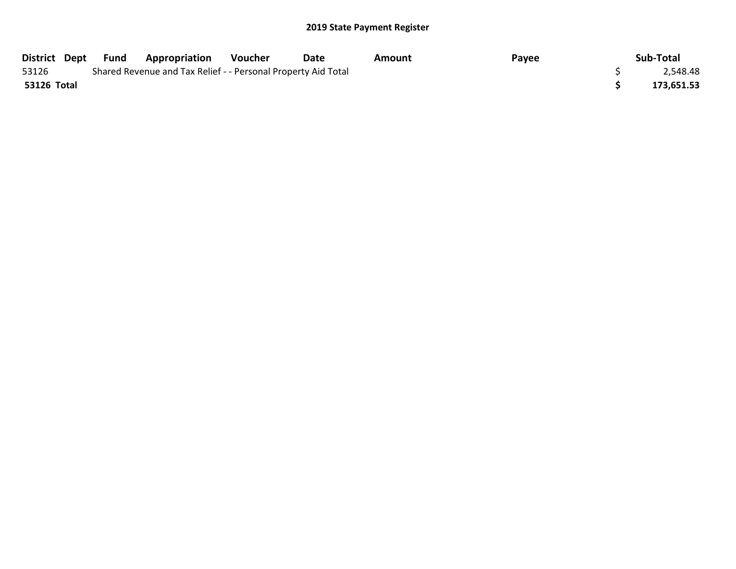|             | District Dept Fund | <b>Appropriation</b>                                          | Voucher | Date | Amount | Payee | Sub-Total  |
|-------------|--------------------|---------------------------------------------------------------|---------|------|--------|-------|------------|
| 53126       |                    | Shared Revenue and Tax Relief - - Personal Property Aid Total |         |      |        |       | 2,548.48   |
| 53126 Total |                    |                                                               |         |      |        |       | 173,651.53 |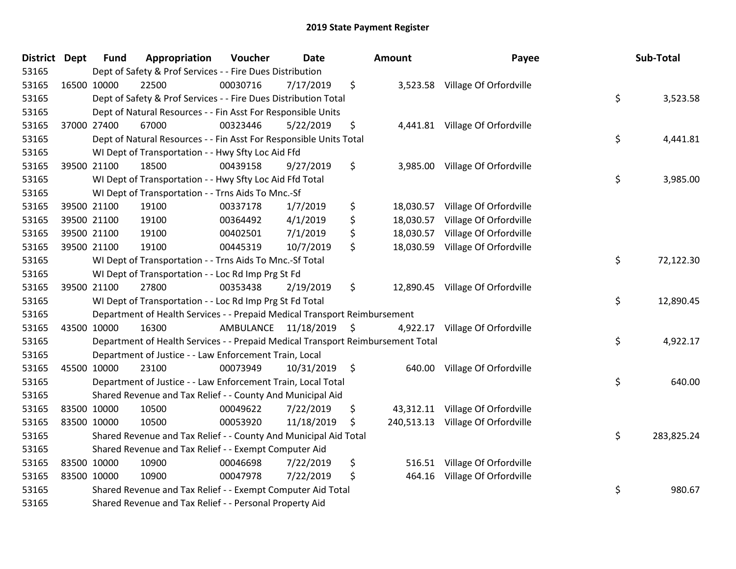| District Dept |             | <b>Fund</b> | Appropriation                                                                   | Voucher  | <b>Date</b>             | Amount          | Payee                             | Sub-Total        |
|---------------|-------------|-------------|---------------------------------------------------------------------------------|----------|-------------------------|-----------------|-----------------------------------|------------------|
| 53165         |             |             | Dept of Safety & Prof Services - - Fire Dues Distribution                       |          |                         |                 |                                   |                  |
| 53165         |             | 16500 10000 | 22500                                                                           | 00030716 | 7/17/2019               | \$              | 3,523.58 Village Of Orfordville   |                  |
| 53165         |             |             | Dept of Safety & Prof Services - - Fire Dues Distribution Total                 |          |                         |                 |                                   | \$<br>3,523.58   |
| 53165         |             |             | Dept of Natural Resources - - Fin Asst For Responsible Units                    |          |                         |                 |                                   |                  |
| 53165         |             | 37000 27400 | 67000                                                                           | 00323446 | 5/22/2019               | \$              | 4,441.81 Village Of Orfordville   |                  |
| 53165         |             |             | Dept of Natural Resources - - Fin Asst For Responsible Units Total              |          |                         |                 |                                   | \$<br>4,441.81   |
| 53165         |             |             | WI Dept of Transportation - - Hwy Sfty Loc Aid Ffd                              |          |                         |                 |                                   |                  |
| 53165         |             | 39500 21100 | 18500                                                                           | 00439158 | 9/27/2019               | \$              | 3,985.00 Village Of Orfordville   |                  |
| 53165         |             |             | WI Dept of Transportation - - Hwy Sfty Loc Aid Ffd Total                        |          |                         |                 |                                   | \$<br>3,985.00   |
| 53165         |             |             | WI Dept of Transportation - - Trns Aids To Mnc.-Sf                              |          |                         |                 |                                   |                  |
| 53165         |             | 39500 21100 | 19100                                                                           | 00337178 | 1/7/2019                | \$<br>18,030.57 | Village Of Orfordville            |                  |
| 53165         |             | 39500 21100 | 19100                                                                           | 00364492 | 4/1/2019                | \$<br>18,030.57 | Village Of Orfordville            |                  |
| 53165         |             | 39500 21100 | 19100                                                                           | 00402501 | 7/1/2019                | \$<br>18,030.57 | Village Of Orfordville            |                  |
| 53165         |             | 39500 21100 | 19100                                                                           | 00445319 | 10/7/2019               | \$<br>18,030.59 | Village Of Orfordville            |                  |
| 53165         |             |             | WI Dept of Transportation - - Trns Aids To Mnc.-Sf Total                        |          |                         |                 |                                   | \$<br>72,122.30  |
| 53165         |             |             | WI Dept of Transportation - - Loc Rd Imp Prg St Fd                              |          |                         |                 |                                   |                  |
| 53165         |             | 39500 21100 | 27800                                                                           | 00353438 | 2/19/2019               | \$              | 12,890.45 Village Of Orfordville  |                  |
| 53165         |             |             | WI Dept of Transportation - - Loc Rd Imp Prg St Fd Total                        |          |                         |                 |                                   | \$<br>12,890.45  |
| 53165         |             |             | Department of Health Services - - Prepaid Medical Transport Reimbursement       |          |                         |                 |                                   |                  |
| 53165         |             | 43500 10000 | 16300                                                                           |          | AMBULANCE 11/18/2019 \$ | 4,922.17        | Village Of Orfordville            |                  |
| 53165         |             |             | Department of Health Services - - Prepaid Medical Transport Reimbursement Total |          |                         |                 |                                   | \$<br>4,922.17   |
| 53165         |             |             | Department of Justice - - Law Enforcement Train, Local                          |          |                         |                 |                                   |                  |
| 53165         |             | 45500 10000 | 23100                                                                           | 00073949 | $10/31/2019$ \$         |                 | 640.00 Village Of Orfordville     |                  |
| 53165         |             |             | Department of Justice - - Law Enforcement Train, Local Total                    |          |                         |                 |                                   | \$<br>640.00     |
| 53165         |             |             | Shared Revenue and Tax Relief - - County And Municipal Aid                      |          |                         |                 |                                   |                  |
| 53165         |             | 83500 10000 | 10500                                                                           | 00049622 | 7/22/2019               | \$<br>43,312.11 | Village Of Orfordville            |                  |
| 53165         | 83500 10000 |             | 10500                                                                           | 00053920 | 11/18/2019              | \$              | 240,513.13 Village Of Orfordville |                  |
| 53165         |             |             | Shared Revenue and Tax Relief - - County And Municipal Aid Total                |          |                         |                 |                                   | \$<br>283,825.24 |
| 53165         |             |             | Shared Revenue and Tax Relief - - Exempt Computer Aid                           |          |                         |                 |                                   |                  |
| 53165         |             | 83500 10000 | 10900                                                                           | 00046698 | 7/22/2019               | \$<br>516.51    | Village Of Orfordville            |                  |
| 53165         |             | 83500 10000 | 10900                                                                           | 00047978 | 7/22/2019               | \$<br>464.16    | Village Of Orfordville            |                  |
| 53165         |             |             | Shared Revenue and Tax Relief - - Exempt Computer Aid Total                     |          |                         |                 |                                   | \$<br>980.67     |
| 53165         |             |             | Shared Revenue and Tax Relief - - Personal Property Aid                         |          |                         |                 |                                   |                  |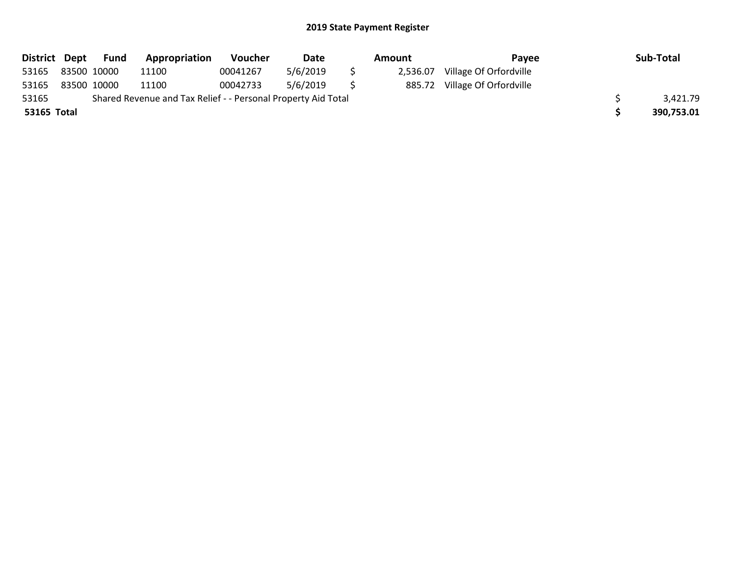| District Dept |             | <b>Fund</b> | Appropriation                                                 | <b>Voucher</b> | Date     | Amount   | Pavee                  | Sub-Total  |
|---------------|-------------|-------------|---------------------------------------------------------------|----------------|----------|----------|------------------------|------------|
| 53165         | 83500 10000 |             | 11100                                                         | 00041267       | 5/6/2019 | 2,536.07 | Village Of Orfordville |            |
| 53165         | 83500 10000 |             | 11100                                                         | 00042733       | 5/6/2019 | 885.72   | Village Of Orfordville |            |
| 53165         |             |             | Shared Revenue and Tax Relief - - Personal Property Aid Total |                |          |          |                        | 3,421.79   |
| 53165 Total   |             |             |                                                               |                |          |          |                        | 390,753.01 |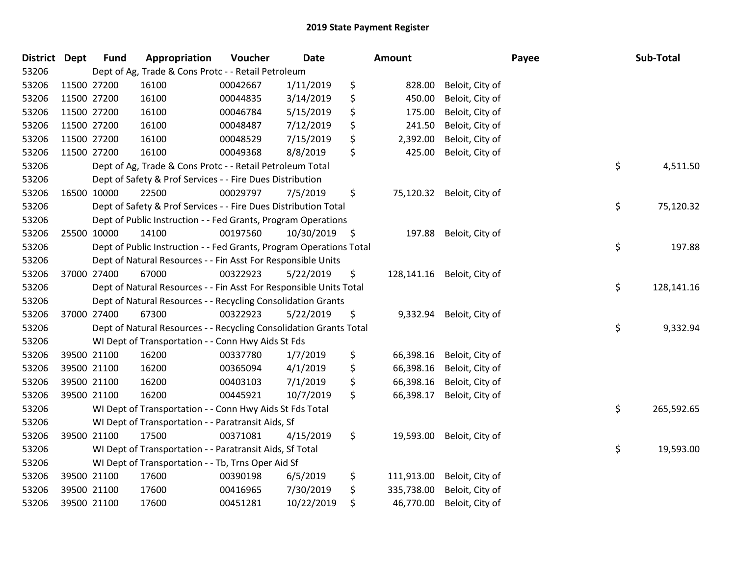| <b>District Dept</b> |             | <b>Fund</b> | Appropriation                                                       | Voucher  | <b>Date</b>   | Amount           |                 | Payee | Sub-Total  |
|----------------------|-------------|-------------|---------------------------------------------------------------------|----------|---------------|------------------|-----------------|-------|------------|
| 53206                |             |             | Dept of Ag, Trade & Cons Protc - - Retail Petroleum                 |          |               |                  |                 |       |            |
| 53206                | 11500 27200 |             | 16100                                                               | 00042667 | 1/11/2019     | \$<br>828.00     | Beloit, City of |       |            |
| 53206                | 11500 27200 |             | 16100                                                               | 00044835 | 3/14/2019     | \$<br>450.00     | Beloit, City of |       |            |
| 53206                | 11500 27200 |             | 16100                                                               | 00046784 | 5/15/2019     | \$<br>175.00     | Beloit, City of |       |            |
| 53206                | 11500 27200 |             | 16100                                                               | 00048487 | 7/12/2019     | \$<br>241.50     | Beloit, City of |       |            |
| 53206                | 11500 27200 |             | 16100                                                               | 00048529 | 7/15/2019     | \$<br>2,392.00   | Beloit, City of |       |            |
| 53206                | 11500 27200 |             | 16100                                                               | 00049368 | 8/8/2019      | \$<br>425.00     | Beloit, City of |       |            |
| 53206                |             |             | Dept of Ag, Trade & Cons Protc - - Retail Petroleum Total           |          |               |                  |                 | \$    | 4,511.50   |
| 53206                |             |             | Dept of Safety & Prof Services - - Fire Dues Distribution           |          |               |                  |                 |       |            |
| 53206                | 16500 10000 |             | 22500                                                               | 00029797 | 7/5/2019      | \$<br>75,120.32  | Beloit, City of |       |            |
| 53206                |             |             | Dept of Safety & Prof Services - - Fire Dues Distribution Total     |          |               |                  |                 | \$    | 75,120.32  |
| 53206                |             |             | Dept of Public Instruction - - Fed Grants, Program Operations       |          |               |                  |                 |       |            |
| 53206                | 25500 10000 |             | 14100                                                               | 00197560 | 10/30/2019 \$ | 197.88           | Beloit, City of |       |            |
| 53206                |             |             | Dept of Public Instruction - - Fed Grants, Program Operations Total |          |               |                  |                 | \$    | 197.88     |
| 53206                |             |             | Dept of Natural Resources - - Fin Asst For Responsible Units        |          |               |                  |                 |       |            |
| 53206                | 37000 27400 |             | 67000                                                               | 00322923 | 5/22/2019     | \$<br>128,141.16 | Beloit, City of |       |            |
| 53206                |             |             | Dept of Natural Resources - - Fin Asst For Responsible Units Total  |          |               |                  |                 | \$    | 128,141.16 |
| 53206                |             |             | Dept of Natural Resources - - Recycling Consolidation Grants        |          |               |                  |                 |       |            |
| 53206                | 37000 27400 |             | 67300                                                               | 00322923 | 5/22/2019     | \$<br>9,332.94   | Beloit, City of |       |            |
| 53206                |             |             | Dept of Natural Resources - - Recycling Consolidation Grants Total  |          |               |                  |                 | \$    | 9,332.94   |
| 53206                |             |             | WI Dept of Transportation - - Conn Hwy Aids St Fds                  |          |               |                  |                 |       |            |
| 53206                | 39500 21100 |             | 16200                                                               | 00337780 | 1/7/2019      | \$<br>66,398.16  | Beloit, City of |       |            |
| 53206                | 39500 21100 |             | 16200                                                               | 00365094 | 4/1/2019      | \$<br>66,398.16  | Beloit, City of |       |            |
| 53206                | 39500 21100 |             | 16200                                                               | 00403103 | 7/1/2019      | \$<br>66,398.16  | Beloit, City of |       |            |
| 53206                | 39500 21100 |             | 16200                                                               | 00445921 | 10/7/2019     | \$<br>66,398.17  | Beloit, City of |       |            |
| 53206                |             |             | WI Dept of Transportation - - Conn Hwy Aids St Fds Total            |          |               |                  |                 | \$    | 265,592.65 |
| 53206                |             |             | WI Dept of Transportation - - Paratransit Aids, Sf                  |          |               |                  |                 |       |            |
| 53206                | 39500 21100 |             | 17500                                                               | 00371081 | 4/15/2019     | \$<br>19,593.00  | Beloit, City of |       |            |
| 53206                |             |             | WI Dept of Transportation - - Paratransit Aids, Sf Total            |          |               |                  |                 | \$    | 19,593.00  |
| 53206                |             |             | WI Dept of Transportation - - Tb, Trns Oper Aid Sf                  |          |               |                  |                 |       |            |
| 53206                | 39500 21100 |             | 17600                                                               | 00390198 | 6/5/2019      | \$<br>111,913.00 | Beloit, City of |       |            |
| 53206                | 39500 21100 |             | 17600                                                               | 00416965 | 7/30/2019     | \$<br>335,738.00 | Beloit, City of |       |            |
| 53206                | 39500 21100 |             | 17600                                                               | 00451281 | 10/22/2019    | \$<br>46,770.00  | Beloit, City of |       |            |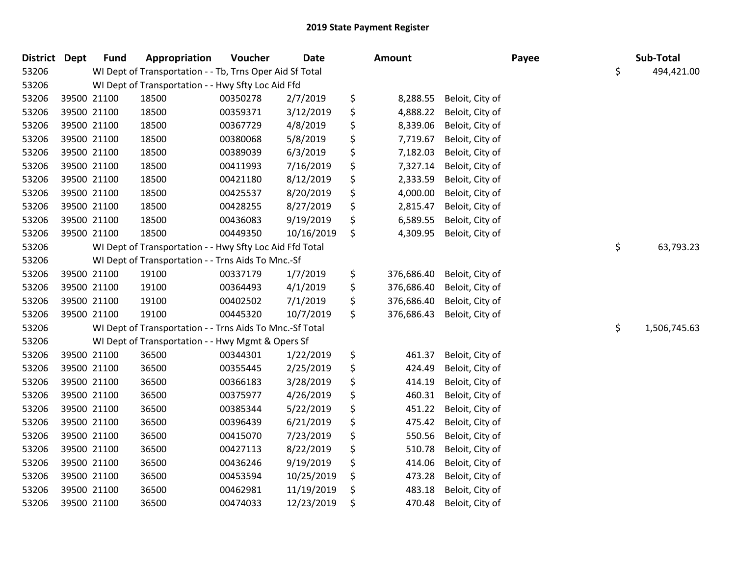| <b>District Dept</b> |             | <b>Fund</b> | Appropriation                                            | Voucher  | <b>Date</b> |     | Amount     |                 | Payee | Sub-Total          |
|----------------------|-------------|-------------|----------------------------------------------------------|----------|-------------|-----|------------|-----------------|-------|--------------------|
| 53206                |             |             | WI Dept of Transportation - - Tb, Trns Oper Aid Sf Total |          |             |     |            |                 |       | \$<br>494,421.00   |
| 53206                |             |             | WI Dept of Transportation - - Hwy Sfty Loc Aid Ffd       |          |             |     |            |                 |       |                    |
| 53206                |             | 39500 21100 | 18500                                                    | 00350278 | 2/7/2019    | \$  | 8,288.55   | Beloit, City of |       |                    |
| 53206                | 39500 21100 |             | 18500                                                    | 00359371 | 3/12/2019   | \$  | 4,888.22   | Beloit, City of |       |                    |
| 53206                |             | 39500 21100 | 18500                                                    | 00367729 | 4/8/2019    | \$  | 8,339.06   | Beloit, City of |       |                    |
| 53206                |             | 39500 21100 | 18500                                                    | 00380068 | 5/8/2019    | \$  | 7,719.67   | Beloit, City of |       |                    |
| 53206                |             | 39500 21100 | 18500                                                    | 00389039 | 6/3/2019    | \$  | 7,182.03   | Beloit, City of |       |                    |
| 53206                |             | 39500 21100 | 18500                                                    | 00411993 | 7/16/2019   | \$  | 7,327.14   | Beloit, City of |       |                    |
| 53206                |             | 39500 21100 | 18500                                                    | 00421180 | 8/12/2019   | \$  | 2,333.59   | Beloit, City of |       |                    |
| 53206                |             | 39500 21100 | 18500                                                    | 00425537 | 8/20/2019   | \$  | 4,000.00   | Beloit, City of |       |                    |
| 53206                |             | 39500 21100 | 18500                                                    | 00428255 | 8/27/2019   | \$  | 2,815.47   | Beloit, City of |       |                    |
| 53206                |             | 39500 21100 | 18500                                                    | 00436083 | 9/19/2019   | \$  | 6,589.55   | Beloit, City of |       |                    |
| 53206                |             | 39500 21100 | 18500                                                    | 00449350 | 10/16/2019  | \$  | 4,309.95   | Beloit, City of |       |                    |
| 53206                |             |             | WI Dept of Transportation - - Hwy Sfty Loc Aid Ffd Total |          |             |     |            |                 |       | \$<br>63,793.23    |
| 53206                |             |             | WI Dept of Transportation - - Trns Aids To Mnc.-Sf       |          |             |     |            |                 |       |                    |
| 53206                |             | 39500 21100 | 19100                                                    | 00337179 | 1/7/2019    | \$  | 376,686.40 | Beloit, City of |       |                    |
| 53206                |             | 39500 21100 | 19100                                                    | 00364493 | 4/1/2019    | \$  | 376,686.40 | Beloit, City of |       |                    |
| 53206                | 39500 21100 |             | 19100                                                    | 00402502 | 7/1/2019    | \$  | 376,686.40 | Beloit, City of |       |                    |
| 53206                |             | 39500 21100 | 19100                                                    | 00445320 | 10/7/2019   | \$. | 376,686.43 | Beloit, City of |       |                    |
| 53206                |             |             | WI Dept of Transportation - - Trns Aids To Mnc.-Sf Total |          |             |     |            |                 |       | \$<br>1,506,745.63 |
| 53206                |             |             | WI Dept of Transportation - - Hwy Mgmt & Opers Sf        |          |             |     |            |                 |       |                    |
| 53206                |             | 39500 21100 | 36500                                                    | 00344301 | 1/22/2019   | \$  | 461.37     | Beloit, City of |       |                    |
| 53206                |             | 39500 21100 | 36500                                                    | 00355445 | 2/25/2019   | \$  | 424.49     | Beloit, City of |       |                    |
| 53206                |             | 39500 21100 | 36500                                                    | 00366183 | 3/28/2019   | \$  | 414.19     | Beloit, City of |       |                    |
| 53206                |             | 39500 21100 | 36500                                                    | 00375977 | 4/26/2019   | \$  | 460.31     | Beloit, City of |       |                    |
| 53206                |             | 39500 21100 | 36500                                                    | 00385344 | 5/22/2019   | \$  | 451.22     | Beloit, City of |       |                    |
| 53206                |             | 39500 21100 | 36500                                                    | 00396439 | 6/21/2019   | \$  | 475.42     | Beloit, City of |       |                    |
| 53206                |             | 39500 21100 | 36500                                                    | 00415070 | 7/23/2019   | \$  | 550.56     | Beloit, City of |       |                    |
| 53206                |             | 39500 21100 | 36500                                                    | 00427113 | 8/22/2019   | \$  | 510.78     | Beloit, City of |       |                    |
| 53206                | 39500 21100 |             | 36500                                                    | 00436246 | 9/19/2019   | \$  | 414.06     | Beloit, City of |       |                    |
| 53206                |             | 39500 21100 | 36500                                                    | 00453594 | 10/25/2019  | \$  | 473.28     | Beloit, City of |       |                    |
| 53206                |             | 39500 21100 | 36500                                                    | 00462981 | 11/19/2019  | \$  | 483.18     | Beloit, City of |       |                    |
| 53206                |             | 39500 21100 | 36500                                                    | 00474033 | 12/23/2019  | \$  | 470.48     | Beloit, City of |       |                    |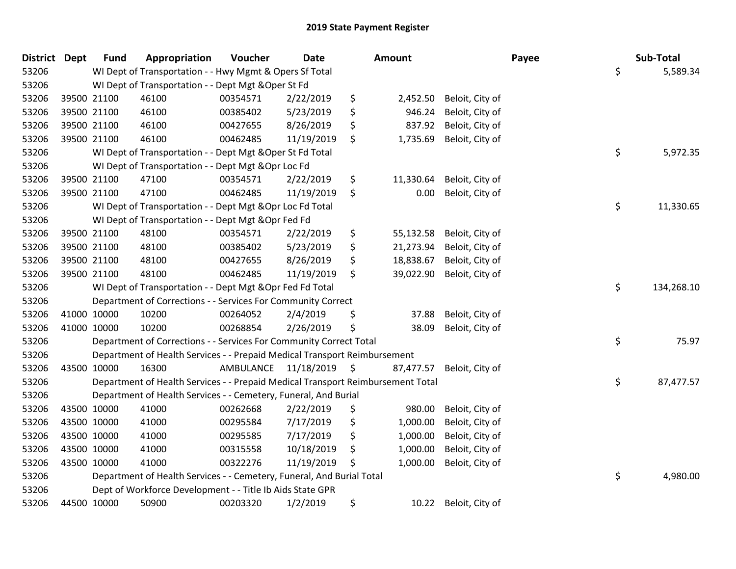| <b>District</b> | <b>Dept</b> | <b>Fund</b> | Appropriation                                                                   | Voucher   | <b>Date</b>   | <b>Amount</b>   |                 | Payee | Sub-Total        |
|-----------------|-------------|-------------|---------------------------------------------------------------------------------|-----------|---------------|-----------------|-----------------|-------|------------------|
| 53206           |             |             | WI Dept of Transportation - - Hwy Mgmt & Opers Sf Total                         |           |               |                 |                 |       | \$<br>5,589.34   |
| 53206           |             |             | WI Dept of Transportation - - Dept Mgt & Oper St Fd                             |           |               |                 |                 |       |                  |
| 53206           |             | 39500 21100 | 46100                                                                           | 00354571  | 2/22/2019     | \$<br>2,452.50  | Beloit, City of |       |                  |
| 53206           |             | 39500 21100 | 46100                                                                           | 00385402  | 5/23/2019     | \$<br>946.24    | Beloit, City of |       |                  |
| 53206           |             | 39500 21100 | 46100                                                                           | 00427655  | 8/26/2019     | \$<br>837.92    | Beloit, City of |       |                  |
| 53206           |             | 39500 21100 | 46100                                                                           | 00462485  | 11/19/2019    | \$<br>1,735.69  | Beloit, City of |       |                  |
| 53206           |             |             | WI Dept of Transportation - - Dept Mgt & Oper St Fd Total                       |           |               |                 |                 |       | \$<br>5,972.35   |
| 53206           |             |             | WI Dept of Transportation - - Dept Mgt & Opr Loc Fd                             |           |               |                 |                 |       |                  |
| 53206           |             | 39500 21100 | 47100                                                                           | 00354571  | 2/22/2019     | \$<br>11,330.64 | Beloit, City of |       |                  |
| 53206           |             | 39500 21100 | 47100                                                                           | 00462485  | 11/19/2019    | \$<br>0.00      | Beloit, City of |       |                  |
| 53206           |             |             | WI Dept of Transportation - - Dept Mgt & Opr Loc Fd Total                       |           |               |                 |                 |       | \$<br>11,330.65  |
| 53206           |             |             | WI Dept of Transportation - - Dept Mgt & Opr Fed Fd                             |           |               |                 |                 |       |                  |
| 53206           |             | 39500 21100 | 48100                                                                           | 00354571  | 2/22/2019     | \$<br>55,132.58 | Beloit, City of |       |                  |
| 53206           |             | 39500 21100 | 48100                                                                           | 00385402  | 5/23/2019     | \$<br>21,273.94 | Beloit, City of |       |                  |
| 53206           |             | 39500 21100 | 48100                                                                           | 00427655  | 8/26/2019     | \$<br>18,838.67 | Beloit, City of |       |                  |
| 53206           |             | 39500 21100 | 48100                                                                           | 00462485  | 11/19/2019    | \$<br>39,022.90 | Beloit, City of |       |                  |
| 53206           |             |             | WI Dept of Transportation - - Dept Mgt & Opr Fed Fd Total                       |           |               |                 |                 |       | \$<br>134,268.10 |
| 53206           |             |             | Department of Corrections - - Services For Community Correct                    |           |               |                 |                 |       |                  |
| 53206           |             | 41000 10000 | 10200                                                                           | 00264052  | 2/4/2019      | \$<br>37.88     | Beloit, City of |       |                  |
| 53206           |             | 41000 10000 | 10200                                                                           | 00268854  | 2/26/2019     | \$<br>38.09     | Beloit, City of |       |                  |
| 53206           |             |             | Department of Corrections - - Services For Community Correct Total              |           |               |                 |                 |       | \$<br>75.97      |
| 53206           |             |             | Department of Health Services - - Prepaid Medical Transport Reimbursement       |           |               |                 |                 |       |                  |
| 53206           |             | 43500 10000 | 16300                                                                           | AMBULANCE | 11/18/2019 \$ | 87,477.57       | Beloit, City of |       |                  |
| 53206           |             |             | Department of Health Services - - Prepaid Medical Transport Reimbursement Total |           |               |                 |                 |       | \$<br>87,477.57  |
| 53206           |             |             | Department of Health Services - - Cemetery, Funeral, And Burial                 |           |               |                 |                 |       |                  |
| 53206           |             | 43500 10000 | 41000                                                                           | 00262668  | 2/22/2019     | \$<br>980.00    | Beloit, City of |       |                  |
| 53206           |             | 43500 10000 | 41000                                                                           | 00295584  | 7/17/2019     | \$<br>1,000.00  | Beloit, City of |       |                  |
| 53206           |             | 43500 10000 | 41000                                                                           | 00295585  | 7/17/2019     | \$<br>1,000.00  | Beloit, City of |       |                  |
| 53206           |             | 43500 10000 | 41000                                                                           | 00315558  | 10/18/2019    | \$<br>1,000.00  | Beloit, City of |       |                  |
| 53206           |             | 43500 10000 | 41000                                                                           | 00322276  | 11/19/2019    | \$<br>1,000.00  | Beloit, City of |       |                  |
| 53206           |             |             | Department of Health Services - - Cemetery, Funeral, And Burial Total           |           |               |                 |                 |       | \$<br>4,980.00   |
| 53206           |             |             | Dept of Workforce Development - - Title Ib Aids State GPR                       |           |               |                 |                 |       |                  |
| 53206           |             | 44500 10000 | 50900                                                                           | 00203320  | 1/2/2019      | \$<br>10.22     | Beloit, City of |       |                  |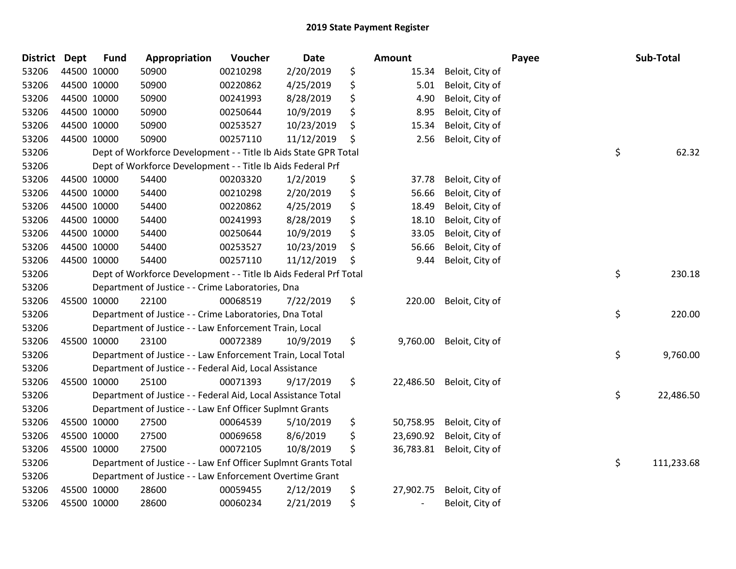| <b>District</b> | <b>Dept</b> | <b>Fund</b> | Appropriation                                                     | Voucher  | Date       | <b>Amount</b>                  |                 | Payee | Sub-Total  |
|-----------------|-------------|-------------|-------------------------------------------------------------------|----------|------------|--------------------------------|-----------------|-------|------------|
| 53206           |             | 44500 10000 | 50900                                                             | 00210298 | 2/20/2019  | \$<br>15.34                    | Beloit, City of |       |            |
| 53206           | 44500 10000 |             | 50900                                                             | 00220862 | 4/25/2019  | \$<br>5.01                     | Beloit, City of |       |            |
| 53206           | 44500 10000 |             | 50900                                                             | 00241993 | 8/28/2019  | \$<br>4.90                     | Beloit, City of |       |            |
| 53206           |             | 44500 10000 | 50900                                                             | 00250644 | 10/9/2019  | \$<br>8.95                     | Beloit, City of |       |            |
| 53206           |             | 44500 10000 | 50900                                                             | 00253527 | 10/23/2019 | \$<br>15.34                    | Beloit, City of |       |            |
| 53206           |             | 44500 10000 | 50900                                                             | 00257110 | 11/12/2019 | \$<br>2.56                     | Beloit, City of |       |            |
| 53206           |             |             | Dept of Workforce Development - - Title Ib Aids State GPR Total   |          |            |                                |                 | \$    | 62.32      |
| 53206           |             |             | Dept of Workforce Development - - Title Ib Aids Federal Prf       |          |            |                                |                 |       |            |
| 53206           |             | 44500 10000 | 54400                                                             | 00203320 | 1/2/2019   | \$<br>37.78                    | Beloit, City of |       |            |
| 53206           |             | 44500 10000 | 54400                                                             | 00210298 | 2/20/2019  | \$<br>56.66                    | Beloit, City of |       |            |
| 53206           |             | 44500 10000 | 54400                                                             | 00220862 | 4/25/2019  | \$<br>18.49                    | Beloit, City of |       |            |
| 53206           | 44500 10000 |             | 54400                                                             | 00241993 | 8/28/2019  | \$<br>18.10                    | Beloit, City of |       |            |
| 53206           | 44500 10000 |             | 54400                                                             | 00250644 | 10/9/2019  | \$<br>33.05                    | Beloit, City of |       |            |
| 53206           |             | 44500 10000 | 54400                                                             | 00253527 | 10/23/2019 | \$<br>56.66                    | Beloit, City of |       |            |
| 53206           |             | 44500 10000 | 54400                                                             | 00257110 | 11/12/2019 | \$<br>9.44                     | Beloit, City of |       |            |
| 53206           |             |             | Dept of Workforce Development - - Title Ib Aids Federal Prf Total |          |            |                                |                 | \$    | 230.18     |
| 53206           |             |             | Department of Justice - - Crime Laboratories, Dna                 |          |            |                                |                 |       |            |
| 53206           | 45500 10000 |             | 22100                                                             | 00068519 | 7/22/2019  | \$<br>220.00                   | Beloit, City of |       |            |
| 53206           |             |             | Department of Justice - - Crime Laboratories, Dna Total           |          |            |                                |                 | \$    | 220.00     |
| 53206           |             |             | Department of Justice - - Law Enforcement Train, Local            |          |            |                                |                 |       |            |
| 53206           |             | 45500 10000 | 23100                                                             | 00072389 | 10/9/2019  | \$<br>9,760.00                 | Beloit, City of |       |            |
| 53206           |             |             | Department of Justice - - Law Enforcement Train, Local Total      |          |            |                                |                 | \$    | 9,760.00   |
| 53206           |             |             | Department of Justice - - Federal Aid, Local Assistance           |          |            |                                |                 |       |            |
| 53206           |             | 45500 10000 | 25100                                                             | 00071393 | 9/17/2019  | \$<br>22,486.50                | Beloit, City of |       |            |
| 53206           |             |             | Department of Justice - - Federal Aid, Local Assistance Total     |          |            |                                |                 | \$    | 22,486.50  |
| 53206           |             |             | Department of Justice - - Law Enf Officer Suplmnt Grants          |          |            |                                |                 |       |            |
| 53206           | 45500 10000 |             | 27500                                                             | 00064539 | 5/10/2019  | \$<br>50,758.95                | Beloit, City of |       |            |
| 53206           | 45500 10000 |             | 27500                                                             | 00069658 | 8/6/2019   | \$<br>23,690.92                | Beloit, City of |       |            |
| 53206           | 45500 10000 |             | 27500                                                             | 00072105 | 10/8/2019  | \$<br>36,783.81                | Beloit, City of |       |            |
| 53206           |             |             | Department of Justice - - Law Enf Officer Suplmnt Grants Total    |          |            |                                |                 | \$    | 111,233.68 |
| 53206           |             |             | Department of Justice - - Law Enforcement Overtime Grant          |          |            |                                |                 |       |            |
| 53206           |             | 45500 10000 | 28600                                                             | 00059455 | 2/12/2019  | \$<br>27,902.75                | Beloit, City of |       |            |
| 53206           |             | 45500 10000 | 28600                                                             | 00060234 | 2/21/2019  | \$<br>$\overline{\phantom{a}}$ | Beloit, City of |       |            |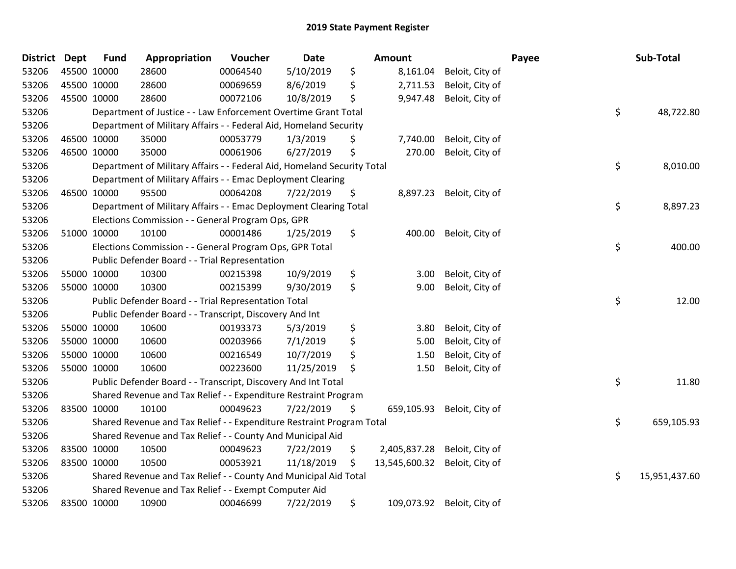| District Dept |             | <b>Fund</b> | Appropriation                                                           | Voucher  | Date       | <b>Amount</b>       |                 | Payee | Sub-Total           |
|---------------|-------------|-------------|-------------------------------------------------------------------------|----------|------------|---------------------|-----------------|-------|---------------------|
| 53206         | 45500 10000 |             | 28600                                                                   | 00064540 | 5/10/2019  | \$<br>8,161.04      | Beloit, City of |       |                     |
| 53206         | 45500 10000 |             | 28600                                                                   | 00069659 | 8/6/2019   | \$<br>2,711.53      | Beloit, City of |       |                     |
| 53206         | 45500 10000 |             | 28600                                                                   | 00072106 | 10/8/2019  | \$<br>9,947.48      | Beloit, City of |       |                     |
| 53206         |             |             | Department of Justice - - Law Enforcement Overtime Grant Total          |          |            |                     |                 |       | \$<br>48,722.80     |
| 53206         |             |             | Department of Military Affairs - - Federal Aid, Homeland Security       |          |            |                     |                 |       |                     |
| 53206         |             | 46500 10000 | 35000                                                                   | 00053779 | 1/3/2019   | \$<br>7,740.00      | Beloit, City of |       |                     |
| 53206         | 46500 10000 |             | 35000                                                                   | 00061906 | 6/27/2019  | \$<br>270.00        | Beloit, City of |       |                     |
| 53206         |             |             | Department of Military Affairs - - Federal Aid, Homeland Security Total |          |            |                     |                 |       | \$<br>8,010.00      |
| 53206         |             |             | Department of Military Affairs - - Emac Deployment Clearing             |          |            |                     |                 |       |                     |
| 53206         | 46500 10000 |             | 95500                                                                   | 00064208 | 7/22/2019  | \$<br>8,897.23      | Beloit, City of |       |                     |
| 53206         |             |             | Department of Military Affairs - - Emac Deployment Clearing Total       |          |            |                     |                 |       | \$<br>8,897.23      |
| 53206         |             |             | Elections Commission - - General Program Ops, GPR                       |          |            |                     |                 |       |                     |
| 53206         |             | 51000 10000 | 10100                                                                   | 00001486 | 1/25/2019  | \$<br>400.00        | Beloit, City of |       |                     |
| 53206         |             |             | Elections Commission - - General Program Ops, GPR Total                 |          |            |                     |                 |       | \$<br>400.00        |
| 53206         |             |             | Public Defender Board - - Trial Representation                          |          |            |                     |                 |       |                     |
| 53206         | 55000 10000 |             | 10300                                                                   | 00215398 | 10/9/2019  | \$<br>3.00          | Beloit, City of |       |                     |
| 53206         | 55000 10000 |             | 10300                                                                   | 00215399 | 9/30/2019  | \$<br>9.00          | Beloit, City of |       |                     |
| 53206         |             |             | Public Defender Board - - Trial Representation Total                    |          |            |                     |                 |       | \$<br>12.00         |
| 53206         |             |             | Public Defender Board - - Transcript, Discovery And Int                 |          |            |                     |                 |       |                     |
| 53206         | 55000 10000 |             | 10600                                                                   | 00193373 | 5/3/2019   | \$<br>3.80          | Beloit, City of |       |                     |
| 53206         | 55000 10000 |             | 10600                                                                   | 00203966 | 7/1/2019   | \$<br>5.00          | Beloit, City of |       |                     |
| 53206         | 55000 10000 |             | 10600                                                                   | 00216549 | 10/7/2019  | \$<br>1.50          | Beloit, City of |       |                     |
| 53206         | 55000 10000 |             | 10600                                                                   | 00223600 | 11/25/2019 | \$<br>1.50          | Beloit, City of |       |                     |
| 53206         |             |             | Public Defender Board - - Transcript, Discovery And Int Total           |          |            |                     |                 |       | \$<br>11.80         |
| 53206         |             |             | Shared Revenue and Tax Relief - - Expenditure Restraint Program         |          |            |                     |                 |       |                     |
| 53206         | 83500 10000 |             | 10100                                                                   | 00049623 | 7/22/2019  | \$<br>659,105.93    | Beloit, City of |       |                     |
| 53206         |             |             | Shared Revenue and Tax Relief - - Expenditure Restraint Program Total   |          |            |                     |                 |       | \$<br>659,105.93    |
| 53206         |             |             | Shared Revenue and Tax Relief - - County And Municipal Aid              |          |            |                     |                 |       |                     |
| 53206         | 83500 10000 |             | 10500                                                                   | 00049623 | 7/22/2019  | \$<br>2,405,837.28  | Beloit, City of |       |                     |
| 53206         | 83500 10000 |             | 10500                                                                   | 00053921 | 11/18/2019 | \$<br>13,545,600.32 | Beloit, City of |       |                     |
| 53206         |             |             | Shared Revenue and Tax Relief - - County And Municipal Aid Total        |          |            |                     |                 |       | \$<br>15,951,437.60 |
| 53206         |             |             | Shared Revenue and Tax Relief - - Exempt Computer Aid                   |          |            |                     |                 |       |                     |
| 53206         |             | 83500 10000 | 10900                                                                   | 00046699 | 7/22/2019  | \$<br>109,073.92    | Beloit, City of |       |                     |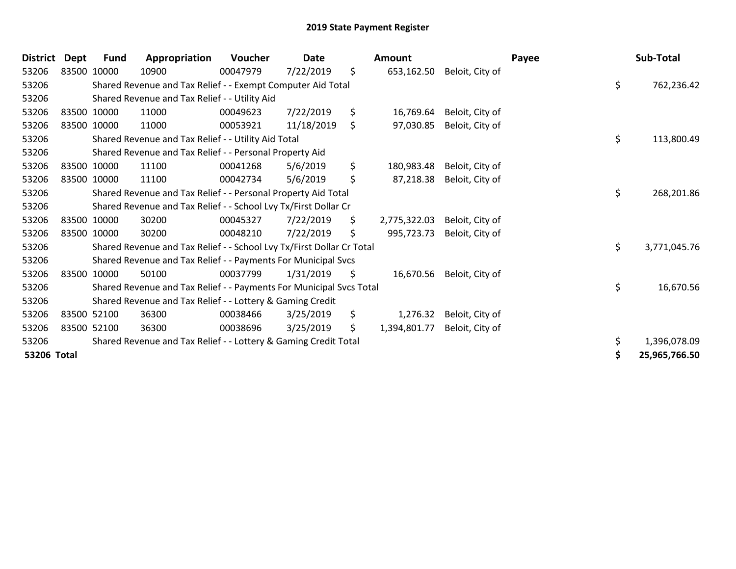| <b>District</b> | <b>Dept</b> | <b>Fund</b> | Appropriation                                                         | <b>Voucher</b> | Date       |    | <b>Amount</b> |                 | Payee |    | Sub-Total     |
|-----------------|-------------|-------------|-----------------------------------------------------------------------|----------------|------------|----|---------------|-----------------|-------|----|---------------|
| 53206           | 83500 10000 |             | 10900                                                                 | 00047979       | 7/22/2019  | \$ | 653,162.50    | Beloit, City of |       |    |               |
| 53206           |             |             | Shared Revenue and Tax Relief - - Exempt Computer Aid Total           |                |            |    |               |                 |       | \$ | 762,236.42    |
| 53206           |             |             | Shared Revenue and Tax Relief - - Utility Aid                         |                |            |    |               |                 |       |    |               |
| 53206           |             | 83500 10000 | 11000                                                                 | 00049623       | 7/22/2019  | \$ | 16,769.64     | Beloit, City of |       |    |               |
| 53206           |             | 83500 10000 | 11000                                                                 | 00053921       | 11/18/2019 | \$ | 97,030.85     | Beloit, City of |       |    |               |
| 53206           |             |             | Shared Revenue and Tax Relief - - Utility Aid Total                   |                |            |    |               |                 |       | \$ | 113,800.49    |
| 53206           |             |             | Shared Revenue and Tax Relief - - Personal Property Aid               |                |            |    |               |                 |       |    |               |
| 53206           |             | 83500 10000 | 11100                                                                 | 00041268       | 5/6/2019   | \$ | 180,983.48    | Beloit, City of |       |    |               |
| 53206           | 83500 10000 |             | 11100                                                                 | 00042734       | 5/6/2019   | \$ | 87,218.38     | Beloit, City of |       |    |               |
| 53206           |             |             | Shared Revenue and Tax Relief - - Personal Property Aid Total         |                |            |    |               |                 |       | \$ | 268,201.86    |
| 53206           |             |             | Shared Revenue and Tax Relief - - School Lvy Tx/First Dollar Cr       |                |            |    |               |                 |       |    |               |
| 53206           |             | 83500 10000 | 30200                                                                 | 00045327       | 7/22/2019  | \$ | 2,775,322.03  | Beloit, City of |       |    |               |
| 53206           |             | 83500 10000 | 30200                                                                 | 00048210       | 7/22/2019  | \$ | 995,723.73    | Beloit, City of |       |    |               |
| 53206           |             |             | Shared Revenue and Tax Relief - - School Lvy Tx/First Dollar Cr Total |                |            |    |               |                 |       | \$ | 3,771,045.76  |
| 53206           |             |             | Shared Revenue and Tax Relief - - Payments For Municipal Svcs         |                |            |    |               |                 |       |    |               |
| 53206           |             | 83500 10000 | 50100                                                                 | 00037799       | 1/31/2019  | -Ş | 16,670.56     | Beloit, City of |       |    |               |
| 53206           |             |             | Shared Revenue and Tax Relief - - Payments For Municipal Svcs Total   |                |            |    |               |                 |       | \$ | 16,670.56     |
| 53206           |             |             | Shared Revenue and Tax Relief - - Lottery & Gaming Credit             |                |            |    |               |                 |       |    |               |
| 53206           |             | 83500 52100 | 36300                                                                 | 00038466       | 3/25/2019  | \$ | 1,276.32      | Beloit, City of |       |    |               |
| 53206           | 83500 52100 |             | 36300                                                                 | 00038696       | 3/25/2019  | \$ | 1,394,801.77  | Beloit, City of |       |    |               |
| 53206           |             |             | Shared Revenue and Tax Relief - - Lottery & Gaming Credit Total       |                |            |    |               |                 |       | \$ | 1,396,078.09  |
| 53206 Total     |             |             |                                                                       |                |            |    |               |                 |       | Ş  | 25,965,766.50 |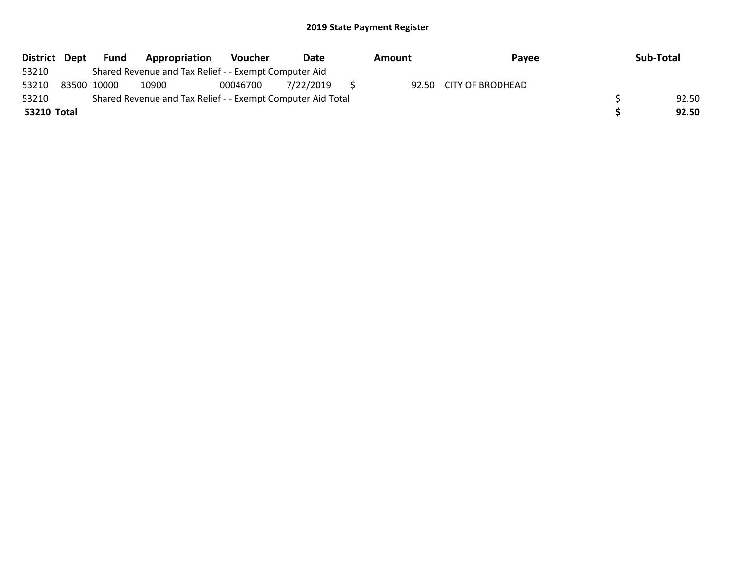|             | District Dept Fund                                          | Appropriation | Voucher  | Date      |  | Amount | Payee                  |  | Sub-Total |
|-------------|-------------------------------------------------------------|---------------|----------|-----------|--|--------|------------------------|--|-----------|
| 53210       | Shared Revenue and Tax Relief - - Exempt Computer Aid       |               |          |           |  |        |                        |  |           |
| 53210       | 83500 10000                                                 | 10900         | 00046700 | 7/22/2019 |  |        | 92.50 CITY OF BRODHEAD |  |           |
| 53210       | Shared Revenue and Tax Relief - - Exempt Computer Aid Total |               |          |           |  |        |                        |  | 92.50     |
| 53210 Total |                                                             |               |          |           |  |        |                        |  | 92.50     |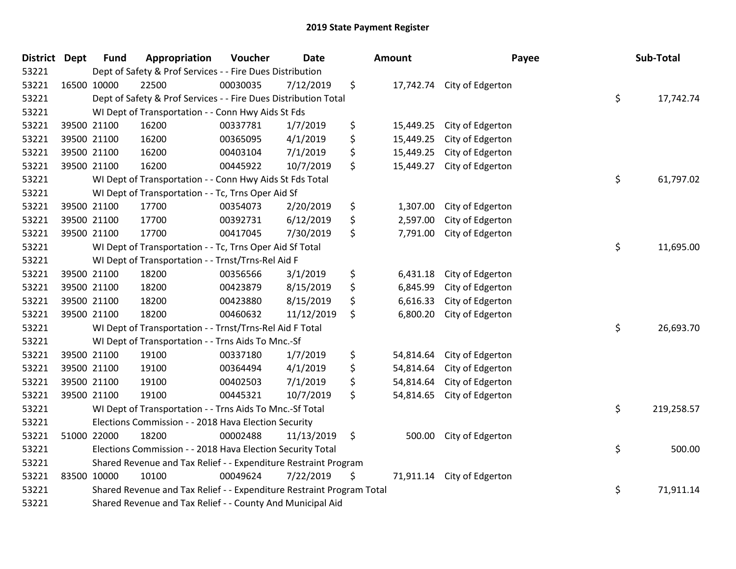| <b>District Dept</b> | <b>Fund</b>                                                                              | Appropriation                                      | Voucher  | <b>Date</b> |    | Amount    | Payee                      |        | Sub-Total  |
|----------------------|------------------------------------------------------------------------------------------|----------------------------------------------------|----------|-------------|----|-----------|----------------------------|--------|------------|
| 53221                | Dept of Safety & Prof Services - - Fire Dues Distribution                                |                                                    |          |             |    |           |                            |        |            |
| 53221                | 16500 10000                                                                              | 22500                                              | 00030035 | 7/12/2019   | \$ |           | 17,742.74 City of Edgerton |        |            |
| 53221                | \$<br>Dept of Safety & Prof Services - - Fire Dues Distribution Total                    |                                                    |          |             |    |           |                            |        | 17,742.74  |
| 53221                | WI Dept of Transportation - - Conn Hwy Aids St Fds                                       |                                                    |          |             |    |           |                            |        |            |
| 53221                | 39500 21100                                                                              | 16200                                              | 00337781 | 1/7/2019    | \$ | 15,449.25 | City of Edgerton           |        |            |
| 53221                | 39500 21100                                                                              | 16200                                              | 00365095 | 4/1/2019    | \$ | 15,449.25 | City of Edgerton           |        |            |
| 53221                | 39500 21100                                                                              | 16200                                              | 00403104 | 7/1/2019    | \$ | 15,449.25 | City of Edgerton           |        |            |
| 53221                | 39500 21100                                                                              | 16200                                              | 00445922 | 10/7/2019   | \$ | 15,449.27 | City of Edgerton           |        |            |
| 53221                | \$<br>WI Dept of Transportation - - Conn Hwy Aids St Fds Total                           |                                                    |          |             |    |           |                            |        | 61,797.02  |
| 53221                |                                                                                          | WI Dept of Transportation - - Tc, Trns Oper Aid Sf |          |             |    |           |                            |        |            |
| 53221                | 39500 21100                                                                              | 17700                                              | 00354073 | 2/20/2019   | \$ | 1,307.00  | City of Edgerton           |        |            |
| 53221                | 39500 21100                                                                              | 17700                                              | 00392731 | 6/12/2019   | \$ | 2,597.00  | City of Edgerton           |        |            |
| 53221                | 39500 21100                                                                              | 17700                                              | 00417045 | 7/30/2019   | \$ | 7,791.00  | City of Edgerton           |        |            |
| 53221                | WI Dept of Transportation - - Tc, Trns Oper Aid Sf Total                                 |                                                    |          |             |    |           |                            |        | 11,695.00  |
| 53221                |                                                                                          | WI Dept of Transportation - - Trnst/Trns-Rel Aid F |          |             |    |           |                            |        |            |
| 53221                | 39500 21100                                                                              | 18200                                              | 00356566 | 3/1/2019    | \$ | 6,431.18  | City of Edgerton           |        |            |
| 53221                | 39500 21100                                                                              | 18200                                              | 00423879 | 8/15/2019   | \$ | 6,845.99  | City of Edgerton           |        |            |
| 53221                | 39500 21100                                                                              | 18200                                              | 00423880 | 8/15/2019   | \$ | 6,616.33  | City of Edgerton           |        |            |
| 53221                | 39500 21100                                                                              | 18200                                              | 00460632 | 11/12/2019  | \$ | 6,800.20  | City of Edgerton           |        |            |
| 53221                | WI Dept of Transportation - - Trnst/Trns-Rel Aid F Total                                 |                                                    |          |             |    |           |                            |        | 26,693.70  |
| 53221                | WI Dept of Transportation - - Trns Aids To Mnc.-Sf                                       |                                                    |          |             |    |           |                            |        |            |
| 53221                | 39500 21100                                                                              | 19100                                              | 00337180 | 1/7/2019    | \$ | 54,814.64 | City of Edgerton           |        |            |
| 53221                | 39500 21100                                                                              | 19100                                              | 00364494 | 4/1/2019    | \$ | 54,814.64 | City of Edgerton           |        |            |
| 53221                | 39500 21100                                                                              | 19100                                              | 00402503 | 7/1/2019    | \$ | 54,814.64 | City of Edgerton           |        |            |
| 53221                | 39500 21100                                                                              | 19100                                              | 00445321 | 10/7/2019   | \$ | 54,814.65 | City of Edgerton           |        |            |
| 53221                | \$<br>WI Dept of Transportation - - Trns Aids To Mnc.-Sf Total                           |                                                    |          |             |    |           |                            |        | 219,258.57 |
| 53221                | Elections Commission - - 2018 Hava Election Security                                     |                                                    |          |             |    |           |                            |        |            |
| 53221                | 51000 22000                                                                              | 18200                                              | 00002488 | 11/13/2019  | \$ | 500.00    | City of Edgerton           |        |            |
| 53221                | \$<br>Elections Commission - - 2018 Hava Election Security Total                         |                                                    |          |             |    |           |                            | 500.00 |            |
| 53221                | Shared Revenue and Tax Relief - - Expenditure Restraint Program                          |                                                    |          |             |    |           |                            |        |            |
| 53221                | 83500 10000                                                                              | 10100                                              | 00049624 | 7/22/2019   | \$ | 71,911.14 | City of Edgerton           |        |            |
| 53221                | \$<br>Shared Revenue and Tax Relief - - Expenditure Restraint Program Total<br>71,911.14 |                                                    |          |             |    |           |                            |        |            |
| 53221                | Shared Revenue and Tax Relief - - County And Municipal Aid                               |                                                    |          |             |    |           |                            |        |            |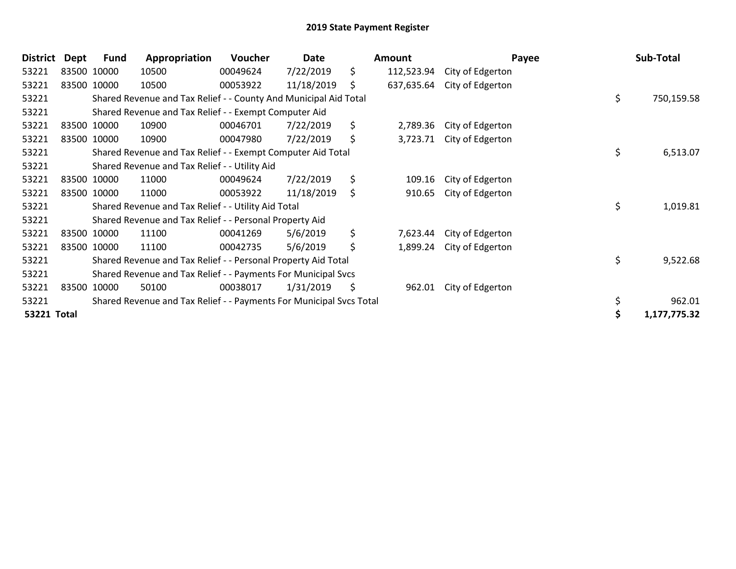| <b>District</b>    | Dept | <b>Fund</b> | Appropriation                                                       | <b>Voucher</b> | Date       | Amount           | Payee            |    | Sub-Total    |
|--------------------|------|-------------|---------------------------------------------------------------------|----------------|------------|------------------|------------------|----|--------------|
| 53221              |      | 83500 10000 | 10500                                                               | 00049624       | 7/22/2019  | \$<br>112,523.94 | City of Edgerton |    |              |
| 53221              |      | 83500 10000 | 10500                                                               | 00053922       | 11/18/2019 | \$<br>637,635.64 | City of Edgerton |    |              |
| 53221              |      |             | Shared Revenue and Tax Relief - - County And Municipal Aid Total    |                |            |                  |                  | \$ | 750,159.58   |
| 53221              |      |             | Shared Revenue and Tax Relief - - Exempt Computer Aid               |                |            |                  |                  |    |              |
| 53221              |      | 83500 10000 | 10900                                                               | 00046701       | 7/22/2019  | \$<br>2,789.36   | City of Edgerton |    |              |
| 53221              |      | 83500 10000 | 10900                                                               | 00047980       | 7/22/2019  | \$<br>3,723.71   | City of Edgerton |    |              |
| 53221              |      |             | Shared Revenue and Tax Relief - - Exempt Computer Aid Total         |                |            |                  |                  | \$ | 6,513.07     |
| 53221              |      |             | Shared Revenue and Tax Relief - - Utility Aid                       |                |            |                  |                  |    |              |
| 53221              |      | 83500 10000 | 11000                                                               | 00049624       | 7/22/2019  | \$<br>109.16     | City of Edgerton |    |              |
| 53221              |      | 83500 10000 | 11000                                                               | 00053922       | 11/18/2019 | \$<br>910.65     | City of Edgerton |    |              |
| 53221              |      |             | Shared Revenue and Tax Relief - - Utility Aid Total                 |                |            |                  |                  | \$ | 1,019.81     |
| 53221              |      |             | Shared Revenue and Tax Relief - - Personal Property Aid             |                |            |                  |                  |    |              |
| 53221              |      | 83500 10000 | 11100                                                               | 00041269       | 5/6/2019   | \$<br>7,623.44   | City of Edgerton |    |              |
| 53221              |      | 83500 10000 | 11100                                                               | 00042735       | 5/6/2019   | \$<br>1,899.24   | City of Edgerton |    |              |
| 53221              |      |             | Shared Revenue and Tax Relief - - Personal Property Aid Total       |                |            |                  |                  | \$ | 9,522.68     |
| 53221              |      |             | Shared Revenue and Tax Relief - - Payments For Municipal Svcs       |                |            |                  |                  |    |              |
| 53221              |      | 83500 10000 | 50100                                                               | 00038017       | 1/31/2019  | \$<br>962.01     | City of Edgerton |    |              |
| 53221              |      |             | Shared Revenue and Tax Relief - - Payments For Municipal Svcs Total |                |            |                  |                  |    | 962.01       |
| <b>53221 Total</b> |      |             |                                                                     |                |            |                  |                  | Ś  | 1,177,775.32 |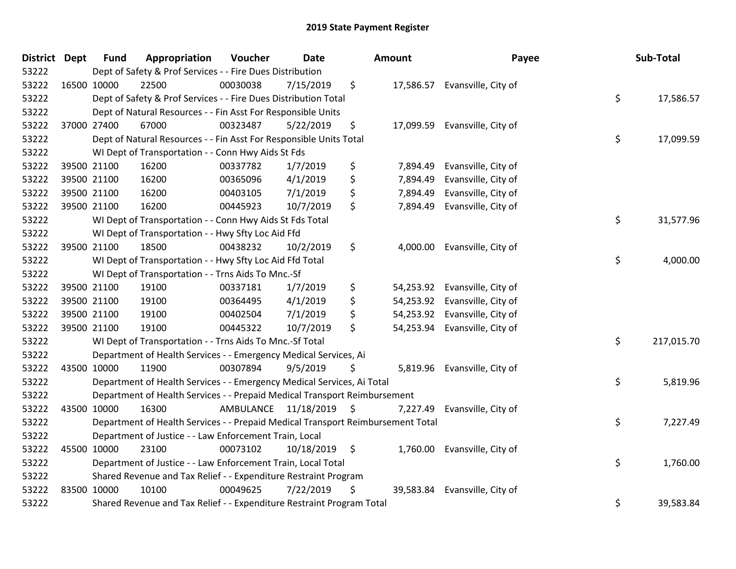| District Dept |             | <b>Fund</b> | Appropriation                                                                   | Voucher   | <b>Date</b>     |     | Amount    | Payee                         | Sub-Total        |
|---------------|-------------|-------------|---------------------------------------------------------------------------------|-----------|-----------------|-----|-----------|-------------------------------|------------------|
| 53222         |             |             | Dept of Safety & Prof Services - - Fire Dues Distribution                       |           |                 |     |           |                               |                  |
| 53222         | 16500 10000 |             | 22500                                                                           | 00030038  | 7/15/2019       | \$  |           | 17,586.57 Evansville, City of |                  |
| 53222         |             |             | Dept of Safety & Prof Services - - Fire Dues Distribution Total                 |           |                 |     |           |                               | \$<br>17,586.57  |
| 53222         |             |             | Dept of Natural Resources - - Fin Asst For Responsible Units                    |           |                 |     |           |                               |                  |
| 53222         |             | 37000 27400 | 67000                                                                           | 00323487  | 5/22/2019       | \$  | 17,099.59 | Evansville, City of           |                  |
| 53222         |             |             | Dept of Natural Resources - - Fin Asst For Responsible Units Total              |           |                 |     |           |                               | \$<br>17,099.59  |
| 53222         |             |             | WI Dept of Transportation - - Conn Hwy Aids St Fds                              |           |                 |     |           |                               |                  |
| 53222         |             | 39500 21100 | 16200                                                                           | 00337782  | 1/7/2019        | \$  | 7,894.49  | Evansville, City of           |                  |
| 53222         | 39500 21100 |             | 16200                                                                           | 00365096  | 4/1/2019        | \$  | 7,894.49  | Evansville, City of           |                  |
| 53222         |             | 39500 21100 | 16200                                                                           | 00403105  | 7/1/2019        | \$  | 7,894.49  | Evansville, City of           |                  |
| 53222         |             | 39500 21100 | 16200                                                                           | 00445923  | 10/7/2019       | \$  | 7,894.49  | Evansville, City of           |                  |
| 53222         |             |             | WI Dept of Transportation - - Conn Hwy Aids St Fds Total                        |           |                 |     |           |                               | \$<br>31,577.96  |
| 53222         |             |             | WI Dept of Transportation - - Hwy Sfty Loc Aid Ffd                              |           |                 |     |           |                               |                  |
| 53222         |             | 39500 21100 | 18500                                                                           | 00438232  | 10/2/2019       | \$  | 4,000.00  | Evansville, City of           |                  |
| 53222         |             |             | WI Dept of Transportation - - Hwy Sfty Loc Aid Ffd Total                        |           |                 |     |           |                               | \$<br>4,000.00   |
| 53222         |             |             | WI Dept of Transportation - - Trns Aids To Mnc.-Sf                              |           |                 |     |           |                               |                  |
| 53222         |             | 39500 21100 | 19100                                                                           | 00337181  | 1/7/2019        | \$  | 54,253.92 | Evansville, City of           |                  |
| 53222         | 39500 21100 |             | 19100                                                                           | 00364495  | 4/1/2019        | \$  |           | 54,253.92 Evansville, City of |                  |
| 53222         | 39500 21100 |             | 19100                                                                           | 00402504  | 7/1/2019        | \$  | 54,253.92 | Evansville, City of           |                  |
| 53222         |             | 39500 21100 | 19100                                                                           | 00445322  | 10/7/2019       | \$  | 54,253.94 | Evansville, City of           |                  |
| 53222         |             |             | WI Dept of Transportation - - Trns Aids To Mnc.-Sf Total                        |           |                 |     |           |                               | \$<br>217,015.70 |
| 53222         |             |             | Department of Health Services - - Emergency Medical Services, Ai                |           |                 |     |           |                               |                  |
| 53222         | 43500 10000 |             | 11900                                                                           | 00307894  | 9/5/2019        | \$  | 5,819.96  | Evansville, City of           |                  |
| 53222         |             |             | Department of Health Services - - Emergency Medical Services, Ai Total          |           |                 |     |           |                               | \$<br>5,819.96   |
| 53222         |             |             | Department of Health Services - - Prepaid Medical Transport Reimbursement       |           |                 |     |           |                               |                  |
| 53222         |             | 43500 10000 | 16300                                                                           | AMBULANCE | 11/18/2019      | -\$ | 7,227.49  | Evansville, City of           |                  |
| 53222         |             |             | Department of Health Services - - Prepaid Medical Transport Reimbursement Total |           |                 |     |           |                               | \$<br>7,227.49   |
| 53222         |             |             | Department of Justice - - Law Enforcement Train, Local                          |           |                 |     |           |                               |                  |
| 53222         | 45500 10000 |             | 23100                                                                           | 00073102  | $10/18/2019$ \$ |     | 1,760.00  | Evansville, City of           |                  |
| 53222         |             |             | Department of Justice - - Law Enforcement Train, Local Total                    |           |                 |     |           |                               | \$<br>1,760.00   |
| 53222         |             |             | Shared Revenue and Tax Relief - - Expenditure Restraint Program                 |           |                 |     |           |                               |                  |
| 53222         | 83500 10000 |             | 10100                                                                           | 00049625  | 7/22/2019       | \$  | 39,583.84 | Evansville, City of           |                  |
| 53222         |             |             | Shared Revenue and Tax Relief - - Expenditure Restraint Program Total           |           |                 |     |           |                               | \$<br>39,583.84  |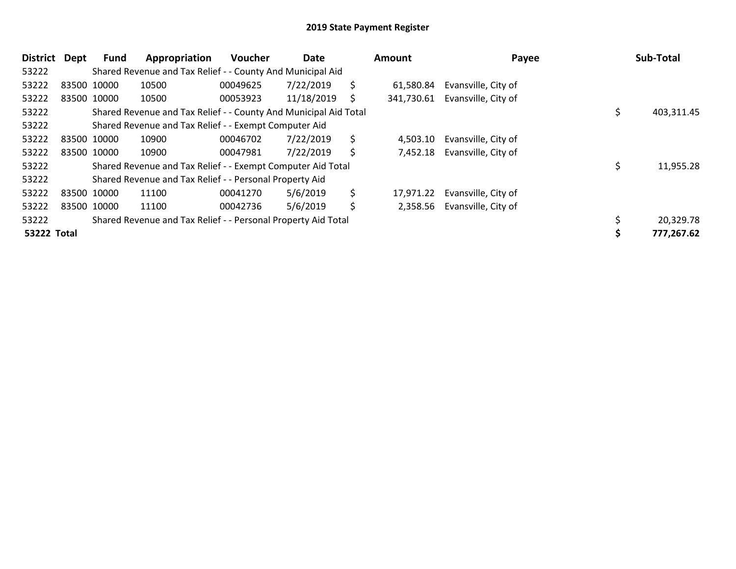| <b>District</b>    | Dept | Fund        | Appropriation                                                    | <b>Voucher</b> | Date       |    | Amount    | Payee                          | <b>Sub-Total</b> |
|--------------------|------|-------------|------------------------------------------------------------------|----------------|------------|----|-----------|--------------------------------|------------------|
| 53222              |      |             | Shared Revenue and Tax Relief - - County And Municipal Aid       |                |            |    |           |                                |                  |
| 53222              |      | 83500 10000 | 10500                                                            | 00049625       | 7/22/2019  | \$ | 61,580.84 | Evansville, City of            |                  |
| 53222              |      | 83500 10000 | 10500                                                            | 00053923       | 11/18/2019 | S  |           | 341,730.61 Evansville, City of |                  |
| 53222              |      |             | Shared Revenue and Tax Relief - - County And Municipal Aid Total |                |            |    |           |                                | 403,311.45       |
| 53222              |      |             | Shared Revenue and Tax Relief - - Exempt Computer Aid            |                |            |    |           |                                |                  |
| 53222              |      | 83500 10000 | 10900                                                            | 00046702       | 7/22/2019  | \$ | 4,503.10  | Evansville, City of            |                  |
| 53222              |      | 83500 10000 | 10900                                                            | 00047981       | 7/22/2019  | \$ |           | 7,452.18 Evansville, City of   |                  |
| 53222              |      |             | Shared Revenue and Tax Relief - - Exempt Computer Aid Total      |                |            |    |           |                                | \$<br>11,955.28  |
| 53222              |      |             | Shared Revenue and Tax Relief - - Personal Property Aid          |                |            |    |           |                                |                  |
| 53222              |      | 83500 10000 | 11100                                                            | 00041270       | 5/6/2019   | \$ | 17,971.22 | Evansville, City of            |                  |
| 53222              |      | 83500 10000 | 11100                                                            | 00042736       | 5/6/2019   | \$ |           | 2,358.56 Evansville, City of   |                  |
| 53222              |      |             | Shared Revenue and Tax Relief - - Personal Property Aid Total    |                |            |    |           |                                | 20,329.78        |
| <b>53222 Total</b> |      |             |                                                                  |                |            |    |           |                                | 777,267.62       |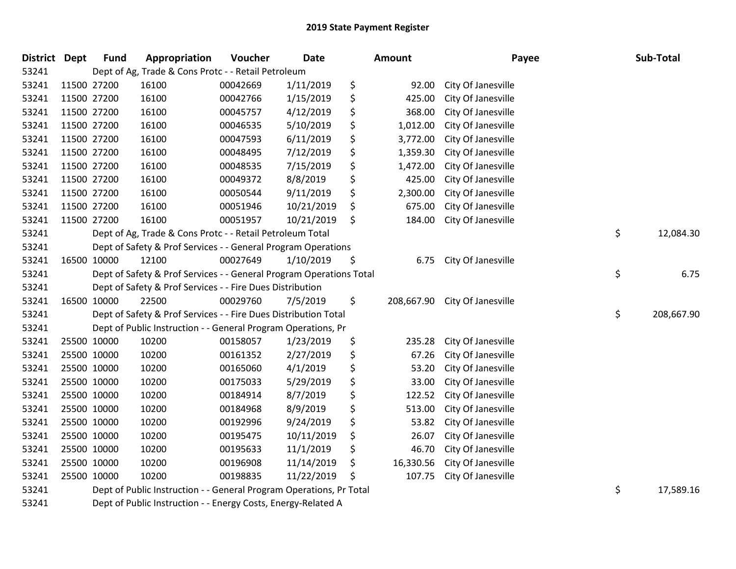| <b>District Dept</b> |             | <b>Fund</b> | Appropriation                                                       | Voucher  | <b>Date</b> | <b>Amount</b>    | Payee              | Sub-Total        |
|----------------------|-------------|-------------|---------------------------------------------------------------------|----------|-------------|------------------|--------------------|------------------|
| 53241                |             |             | Dept of Ag, Trade & Cons Protc - - Retail Petroleum                 |          |             |                  |                    |                  |
| 53241                | 11500 27200 |             | 16100                                                               | 00042669 | 1/11/2019   | \$<br>92.00      | City Of Janesville |                  |
| 53241                | 11500 27200 |             | 16100                                                               | 00042766 | 1/15/2019   | \$<br>425.00     | City Of Janesville |                  |
| 53241                |             | 11500 27200 | 16100                                                               | 00045757 | 4/12/2019   | \$<br>368.00     | City Of Janesville |                  |
| 53241                | 11500 27200 |             | 16100                                                               | 00046535 | 5/10/2019   | \$<br>1,012.00   | City Of Janesville |                  |
| 53241                | 11500 27200 |             | 16100                                                               | 00047593 | 6/11/2019   | \$<br>3,772.00   | City Of Janesville |                  |
| 53241                | 11500 27200 |             | 16100                                                               | 00048495 | 7/12/2019   | \$<br>1,359.30   | City Of Janesville |                  |
| 53241                | 11500 27200 |             | 16100                                                               | 00048535 | 7/15/2019   | \$<br>1,472.00   | City Of Janesville |                  |
| 53241                | 11500 27200 |             | 16100                                                               | 00049372 | 8/8/2019    | \$<br>425.00     | City Of Janesville |                  |
| 53241                | 11500 27200 |             | 16100                                                               | 00050544 | 9/11/2019   | \$<br>2,300.00   | City Of Janesville |                  |
| 53241                | 11500 27200 |             | 16100                                                               | 00051946 | 10/21/2019  | \$<br>675.00     | City Of Janesville |                  |
| 53241                | 11500 27200 |             | 16100                                                               | 00051957 | 10/21/2019  | \$<br>184.00     | City Of Janesville |                  |
| 53241                |             |             | Dept of Ag, Trade & Cons Protc - - Retail Petroleum Total           |          |             |                  |                    | \$<br>12,084.30  |
| 53241                |             |             | Dept of Safety & Prof Services - - General Program Operations       |          |             |                  |                    |                  |
| 53241                |             | 16500 10000 | 12100                                                               | 00027649 | 1/10/2019   | \$<br>6.75       | City Of Janesville |                  |
| 53241                |             |             | Dept of Safety & Prof Services - - General Program Operations Total |          |             |                  |                    | \$<br>6.75       |
| 53241                |             |             | Dept of Safety & Prof Services - - Fire Dues Distribution           |          |             |                  |                    |                  |
| 53241                |             | 16500 10000 | 22500                                                               | 00029760 | 7/5/2019    | \$<br>208,667.90 | City Of Janesville |                  |
| 53241                |             |             | Dept of Safety & Prof Services - - Fire Dues Distribution Total     |          |             |                  |                    | \$<br>208,667.90 |
| 53241                |             |             | Dept of Public Instruction - - General Program Operations, Pr       |          |             |                  |                    |                  |
| 53241                |             | 25500 10000 | 10200                                                               | 00158057 | 1/23/2019   | \$<br>235.28     | City Of Janesville |                  |
| 53241                | 25500 10000 |             | 10200                                                               | 00161352 | 2/27/2019   | \$<br>67.26      | City Of Janesville |                  |
| 53241                | 25500 10000 |             | 10200                                                               | 00165060 | 4/1/2019    | \$<br>53.20      | City Of Janesville |                  |
| 53241                |             | 25500 10000 | 10200                                                               | 00175033 | 5/29/2019   | \$<br>33.00      | City Of Janesville |                  |
| 53241                |             | 25500 10000 | 10200                                                               | 00184914 | 8/7/2019    | \$<br>122.52     | City Of Janesville |                  |
| 53241                | 25500 10000 |             | 10200                                                               | 00184968 | 8/9/2019    | \$<br>513.00     | City Of Janesville |                  |
| 53241                | 25500 10000 |             | 10200                                                               | 00192996 | 9/24/2019   | \$<br>53.82      | City Of Janesville |                  |
| 53241                | 25500 10000 |             | 10200                                                               | 00195475 | 10/11/2019  | \$<br>26.07      | City Of Janesville |                  |
| 53241                |             | 25500 10000 | 10200                                                               | 00195633 | 11/1/2019   | \$<br>46.70      | City Of Janesville |                  |
| 53241                |             | 25500 10000 | 10200                                                               | 00196908 | 11/14/2019  | \$<br>16,330.56  | City Of Janesville |                  |
| 53241                |             | 25500 10000 | 10200                                                               | 00198835 | 11/22/2019  | \$<br>107.75     | City Of Janesville |                  |
| 53241                |             |             | Dept of Public Instruction - - General Program Operations, Pr Total |          |             |                  |                    | \$<br>17,589.16  |
| 53241                |             |             | Dept of Public Instruction - - Energy Costs, Energy-Related A       |          |             |                  |                    |                  |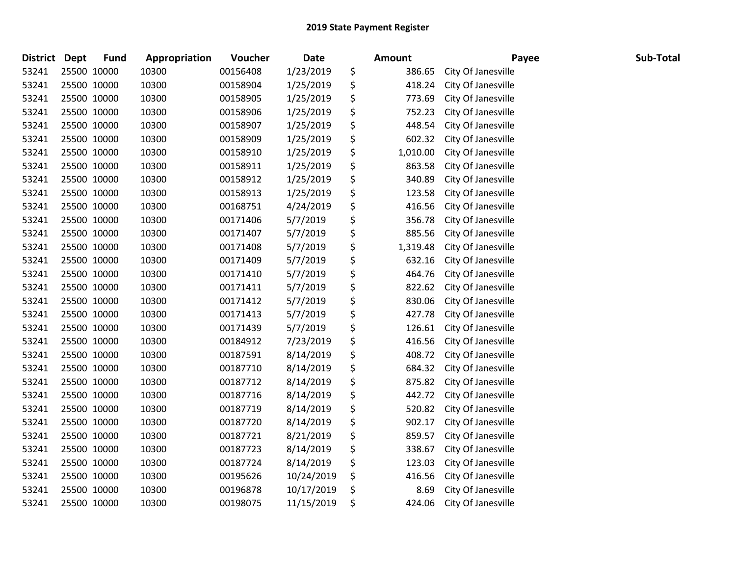| <b>District</b> | <b>Dept</b> | <b>Fund</b> | Appropriation | Voucher  | <b>Date</b> | <b>Amount</b>  | Payee              | Sub-Total |
|-----------------|-------------|-------------|---------------|----------|-------------|----------------|--------------------|-----------|
| 53241           |             | 25500 10000 | 10300         | 00156408 | 1/23/2019   | \$<br>386.65   | City Of Janesville |           |
| 53241           |             | 25500 10000 | 10300         | 00158904 | 1/25/2019   | \$<br>418.24   | City Of Janesville |           |
| 53241           |             | 25500 10000 | 10300         | 00158905 | 1/25/2019   | \$<br>773.69   | City Of Janesville |           |
| 53241           |             | 25500 10000 | 10300         | 00158906 | 1/25/2019   | \$<br>752.23   | City Of Janesville |           |
| 53241           |             | 25500 10000 | 10300         | 00158907 | 1/25/2019   | \$<br>448.54   | City Of Janesville |           |
| 53241           |             | 25500 10000 | 10300         | 00158909 | 1/25/2019   | \$<br>602.32   | City Of Janesville |           |
| 53241           |             | 25500 10000 | 10300         | 00158910 | 1/25/2019   | \$<br>1,010.00 | City Of Janesville |           |
| 53241           |             | 25500 10000 | 10300         | 00158911 | 1/25/2019   | \$<br>863.58   | City Of Janesville |           |
| 53241           |             | 25500 10000 | 10300         | 00158912 | 1/25/2019   | \$<br>340.89   | City Of Janesville |           |
| 53241           |             | 25500 10000 | 10300         | 00158913 | 1/25/2019   | \$<br>123.58   | City Of Janesville |           |
| 53241           |             | 25500 10000 | 10300         | 00168751 | 4/24/2019   | \$<br>416.56   | City Of Janesville |           |
| 53241           |             | 25500 10000 | 10300         | 00171406 | 5/7/2019    | \$<br>356.78   | City Of Janesville |           |
| 53241           |             | 25500 10000 | 10300         | 00171407 | 5/7/2019    | \$<br>885.56   | City Of Janesville |           |
| 53241           |             | 25500 10000 | 10300         | 00171408 | 5/7/2019    | \$<br>1,319.48 | City Of Janesville |           |
| 53241           |             | 25500 10000 | 10300         | 00171409 | 5/7/2019    | \$<br>632.16   | City Of Janesville |           |
| 53241           |             | 25500 10000 | 10300         | 00171410 | 5/7/2019    | \$<br>464.76   | City Of Janesville |           |
| 53241           |             | 25500 10000 | 10300         | 00171411 | 5/7/2019    | \$<br>822.62   | City Of Janesville |           |
| 53241           |             | 25500 10000 | 10300         | 00171412 | 5/7/2019    | \$<br>830.06   | City Of Janesville |           |
| 53241           |             | 25500 10000 | 10300         | 00171413 | 5/7/2019    | \$<br>427.78   | City Of Janesville |           |
| 53241           |             | 25500 10000 | 10300         | 00171439 | 5/7/2019    | \$<br>126.61   | City Of Janesville |           |
| 53241           |             | 25500 10000 | 10300         | 00184912 | 7/23/2019   | \$<br>416.56   | City Of Janesville |           |
| 53241           |             | 25500 10000 | 10300         | 00187591 | 8/14/2019   | \$<br>408.72   | City Of Janesville |           |
| 53241           |             | 25500 10000 | 10300         | 00187710 | 8/14/2019   | \$<br>684.32   | City Of Janesville |           |
| 53241           |             | 25500 10000 | 10300         | 00187712 | 8/14/2019   | \$<br>875.82   | City Of Janesville |           |
| 53241           |             | 25500 10000 | 10300         | 00187716 | 8/14/2019   | \$<br>442.72   | City Of Janesville |           |
| 53241           |             | 25500 10000 | 10300         | 00187719 | 8/14/2019   | \$<br>520.82   | City Of Janesville |           |
| 53241           |             | 25500 10000 | 10300         | 00187720 | 8/14/2019   | \$<br>902.17   | City Of Janesville |           |
| 53241           |             | 25500 10000 | 10300         | 00187721 | 8/21/2019   | \$<br>859.57   | City Of Janesville |           |
| 53241           |             | 25500 10000 | 10300         | 00187723 | 8/14/2019   | \$<br>338.67   | City Of Janesville |           |
| 53241           |             | 25500 10000 | 10300         | 00187724 | 8/14/2019   | \$<br>123.03   | City Of Janesville |           |
| 53241           |             | 25500 10000 | 10300         | 00195626 | 10/24/2019  | \$<br>416.56   | City Of Janesville |           |
| 53241           |             | 25500 10000 | 10300         | 00196878 | 10/17/2019  | \$<br>8.69     | City Of Janesville |           |
| 53241           |             | 25500 10000 | 10300         | 00198075 | 11/15/2019  | \$<br>424.06   | City Of Janesville |           |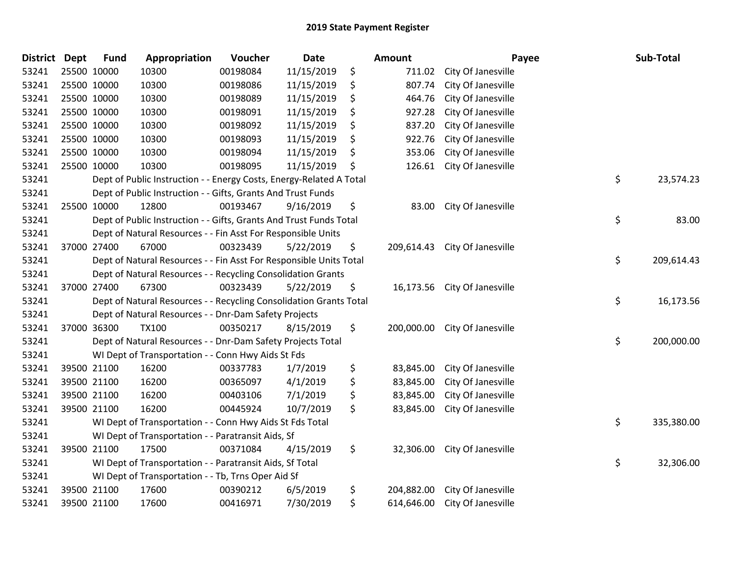| <b>District Dept</b> |             | <b>Fund</b> | Appropriation                                                       | Voucher  | <b>Date</b> | Amount           |                    | Payee | Sub-Total  |
|----------------------|-------------|-------------|---------------------------------------------------------------------|----------|-------------|------------------|--------------------|-------|------------|
| 53241                |             | 25500 10000 | 10300                                                               | 00198084 | 11/15/2019  | \$<br>711.02     | City Of Janesville |       |            |
| 53241                |             | 25500 10000 | 10300                                                               | 00198086 | 11/15/2019  | \$<br>807.74     | City Of Janesville |       |            |
| 53241                | 25500 10000 |             | 10300                                                               | 00198089 | 11/15/2019  | \$<br>464.76     | City Of Janesville |       |            |
| 53241                |             | 25500 10000 | 10300                                                               | 00198091 | 11/15/2019  | \$<br>927.28     | City Of Janesville |       |            |
| 53241                |             | 25500 10000 | 10300                                                               | 00198092 | 11/15/2019  | \$<br>837.20     | City Of Janesville |       |            |
| 53241                |             | 25500 10000 | 10300                                                               | 00198093 | 11/15/2019  | \$<br>922.76     | City Of Janesville |       |            |
| 53241                |             | 25500 10000 | 10300                                                               | 00198094 | 11/15/2019  | \$<br>353.06     | City Of Janesville |       |            |
| 53241                |             | 25500 10000 | 10300                                                               | 00198095 | 11/15/2019  | \$<br>126.61     | City Of Janesville |       |            |
| 53241                |             |             | Dept of Public Instruction - - Energy Costs, Energy-Related A Total |          |             |                  |                    | \$    | 23,574.23  |
| 53241                |             |             | Dept of Public Instruction - - Gifts, Grants And Trust Funds        |          |             |                  |                    |       |            |
| 53241                |             | 25500 10000 | 12800                                                               | 00193467 | 9/16/2019   | \$<br>83.00      | City Of Janesville |       |            |
| 53241                |             |             | Dept of Public Instruction - - Gifts, Grants And Trust Funds Total  |          |             |                  |                    | \$    | 83.00      |
| 53241                |             |             | Dept of Natural Resources - - Fin Asst For Responsible Units        |          |             |                  |                    |       |            |
| 53241                |             | 37000 27400 | 67000                                                               | 00323439 | 5/22/2019   | \$<br>209,614.43 | City Of Janesville |       |            |
| 53241                |             |             | Dept of Natural Resources - - Fin Asst For Responsible Units Total  |          |             |                  |                    | \$    | 209,614.43 |
| 53241                |             |             | Dept of Natural Resources - - Recycling Consolidation Grants        |          |             |                  |                    |       |            |
| 53241                |             | 37000 27400 | 67300                                                               | 00323439 | 5/22/2019   | \$<br>16,173.56  | City Of Janesville |       |            |
| 53241                |             |             | Dept of Natural Resources - - Recycling Consolidation Grants Total  |          |             |                  |                    | \$    | 16,173.56  |
| 53241                |             |             | Dept of Natural Resources - - Dnr-Dam Safety Projects               |          |             |                  |                    |       |            |
| 53241                |             | 37000 36300 | <b>TX100</b>                                                        | 00350217 | 8/15/2019   | \$<br>200,000.00 | City Of Janesville |       |            |
| 53241                |             |             | Dept of Natural Resources - - Dnr-Dam Safety Projects Total         |          |             |                  |                    | \$    | 200,000.00 |
| 53241                |             |             | WI Dept of Transportation - - Conn Hwy Aids St Fds                  |          |             |                  |                    |       |            |
| 53241                |             | 39500 21100 | 16200                                                               | 00337783 | 1/7/2019    | \$<br>83,845.00  | City Of Janesville |       |            |
| 53241                |             | 39500 21100 | 16200                                                               | 00365097 | 4/1/2019    | \$<br>83,845.00  | City Of Janesville |       |            |
| 53241                |             | 39500 21100 | 16200                                                               | 00403106 | 7/1/2019    | \$<br>83,845.00  | City Of Janesville |       |            |
| 53241                |             | 39500 21100 | 16200                                                               | 00445924 | 10/7/2019   | \$<br>83,845.00  | City Of Janesville |       |            |
| 53241                |             |             | WI Dept of Transportation - - Conn Hwy Aids St Fds Total            |          |             |                  |                    | \$    | 335,380.00 |
| 53241                |             |             | WI Dept of Transportation - - Paratransit Aids, Sf                  |          |             |                  |                    |       |            |
| 53241                |             | 39500 21100 | 17500                                                               | 00371084 | 4/15/2019   | \$<br>32,306.00  | City Of Janesville |       |            |
| 53241                |             |             | WI Dept of Transportation - - Paratransit Aids, Sf Total            |          |             |                  |                    | \$    | 32,306.00  |
| 53241                |             |             | WI Dept of Transportation - - Tb, Trns Oper Aid Sf                  |          |             |                  |                    |       |            |
| 53241                |             | 39500 21100 | 17600                                                               | 00390212 | 6/5/2019    | \$<br>204,882.00 | City Of Janesville |       |            |
| 53241                |             | 39500 21100 | 17600                                                               | 00416971 | 7/30/2019   | \$<br>614,646.00 | City Of Janesville |       |            |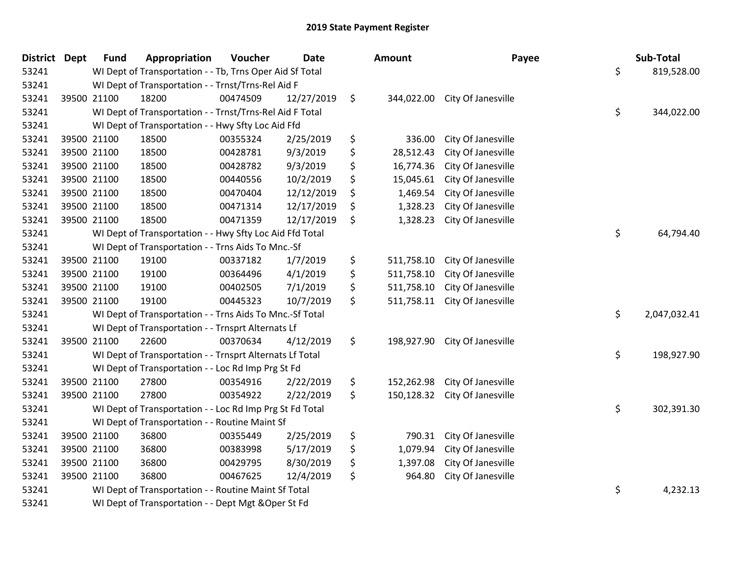| <b>District Dept</b> |             | <b>Fund</b> | Appropriation                                            | Voucher  | <b>Date</b> | <b>Amount</b>    | Payee                         | Sub-Total          |
|----------------------|-------------|-------------|----------------------------------------------------------|----------|-------------|------------------|-------------------------------|--------------------|
| 53241                |             |             | WI Dept of Transportation - - Tb, Trns Oper Aid Sf Total |          |             |                  |                               | \$<br>819,528.00   |
| 53241                |             |             | WI Dept of Transportation - - Trnst/Trns-Rel Aid F       |          |             |                  |                               |                    |
| 53241                | 39500 21100 |             | 18200                                                    | 00474509 | 12/27/2019  | \$               | 344,022.00 City Of Janesville |                    |
| 53241                |             |             | WI Dept of Transportation - - Trnst/Trns-Rel Aid F Total |          |             |                  |                               | \$<br>344,022.00   |
| 53241                |             |             | WI Dept of Transportation - - Hwy Sfty Loc Aid Ffd       |          |             |                  |                               |                    |
| 53241                |             | 39500 21100 | 18500                                                    | 00355324 | 2/25/2019   | \$<br>336.00     | City Of Janesville            |                    |
| 53241                | 39500 21100 |             | 18500                                                    | 00428781 | 9/3/2019    | \$<br>28,512.43  | City Of Janesville            |                    |
| 53241                |             | 39500 21100 | 18500                                                    | 00428782 | 9/3/2019    | \$<br>16,774.36  | City Of Janesville            |                    |
| 53241                |             | 39500 21100 | 18500                                                    | 00440556 | 10/2/2019   | \$<br>15,045.61  | City Of Janesville            |                    |
| 53241                |             | 39500 21100 | 18500                                                    | 00470404 | 12/12/2019  | \$<br>1,469.54   | City Of Janesville            |                    |
| 53241                |             | 39500 21100 | 18500                                                    | 00471314 | 12/17/2019  | \$<br>1,328.23   | City Of Janesville            |                    |
| 53241                | 39500 21100 |             | 18500                                                    | 00471359 | 12/17/2019  | \$<br>1,328.23   | City Of Janesville            |                    |
| 53241                |             |             | WI Dept of Transportation - - Hwy Sfty Loc Aid Ffd Total |          |             |                  |                               | \$<br>64,794.40    |
| 53241                |             |             | WI Dept of Transportation - - Trns Aids To Mnc.-Sf       |          |             |                  |                               |                    |
| 53241                | 39500 21100 |             | 19100                                                    | 00337182 | 1/7/2019    | \$<br>511,758.10 | City Of Janesville            |                    |
| 53241                |             | 39500 21100 | 19100                                                    | 00364496 | 4/1/2019    | \$<br>511,758.10 | City Of Janesville            |                    |
| 53241                | 39500 21100 |             | 19100                                                    | 00402505 | 7/1/2019    | \$<br>511,758.10 | City Of Janesville            |                    |
| 53241                | 39500 21100 |             | 19100                                                    | 00445323 | 10/7/2019   | \$<br>511,758.11 | City Of Janesville            |                    |
| 53241                |             |             | WI Dept of Transportation - - Trns Aids To Mnc.-Sf Total |          |             |                  |                               | \$<br>2,047,032.41 |
| 53241                |             |             | WI Dept of Transportation - - Trnsprt Alternats Lf       |          |             |                  |                               |                    |
| 53241                | 39500 21100 |             | 22600                                                    | 00370634 | 4/12/2019   | \$<br>198,927.90 | City Of Janesville            |                    |
| 53241                |             |             | WI Dept of Transportation - - Trnsprt Alternats Lf Total |          |             |                  |                               | \$<br>198,927.90   |
| 53241                |             |             | WI Dept of Transportation - - Loc Rd Imp Prg St Fd       |          |             |                  |                               |                    |
| 53241                |             | 39500 21100 | 27800                                                    | 00354916 | 2/22/2019   | \$<br>152,262.98 | City Of Janesville            |                    |
| 53241                | 39500 21100 |             | 27800                                                    | 00354922 | 2/22/2019   | \$<br>150,128.32 | City Of Janesville            |                    |
| 53241                |             |             | WI Dept of Transportation - - Loc Rd Imp Prg St Fd Total |          |             |                  |                               | \$<br>302,391.30   |
| 53241                |             |             | WI Dept of Transportation - - Routine Maint Sf           |          |             |                  |                               |                    |
| 53241                |             | 39500 21100 | 36800                                                    | 00355449 | 2/25/2019   | \$<br>790.31     | City Of Janesville            |                    |
| 53241                | 39500 21100 |             | 36800                                                    | 00383998 | 5/17/2019   | \$<br>1,079.94   | City Of Janesville            |                    |
| 53241                |             | 39500 21100 | 36800                                                    | 00429795 | 8/30/2019   | \$<br>1,397.08   | City Of Janesville            |                    |
| 53241                | 39500 21100 |             | 36800                                                    | 00467625 | 12/4/2019   | \$<br>964.80     | City Of Janesville            |                    |
| 53241                |             |             | WI Dept of Transportation - - Routine Maint Sf Total     |          |             |                  |                               | \$<br>4,232.13     |
| 53241                |             |             | WI Dept of Transportation - - Dept Mgt & Oper St Fd      |          |             |                  |                               |                    |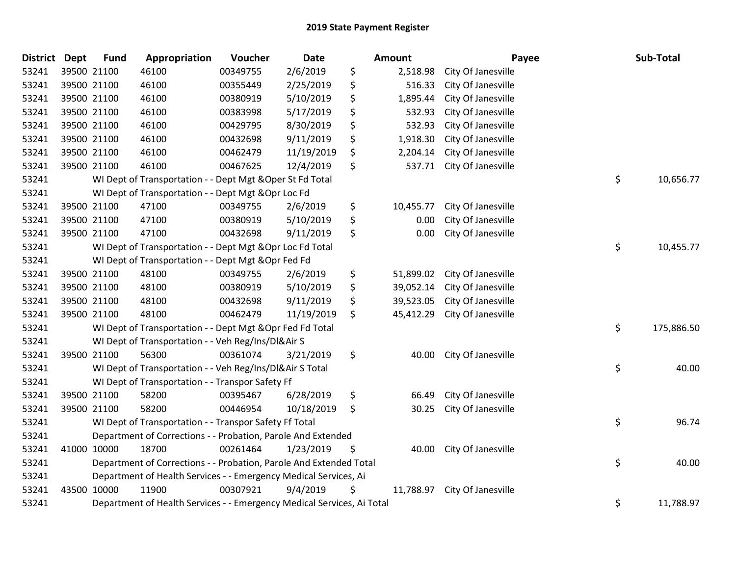| <b>District</b> | <b>Dept</b> | <b>Fund</b> | Appropriation                                                          | Voucher  | <b>Date</b> | <b>Amount</b>   | Payee              | Sub-Total        |
|-----------------|-------------|-------------|------------------------------------------------------------------------|----------|-------------|-----------------|--------------------|------------------|
| 53241           |             | 39500 21100 | 46100                                                                  | 00349755 | 2/6/2019    | \$<br>2,518.98  | City Of Janesville |                  |
| 53241           |             | 39500 21100 | 46100                                                                  | 00355449 | 2/25/2019   | \$<br>516.33    | City Of Janesville |                  |
| 53241           |             | 39500 21100 | 46100                                                                  | 00380919 | 5/10/2019   | \$<br>1,895.44  | City Of Janesville |                  |
| 53241           |             | 39500 21100 | 46100                                                                  | 00383998 | 5/17/2019   | \$<br>532.93    | City Of Janesville |                  |
| 53241           |             | 39500 21100 | 46100                                                                  | 00429795 | 8/30/2019   | \$<br>532.93    | City Of Janesville |                  |
| 53241           |             | 39500 21100 | 46100                                                                  | 00432698 | 9/11/2019   | \$<br>1,918.30  | City Of Janesville |                  |
| 53241           |             | 39500 21100 | 46100                                                                  | 00462479 | 11/19/2019  | \$<br>2,204.14  | City Of Janesville |                  |
| 53241           |             | 39500 21100 | 46100                                                                  | 00467625 | 12/4/2019   | \$<br>537.71    | City Of Janesville |                  |
| 53241           |             |             | WI Dept of Transportation - - Dept Mgt & Oper St Fd Total              |          |             |                 |                    | \$<br>10,656.77  |
| 53241           |             |             | WI Dept of Transportation - - Dept Mgt & Opr Loc Fd                    |          |             |                 |                    |                  |
| 53241           |             | 39500 21100 | 47100                                                                  | 00349755 | 2/6/2019    | \$<br>10,455.77 | City Of Janesville |                  |
| 53241           |             | 39500 21100 | 47100                                                                  | 00380919 | 5/10/2019   | \$<br>0.00      | City Of Janesville |                  |
| 53241           |             | 39500 21100 | 47100                                                                  | 00432698 | 9/11/2019   | \$<br>0.00      | City Of Janesville |                  |
| 53241           |             |             | WI Dept of Transportation - - Dept Mgt & Opr Loc Fd Total              |          |             |                 |                    | \$<br>10,455.77  |
| 53241           |             |             | WI Dept of Transportation - - Dept Mgt & Opr Fed Fd                    |          |             |                 |                    |                  |
| 53241           |             | 39500 21100 | 48100                                                                  | 00349755 | 2/6/2019    | \$<br>51,899.02 | City Of Janesville |                  |
| 53241           |             | 39500 21100 | 48100                                                                  | 00380919 | 5/10/2019   | \$<br>39,052.14 | City Of Janesville |                  |
| 53241           |             | 39500 21100 | 48100                                                                  | 00432698 | 9/11/2019   | \$<br>39,523.05 | City Of Janesville |                  |
| 53241           |             | 39500 21100 | 48100                                                                  | 00462479 | 11/19/2019  | \$<br>45,412.29 | City Of Janesville |                  |
| 53241           |             |             | WI Dept of Transportation - - Dept Mgt & Opr Fed Fd Total              |          |             |                 |                    | \$<br>175,886.50 |
| 53241           |             |             | WI Dept of Transportation - - Veh Reg/Ins/DI&Air S                     |          |             |                 |                    |                  |
| 53241           |             | 39500 21100 | 56300                                                                  | 00361074 | 3/21/2019   | \$<br>40.00     | City Of Janesville |                  |
| 53241           |             |             | WI Dept of Transportation - - Veh Reg/Ins/DI&Air S Total               |          |             |                 |                    | \$<br>40.00      |
| 53241           |             |             | WI Dept of Transportation - - Transpor Safety Ff                       |          |             |                 |                    |                  |
| 53241           |             | 39500 21100 | 58200                                                                  | 00395467 | 6/28/2019   | \$<br>66.49     | City Of Janesville |                  |
| 53241           |             | 39500 21100 | 58200                                                                  | 00446954 | 10/18/2019  | \$<br>30.25     | City Of Janesville |                  |
| 53241           |             |             | WI Dept of Transportation - - Transpor Safety Ff Total                 |          |             |                 |                    | \$<br>96.74      |
| 53241           |             |             | Department of Corrections - - Probation, Parole And Extended           |          |             |                 |                    |                  |
| 53241           |             | 41000 10000 | 18700                                                                  | 00261464 | 1/23/2019   | \$<br>40.00     | City Of Janesville |                  |
| 53241           |             |             | Department of Corrections - - Probation, Parole And Extended Total     |          |             |                 |                    | \$<br>40.00      |
| 53241           |             |             | Department of Health Services - - Emergency Medical Services, Ai       |          |             |                 |                    |                  |
| 53241           |             | 43500 10000 | 11900                                                                  | 00307921 | 9/4/2019    | \$<br>11,788.97 | City Of Janesville |                  |
| 53241           |             |             | Department of Health Services - - Emergency Medical Services, Ai Total |          |             |                 |                    | \$<br>11,788.97  |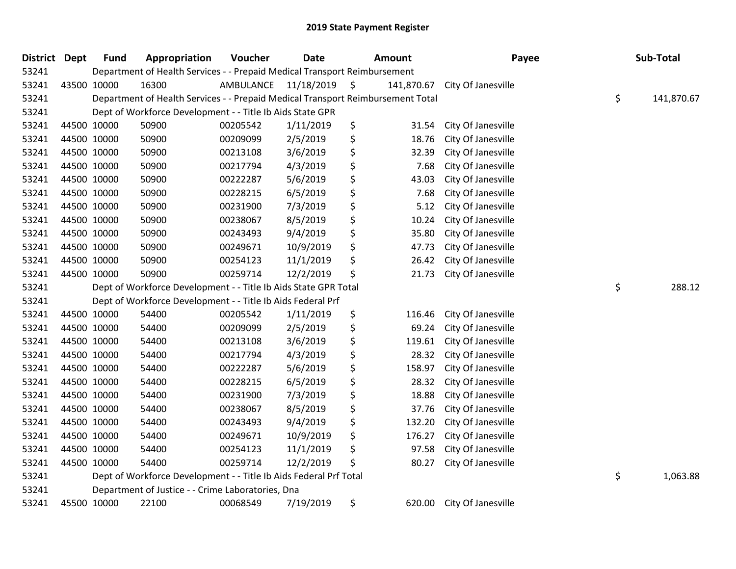| District | Dept | <b>Fund</b> | Appropriation                                                                   | Voucher   | <b>Date</b> | <b>Amount</b>    | Payee              | Sub-Total        |
|----------|------|-------------|---------------------------------------------------------------------------------|-----------|-------------|------------------|--------------------|------------------|
| 53241    |      |             | Department of Health Services - - Prepaid Medical Transport Reimbursement       |           |             |                  |                    |                  |
| 53241    |      | 43500 10000 | 16300                                                                           | AMBULANCE | 11/18/2019  | \$<br>141,870.67 | City Of Janesville |                  |
| 53241    |      |             | Department of Health Services - - Prepaid Medical Transport Reimbursement Total |           |             |                  |                    | \$<br>141,870.67 |
| 53241    |      |             | Dept of Workforce Development - - Title Ib Aids State GPR                       |           |             |                  |                    |                  |
| 53241    |      | 44500 10000 | 50900                                                                           | 00205542  | 1/11/2019   | \$<br>31.54      | City Of Janesville |                  |
| 53241    |      | 44500 10000 | 50900                                                                           | 00209099  | 2/5/2019    | \$<br>18.76      | City Of Janesville |                  |
| 53241    |      | 44500 10000 | 50900                                                                           | 00213108  | 3/6/2019    | \$<br>32.39      | City Of Janesville |                  |
| 53241    |      | 44500 10000 | 50900                                                                           | 00217794  | 4/3/2019    | \$<br>7.68       | City Of Janesville |                  |
| 53241    |      | 44500 10000 | 50900                                                                           | 00222287  | 5/6/2019    | \$<br>43.03      | City Of Janesville |                  |
| 53241    |      | 44500 10000 | 50900                                                                           | 00228215  | 6/5/2019    | \$<br>7.68       | City Of Janesville |                  |
| 53241    |      | 44500 10000 | 50900                                                                           | 00231900  | 7/3/2019    | \$<br>5.12       | City Of Janesville |                  |
| 53241    |      | 44500 10000 | 50900                                                                           | 00238067  | 8/5/2019    | \$<br>10.24      | City Of Janesville |                  |
| 53241    |      | 44500 10000 | 50900                                                                           | 00243493  | 9/4/2019    | \$<br>35.80      | City Of Janesville |                  |
| 53241    |      | 44500 10000 | 50900                                                                           | 00249671  | 10/9/2019   | \$<br>47.73      | City Of Janesville |                  |
| 53241    |      | 44500 10000 | 50900                                                                           | 00254123  | 11/1/2019   | \$<br>26.42      | City Of Janesville |                  |
| 53241    |      | 44500 10000 | 50900                                                                           | 00259714  | 12/2/2019   | \$<br>21.73      | City Of Janesville |                  |
| 53241    |      |             | Dept of Workforce Development - - Title Ib Aids State GPR Total                 |           |             |                  |                    | \$<br>288.12     |
| 53241    |      |             | Dept of Workforce Development - - Title Ib Aids Federal Prf                     |           |             |                  |                    |                  |
| 53241    |      | 44500 10000 | 54400                                                                           | 00205542  | 1/11/2019   | \$<br>116.46     | City Of Janesville |                  |
| 53241    |      | 44500 10000 | 54400                                                                           | 00209099  | 2/5/2019    | \$<br>69.24      | City Of Janesville |                  |
| 53241    |      | 44500 10000 | 54400                                                                           | 00213108  | 3/6/2019    | \$<br>119.61     | City Of Janesville |                  |
| 53241    |      | 44500 10000 | 54400                                                                           | 00217794  | 4/3/2019    | \$<br>28.32      | City Of Janesville |                  |
| 53241    |      | 44500 10000 | 54400                                                                           | 00222287  | 5/6/2019    | \$<br>158.97     | City Of Janesville |                  |
| 53241    |      | 44500 10000 | 54400                                                                           | 00228215  | 6/5/2019    | \$<br>28.32      | City Of Janesville |                  |
| 53241    |      | 44500 10000 | 54400                                                                           | 00231900  | 7/3/2019    | \$<br>18.88      | City Of Janesville |                  |
| 53241    |      | 44500 10000 | 54400                                                                           | 00238067  | 8/5/2019    | \$<br>37.76      | City Of Janesville |                  |
| 53241    |      | 44500 10000 | 54400                                                                           | 00243493  | 9/4/2019    | \$<br>132.20     | City Of Janesville |                  |
| 53241    |      | 44500 10000 | 54400                                                                           | 00249671  | 10/9/2019   | \$<br>176.27     | City Of Janesville |                  |
| 53241    |      | 44500 10000 | 54400                                                                           | 00254123  | 11/1/2019   | \$<br>97.58      | City Of Janesville |                  |
| 53241    |      | 44500 10000 | 54400                                                                           | 00259714  | 12/2/2019   | \$<br>80.27      | City Of Janesville |                  |
| 53241    |      |             | Dept of Workforce Development - - Title Ib Aids Federal Prf Total               |           |             |                  |                    | \$<br>1,063.88   |
| 53241    |      |             | Department of Justice - - Crime Laboratories, Dna                               |           |             |                  |                    |                  |
| 53241    |      | 45500 10000 | 22100                                                                           | 00068549  | 7/19/2019   | \$<br>620.00     | City Of Janesville |                  |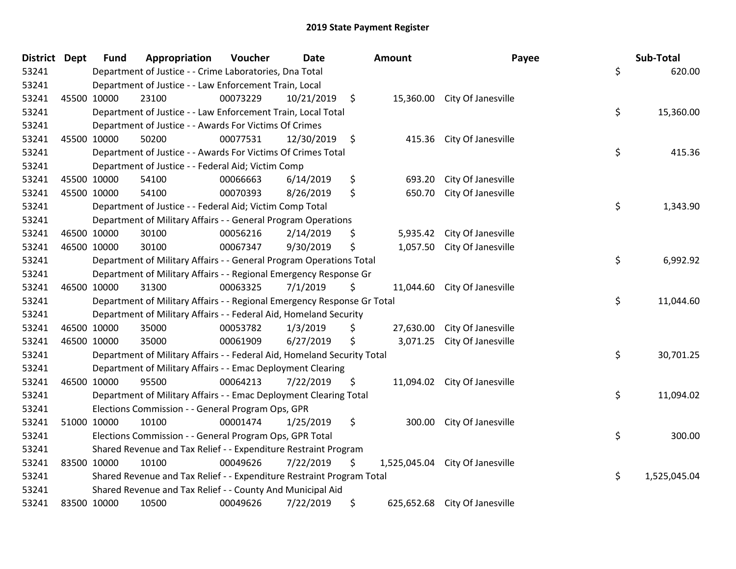| District Dept |             | <b>Fund</b> | Appropriation                                                           | Voucher  | <b>Date</b> |         | Amount    | Payee                           | Sub-Total          |
|---------------|-------------|-------------|-------------------------------------------------------------------------|----------|-------------|---------|-----------|---------------------------------|--------------------|
| 53241         |             |             | Department of Justice - - Crime Laboratories, Dna Total                 |          |             |         |           |                                 | \$<br>620.00       |
| 53241         |             |             | Department of Justice - - Law Enforcement Train, Local                  |          |             |         |           |                                 |                    |
| 53241         | 45500 10000 |             | 23100                                                                   | 00073229 | 10/21/2019  | $\zeta$ |           | 15,360.00 City Of Janesville    |                    |
| 53241         |             |             | Department of Justice - - Law Enforcement Train, Local Total            |          |             |         |           |                                 | \$<br>15,360.00    |
| 53241         |             |             | Department of Justice - - Awards For Victims Of Crimes                  |          |             |         |           |                                 |                    |
| 53241         |             | 45500 10000 | 50200                                                                   | 00077531 | 12/30/2019  | \$      | 415.36    | City Of Janesville              |                    |
| 53241         |             |             | Department of Justice - - Awards For Victims Of Crimes Total            |          |             |         |           |                                 | \$<br>415.36       |
| 53241         |             |             | Department of Justice - - Federal Aid; Victim Comp                      |          |             |         |           |                                 |                    |
| 53241         | 45500 10000 |             | 54100                                                                   | 00066663 | 6/14/2019   | \$      | 693.20    | City Of Janesville              |                    |
| 53241         | 45500 10000 |             | 54100                                                                   | 00070393 | 8/26/2019   | \$      | 650.70    | City Of Janesville              |                    |
| 53241         |             |             | Department of Justice - - Federal Aid; Victim Comp Total                |          |             |         |           |                                 | \$<br>1,343.90     |
| 53241         |             |             | Department of Military Affairs - - General Program Operations           |          |             |         |           |                                 |                    |
| 53241         | 46500 10000 |             | 30100                                                                   | 00056216 | 2/14/2019   | \$      | 5,935.42  | City Of Janesville              |                    |
| 53241         |             | 46500 10000 | 30100                                                                   | 00067347 | 9/30/2019   | \$      | 1,057.50  | City Of Janesville              |                    |
| 53241         |             |             | Department of Military Affairs - - General Program Operations Total     |          |             |         |           |                                 | \$<br>6,992.92     |
| 53241         |             |             | Department of Military Affairs - - Regional Emergency Response Gr       |          |             |         |           |                                 |                    |
| 53241         | 46500 10000 |             | 31300                                                                   | 00063325 | 7/1/2019    | \$      |           | 11,044.60 City Of Janesville    |                    |
| 53241         |             |             | Department of Military Affairs - - Regional Emergency Response Gr Total |          |             |         |           |                                 | \$<br>11,044.60    |
| 53241         |             |             | Department of Military Affairs - - Federal Aid, Homeland Security       |          |             |         |           |                                 |                    |
| 53241         |             | 46500 10000 | 35000                                                                   | 00053782 | 1/3/2019    | \$      | 27,630.00 | City Of Janesville              |                    |
| 53241         | 46500 10000 |             | 35000                                                                   | 00061909 | 6/27/2019   | \$      | 3,071.25  | City Of Janesville              |                    |
| 53241         |             |             | Department of Military Affairs - - Federal Aid, Homeland Security Total |          |             |         |           |                                 | \$<br>30,701.25    |
| 53241         |             |             | Department of Military Affairs - - Emac Deployment Clearing             |          |             |         |           |                                 |                    |
| 53241         |             | 46500 10000 | 95500                                                                   | 00064213 | 7/22/2019   | \$      | 11,094.02 | City Of Janesville              |                    |
| 53241         |             |             | Department of Military Affairs - - Emac Deployment Clearing Total       |          |             |         |           |                                 | \$<br>11,094.02    |
| 53241         |             |             | Elections Commission - - General Program Ops, GPR                       |          |             |         |           |                                 |                    |
| 53241         | 51000 10000 |             | 10100                                                                   | 00001474 | 1/25/2019   | \$      | 300.00    | City Of Janesville              |                    |
| 53241         |             |             | Elections Commission - - General Program Ops, GPR Total                 |          |             |         |           |                                 | \$<br>300.00       |
| 53241         |             |             | Shared Revenue and Tax Relief - - Expenditure Restraint Program         |          |             |         |           |                                 |                    |
| 53241         | 83500 10000 |             | 10100                                                                   | 00049626 | 7/22/2019   | \$      |           | 1,525,045.04 City Of Janesville |                    |
| 53241         |             |             | Shared Revenue and Tax Relief - - Expenditure Restraint Program Total   |          |             |         |           |                                 | \$<br>1,525,045.04 |
| 53241         |             |             | Shared Revenue and Tax Relief - - County And Municipal Aid              |          |             |         |           |                                 |                    |
| 53241         | 83500 10000 |             | 10500                                                                   | 00049626 | 7/22/2019   | \$      |           | 625,652.68 City Of Janesville   |                    |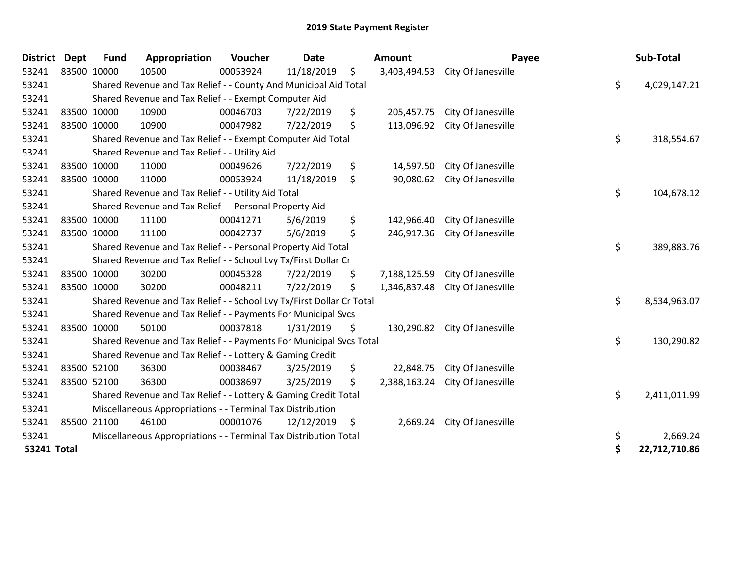| <b>District</b> | <b>Dept</b> | <b>Fund</b> | Appropriation                                                         | Voucher  | <b>Date</b> | Amount             | Payee                           | Sub-Total           |
|-----------------|-------------|-------------|-----------------------------------------------------------------------|----------|-------------|--------------------|---------------------------------|---------------------|
| 53241           | 83500 10000 |             | 10500                                                                 | 00053924 | 11/18/2019  | \$                 | 3,403,494.53 City Of Janesville |                     |
| 53241           |             |             | Shared Revenue and Tax Relief - - County And Municipal Aid Total      |          |             |                    |                                 | \$<br>4,029,147.21  |
| 53241           |             |             | Shared Revenue and Tax Relief - - Exempt Computer Aid                 |          |             |                    |                                 |                     |
| 53241           | 83500 10000 |             | 10900                                                                 | 00046703 | 7/22/2019   | \$<br>205,457.75   | City Of Janesville              |                     |
| 53241           | 83500 10000 |             | 10900                                                                 | 00047982 | 7/22/2019   | \$                 | 113,096.92 City Of Janesville   |                     |
| 53241           |             |             | Shared Revenue and Tax Relief - - Exempt Computer Aid Total           |          |             |                    |                                 | \$<br>318,554.67    |
| 53241           |             |             | Shared Revenue and Tax Relief - - Utility Aid                         |          |             |                    |                                 |                     |
| 53241           | 83500 10000 |             | 11000                                                                 | 00049626 | 7/22/2019   | \$<br>14,597.50    | City Of Janesville              |                     |
| 53241           | 83500 10000 |             | 11000                                                                 | 00053924 | 11/18/2019  | \$<br>90,080.62    | City Of Janesville              |                     |
| 53241           |             |             | Shared Revenue and Tax Relief - - Utility Aid Total                   |          |             |                    |                                 | \$<br>104,678.12    |
| 53241           |             |             | Shared Revenue and Tax Relief - - Personal Property Aid               |          |             |                    |                                 |                     |
| 53241           | 83500 10000 |             | 11100                                                                 | 00041271 | 5/6/2019    | \$<br>142,966.40   | City Of Janesville              |                     |
| 53241           | 83500 10000 |             | 11100                                                                 | 00042737 | 5/6/2019    | \$<br>246,917.36   | City Of Janesville              |                     |
| 53241           |             |             | Shared Revenue and Tax Relief - - Personal Property Aid Total         |          |             |                    |                                 | \$<br>389,883.76    |
| 53241           |             |             | Shared Revenue and Tax Relief - - School Lvy Tx/First Dollar Cr       |          |             |                    |                                 |                     |
| 53241           | 83500 10000 |             | 30200                                                                 | 00045328 | 7/22/2019   | \$<br>7,188,125.59 | City Of Janesville              |                     |
| 53241           | 83500 10000 |             | 30200                                                                 | 00048211 | 7/22/2019   | \$<br>1,346,837.48 | City Of Janesville              |                     |
| 53241           |             |             | Shared Revenue and Tax Relief - - School Lvy Tx/First Dollar Cr Total |          |             |                    |                                 | \$<br>8,534,963.07  |
| 53241           |             |             | Shared Revenue and Tax Relief - - Payments For Municipal Svcs         |          |             |                    |                                 |                     |
| 53241           | 83500 10000 |             | 50100                                                                 | 00037818 | 1/31/2019   | \$                 | 130,290.82 City Of Janesville   |                     |
| 53241           |             |             | Shared Revenue and Tax Relief - - Payments For Municipal Svcs Total   |          |             |                    |                                 | \$<br>130,290.82    |
| 53241           |             |             | Shared Revenue and Tax Relief - - Lottery & Gaming Credit             |          |             |                    |                                 |                     |
| 53241           | 83500 52100 |             | 36300                                                                 | 00038467 | 3/25/2019   | \$<br>22,848.75    | City Of Janesville              |                     |
| 53241           | 83500 52100 |             | 36300                                                                 | 00038697 | 3/25/2019   | \$<br>2,388,163.24 | City Of Janesville              |                     |
| 53241           |             |             | Shared Revenue and Tax Relief - - Lottery & Gaming Credit Total       |          |             |                    |                                 | \$<br>2,411,011.99  |
| 53241           |             |             | Miscellaneous Appropriations - - Terminal Tax Distribution            |          |             |                    |                                 |                     |
| 53241           | 85500 21100 |             | 46100                                                                 | 00001076 | 12/12/2019  | \$<br>2,669.24     | City Of Janesville              |                     |
| 53241           |             |             | Miscellaneous Appropriations - - Terminal Tax Distribution Total      |          |             |                    |                                 | \$<br>2,669.24      |
| 53241 Total     |             |             |                                                                       |          |             |                    |                                 | \$<br>22,712,710.86 |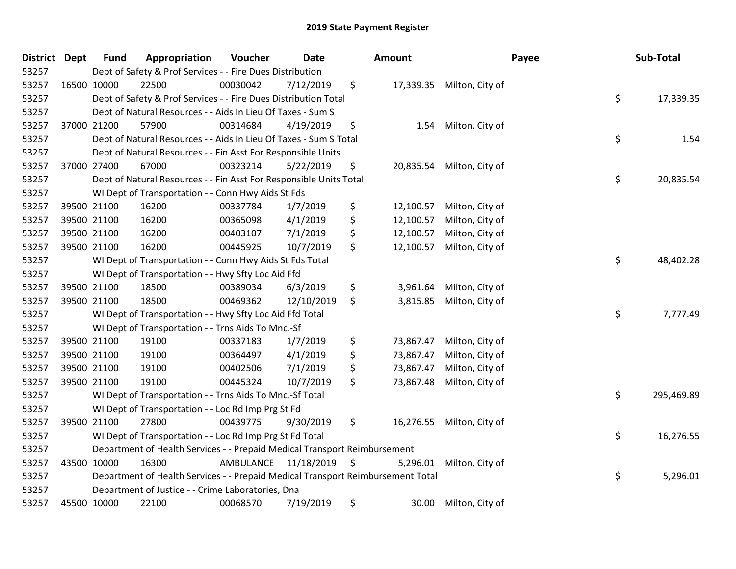| District Dept |             | <b>Fund</b> | Appropriation                                                                   | Voucher                 | <b>Date</b> | <b>Amount</b>   |                           | Payee | Sub-Total  |
|---------------|-------------|-------------|---------------------------------------------------------------------------------|-------------------------|-------------|-----------------|---------------------------|-------|------------|
| 53257         |             |             | Dept of Safety & Prof Services - - Fire Dues Distribution                       |                         |             |                 |                           |       |            |
| 53257         | 16500 10000 |             | 22500                                                                           | 00030042                | 7/12/2019   | \$              | 17,339.35 Milton, City of |       |            |
| 53257         |             |             | Dept of Safety & Prof Services - - Fire Dues Distribution Total                 |                         |             |                 |                           | \$    | 17,339.35  |
| 53257         |             |             | Dept of Natural Resources - - Aids In Lieu Of Taxes - Sum S                     |                         |             |                 |                           |       |            |
| 53257         |             | 37000 21200 | 57900                                                                           | 00314684                | 4/19/2019   | \$<br>1.54      | Milton, City of           |       |            |
| 53257         |             |             | Dept of Natural Resources - - Aids In Lieu Of Taxes - Sum S Total               |                         |             |                 |                           | \$    | 1.54       |
| 53257         |             |             | Dept of Natural Resources - - Fin Asst For Responsible Units                    |                         |             |                 |                           |       |            |
| 53257         |             | 37000 27400 | 67000                                                                           | 00323214                | 5/22/2019   | \$<br>20,835.54 | Milton, City of           |       |            |
| 53257         |             |             | Dept of Natural Resources - - Fin Asst For Responsible Units Total              |                         |             |                 |                           | \$    | 20,835.54  |
| 53257         |             |             | WI Dept of Transportation - - Conn Hwy Aids St Fds                              |                         |             |                 |                           |       |            |
| 53257         |             | 39500 21100 | 16200                                                                           | 00337784                | 1/7/2019    | \$<br>12,100.57 | Milton, City of           |       |            |
| 53257         |             | 39500 21100 | 16200                                                                           | 00365098                | 4/1/2019    | \$<br>12,100.57 | Milton, City of           |       |            |
| 53257         |             | 39500 21100 | 16200                                                                           | 00403107                | 7/1/2019    | \$<br>12,100.57 | Milton, City of           |       |            |
| 53257         |             | 39500 21100 | 16200                                                                           | 00445925                | 10/7/2019   | \$<br>12,100.57 | Milton, City of           |       |            |
| 53257         |             |             | WI Dept of Transportation - - Conn Hwy Aids St Fds Total                        |                         |             |                 |                           | \$    | 48,402.28  |
| 53257         |             |             | WI Dept of Transportation - - Hwy Sfty Loc Aid Ffd                              |                         |             |                 |                           |       |            |
| 53257         |             | 39500 21100 | 18500                                                                           | 00389034                | 6/3/2019    | \$<br>3,961.64  | Milton, City of           |       |            |
| 53257         |             | 39500 21100 | 18500                                                                           | 00469362                | 12/10/2019  | \$<br>3,815.85  | Milton, City of           |       |            |
| 53257         |             |             | WI Dept of Transportation - - Hwy Sfty Loc Aid Ffd Total                        |                         |             |                 |                           | \$    | 7,777.49   |
| 53257         |             |             | WI Dept of Transportation - - Trns Aids To Mnc.-Sf                              |                         |             |                 |                           |       |            |
| 53257         |             | 39500 21100 | 19100                                                                           | 00337183                | 1/7/2019    | \$<br>73,867.47 | Milton, City of           |       |            |
| 53257         |             | 39500 21100 | 19100                                                                           | 00364497                | 4/1/2019    | \$<br>73,867.47 | Milton, City of           |       |            |
| 53257         |             | 39500 21100 | 19100                                                                           | 00402506                | 7/1/2019    | \$<br>73,867.47 | Milton, City of           |       |            |
| 53257         |             | 39500 21100 | 19100                                                                           | 00445324                | 10/7/2019   | \$<br>73,867.48 | Milton, City of           |       |            |
| 53257         |             |             | WI Dept of Transportation - - Trns Aids To Mnc.-Sf Total                        |                         |             |                 |                           | \$    | 295,469.89 |
| 53257         |             |             | WI Dept of Transportation - - Loc Rd Imp Prg St Fd                              |                         |             |                 |                           |       |            |
| 53257         |             | 39500 21100 | 27800                                                                           | 00439775                | 9/30/2019   | \$<br>16,276.55 | Milton, City of           |       |            |
| 53257         |             |             | WI Dept of Transportation - - Loc Rd Imp Prg St Fd Total                        |                         |             |                 |                           | \$    | 16,276.55  |
| 53257         |             |             | Department of Health Services - - Prepaid Medical Transport Reimbursement       |                         |             |                 |                           |       |            |
| 53257         | 43500 10000 |             | 16300                                                                           | AMBULANCE 11/18/2019 \$ |             | 5,296.01        | Milton, City of           |       |            |
| 53257         |             |             | Department of Health Services - - Prepaid Medical Transport Reimbursement Total |                         |             |                 |                           | \$    | 5,296.01   |
| 53257         |             |             | Department of Justice - - Crime Laboratories, Dna                               |                         |             |                 |                           |       |            |
| 53257         |             | 45500 10000 | 22100                                                                           | 00068570                | 7/19/2019   | \$<br>30.00     | Milton, City of           |       |            |